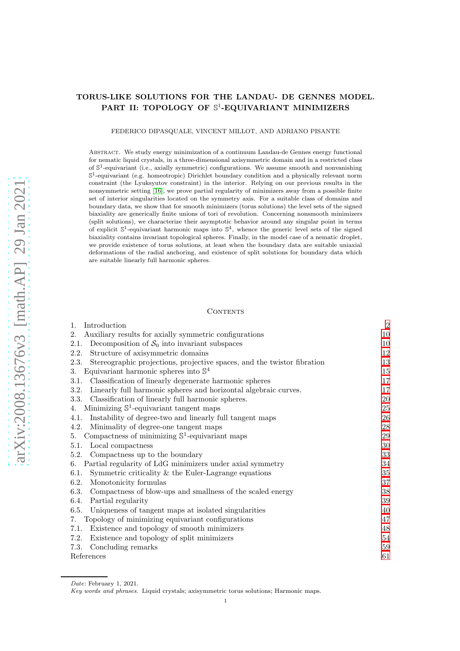# TORUS-LIKE SOLUTIONS FOR THE LANDAU- DE GENNES MODEL. PART II: TOPOLOGY OF S<sup>1</sup>-EQUIVARIANT MINIMIZERS

FEDERICO DIPASQUALE, VINCENT MILLOT, AND ADRIANO PISANTE

Abstract. We study energy minimization of a continuum Landau-de Gennes energy functional for nematic liquid crystals, in a three-dimensional axisymmetric domain and in a restricted class of S 1 -equivariant (i.e., axially symmetric) configurations. We assume smooth and nonvanishing  $\mathbb{S}^1$ -equivariant (e.g. homeotropic) Dirichlet boundary condition and a physically relevant norm constraint (the Lyuksyutov constraint) in the interior. Relying on our previous results in the nonsymmetric setting [\[16\]](#page-60-0), we prove partial regularity of minimizers away from a possible finite set of interior singularities located on the symmetry axis. For a suitable class of domains and boundary data, we show that for smooth minimizers (torus solutions) the level sets of the signed biaxiality are generically finite unions of tori of revolution. Concerning nonsmooth minimizers (split solutions), we characterize their asymptotic behavior around any singular point in terms of explicit  $\mathbb{S}^1$ -equivariant harmonic maps into  $\mathbb{S}^4$ , whence the generic level sets of the signed biaxiality contains invariant topological spheres. Finally, in the model case of a nematic droplet, we provide existence of torus solutions, at least when the boundary data are suitable uniaxial deformations of the radial anchoring, and existence of split solutions for boundary data which are suitable linearly full harmonic spheres.

### **CONTENTS**

| Introduction<br>$1_{-}$                                                         | $\sqrt{2}$ |
|---------------------------------------------------------------------------------|------------|
| Auxiliary results for axially symmetric configurations<br>2.                    | 10         |
| Decomposition of $S_0$ into invariant subspaces<br>2.1.                         | 10         |
| Structure of axisymmetric domains<br>2.2.                                       | 12         |
| Stereographic projections, projective spaces, and the twistor fibration<br>2.3. | 13         |
| Equivariant harmonic spheres into $\mathbb{S}^4$<br>3.                          | 15         |
| Classification of linearly degenerate harmonic spheres<br>3.1.                  | 17         |
| Linearly full harmonic spheres and horizontal algebraic curves.<br>3.2.         | 17         |
| Classification of linearly full harmonic spheres.<br>3.3.                       | 20         |
| Minimizing $\mathbb{S}^1$ -equivariant tangent maps<br>4.                       | 25         |
| Instability of degree-two and linearly full tangent maps<br>4.1.                | 26         |
| Minimality of degree-one tangent maps<br>4.2.                                   | 28         |
| Compactness of minimizing $\mathbb{S}^1$ -equivariant maps<br>5.                | 29         |
| Local compactness<br>5.1.                                                       | 30         |
| Compactness up to the boundary<br>5.2.                                          | 33         |
| Partial regularity of LdG minimizers under axial symmetry<br>6.                 | 34         |
| Symmetric criticality $\&$ the Euler-Lagrange equations<br>6.1.                 | 35         |
| Monotonicity formulas<br>6.2.                                                   | 37         |
| Compactness of blow-ups and smallness of the scaled energy<br>6.3.              | 38         |
| Partial regularity<br>6.4.                                                      | 39         |
| Uniqueness of tangent maps at isolated singularities<br>6.5.                    | 40         |
| Topology of minimizing equivariant configurations<br>7.                         | 47         |
| 7.1.<br>Existence and topology of smooth minimizers                             | 48         |
| Existence and topology of split minimizers<br>7.2.                              | 54         |
| Concluding remarks<br>7.3.                                                      | 59         |
| References                                                                      | 61         |

Date: February 1, 2021.

Key words and phrases. Liquid crystals; axisymmetric torus solutions; Harmonic maps.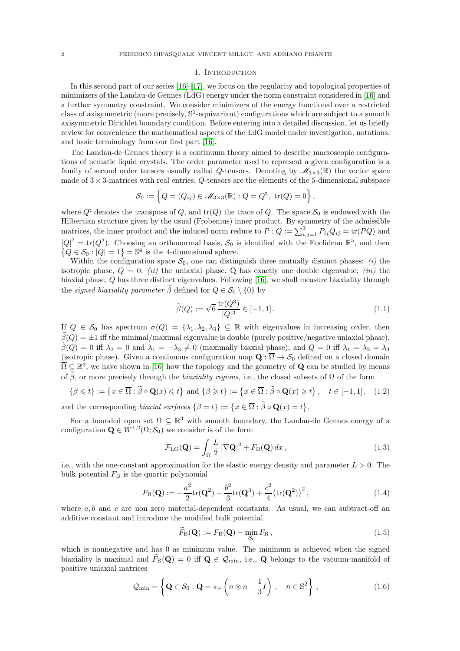### 1. INTRODUCTION

<span id="page-1-0"></span>In this second part of our series [\[16\]](#page-60-0)-[\[17\]](#page-60-2), we focus on the regularity and topological properties of minimizers of the Landau-de Gennes (LdG) energy under the norm constraint considered in [\[16\]](#page-60-0) and a further symmetry constraint. We consider minimizers of the energy functional over a restricted class of axisymmetric (more precisely,  $\mathbb{S}^1$ -equivariant) configurations which are subject to a smooth axisymmetric Dirichlet boundary condition. Before entering into a detailed discussion, let us briefly review for convenience the mathematical aspects of the LdG model under investigation, notations, and basic terminology from our first part [\[16\]](#page-60-0).

The Landau-de Gennes theory is a continuum theory aimed to describe macroscopic configurations of nematic liquid crystals. The order parameter used to represent a given configuration is a family of second order tensors usually called Q-tensors. Denoting by  $\mathscr{M}_{3\times 3}(\mathbb{R})$  the vector space made of  $3 \times 3$ -matrices with real entries, Q-tensors are the elements of the 5-dimensional subspace

$$
S_0 := \left\{ Q = (Q_{ij}) \in M_{3 \times 3}(\mathbb{R}) : Q = Q^{\mathsf{t}}, \text{ tr}(Q) = 0 \right\},\
$$

where  $Q^t$  denotes the transpose of Q, and  $tr(Q)$  the trace of Q. The space  $S_0$  is endowed with the Hilbertian structure given by the usual (Frobenius) inner product. By symmetry of the admissible matrices, the inner product and the induced norm reduce to  $P: Q := \sum_{i,j=1}^{3} P_{ij}Q_{ij} = \text{tr}(PQ)$  and  $|Q|^2 = \text{tr}(Q^2)$ . Choosing an orthonormal basis,  $S_0$  is identified with the Euclidean  $\mathbb{R}^5$ , and then  $\{Q \in \mathcal{S}_0 : |Q| = 1\} = \mathbb{S}^4$  is the 4-dimensional sphere.

Within the configuration space  $S_0$ , one can distinguish three mutually distinct phases: *(i)* the isotropic phase,  $Q = 0$ ; (ii) the uniaxial phase, Q has exactly one double eigenvalue; (iii) the biaxial phase, Q has three distinct eigenvalues. Following [\[16\]](#page-60-0), we shall measure biaxiality through the *signed biaxiality parameter*  $\tilde{\beta}$  defined for  $Q \in \mathcal{S}_0 \setminus \{0\}$  by

<span id="page-1-2"></span>
$$
\widetilde{\beta}(Q) := \sqrt{6} \frac{\text{tr}(Q^3)}{|Q|^3} \in [-1, 1].
$$
\n(1.1)

If  $Q \in \mathcal{S}_0$  has spectrum  $\sigma(Q) = {\lambda_1, \lambda_2, \lambda_3} \subseteq \mathbb{R}$  with eigenvalues in increasing order, then  $\tilde{\beta}(Q) = \pm 1$  iff the minimal/maximal eigenvalue is double (purely positive/negative uniaxial phase),  $\beta(Q) = 0$  iff  $\lambda_2 = 0$  and  $\lambda_1 = -\lambda_3 \neq 0$  (maximally biaxial phase), and  $Q = 0$  iff  $\lambda_1 = \lambda_2 = \lambda_3$ (isotropic phase). Given a continuous configuration map  $\mathbf{Q}: \Omega \to \mathcal{S}_0$  defined on a closed domain  $\overline{\Omega} \subseteq \mathbb{R}^3$ , we have shown in [\[16\]](#page-60-0) how the topology and the geometry of **Q** can be studied by means of  $\tilde{\beta}$ , or more precisely through the *biaxiality regions*, i.e., the closed subsets of  $\Omega$  of the form

<span id="page-1-3"></span>
$$
\{\beta \leqslant t\} := \left\{x \in \overline{\Omega} : \widetilde{\beta} \circ \mathbf{Q}(x) \leqslant t\right\} \text{ and } \{\beta \geqslant t\} := \left\{x \in \overline{\Omega} : \widetilde{\beta} \circ \mathbf{Q}(x) \geqslant t\right\}, \quad t \in [-1, 1], \quad (1.2)
$$

and the corresponding *biaxial surfaces*  $\{\beta = t\} := \{x \in \overline{\Omega} : \widetilde{\beta} \circ \mathbf{Q}(x) = t\}.$ 

For a bounded open set  $\Omega \subseteq \mathbb{R}^3$  with smooth boundary, the Landau-de Gennes energy of a configuration  $\mathbf{Q} \in W^{1,2}(\Omega; \mathcal{S}_0)$  we consider is of the form

$$
\mathcal{F}_{\text{LG}}(\mathbf{Q}) = \int_{\Omega} \frac{L}{2} |\nabla \mathbf{Q}|^2 + F_{\text{B}}(\mathbf{Q}) dx, \qquad (1.3)
$$

i.e., with the one-constant approximation for the elastic energy density and parameter  $L > 0$ . The bulk potential  $F<sub>B</sub>$  is the quartic polynomial

$$
F_{\rm B}(\mathbf{Q}) := -\frac{a^2}{2} \text{tr}(\mathbf{Q}^2) - \frac{b^2}{3} \text{tr}(\mathbf{Q}^3) + \frac{c^2}{4} \left( \text{tr}(\mathbf{Q}^2) \right)^2, \tag{1.4}
$$

where  $a, b$  and c are non zero material-dependent constants. As usual, we can subtract-off an additive constant and introduce the modified bulk potential

<span id="page-1-1"></span>
$$
\widetilde{F}_{\mathcal{B}}(\mathbf{Q}) := F_{\mathcal{B}}(\mathbf{Q}) - \min_{\mathcal{S}_0} F_{\mathcal{B}}\,,\tag{1.5}
$$

which is nonnegative and has 0 as minimum value. The minimum is achieved when the signed biaxiality is maximal and  $\tilde{F}_{\text{B}}(\mathbf{Q}) = 0$  iff  $\mathbf{Q} \in \mathcal{Q}_{\text{min}}$ , i.e., **Q** belongs to the vacuum-manifold of positive uniaxial matrices

<span id="page-1-4"></span>
$$
\mathcal{Q}_{\min} = \left\{ \mathbf{Q} \in \mathcal{S}_0 : \mathbf{Q} = s_+ \left( n \otimes n - \frac{1}{3} I \right) , \quad n \in \mathbb{S}^2 \right\},\tag{1.6}
$$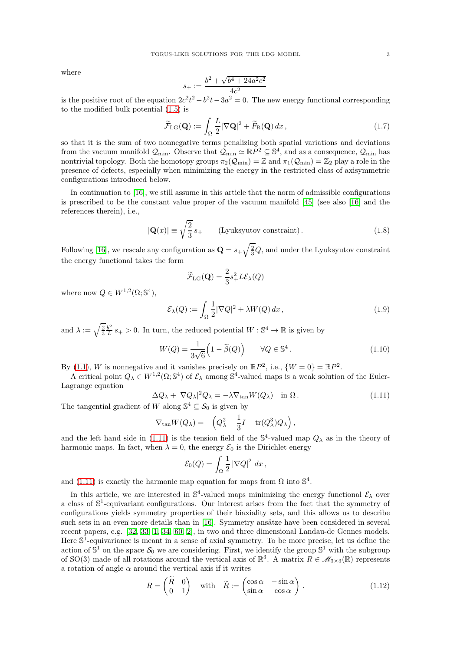where

$$
s_{+} := \frac{b^2 + \sqrt{b^4 + 24a^2c^2}}{4c^2}
$$

is the positive root of the equation  $2c^2t^2 - b^2t - 3a^2 = 0$ . The new energy functional corresponding to the modified bulk potential [\(1.5\)](#page-1-1) is

$$
\widetilde{\mathcal{F}}_{\text{LG}}(\mathbf{Q}) := \int_{\Omega} \frac{L}{2} |\nabla \mathbf{Q}|^2 + \widetilde{F}_{\text{B}}(\mathbf{Q}) \, dx \,, \tag{1.7}
$$

so that it is the sum of two nonnegative terms penalizing both spatial variations and deviations from the vacuum manifold  $\mathcal{Q}_{\min}$ . Observe that  $\mathcal{Q}_{\min} \simeq \mathbb{R}P^2 \subseteq \mathbb{S}^4$ , and as a consequence,  $\mathcal{Q}_{\min}$  has nontrivial topology. Both the homotopy groups  $\pi_2(\mathcal{Q}_{\text{min}}) = \mathbb{Z}$  and  $\pi_1(\mathcal{Q}_{\text{min}}) = \mathbb{Z}_2$  play a role in the presence of defects, especially when minimizing the energy in the restricted class of axisymmetric configurations introduced below.

In continuation to [\[16\]](#page-60-0), we still assume in this article that the norm of admissible configurations is prescribed to be the constant value proper of the vacuum manifold [\[45\]](#page-61-0) (see also [\[16\]](#page-60-0) and the references therein), i.e.,

<span id="page-2-4"></span>
$$
|\mathbf{Q}(x)| \equiv \sqrt{\frac{2}{3}} s_+ \qquad \text{(Lyuksyutov constraint)}\,. \tag{1.8}
$$

Following [\[16\]](#page-60-0), we rescale any configuration as  $\mathbf{Q} = s_+ \sqrt{\frac{2}{3}}Q$ , and under the Lyuksyutov constraint the energy functional takes the form

$$
\widetilde{\mathcal{F}}_{\text{LG}}(\mathbf{Q}) = \frac{2}{3}s_+^2 L \mathcal{E}_{\lambda}(Q)
$$

where now  $Q \in W^{1,2}(\Omega; \mathbb{S}^4)$ ,

<span id="page-2-1"></span>
$$
\mathcal{E}_{\lambda}(Q) := \int_{\Omega} \frac{1}{2} |\nabla Q|^2 + \lambda W(Q) \, dx \,, \tag{1.9}
$$

and  $\lambda := \sqrt{\frac{2}{3}} \frac{b^2}{L}$  $\frac{b^2}{L}s_+ > 0$ . In turn, the reduced potential  $W : \mathbb{S}^4 \to \mathbb{R}$  is given by

<span id="page-2-3"></span>
$$
W(Q) = \frac{1}{3\sqrt{6}} \left( 1 - \tilde{\beta}(Q) \right) \qquad \forall Q \in \mathbb{S}^4.
$$
 (1.10)

By [\(1.1\)](#page-1-2), W is nonnegative and it vanishes precisely on  $\mathbb{R}P^2$ , i.e.,  $\{W=0\} = \mathbb{R}P^2$ .

A critical point  $Q_{\lambda} \in W^{1,2}(\Omega; \mathbb{S}^4)$  of  $\mathcal{E}_{\lambda}$  among  $\mathbb{S}^4$ -valued maps is a weak solution of the Euler-Lagrange equation

<span id="page-2-0"></span>
$$
\Delta Q_{\lambda} + |\nabla Q_{\lambda}|^2 Q_{\lambda} = -\lambda \nabla_{\tan} W(Q_{\lambda}) \quad \text{in } \Omega \,. \tag{1.11}
$$

The tangential gradient of W along  $\mathbb{S}^4 \subseteq \mathcal{S}_0$  is given by

$$
\nabla_{\tan} W(Q_{\lambda}) = -\left(Q_{\lambda}^2 - \frac{1}{3}I - \text{tr}(Q_{\lambda}^3)Q_{\lambda}\right),
$$

and the left hand side in [\(1.11\)](#page-2-0) is the tension field of the  $\mathbb{S}^4$ -valued map  $Q_\lambda$  as in the theory of harmonic maps. In fact, when  $\lambda = 0$ , the energy  $\mathcal{E}_0$  is the Dirichlet energy

$$
\mathcal{E}_0(Q) = \int_{\Omega} \frac{1}{2} |\nabla Q|^2 dx,
$$

and [\(1.11\)](#page-2-0) is exactly the harmonic map equation for maps from  $\Omega$  into  $\mathbb{S}^4$ .

In this article, we are interested in  $\mathbb{S}^4$ -valued maps minimizing the energy functional  $\mathcal{E}_{\lambda}$  over a class of  $\mathbb{S}^1$ -equivariant configurations. Our interest arises from the fact that the symmetry of configurations yields symmetry properties of their biaxiality sets, and this allows us to describe such sets in an even more details than in [\[16\]](#page-60-0). Symmetry ansätze have been considered in several recent papers, e.g. [\[32,](#page-61-1) [33,](#page-61-2) [1,](#page-60-3) [34,](#page-61-3) [60,](#page-62-0) [2\]](#page-60-4), in two and three dimensional Landau-de Gennes models. Here  $\mathbb{S}^1$ -equivariance is meant in a sense of axial symmetry. To be more precise, let us define the action of  $\mathbb{S}^1$  on the space  $\mathcal{S}_0$  we are considering. First, we identify the group  $\mathbb{S}^1$  with the subgroup of SO(3) made of all rotations around the vertical axis of  $\mathbb{R}^3$ . A matrix  $R \in M_{3\times 3}(\mathbb{R})$  represents a rotation of angle  $\alpha$  around the vertical axis if it writes

<span id="page-2-2"></span>
$$
R = \begin{pmatrix} \widetilde{R} & 0 \\ 0 & 1 \end{pmatrix} \quad \text{with} \quad \widetilde{R} := \begin{pmatrix} \cos \alpha & -\sin \alpha \\ \sin \alpha & \cos \alpha \end{pmatrix} . \tag{1.12}
$$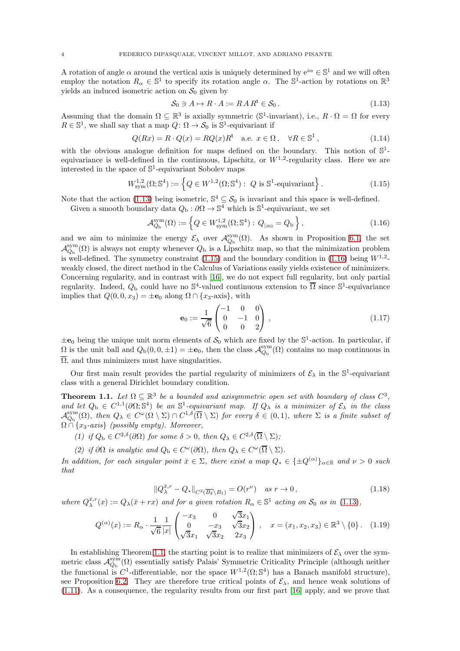A rotation of angle  $\alpha$  around the vertical axis is uniquely determined by  $e^{i\alpha} \in \mathbb{S}^1$  and we will often employ the notation  $R_{\alpha} \in \mathbb{S}^1$  to specify its rotation angle  $\alpha$ . The  $\mathbb{S}^1$ -action by rotations on  $\mathbb{R}^3$ yields an induced isometric action on  $S_0$  given by

<span id="page-3-0"></span>
$$
S_0 \ni A \mapsto R \cdot A := R A R^{\mathsf{t}} \in S_0 \,. \tag{1.13}
$$

Assuming that the domain  $\Omega \subseteq \mathbb{R}^3$  is axially symmetric (S<sup>1</sup>-invariant), i.e.,  $R \cdot \Omega = \Omega$  for every  $R \in \mathbb{S}^1$ , we shall say that a map  $Q: \Omega \to \mathcal{S}_0$  is  $\mathbb{S}^1$ -equivariant if

<span id="page-3-6"></span>
$$
Q(Rx) = R \cdot Q(x) = RQ(x)R^{\dagger} \quad \text{a.e. } x \in \Omega \,, \quad \forall R \in \mathbb{S}^{1} \,, \tag{1.14}
$$

with the obvious analogue definition for maps defined on the boundary. This notion of  $\mathbb{S}^1$ equivariance is well-defined in the continuous, Lipschitz, or  $W^{1,2}$ -regularity class. Here we are interested in the space of  $\mathbb{S}^1$ -equivariant Sobolev maps

<span id="page-3-1"></span>
$$
W^{1,2}_{sym}(\Omega; \mathbb{S}^4) := \left\{ Q \in W^{1,2}(\Omega; \mathbb{S}^4) : Q \text{ is } \mathbb{S}^1\text{-equivariant} \right\}.
$$
 (1.15)

Note that the action [\(1.13\)](#page-3-0) being isometric,  $\mathbb{S}^4 \subseteq \mathcal{S}_0$  is invariant and this space is well-defined.

Given a smooth boundary data  $Q_{\rm b}$ :  $\partial\Omega \to \mathbb{S}^4$  which is  $\mathbb{S}^1$ -equivariant, we set

<span id="page-3-2"></span>
$$
\mathcal{A}_{Q_{\mathbf{b}}}^{\text{sym}}(\Omega) := \left\{ Q \in W_{\text{sym}}^{1,2}(\Omega; \mathbb{S}^4) : \, Q_{|\partial \Omega} = Q_{\mathbf{b}} \right\},\tag{1.16}
$$

and we aim to minimize the energy  $\mathcal{E}_{\lambda}$  over  $\mathcal{A}_{Q_{\rm b}}^{\rm sym}(\Omega)$ . As shown in Proposition [6.1,](#page-34-1) the set  $\mathcal{A}_{Q_{\rm b}}^{\rm sym}(\Omega)$  is always not empty whenever  $Q_{\rm b}$  is a Lipschitz map, so that the minimization problem is well-defined. The symmetry constraint  $(1.15)$  and the boundary condition in  $(1.16)$  being  $W^{1,2}$ weakly closed, the direct method in the Calculus of Variations easily yields existence of minimizers. Concerning regularity, and in contrast with [\[16\]](#page-60-0), we do not expect full regularity, but only partial regularity. Indeed,  $Q_{\rm b}$  could have no  $\mathbb{S}^4$ -valued continuous extension to  $\overline{\Omega}$  since  $\mathbb{S}^1$ -equivariance implies that  $Q(0, 0, x_3) = \pm \mathbf{e}_0$  along  $\Omega \cap \{x_3$ -axis}, with

$$
\mathbf{e}_0 := \frac{1}{\sqrt{6}} \begin{pmatrix} -1 & 0 & 0 \\ 0 & -1 & 0 \\ 0 & 0 & 2 \end{pmatrix}, \tag{1.17}
$$

 $\pm \mathbf{e}_0$  being the unique unit norm elements of  $\mathcal{S}_0$  which are fixed by the  $\mathbb{S}^1$ -action. In particular, if  $\Omega$  is the unit ball and  $Q_b(0, 0, \pm 1) = \pm \mathbf{e}_0$ , then the class  $\mathcal{A}_{Q_b}^{\text{sym}}(\Omega)$  contains no map continuous in  $\overline{\Omega}$ , and thus minimizers must have singularities.

Our first main result provides the partial regularity of minimizers of  $\mathcal{E}_{\lambda}$  in the  $\mathbb{S}^{1}$ -equivariant class with a general Dirichlet boundary condition.

<span id="page-3-3"></span>**Theorem 1.1.** Let  $\Omega \subseteq \mathbb{R}^3$  be a bounded and axisymmetric open set with boundary of class  $C^3$ , and let  $Q_{\rm b} \in C^{1,1}(\partial\Omega; \mathbb{S}^4)$  be an  $\mathbb{S}^1$ -equivariant map. If  $Q_{\lambda}$  is a minimizer of  $\mathcal{E}_{\lambda}$  in the class  $\mathcal{A}_{Q_{\rm b}}^{\rm sym}(\Omega)$ , then  $Q_{\lambda} \in C^{\omega}(\Omega \setminus \Sigma) \cap C^{1,\delta}(\overline{\Omega} \setminus \Sigma)$  for every  $\delta \in (0,1)$ , where  $\Sigma$  is a finite subset of  $\Omega \cap \{x_3\text{-axis}\}$  (possibly empty). Moreover,

- (1) if  $Q_{\rm b} \in C^{2,\delta}(\partial\Omega)$  for some  $\delta > 0$ , then  $Q_{\lambda} \in C^{2,\delta}(\overline{\Omega} \setminus \Sigma)$ ;
- (2) if  $\partial\Omega$  is analytic and  $Q_{\text{b}} \in C^{\omega}(\partial\Omega)$ , then  $Q_{\lambda} \in C^{\omega}(\overline{\Omega} \setminus \Sigma)$ .

In addition, for each singular point  $\bar{x} \in \Sigma$ , there exist a map  $Q_* \in {\pm Q^{(\alpha)}}_{\alpha \in \mathbb{R}}$  and  $\nu > 0$  such that

<span id="page-3-4"></span>
$$
\|Q_{\lambda}^{\bar{x},r} - Q_{*}\|_{C^{2}(\overline{B_{2}} \setminus B_{1})} = O(r^{\nu}) \quad \text{as } r \to 0,
$$
\n(1.18)

<span id="page-3-5"></span>where  $Q_{\lambda}^{\bar{x},r}(x) := Q_{\lambda}(\bar{x} + rx)$  and for a given rotation  $R_{\alpha} \in \mathbb{S}^1$  acting on  $\mathcal{S}_0$  as in [\(1.13\)](#page-3-0),

$$
Q^{(\alpha)}(x) := R_{\alpha} \cdot \frac{1}{\sqrt{6}} \frac{1}{|x|} \begin{pmatrix} -x_3 & 0 & \sqrt{3}x_1 \\ 0 & -x_3 & \sqrt{3}x_2 \\ \sqrt{3}x_1 & \sqrt{3}x_2 & 2x_3 \end{pmatrix}, \quad x = (x_1, x_2, x_3) \in \mathbb{R}^3 \setminus \{0\}.
$$
 (1.19)

In establishing Theorem [1.1,](#page-3-3) the starting point is to realize that minimizers of  $\mathcal{E}_{\lambda}$  over the symmetric class  $\mathcal{A}_{Q_b}^{sym}(\Omega)$  essentially satisfy Palais' Symmetric Criticality Principle (although neither the functional is C<sup>1</sup>-differentiable, nor the space  $W^{1,2}(\Omega; \mathbb{S}^4)$  has a Banach manifold structure), see Proposition [6.2.](#page-35-0) They are therefore true critical points of  $\mathcal{E}_{\lambda}$ , and hence weak solutions of [\(1.11\)](#page-2-0). As a consequence, the regularity results from our first part [\[16\]](#page-60-0) apply, and we prove that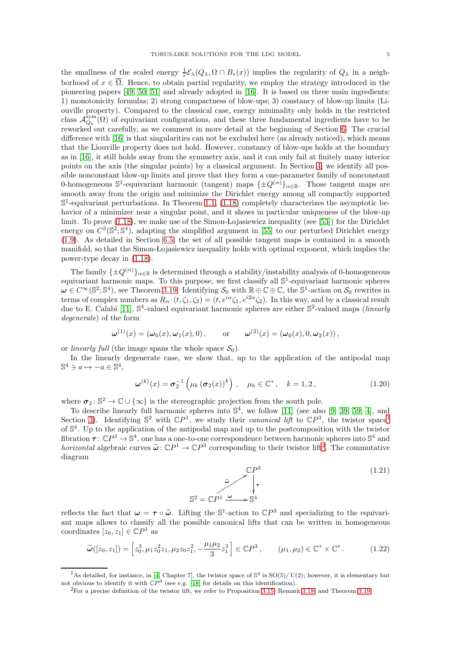the smallness of the scaled energy  $\frac{1}{r}\mathcal{E}_{\lambda}(Q_{\lambda}, \Omega \cap B_r(x))$  implies the regularity of  $Q_{\lambda}$  in a neighborhood of  $x \in \overline{\Omega}$ . Hence, to obtain partial regularity, we employ the strategy introduced in the pioneering papers [\[49,](#page-61-4) [50,](#page-61-5) [51\]](#page-61-6) and already adopted in [\[16\]](#page-60-0). It is based on three main ingredients: 1) monotonicity formulas; 2) strong compactness of blow-ups; 3) constancy of blow-up limits (Liouville property). Compared to the classical case, energy minimality only holds in the restricted class  $\mathcal{A}_{Q_b}^{sym}(\Omega)$  of equivariant configurations, and these three fundamental ingredients have to be reworked out carefully, as we comment in more detail at the beginning of Section [6.](#page-33-0) The crucial difference with [\[16\]](#page-60-0) is that singularities can not be excluded here (as already noticed), which means that the Liouville property does not hold. However, constancy of blow-ups holds at the boundary as in [\[16\]](#page-60-0), it still holds away from the symmetry axis, and it can only fail at finitely many interior points on the axis (the singular points) by a classical argument. In Section [4,](#page-24-0) we identify all possible nonconstant blow-up limits and prove that they form a one-parameter family of nonconstant 0-homogeneous  $\mathbb{S}^1$ -equivariant harmonic (tangent) maps  $\{\pm Q^{(\alpha)}\}_{\alpha \in \mathbb{R}}$ . Those tangent maps are smooth away from the origin and minimize the Dirichlet energy among all compactly supported  $\mathbb{S}^1$ -equivariant perturbations. In Theorem [1.1,](#page-3-3) [\(1.18\)](#page-3-4) completely characterizes the asymptotic behavior of a minimizer near a singular point, and it shows in particular uniqueness of the blow-up limit. To prove [\(1.18\)](#page-3-4), we make use of the Simon-Lojasiewicz inequality (see [\[53\]](#page-61-7)) for the Dirichlet energy on  $C^3(\mathbb{S}^2;\mathbb{S}^4)$ , adapting the simplified argument in [\[55\]](#page-61-8) to our perturbed Dirichlet energy [\(1.9\)](#page-2-1). As detailed in Section [6.5,](#page-39-0) the set of all possible tangent maps is contained in a smooth manifold, so that the Simon-Lojasiewicz inequality holds with optimal exponent, which implies the power-type decay in [\(1.18\)](#page-3-4).

The family  $\{\pm Q^{(\alpha)}\}_{\alpha \in \mathbb{R}}$  is determined through a stability/instability analysis of 0-homogeneous equivariant harmonic maps. To this purpose, we first classify all  $\mathbb{S}^1$ -equivariant harmonic spheres  $\omega \in C^{\infty}(\mathbb{S}^2; \mathbb{S}^4)$ , see Theorem [3.19.](#page-23-0) Identifying  $S_0$  with  $\mathbb{R} \oplus \mathbb{C} \oplus \mathbb{C}$ , the  $\mathbb{S}^1$ -action on  $S_0$  rewrites in terms of complex numbers as  $R_{\alpha} \cdot (t, \zeta_1, \zeta_2) = (t, e^{i\alpha} \zeta_1, e^{i2\alpha} \zeta_2)$ . In this way, and by a classical result due to E. Calabi [\[11\]](#page-60-5),  $\mathbb{S}^4$ -valued equivariant harmonic spheres are either  $\mathbb{S}^2$ -valued maps (*linearly* degenerate) of the form

$$
\boldsymbol{\omega}^{(1)}(x) = (\boldsymbol{\omega}_0(x), \boldsymbol{\omega}_1(x), 0), \qquad \text{or} \qquad \boldsymbol{\omega}^{(2)}(x) = (\boldsymbol{\omega}_0(x), 0, \boldsymbol{\omega}_2(x)),
$$

or *linearly full* (the image spans the whole space  $S_0$ ).

In the linearly degenerate case, we show that, up to the application of the antipodal map  $\mathbb{S}^4 \ni a \mapsto -a \in \mathbb{S}^4,$ 

<span id="page-4-3"></span>
$$
\boldsymbol{\omega}^{(k)}(x) = \boldsymbol{\sigma}_2^{-1}\left(\mu_k\left(\boldsymbol{\sigma}_2(x)\right)^k\right), \quad \mu_k \in \mathbb{C}^*, \quad k = 1, 2, \tag{1.20}
$$

where  $\sigma_2: \mathbb{S}^2 \to \mathbb{C} \cup \{\infty\}$  is the stereographic projection from the south pole.

To describe linearly full harmonic spheres into  $\mathbb{S}^4$ , we follow [\[11\]](#page-60-5) (see also [\[9,](#page-60-6) [39,](#page-61-9) [59,](#page-62-1) [4\]](#page-60-7), and Section [3\)](#page-14-0). Identifying  $\mathbb{S}^2$  with  $\mathbb{C}P^1$  $\mathbb{C}P^1$ , we study their *canonical lift* to  $\mathbb{C}P^3$ , the twistor space<sup>1</sup> of S 4 . Up to the application of the antipodal map and up to the postcomposition with the twistor fibration  $\tau : \mathbb{C}P^3 \to \mathbb{S}^4$ , one has a one-to-one correspondence between harmonic spheres into  $\mathbb{S}^4$  and horizontal algebraic curves  $\tilde{\omega}$ :  $\mathbb{C}P^1 \to \mathbb{C}P^3$  corresponding to their twistor lift<sup>[2](#page-4-1)</sup>. The commutative diagram

$$
\begin{array}{ccc}\n\mathbb{C}P^3 & & (1.21) \\
& \tilde{\omega} & \downarrow \tau & \\
\mathbb{S}^2 = \mathbb{C}P^1 \xrightarrow{\omega} \mathbb{S}^4 & & \n\end{array}
$$

reflects the fact that  $\omega = \tau \circ \tilde{\omega}$ . Lifting the  $\mathbb{S}^1$ -action to  $\mathbb{C}P^3$  and specializing to the equivariant maps allows to classify all the possible canonical lifts that can be written in homogeneous coordinates  $[z_0, z_1] \in \mathbb{C}P^1$  as

<span id="page-4-2"></span>
$$
\widetilde{\boldsymbol{\omega}}([z_0, z_1]) = \left[z_0^3, \mu_1 z_0^2 z_1, \mu_2 z_0 z_1^2, -\frac{\mu_1 \mu_2}{3} z_1^3\right] \in \mathbb{C}P^3, \qquad (\mu_1, \mu_2) \in \mathbb{C}^* \times \mathbb{C}^*.
$$
 (1.22)

<sup>&</sup>lt;sup>1</sup>As detailed, for instance, in [\[4,](#page-60-7) Chapter 7], the twistor space of  $\mathbb{S}^4$  is SO(5)/U(2); however, it is elementary but not obvious to identify it with  $\mathbb{C}P^3$  (see e.g. [\[18\]](#page-60-8) for details on this identification).

<span id="page-4-1"></span><span id="page-4-0"></span> ${}^{2}$ For a precise definition of the twistor lift, we refer to Proposition [3.15,](#page-22-0) Remark [3.18,](#page-23-1) and Theorem [3.19.](#page-23-0)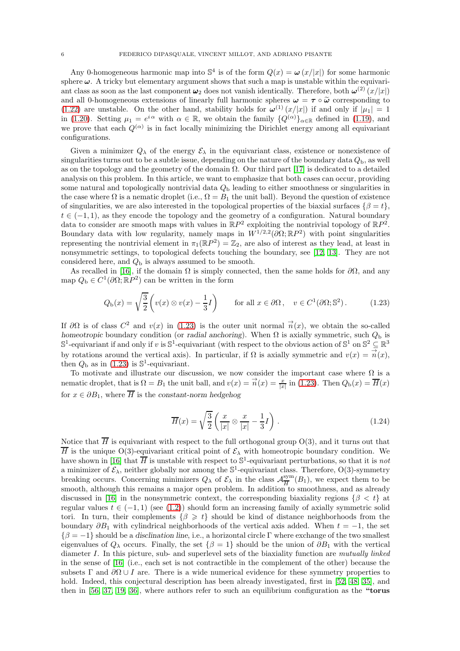Any 0-homogeneous harmonic map into  $\mathbb{S}^4$  is of the form  $Q(x) = \omega(x/|x|)$  for some harmonic sphere  $\omega$ . A tricky but elementary argument shows that such a map is unstable within the equivariant class as soon as the last component  $\omega_2$  does not vanish identically. Therefore, both  $\omega^{(2)}(x/|x|)$ and all 0-homogeneous extensions of linearly full harmonic spheres  $\omega = \tau \circ \tilde{\omega}$  corresponding to [\(1.22\)](#page-4-2) are unstable. On the other hand, stability holds for  $\omega^{(1)}(x/|x|)$  if and only if  $|\mu_1| = 1$ in [\(1.20\)](#page-4-3). Setting  $\mu_1 = e^{i\alpha}$  with  $\alpha \in \mathbb{R}$ , we obtain the family  $\{Q^{(\alpha)}\}_{\alpha \in \mathbb{R}}$  defined in [\(1.19\)](#page-3-5), and we prove that each  $Q^{(\alpha)}$  is in fact locally minimizing the Dirichlet energy among all equivariant configurations.

Given a minimizer  $Q_{\lambda}$  of the energy  $\mathcal{E}_{\lambda}$  in the equivariant class, existence or nonexistence of singularities turns out to be a subtle issue, depending on the nature of the boundary data  $Q<sub>b</sub>$ , as well as on the topology and the geometry of the domain  $\Omega$ . Our third part [\[17\]](#page-60-2) is dedicated to a detailed analysis on this problem. In this article, we want to emphasize that both cases can occur, providing some natural and topologically nontrivial data  $Q<sub>b</sub>$  leading to either smoothness or singularities in the case where  $\Omega$  is a nematic droplet (i.e.,  $\Omega = B_1$  the unit ball). Beyond the question of existence of singularities, we are also interested in the topological properties of the biaxial surfaces  $\{\beta = t\},\$  $t \in (-1, 1)$ , as they encode the topology and the geometry of a configuration. Natural boundary data to consider are smooth maps with values in  $\mathbb{R}P^2$  exploiting the nontrivial topology of  $\mathbb{R}P^2$ . Boundary data with low regularity, namely maps in  $W^{1/2,2}(\partial\Omega;\mathbb{R}P^2)$  with point singularities representing the nontrivial element in  $\pi_1(\mathbb{R}P^2) = \mathbb{Z}_2$ , are also of interest as they lead, at least in nonsymmetric settings, to topological defects touching the boundary, see [\[12,](#page-60-9) [13\]](#page-60-10). They are not considered here, and  $Q<sub>b</sub>$  is always assumed to be smooth.

As recalled in [\[16\]](#page-60-0), if the domain  $\Omega$  is simply connected, then the same holds for  $\partial\Omega$ , and any map  $Q_{\text{b}} \in C^1(\partial \Omega; \mathbb{R}P^2)$  can be written in the form

<span id="page-5-0"></span>
$$
Q_{\mathbf{b}}(x) = \sqrt{\frac{3}{2}} \left( v(x) \otimes v(x) - \frac{1}{3}I \right) \qquad \text{for all } x \in \partial\Omega, \quad v \in C^1(\partial\Omega; \mathbb{S}^2). \tag{1.23}
$$

If  $\partial\Omega$  is of class  $C^2$  and  $v(x)$  in [\(1.23\)](#page-5-0) is the outer unit normal  $\vec{n}(x)$ , we obtain the so-called homeotropic boundary condition (or radial anchoring). When  $\Omega$  is axially symmetric, such  $Q_{\rm b}$  is  $\mathbb{S}^1$ -equivariant if and only if v is  $\mathbb{S}^1$ -equivariant (with respect to the obvious action of  $\mathbb{S}^1$  on  $\mathbb{S}^2 \subseteq \mathbb{R}^3$ by rotations around the vertical axis). In particular, if  $\Omega$  is axially symmetric and  $v(x) = \vec{n}(x)$ , then  $Q_{\rm b}$  as in [\(1.23\)](#page-5-0) is  $\mathbb{S}^1$ -equivariant.

To motivate and illustrate our discussion, we now consider the important case where  $\Omega$  is a nematic droplet, that is  $\Omega = B_1$  the unit ball, and  $v(x) = \overrightarrow{n}(x) = \frac{x}{|x|}$  in [\(1.23\)](#page-5-0). Then  $Q_{\text{b}}(x) = \overline{H}(x)$ for  $x \in \partial B_1$ , where  $\overline{H}$  is the constant-norm hedgehog

<span id="page-5-1"></span>
$$
\overline{H}(x) = \sqrt{\frac{3}{2}} \left( \frac{x}{|x|} \otimes \frac{x}{|x|} - \frac{1}{3}I \right).
$$
 (1.24)

Notice that  $\overline{H}$  is equivariant with respect to the full orthogonal group O(3), and it turns out that  $\overline{H}$  is the unique O(3)-equivariant critical point of  $\mathcal{E}_{\lambda}$  with homeotropic boundary condition. We have shown in [\[16\]](#page-60-0) that  $\overline{H}$  is unstable with respect to  $\mathbb{S}^1$ -equivariant perturbations, so that it is not a minimizer of  $\mathcal{E}_{\lambda}$ , neither globally nor among the  $\mathbb{S}^1$ -equivariant class. Therefore, O(3)-symmetry breaking occurs. Concerning minimizers  $Q_{\lambda}$  of  $\mathcal{E}_{\lambda}$  in the class  $\mathcal{A}_{\overline{H}}^{\text{sym}}$  $\frac{\text{sym}}{H}(B_1)$ , we expect them to be smooth, although this remains a major open problem. In addition to smoothness, and as already discussed in [\[16\]](#page-60-0) in the nonsymmetric context, the corresponding biaxiality regions  $\{\beta < t\}$  at regular values  $t \in (-1, 1)$  (see [\(1.2\)](#page-1-3)) should form an increasing family of axially symmetric solid tori. In turn, their complements  $\{\beta \geq t\}$  should be kind of distance neighborhoods from the boundary  $\partial B_1$  with cylindrical neighborhoods of the vertical axis added. When  $t = -1$ , the set  $\{\beta = -1\}$  should be a disclination line, i.e., a horizontal circle Γ where exchange of the two smallest eigenvalues of  $Q_\lambda$  occurs. Finally, the set  $\{\beta = 1\}$  should be the union of  $\partial B_1$  with the vertical diameter I. In this picture, sub- and superlevel sets of the biaxiality function are mutually linked in the sense of [\[16\]](#page-60-0) (i.e., each set is not contractible in the complement of the other) because the subsets Γ and  $\partial \Omega \cup I$  are. There is a wide numerical evidence for these symmetry properties to hold. Indeed, this conjectural description has been already investigated, first in [\[52,](#page-61-10) [48,](#page-61-11) [35\]](#page-61-12), and then in [\[56,](#page-61-13) [37,](#page-61-14) [19,](#page-60-11) [36\]](#page-61-15), where authors refer to such an equilibrium configuration as the "torus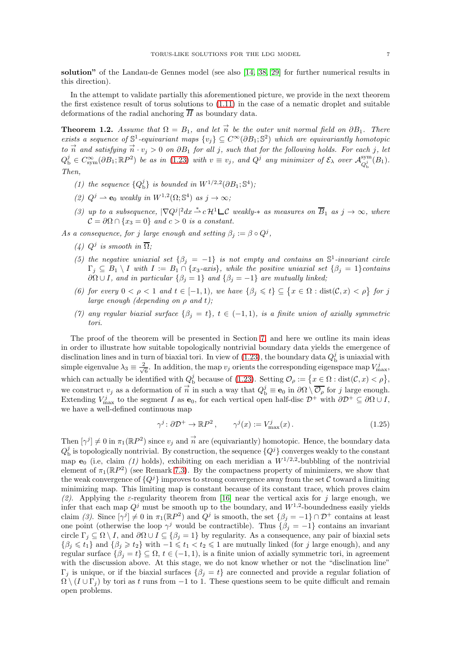solution" of the Landau-de Gennes model (see also [\[14,](#page-60-12) [38,](#page-61-16) [29\]](#page-61-17) for further numerical results in this direction).

In the attempt to validate partially this aforementioned picture, we provide in the next theorem the first existence result of torus solutions to [\(1.11\)](#page-2-0) in the case of a nematic droplet and suitable deformations of the radial anchoring  $\overline{H}$  as boundary data.

<span id="page-6-0"></span>**Theorem 1.2.** Assume that  $\Omega = B_1$ , and let  $\vec{n}$  be the outer unit normal field on  $\partial B_1$ . There exists a sequence of  $\mathbb{S}^1$ -equivariant maps  $\{v_j\} \subseteq C^\infty(\partial B_1; \mathbb{S}^2)$  which are equivariantly homotopic to  $\vec{n}$  and satisfying  $\vec{n} \cdot v_j > 0$  on  $\partial B_1$  for all j, such that for the following holds. For each j, let  $Q_{\rm b}^j \in C_{\rm sym}^{\infty}(\partial B_1; \mathbb{R}P^2)$  be as in [\(1.23\)](#page-5-0) with  $v \equiv v_j$ , and  $Q^j$  any minimizer of  $\mathcal{E}_{\lambda}$  over  $\mathcal{A}_{Q_i^j}^{\rm sym}$  $Q_{\rm b}^{j}$  $(B_1)$ . Then,

- (1) the sequence  ${Q_b^j}$  is bounded in  $W^{1/2,2}(\partial B_1; \mathbb{S}^4)$ ;
- (2)  $Q^j \rightharpoonup \mathbf{e}_0$  weakly in  $W^{1,2}(\Omega; \mathbb{S}^4)$  as  $j \to \infty$ ;
- (3) up to a subsequence,  $|\nabla Q^j|^2 dx \stackrel{*}{\rightharpoonup} c\mathcal{H}^1 \rightharpoonup \mathcal{C}$  weakly- $*$  as measures on  $\overline{B}_1$  as  $j \to \infty$ , where  $\mathcal{C} = \partial \Omega \cap \{x_3 = 0\}$  and  $c > 0$  is a constant.

As a consequence, for j large enough and setting  $\beta_j := \beta \circ Q^j$ ,

- (4)  $Q^j$  is smooth in  $\overline{\Omega}$ ;
- (5) the negative uniaxial set  $\{\beta_j = -1\}$  is not empty and contains an  $\mathbb{S}^1$ -invariant circle  $\Gamma_j \subseteq B_1 \setminus I$  with  $I := B_1 \cap \{x_3\text{-axis}\}\$ , while the positive uniaxial set  $\{\beta_j = 1\}$ contains  $\partial\Omega \cup I$ , and in particular  $\{\beta_j = 1\}$  and  $\{\beta_j = -1\}$  are mutually linked;
- (6) for every  $0 < \rho < 1$  and  $t \in [-1,1)$ , we have  $\{\beta_j \leq t\} \subseteq \{x \in \Omega : \text{dist}(\mathcal{C},x) < \rho\}$  for j large enough (depending on  $\rho$  and t);
- (7) any regular biaxial surface  $\{\beta_i = t\}$ ,  $t \in (-1,1)$ , is a finite union of axially symmetric tori.

The proof of the theorem will be presented in Section [7,](#page-46-0) and here we outline its main ideas in order to illustrate how suitable topologically nontrivial boundary data yields the emergence of disclination lines and in turn of biaxial tori. In view of  $(1.23)$ , the boundary data  $Q_{\text{b}}^{j}$  is uniaxial with simple eigenvalue  $\lambda_3 \equiv \frac{2}{\sqrt{2}}$  $\frac{b}{6}$ . In addition, the map  $v_j$  orients the corresponding eigenspace map  $V_{\text{max}}^j$ , which can actually be identified with  $Q_{\text{b}}^j$  because of [\(1.23\)](#page-5-0). Setting  $\mathcal{O}_{\rho} := \{x \in \Omega : \text{dist}(\mathcal{C}, x) < \rho\},\$ we construct  $v_j$  as a deformation of  $\vec{n}$  in such a way that  $Q_{\text{b}}^j \equiv \mathbf{e}_0$  in  $\partial\Omega \setminus \overline{\mathcal{O}_{\rho}}$  for j large enough. Extending  $V_{\text{max}}^j$  to the segment I as  $\mathbf{e}_0$ , for each vertical open half-disc  $\mathcal{D}^+$  with  $\partial \mathcal{D}^+ \subseteq \partial \Omega \cup I$ , we have a well-defined continuous map

<span id="page-6-1"></span>
$$
\gamma^{j} \colon \partial \mathcal{D}^{+} \to \mathbb{R}P^{2}, \qquad \gamma^{j}(x) := V_{\max}^{j}(x). \tag{1.25}
$$

Then  $[\gamma^j] \neq 0$  in  $\pi_1(\mathbb{R}P^2)$  since  $v_j$  and  $\vec{n}$  are (equivariantly) homotopic. Hence, the boundary data  $Q_{\rm b}^j$  is topologically nontrivial. By construction, the sequence  $\{Q^j\}$  converges weakly to the constant map  $e_0$  (i.e, claim (1) holds), exhibiting on each meridian a  $W^{1/2,2}$ -bubbling of the nontrivial element of  $\pi_1(\mathbb{R}P^2)$  (see Remark [7.3\)](#page-51-0). By the compactness property of minimizers, we show that the weak convergence of  ${Q<sup>j</sup>}$  improves to strong convergence away from the set C toward a limiting minimizing map. This limiting map is constant because of its constant trace, which proves claim (2). Applying the  $\varepsilon$ -regularity theorem from [\[16\]](#page-60-0) near the vertical axis for j large enough, we infer that each map  $Q^j$  must be smooth up to the boundary, and  $W^{1,2}$ -boundedness easily yields claim (3). Since  $[\gamma^j] \neq 0$  in  $\pi_1(\mathbb{R}P^2)$  and  $Q^j$  is smooth, the set  $\{\beta_j = -1\} \cap \mathcal{D}^+$  contains at least one point (otherwise the loop  $\gamma^j$  would be contractible). Thus  $\{\beta_j = -1\}$  contains an invariant circle  $\Gamma_j \subseteq \Omega \setminus I$ , and  $\partial \Omega \cup I \subseteq {\beta_j = 1}$  by regularity. As a consequence, any pair of biaxial sets  $\{\beta_j \leq t_1\}$  and  $\{\beta_j \geq t_2\}$  with  $-1 \leq t_1 < t_2 \leq 1$  are mutually linked (for j large enough), and any regular surface  $\{\beta_i = t\} \subseteq \Omega, t \in (-1, 1)$ , is a finite union of axially symmetric tori, in agreement with the discussion above. At this stage, we do not know whether or not the "disclination line"  $\Gamma_i$  is unique, or if the biaxial surfaces  $\{\beta_i = t\}$  are connected and provide a regular foliation of  $\Omega \setminus (I \cup \Gamma_i)$  by tori as t runs from −1 to 1. These questions seem to be quite difficult and remain open problems.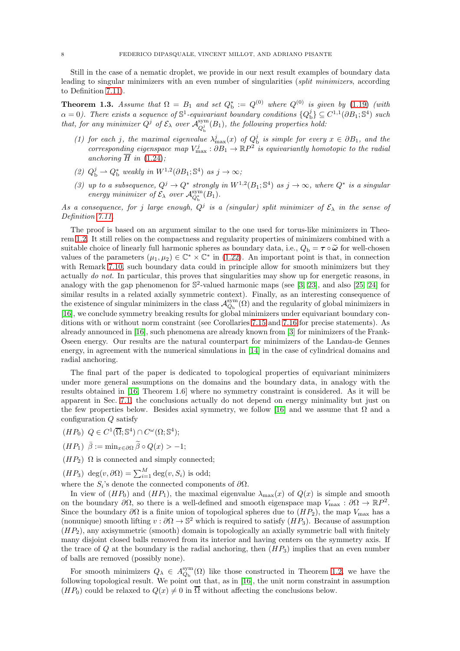Still in the case of a nematic droplet, we provide in our next result examples of boundary data leading to singular minimizers with an even number of singularities (split minimizers, according to Definition [7.11\)](#page-53-1).

<span id="page-7-0"></span>**Theorem 1.3.** Assume that  $\Omega = B_1$  and set  $Q_b^* := Q^{(0)}$  where  $Q^{(0)}$  is given by [\(1.19\)](#page-3-5) (with  $\alpha = 0$ ). There exists a sequence of  $\mathbb{S}^1$ -equivariant boundary conditions  $\{Q_{\rm b}^j\} \subseteq C^{1,1}(\partial B_1;\mathbb{S}^4)$  such that, for any minimizer  $Q^j$  of  $\mathcal{E}_{\lambda}$  over  $\mathcal{A}_{Q_i^j}^{\text{sym}}$  $Q_b^{\rm sym}(B_1)$ , the following properties hold:

- (1) for each j, the maximal eigenvalue  $\lambda_{\max}^j(x)$  of  $Q_b^j$  is simple for every  $x \in \partial B_1$ , and the corresponding eigenspace map  $V_{\text{max}}^j : \partial B_1 \to \mathbb{R}P^2$  is equivariantly homotopic to the radial anchoring  $\overline{H}$  in [\(1.24\)](#page-5-1);
- (2)  $Q_{\rm b}^j \rightharpoonup Q_{\rm b}^*$  weakly in  $W^{1,2}(\partial B_1; \mathbb{S}^4)$  as  $j \to \infty$ ;
- (3) up to a subsequence,  $Q^j \to Q^*$  strongly in  $W^{1,2}(B_1; S^4)$  as  $j \to \infty$ , where  $Q^*$  is a singular energy minimizer of  $\mathcal{E}_{\lambda}$  over  $\mathcal{A}_{Q_b^*}^{\text{sym}}(B_1)$ .

As a consequence, for j large enough,  $Q^j$  is a (singular) split minimizer of  $\mathcal{E}_\lambda$  in the sense of Definition [7.11.](#page-53-1)

The proof is based on an argument similar to the one used for torus-like minimizers in Theorem [1.2.](#page-6-0) It still relies on the compactness and regularity properties of minimizers combined with a suitable choice of linearly full harmonic spheres as boundary data, i.e.,  $Q_{\rm b} = \tau \circ \tilde{\omega}$  for well-chosen values of the parameters  $(\mu_1, \mu_2) \in \mathbb{C}^* \times \mathbb{C}^*$  in [\(1.22\)](#page-4-2). An important point is that, in connection with Remark [7.10,](#page-53-2) such boundary data could in principle allow for smooth minimizers but they actually *do not*. In particular, this proves that singularities may show up for energetic reasons, in analogy with the gap phenomenon for  $\mathbb{S}^2$ -valued harmonic maps (see [\[3,](#page-60-13) [23\]](#page-61-18), and also [\[25,](#page-61-19) [24\]](#page-61-20) for similar results in a related axially symmetric context). Finally, as an interesting consequence of the existence of singular minimizers in the class  $\mathcal{A}_{Q_b}^{sym}(\Omega)$  and the regularity of global minimizers in [\[16\]](#page-60-0), we conclude symmetry breaking results for global minimizers under equivariant boundary conditions with or without norm constraint (see Corollaries [7.15](#page-55-0) and [7.16](#page-56-0) for precise statements). As already announced in [\[16\]](#page-60-0), such phenomena are already known from [\[3\]](#page-60-13) for minimizers of the Frank-Oseen energy. Our results are the natural counterpart for minimizers of the Landau-de Gennes energy, in agreement with the numerical simulations in [\[14\]](#page-60-12) in the case of cylindrical domains and radial anchoring.

The final part of the paper is dedicated to topological properties of equivariant minimizers under more general assumptions on the domains and the boundary data, in analogy with the results obtained in [\[16,](#page-60-0) Theorem 1.6] where no symmetry constraint is considered. As it will be apparent in Sec. [7.1,](#page-47-0) the conclusions actually do not depend on energy minimality but just on the few properties below. Besides axial symmetry, we follow [\[16\]](#page-60-0) and we assume that  $\Omega$  and a configuration Q satisfy

- $(HP_0) \ Q \in C^1(\overline{\Omega}; \mathbb{S}^4) \cap C^{\omega}(\Omega; \mathbb{S}^4);$
- $(HP_1)$   $\bar{\beta} := \min_{x \in \partial \Omega} \tilde{\beta} \circ Q(x) > -1;$
- $(HP_2)$  Ω is connected and simply connected;
- $(HP_3) \deg(v, \partial \Omega) = \sum_{i=1}^{M} \deg(v, S_i)$  is odd;

where the  $S_i$ 's denote the connected components of  $\partial\Omega$ .

In view of  $(HP_0)$  and  $(HP_1)$ , the maximal eigenvalue  $\lambda_{\max}(x)$  of  $Q(x)$  is simple and smooth on the boundary  $\partial\Omega$ , so there is a well-defined and smooth eigenspace map  $V_{\text{max}} : \partial\Omega \to \mathbb{R}P^2$ . Since the boundary  $\partial\Omega$  is a finite union of topological spheres due to  $(HP_2)$ , the map  $V_{\text{max}}$  has a (nonunique) smooth lifting  $v : \partial\Omega \to \mathbb{S}^2$  which is required to satisfy  $(HP_3)$ . Because of assumption  $(HP<sub>2</sub>)$ , any axisymmetric (smooth) domain is topologically an axially symmetric ball with finitely many disjoint closed balls removed from its interior and having centers on the symmetry axis. If the trace of Q at the boundary is the radial anchoring, then  $(HP_3)$  implies that an even number of balls are removed (possibly none).

For smooth minimizers  $Q_{\lambda} \in A_{Q_{\rm b}}^{\rm sym}(\Omega)$  like those constructed in Theorem [1.2,](#page-6-0) we have the following topological result. We point out that, as in [\[16\]](#page-60-0), the unit norm constraint in assumption  $(HP_0)$  could be relaxed to  $Q(x) \neq 0$  in  $\overline{\Omega}$  without affecting the conclusions below.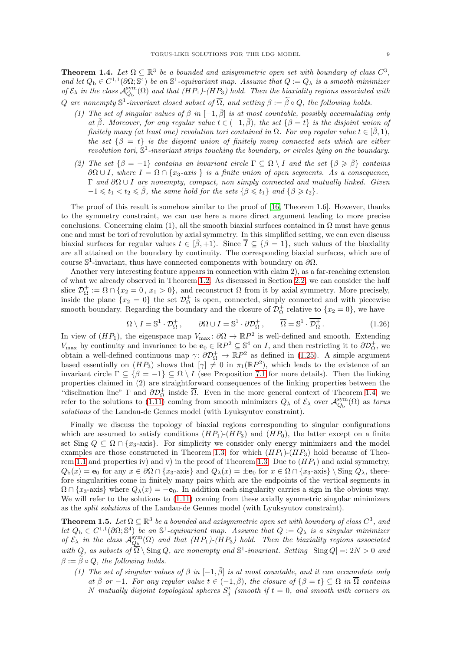<span id="page-8-0"></span>**Theorem 1.4.** Let  $\Omega \subseteq \mathbb{R}^3$  be a bounded and axisymmetric open set with boundary of class  $C^3$ , and let  $Q_{\rm b} \in C^{1,1}(\partial \Omega;\mathbb{S}^4)$  be an  $\mathbb{S}^1$ -equivariant map. Assume that  $Q := Q_{\lambda}$  is a smooth minimizer of  $\mathcal{E}_\lambda$  in the class  $\mathcal{A}_{Q_b}^{sym}(\Omega)$  and that  $(HP_1)$ - $(HP_3)$  hold. Then the biaxiality regions associated with Q are nonempty  $\mathbb{S}^1$ -invariant closed subset of  $\overline{\Omega}$ , and setting  $\beta := \widetilde{\beta} \circ Q$ , the following holds.

- (1) The set of singular values of  $\beta$  in  $[-1, \bar{\beta}]$  is at most countable, possibly accumulating only at  $\bar{\beta}$ . Moreover, for any regular value  $t \in (-1, \bar{\beta})$ , the set  $\{\beta = t\}$  is the disjoint union of finitely many (at least one) revolution tori contained in  $\Omega$ . For any regular value  $t \in [\bar{\beta}, 1)$ , the set  $\{\beta = t\}$  is the disjoint union of finitely many connected sets which are either revolution tori,  $\mathbb{S}^1$ -invariant strips touching the boundary, or circles lying on the boundary.
- (2) The set  $\{\beta = -1\}$  contains an invariant circle  $\Gamma \subseteq \Omega \setminus I$  and the set  $\{\beta \geq \overline{\beta}\}\$  contains  $\partial\Omega \cup I$ , where  $I = \Omega \cap \{x_3 \text{-axis}\}\$ is a finite union of open segments. As a consequence, Γ and  $\partial Ω ∪ I$  are nonempty, compact, non simply connected and mutually linked. Given  $-1 \leq t_1 < t_2 \leq \bar{\beta}$ , the same hold for the sets  $\{\beta \leq t_1\}$  and  $\{\beta \geq t_2\}$ .

The proof of this result is somehow similar to the proof of [\[16,](#page-60-0) Theorem 1.6]. However, thanks to the symmetry constraint, we can use here a more direct argument leading to more precise conclusions. Concerning claim (1), all the smooth biaxial surfaces contained in  $\Omega$  must have genus one and must be tori of revolution by axial symmetry. In this simplified setting, we can even discuss biaxial surfaces for regular values  $t \in [\bar{\beta}, +1)$ . Since  $\bar{I} \subseteq {\beta = 1}$ , such values of the biaxiality are all attained on the boundary by continuity. The corresponding biaxial surfaces, which are of course  $\mathbb{S}^1$ -invariant, thus have connected components with boundary on  $\partial\Omega$ .

Another very interesting feature appears in connection with claim 2), as a far-reaching extension of what we already observed in Theorem [1.2.](#page-6-0) As discussed in Section [2.2,](#page-11-0) we can consider the half slice  $\mathcal{D}_{\Omega}^+ := \Omega \cap \{x_2 = 0, x_1 > 0\}$ , and reconstruct  $\Omega$  from it by axial symmetry. More precisely, inside the plane  $\{x_2 = 0\}$  the set  $\mathcal{D}_{\Omega}^+$  is open, connected, simply connected and with piecewise smooth boundary. Regarding the boundary and the closure of  $\mathcal{D}_{\Omega}^{+}$  relative to  $\{x_2 = 0\}$ , we have

<span id="page-8-2"></span>
$$
\Omega \setminus I = \mathbb{S}^1 \cdot \mathcal{D}_{\Omega}^+, \qquad \partial \Omega \cup I = \mathbb{S}^1 \cdot \partial \mathcal{D}_{\Omega}^+, \qquad \overline{\Omega} = \mathbb{S}^1 \cdot \overline{\mathcal{D}_{\Omega}^+}. \tag{1.26}
$$

In view of  $(HP_1)$ , the eigenspace map  $V_{\text{max}}$ :  $\partial \Omega \to \mathbb{R}P^2$  is well-defined and smooth. Extending  $V_{\text{max}}$  by continuity and invariance to be  $\mathbf{e}_0 \in \mathbb{R}P^2 \subseteq \mathbb{S}^4$  on I, and then restricting it to  $\partial \mathcal{D}_{\Omega}^+$ , we obtain a well-defined continuous map  $\gamma: \partial \mathcal{D}_{\Omega}^{+} \to \mathbb{R}P^{2}$  as defined in [\(1.25\)](#page-6-1). A simple argument based essentially on  $(HP_3)$  shows that  $[\gamma] \neq 0$  in  $\pi_1(\mathbb{R}P^2)$ , which leads to the existence of an invariant circle  $\Gamma \subseteq {\beta = -1} \subseteq \Omega \setminus I$  (see Proposition [7.1](#page-47-1) for more details). Then the linking properties claimed in (2) are straightforward consequences of the linking properties between the "disclination line" Γ and  $\partial \mathcal{D}_{\Omega}^+$  inside  $\overline{\Omega}$ . Even in the more general context of Theorem [1.4,](#page-8-0) we refer to the solutions to  $(1.11)$  coming from smooth minimizers  $Q_{\lambda}$  of  $\mathcal{E}_{\lambda}$  over  $\mathcal{A}_{Q_{\rm b}}^{\rm sym}(\Omega)$  as torus solutions of the Landau-de Gennes model (with Lyuksyutov constraint).

Finally we discuss the topology of biaxial regions corresponding to singular configurations which are assumed to satisfy conditions  $(HP_1)-(HP_3)$  and  $(HP_0)$ , the latter except on a finite set Sing  $Q \subseteq \Omega \cap \{x_3$ -axis}. For simplicity we consider only energy minimizers and the model examples are those constructed in Theorem [1.3,](#page-7-0) for which  $(HP_1)-(HP_3)$  hold because of Theo-rem [1.1](#page-3-3) and properties iv) and v) in the proof of Theorem [1.3.](#page-7-0) Due to  $(HP_1)$  and axial symmetry,  $Q_{\rm b}(x) = e_0$  for any  $x \in \partial\Omega \cap \{x_3$ -axis} and  $Q_{\lambda}(x) = \pm e_0$  for  $x \in \Omega \cap \{x_3$ -axis} \ Sing  $Q_{\lambda}$ , therefore singularities come in finitely many pairs which are the endpoints of the vertical segments in  $\Omega \cap \{x_3$ -axis} where  $Q_\lambda(x) = -\mathbf{e}_0$ . In addition each singularity carries a sign in the obvious way. We will refer to the solutions to  $(1.11)$  coming from these axially symmetric singular minimizers as the split solutions of the Landau-de Gennes model (with Lyuksyutov constraint).

<span id="page-8-1"></span>**Theorem 1.5.** Let  $\Omega \subseteq \mathbb{R}^3$  be a bounded and axisymmetric open set with boundary of class  $C^3$ , and let  $Q_{\rm b} \in C^{1,1}(\partial\Omega; \mathbb{S}^4)$  be an  $\mathbb{S}^1$ -equivariant map. Assume that  $Q := Q_{\lambda}$  is a singular minimizer of  $\mathcal{E}_{\lambda}$  in the class  $\mathcal{A}_{Q_{\rm b}}^{\rm sym}(\Omega)$  and that  $(HP_1)-(HP_3)$  hold. Then the biaxiality regions associated with  $Q$ , as subsets of  $\overline{\Omega} \setminus \text{Sing } Q$ , are nonempty and  $\mathbb{S}^1$ -invariant. Setting  $|\text{Sing } Q| =: 2N > 0$  and  $\beta := \tilde{\beta} \circ Q$ , the following holds.

(1) The set of singular values of  $\beta$  in  $[-1, \bar{\beta}]$  is at most countable, and it can accumulate only at  $\overline{\beta}$  or -1. For any regular value  $t \in (-1, \overline{\beta})$ , the closure of  $\{\beta = t\} \subseteq \Omega$  in  $\overline{\Omega}$  contains N mutually disjoint topological spheres  $S_j^t$  (smooth if  $t = 0$ , and smooth with corners on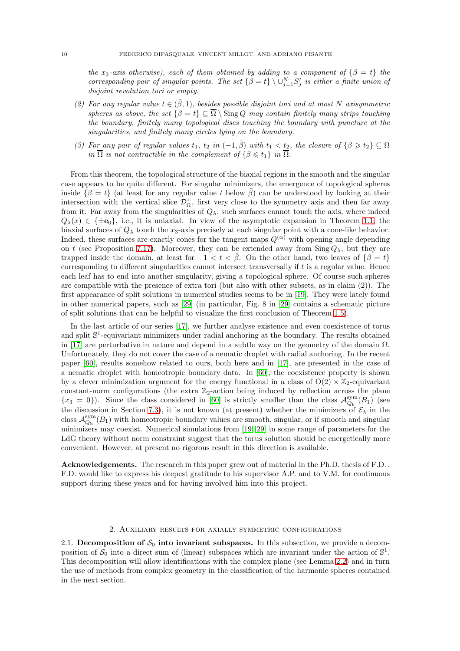the x<sub>3</sub>-axis otherwise), each of them obtained by adding to a component of  $\{\beta = t\}$  the corresponding pair of singular points. The set  $\{\beta = t\} \setminus \cup_{j=1}^N S_j^t$  is either a finite union of disjoint revolution tori or empty.

- (2) For any regular value  $t \in (\beta, 1)$ , besides possible disjoint tori and at most N axisymmetric spheres as above, the set  $\{\beta = t\} \subseteq \overline{\Omega} \setminus \text{Sing } Q$  may contain finitely many strips touching the boundary, finitely many topological discs touching the boundary with puncture at the singularities, and finitely many circles lying on the boundary.
- (3) For any pair of regular values  $t_1$ ,  $t_2$  in  $(-1,\bar{\beta})$  with  $t_1 < t_2$ , the closure of  $\{\beta \geq t_2\} \subseteq \Omega$ in  $\Omega$  is not contractible in the complement of  $\{\beta \leq t_1\}$  in  $\Omega$ .

From this theorem, the topological structure of the biaxial regions in the smooth and the singular case appears to be quite different. For singular minimizers, the emergence of topological spheres inside  $\{\beta = t\}$  (at least for any regular value t below  $\overline{\beta}$ ) can be understood by looking at their intersection with the vertical slice  $\mathcal{D}_{\Omega}^+$ , first very close to the symmetry axis and then far away from it. Far away from the singularities of  $Q_{\lambda}$ , such surfaces cannot touch the axis, where indeed  $Q_{\lambda}(x) \in {\{\pm \mathbf{e}_0\}}$ , i.e., it is uniaxial. In view of the asymptotic expansion in Theorem [1.1,](#page-3-3) the biaxial surfaces of  $Q_{\lambda}$  touch the  $x_3$ -axis precisely at each singular point with a cone-like behavior. Indeed, these surfaces are exactly cones for the tangent maps  $Q^{(\alpha)}$  with opening angle depending on t (see Proposition [7.17\)](#page-56-1). Moreover, they can be extended away from  $\text{Sing }Q_\lambda$ , but they are trapped inside the domain, at least for  $-1 < t < \beta$ . On the other hand, two leaves of  $\{\beta = t\}$ corresponding to different singularities cannot intersect transversally if  $t$  is a regular value. Hence each leaf has to end into another singularity, giving a topological sphere. Of course such spheres are compatible with the presence of extra tori (but also with other subsets, as in claim (2)). The first appearance of split solutions in numerical studies seems to be in [\[19\]](#page-60-11). They were lately found in other numerical papers, such as [\[29\]](#page-61-17) (in particular, Fig. 8 in [\[29\]](#page-61-17) contains a schematic picture of split solutions that can be helpful to visualize the first conclusion of Theorem [1.5\)](#page-8-1).

In the last article of our series [\[17\]](#page-60-2), we further analyse existence and even coexistence of torus and split  $\mathbb{S}^1$ -equivariant minimizers under radial anchoring at the boundary. The results obtained in [\[17\]](#page-60-2) are perturbative in nature and depend in a subtle way on the geometry of the domain  $\Omega$ . Unfortunately, they do not cover the case of a nematic droplet with radial anchoring. In the recent paper [\[60\]](#page-62-0), results somehow related to ours, both here and in [\[17\]](#page-60-2), are presented in the case of a nematic droplet with homeotropic boundary data. In [\[60\]](#page-62-0), the coexistence property is shown by a clever minimization argument for the energy functional in a class of  $O(2) \times \mathbb{Z}_2$ -equivariant constant-norm configurations (the extra  $\mathbb{Z}_2$ -action being induced by reflection across the plane  ${x_3 = 0}$ ). Since the class considered in [\[60\]](#page-62-0) is strictly smaller than the class  $\mathcal{A}_{Q_b}^{sym}(B_1)$  (see the discussion in Section [7.3\)](#page-58-0), it is not known (at present) whether the minimizers of  $\mathcal{E}_{\lambda}$  in the class  $\mathcal{A}_{Q_{\rm b}}^{\rm sym}(B_1)$  with homeotropic boundary values are smooth, singular, or if smooth and singular minimizers may coexist. Numerical simulations from [\[19,](#page-60-11) [29\]](#page-61-17) in some range of parameters for the LdG theory without norm constraint suggest that the torus solution should be energetically more convenient. However, at present no rigorous result in this direction is available.

Acknowledgements. The research in this paper grew out of material in the Ph.D. thesis of F.D. . F.D. would like to express his deepest gratitude to his supervisor A.P. and to V.M. for continuous support during these years and for having involved him into this project.

### 2. Auxiliary results for axially symmetric configurations

<span id="page-9-1"></span><span id="page-9-0"></span>2.1. Decomposition of  $S_0$  into invariant subspaces. In this subsection, we provide a decomposition of  $S_0$  into a direct sum of (linear) subspaces which are invariant under the action of  $\mathbb{S}^1$ . This decomposition will allow identifications with the complex plane (see Lemma [2.2\)](#page-10-0) and in turn the use of methods from complex geometry in the classification of the harmonic spheres contained in the next section.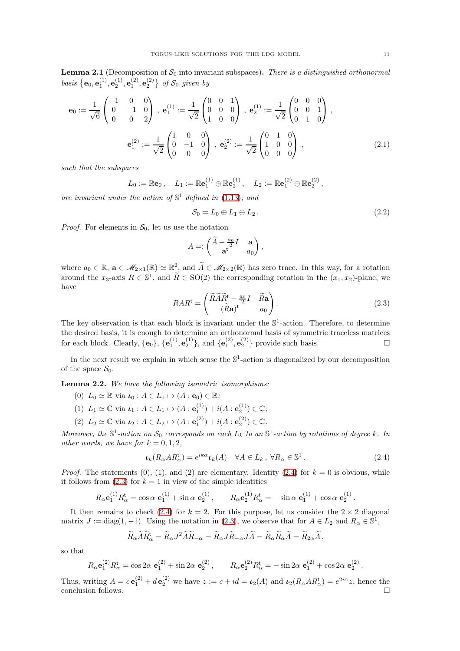**Lemma 2.1** (Decomposition of  $S_0$  into invariant subspaces). There is a distinguished orthonormal basis  $\{e_0, e_1^{(1)}, e_2^{(1)}, e_1^{(2)}, e_2^{(2)}\}$  of  $S_0$  given by

$$
\mathbf{e}_0 := \frac{1}{\sqrt{6}} \begin{pmatrix} -1 & 0 & 0 \\ 0 & -1 & 0 \\ 0 & 0 & 2 \end{pmatrix}, \ \mathbf{e}_1^{(1)} := \frac{1}{\sqrt{2}} \begin{pmatrix} 0 & 0 & 1 \\ 0 & 0 & 0 \\ 1 & 0 & 0 \end{pmatrix}, \ \mathbf{e}_2^{(1)} := \frac{1}{\sqrt{2}} \begin{pmatrix} 0 & 0 & 0 \\ 0 & 0 & 1 \\ 0 & 1 & 0 \end{pmatrix},
$$

$$
\mathbf{e}_1^{(2)} := \frac{1}{\sqrt{2}} \begin{pmatrix} 1 & 0 & 0 \\ 0 & -1 & 0 \\ 0 & 0 & 0 \end{pmatrix}, \ \mathbf{e}_2^{(2)} := \frac{1}{\sqrt{2}} \begin{pmatrix} 0 & 1 & 0 \\ 1 & 0 & 0 \\ 0 & 0 & 0 \end{pmatrix}, \tag{2.1}
$$

such that the subspaces

$$
L_0 := \mathbb{R} \mathbf{e}_0 \,, \quad L_1 := \mathbb{R} \mathbf{e}_1^{(1)} \oplus \mathbb{R} \mathbf{e}_2^{(1)} \,, \quad L_2 := \mathbb{R} \mathbf{e}_1^{(2)} \oplus \mathbb{R} \mathbf{e}_2^{(2)} \,,
$$

are invariant under the action of  $\mathbb{S}^1$  defined in [\(1.13\)](#page-3-0), and

$$
S_0 = L_0 \oplus L_1 \oplus L_2. \tag{2.2}
$$

*Proof.* For elements in  $S_0$ , let us use the notation

$$
A =: \begin{pmatrix} \widetilde{A} - \frac{a_0}{2}I & \mathbf{a} \\ \mathbf{a}^{\mathbf{t}} & a_0 \end{pmatrix},
$$

where  $a_0 \in \mathbb{R}$ ,  $\mathbf{a} \in \mathcal{M}_{2\times1}(\mathbb{R}) \simeq \mathbb{R}^2_{\geq 0}$  and  $\widetilde{A} \in \mathcal{M}_{2\times2}(\mathbb{R})$  has zero trace. In this way, for a rotation around the  $x_3$ -axis  $R \in \mathbb{S}^1$ , and  $\widetilde{R} \in SO(2)$  the corresponding rotation in the  $(x_1, x_2)$ -plane, we have

<span id="page-10-2"></span>
$$
RAR^{\mathsf{t}} = \begin{pmatrix} \widetilde{R}\widetilde{A}\widetilde{R}^{\mathsf{t}} - \frac{a_0}{2}I & \widetilde{R}\mathbf{a} \\ (\widetilde{R}\mathbf{a})^{\mathsf{t}} & a_0 \end{pmatrix}.
$$
 (2.3)

The key observation is that each block is invariant under the  $\mathbb{S}^1$ -action. Therefore, to determine the desired basis, it is enough to determine an orthonormal basis of symmetric traceless matrices for each block. Clearly,  $\{\mathbf{e}_0\}$ ,  $\{\mathbf{e}_1^{(1)}, \mathbf{e}_2^{(1)}\}$ , and  $\{\mathbf{e}_1^{(2)}, \mathbf{e}_2^{(2)}\}$  provide such basis.

In the next result we explain in which sense the  $\mathbb{S}^1$ -action is diagonalized by our decomposition of the space  $S_0$ .

<span id="page-10-0"></span>Lemma 2.2. We have the following isometric isomorphisms:

- (0)  $L_0 \simeq \mathbb{R}$  via  $\iota_0 : A \in L_0 \mapsto (A : \mathbf{e}_0) \in \mathbb{R}$ ;
- (1)  $L_1 \simeq \mathbb{C}$  via  $\iota_1 : A \in L_1 \mapsto (A : e_1^{(1)}) + i(A : e_2^{(1)}) \in \mathbb{C}$ ;
- (2)  $L_2 \simeq \mathbb{C}$  via  $\iota_2 : A \in L_2 \mapsto (A : \mathbf{e}_1^{(2)}) + i(A : \mathbf{e}_2^{(2)}) \in \mathbb{C}$ .

Moreover, the  $\mathbb{S}^1$ -action on  $\mathcal{S}_0$  corresponds on each  $L_k$  to an  $\mathbb{S}^1$ -action by rotations of degree k. In other words, we have for  $k = 0, 1, 2$ ,

<span id="page-10-1"></span>
$$
\iota_k(R_\alpha AR_\alpha^{\mathsf{t}}) = e^{ik\alpha} \iota_k(A) \quad \forall A \in L_k, \ \forall R_\alpha \in \mathbb{S}^1 \,. \tag{2.4}
$$

*Proof.* The statements (0), (1), and (2) are elementary. Identity [\(2.4\)](#page-10-1) for  $k = 0$  is obvious, while it follows from  $(2.3)$  for  $k = 1$  in view of the simple identities

$$
R_{\alpha} \mathbf{e}_{1}^{(1)} R_{\alpha}^{\mathbf{t}} = \cos \alpha \ \mathbf{e}_{1}^{(1)} + \sin \alpha \ \mathbf{e}_{2}^{(1)}, \qquad R_{\alpha} \mathbf{e}_{2}^{(1)} R_{\alpha}^{\mathbf{t}} = -\sin \alpha \ \mathbf{e}_{1}^{(1)} + \cos \alpha \ \mathbf{e}_{2}^{(1)}.
$$

It then remains to check [\(2.4\)](#page-10-1) for  $k = 2$ . For this purpose, let us consider the  $2 \times 2$  diagonal matrix  $J := diag(1, -1)$ . Using the notation in [\(2.3\)](#page-10-2), we observe that for  $A \in L_2$  and  $R_\alpha \in \mathbb{S}^1$ ,

$$
\widetilde{R}_\alpha \widetilde{A} \widetilde{R}^{\text{t}}_\alpha = \widetilde{R}_\alpha J^2 \widetilde{A} \widetilde{R}_{-\alpha} = \widetilde{R}_\alpha J \widetilde{R}_{-\alpha} J \widetilde{A} = \widetilde{R}_\alpha \widetilde{R}_\alpha \widetilde{A} = \widetilde{R}_{2\alpha} \widetilde{A} \, ,
$$

so that

$$
R_{\alpha} \mathbf{e}_{1}^{(2)} R_{\alpha}^{\mathbf{t}} = \cos 2\alpha \ \mathbf{e}_{1}^{(2)} + \sin 2\alpha \ \mathbf{e}_{2}^{(2)}, \qquad R_{\alpha} \mathbf{e}_{2}^{(2)} R_{\alpha}^{\mathbf{t}} = -\sin 2\alpha \ \mathbf{e}_{1}^{(2)} + \cos 2\alpha \ \mathbf{e}_{2}^{(2)}.
$$

Thus, writing  $A = c \mathbf{e}_1^{(2)} + d \mathbf{e}_2^{(2)}$  we have  $z := c + id = \iota_2(A)$  and  $\iota_2(R_\alpha AR_\alpha^{\mathbf{t}}) = e^{2i\alpha}z$ , hence the conclusion follows.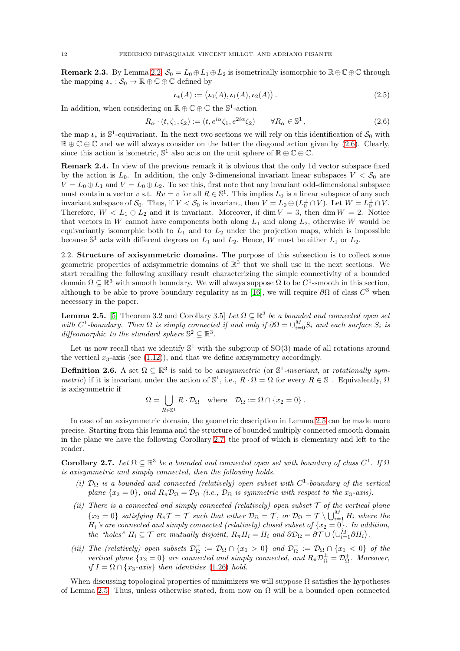<span id="page-11-6"></span>**Remark 2.3.** By Lemma [2.2,](#page-10-0)  $S_0 = L_0 \oplus L_1 \oplus L_2$  is isometrically isomorphic to  $\mathbb{R} \oplus \mathbb{C} \oplus \mathbb{C}$  through the mapping  $\iota_* : \mathcal{S}_0 \to \mathbb{R} \oplus \mathbb{C} \oplus \mathbb{C}$  defined by

<span id="page-11-5"></span>
$$
\iota_*(A) := \big(\iota_0(A), \iota_1(A), \iota_2(A)\big) \,. \tag{2.5}
$$

In addition, when considering on  $\mathbb{R} \oplus \mathbb{C} \oplus \mathbb{C}$  the  $\mathbb{S}^1\text{-action}$ 

<span id="page-11-1"></span>
$$
R_{\alpha} \cdot (t, \zeta_1, \zeta_2) := (t, e^{i\alpha} \zeta_1, e^{2i\alpha} \zeta_2) \qquad \forall R_{\alpha} \in \mathbb{S}^1,
$$
\n
$$
(2.6)
$$

the map  $\iota_*$  is  $\mathbb{S}^1$ -equivariant. In the next two sections we will rely on this identification of  $\mathcal{S}_0$  with  $\mathbb{R} \oplus \mathbb{C} \oplus \mathbb{C}$  and we will always consider on the latter the diagonal action given by [\(2.6\)](#page-11-1). Clearly, since this action is isometric,  $\mathbb{S}^1$  also acts on the unit sphere of  $\mathbb{R} \oplus \mathbb{C} \oplus \mathbb{C}$ .

<span id="page-11-4"></span>Remark 2.4. In view of the previous remark it is obvious that the only 1d vector subspace fixed by the action is  $L_0$ . In addition, the only 3-dimensional invariant linear subspaces  $V < S_0$  are  $V = L_0 \oplus L_1$  and  $V = L_0 \oplus L_2$ . To see this, first note that any invariant odd-dimensional subspace must contain a vector v s.t.  $Rv = v$  for all  $R \in \mathbb{S}^1$ . This implies  $L_0$  is a linear subspace of any such invariant subspace of  $S_0$ . Thus, if  $V < S_0$  is invariant, then  $V = L_0 \oplus (L_0^{\perp} \cap V)$ . Let  $W = L_0^{\perp} \cap V$ . Therefore,  $W < L_1 \oplus L_2$  and it is invariant. Moreover, if dim  $V = 3$ , then dim  $W = 2$ . Notice that vectors in W cannot have components both along  $L_1$  and along  $L_2$ , otherwise W would be equivariantly isomorphic both to  $L_1$  and to  $L_2$  under the projection maps, which is impossible because  $\mathbb{S}^1$  acts with different degrees on  $L_1$  and  $L_2$ . Hence, W must be either  $L_1$  or  $L_2$ .

<span id="page-11-0"></span>2.2. Structure of axisymmetric domains. The purpose of this subsection is to collect some geometric properties of axisymmetric domains of  $\mathbb{R}^3$  that we shall use in the next sections. We start recalling the following auxiliary result characterizing the simple connectivity of a bounded domain  $\Omega \subseteq \mathbb{R}^3$  with smooth boundary. We will always suppose  $\Omega$  to be  $C^1$ -smooth in this section, although to be able to prove boundary regularity as in [\[16\]](#page-60-0), we will require  $\partial\Omega$  of class  $C^3$  when necessary in the paper.

<span id="page-11-2"></span>**Lemma 2.5.** [\[5,](#page-60-14) Theorem 3.2 and Corollary 3.5] Let  $\Omega \subseteq \mathbb{R}^3$  be a bounded and connected open set with  $C^1$ -boundary. Then  $\Omega$  is simply connected if and only if  $\partial \Omega = \cup_{i=0}^M S_i$  and each surface  $S_i$  is diffeomorphic to the standard sphere  $\mathbb{S}^2 \subseteq \mathbb{R}^3$ .

Let us now recall that we identify  $\mathbb{S}^1$  with the subgroup of  $SO(3)$  made of all rotations around the vertical  $x_3$ -axis (see [\(1.12\)](#page-2-2)), and that we define axisymmetry accordingly.

<span id="page-11-7"></span>**Definition 2.6.** A set  $\Omega \subseteq \mathbb{R}^3$  is said to be axisymmetric (or  $\mathbb{S}^1$ -invariant, or rotationally sym*metric*) if it is invariant under the action of  $\mathbb{S}^1$ , i.e.,  $R \cdot \Omega = \Omega$  for every  $R \in \mathbb{S}^1$ . Equivalently,  $\Omega$ is axisymmetric if

$$
\Omega = \bigcup_{R \in \mathbb{S}^1} R \cdot \mathcal{D}_{\Omega} \quad \text{where} \quad \mathcal{D}_{\Omega} := \Omega \cap \{x_2 = 0\} \,.
$$

In case of an axisymmetric domain, the geometric description in Lemma [2.5](#page-11-2) can be made more precise. Starting from this lemma and the structure of bounded multiply connected smooth domain in the plane we have the following Corollary [2.7,](#page-11-3) the proof of which is elementary and left to the reader.

<span id="page-11-3"></span>**Corollary 2.7.** Let  $\Omega \subseteq \mathbb{R}^3$  be a bounded and connected open set with boundary of class  $C^1$ . If  $\Omega$ is axisymmetric and simply connected, then the following holds.

- (i)  $\mathcal{D}_{\Omega}$  is a bounded and connected (relatively) open subset with  $C^1$ -boundary of the vertical plane  $\{x_2 = 0\}$ , and  $R_\pi \mathcal{D}_\Omega = \mathcal{D}_\Omega$  (i.e.,  $\mathcal{D}_\Omega$  is symmetric with respect to the  $x_3$ -axis).
- (ii) There is a connected and simply connected (relatively) open subset  $\mathcal T$  of the vertical plane  ${x_2 = 0}$  satisfying  $R_{\pi} \mathcal{T} = \mathcal{T}$  such that either  $\mathcal{D}_{\Omega} = \mathcal{T}$ , or  $\mathcal{D}_{\Omega} = \mathcal{T} \setminus \bigcup_{i=1}^{M} H_i$  where the  $H_i$ 's are connected and simply connected (relatively) closed subset of  ${x_2 = 0}$ . In addition, the "holes"  $H_i \subseteq \mathcal{T}$  are mutually disjoint,  $R_{\pi}H_i = H_i$  and  $\partial \mathcal{D}_{\Omega} = \partial \mathcal{T} \cup (\cup_{i=1}^{\tilde{M}} \partial H_i)$ .
- (iii) The (relatively) open subsets  $\mathcal{D}_{\Omega}^+ := \mathcal{D}_{\Omega} \cap \{x_1 > 0\}$  and  $\mathcal{D}_{\Omega}^- := \mathcal{D}_{\Omega} \cap \{x_1 < 0\}$  of the vertical plane  $\{x_2 = 0\}$  are connected and simply connected, and  $R_{\pi} \mathcal{D}_{\Omega}^{\pm} = \mathcal{D}_{\Omega}^{\pm}$ . Moreover, if  $I = \Omega \cap \{x_3 \text{-axis}\}\$  then identities [\(1.26\)](#page-8-2) hold.

When discussing topological properties of minimizers we will suppose  $\Omega$  satisfies the hypotheses of Lemma [2.5.](#page-11-2) Thus, unless otherwise stated, from now on  $\Omega$  will be a bounded open connected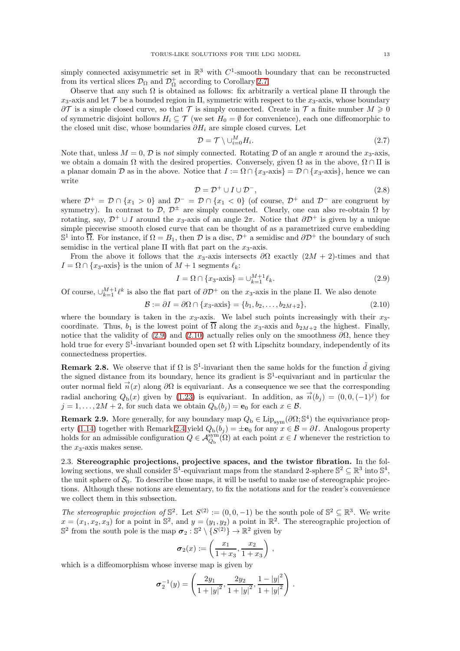simply connected axisymmetric set in  $\mathbb{R}^3$  with  $C^1$ -smooth boundary that can be reconstructed from its vertical slices  $\mathcal{D}_{\Omega}$  and  $\mathcal{D}_{\Omega}^{+}$  according to Corollary [2.7.](#page-11-3)

Observe that any such  $\Omega$  is obtained as follows: fix arbitrarily a vertical plane  $\Pi$  through the  $x_3$ -axis and let T be a bounded region in  $\Pi$ , symmetric with respect to the  $x_3$ -axis, whose boundary  $\partial \mathcal{T}$  is a simple closed curve, so that  $\mathcal{T}$  is simply connected. Create in  $\mathcal{T}$  a finite number  $M \geq 0$ of symmetric disjoint hollows  $H_i \subseteq \mathcal{T}$  (we set  $H_0 = \emptyset$  for convenience), each one diffeomorphic to the closed unit disc, whose boundaries  $\partial H_i$  are simple closed curves. Let

$$
\mathcal{D} = \mathcal{T} \setminus \cup_{i=0}^{M} H_i. \tag{2.7}
$$

Note that, unless  $M = 0$ ,  $\mathcal{D}$  is not simply connected. Rotating  $\mathcal D$  of an angle  $\pi$  around the  $x_3$ -axis, we obtain a domain  $\Omega$  with the desired properties. Conversely, given  $\Omega$  as in the above,  $\Omega \cap \Pi$  is a planar domain D as in the above. Notice that  $I := \Omega \cap \{x_3$ -axis =  $D \cap \{x_3$ -axis }, hence we can write

<span id="page-12-4"></span>
$$
\mathcal{D} = \mathcal{D}^+ \cup I \cup \mathcal{D}^-, \tag{2.8}
$$

where  $\mathcal{D}^+ = \mathcal{D} \cap \{x_1 > 0\}$  and  $\mathcal{D}^- = \mathcal{D} \cap \{x_1 < 0\}$  (of course,  $\mathcal{D}^+$  and  $\mathcal{D}^-$  are congruent by symmetry). In contrast to  $\mathcal{D}, \mathcal{D}^{\pm}$  are simply connected. Clearly, one can also re-obtain  $\Omega$  by rotating, say,  $\mathcal{D}^+ \cup I$  around the x<sub>3</sub>-axis of an angle  $2\pi$ . Notice that  $\partial \mathcal{D}^+$  is given by a unique simple piecewise smooth closed curve that can be thought of as a parametrized curve embedding  $\mathbb{S}^1$  into  $\overline{\Omega}$ . For instance, if  $\Omega = B_1$ , then  $\mathcal D$  is a disc,  $\mathcal D^+$  a semidisc and  $\partial \mathcal D^+$  the boundary of such semidisc in the vertical plane  $\Pi$  with flat part on the  $x_3$ -axis.

From the above it follows that the x<sub>3</sub>-axis intersects  $\partial\Omega$  exactly  $(2M + 2)$ -times and that  $I = \Omega \cap \{x_3\text{-axis}\}\$ is the union of  $M + 1$  segments  $\ell_k$ :

<span id="page-12-1"></span>
$$
I = \Omega \cap \{x_3 - \text{axis}\} = \bigcup_{k=1}^{M+1} \ell_k.
$$
\n(2.9)

Of course,  $\bigcup_{k=1}^{M+1} \ell^k$  is also the flat part of  $\partial \mathcal{D}^+$  on the x<sub>3</sub>-axis in the plane  $\Pi$ . We also denote

<span id="page-12-2"></span>
$$
\mathcal{B} := \partial I = \partial \Omega \cap \{x_3 - \lambda \text{ axis}\} = \{b_1, b_2, \dots, b_{2M+2}\},\tag{2.10}
$$

where the boundary is taken in the  $x_3$ -axis. We label such points increasingly with their  $x_3$ coordinate. Thus,  $b_1$  is the lowest point of  $\overline{\Omega}$  along the x<sub>3</sub>-axis and  $b_{2M+2}$  the highest. Finally, notice that the validity of [\(2.9\)](#page-12-1) and [\(2.10\)](#page-12-2) actually relies only on the smoothness  $\partial\Omega$ , hence they hold true for every  $\mathbb{S}^1$ -invariant bounded open set  $\Omega$  with Lipschitz boundary, independently of its connectedness properties.

**Remark 2.8.** We observe that if  $\Omega$  is  $\mathbb{S}^1$ -invariant then the same holds for the function  $\tilde{d}$  giving the signed distance from its boundary, hence its gradient is  $\mathbb{S}^1$ -equivariant and in particular the outer normal field  $\vec{n}(x)$  along  $\partial\Omega$  is equivariant. As a consequence we see that the corresponding radial anchoring  $Q_{b}(x)$  given by [\(1.23\)](#page-5-0) is equivariant. In addition, as  $\vec{n}(b_j) = (0, 0, (-1)^j)$  for  $j = 1, \ldots, 2M + 2$ , for such data we obtain  $Q_{b}(b_{i}) = e_{0}$  for each  $x \in \mathcal{B}$ .

<span id="page-12-3"></span>**Remark 2.9.** More generally, for any boundary map  $Q_b \in \text{Lip}_{sym}(\partial \Omega; \mathbb{S}^4)$  the equivariance prop-erty [\(1.14\)](#page-3-6) together with Remark [2.4](#page-11-4) yield  $Q_{b}(b_j) = \pm \mathbf{e}_0$  for any  $x \in \mathcal{B} = \partial I$ . Analogous property holds for an admissible configuration  $Q \in \mathcal{A}_{Q_b}^{sym}(\Omega)$  at each point  $x \in I$  whenever the restriction to the  $x_3$ -axis makes sense.

<span id="page-12-0"></span>2.3. Stereographic projections, projective spaces, and the twistor fibration. In the following sections, we shall consider  $\mathbb{S}^1$ -equivariant maps from the standard 2-sphere  $\mathbb{S}^2 \subseteq \mathbb{R}^3$  into  $\mathbb{S}^4$ , the unit sphere of  $S_0$ . To describe those maps, it will be useful to make use of stereographic projections. Although these notions are elementary, to fix the notations and for the reader's convenience we collect them in this subsection.

The stereographic projection of  $\mathbb{S}^2$ . Let  $S^{(2)} := (0, 0, -1)$  be the south pole of  $\mathbb{S}^2 \subseteq \mathbb{R}^3$ . We write  $x = (x_1, x_2, x_3)$  for a point in  $\mathbb{S}^2$ , and  $y = (y_1, y_2)$  a point in  $\mathbb{R}^2$ . The stereographic projection of  $\mathbb{S}^2$  from the south pole is the map  $\sigma_2 : \mathbb{S}^2 \setminus \{S^{(2)}\} \to \mathbb{R}^2$  given by

$$
\sigma_2(x) := \left(\frac{x_1}{1+x_3}, \frac{x_2}{1+x_3}\right) ,
$$

which is a diffeomorphism whose inverse map is given by

$$
\sigma_2^{-1}(y) = \left(\frac{2y_1}{1+|y|^2}, \frac{2y_2}{1+|y|^2}, \frac{1-|y|^2}{1+|y|^2}\right).
$$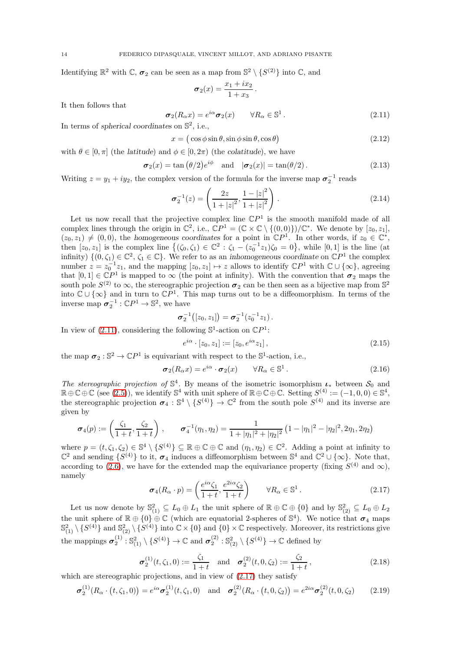Identifying  $\mathbb{R}^2$  with  $\mathbb{C}$ ,  $\sigma_2$  can be seen as a map from  $\mathbb{S}^2 \setminus \{S^{(2)}\}$  into  $\mathbb{C}$ , and

$$
\sigma_2(x) = \frac{x_1 + ix_2}{1 + x_3}.
$$

It then follows that

<span id="page-13-0"></span>
$$
\sigma_2(R_\alpha x) = e^{i\alpha} \sigma_2(x) \qquad \forall R_\alpha \in \mathbb{S}^1. \tag{2.11}
$$

In terms of spherical coordinates on  $\mathbb{S}^2$ , i.e.,

<span id="page-13-2"></span>
$$
x = (\cos \phi \sin \theta, \sin \phi \sin \theta, \cos \theta) \tag{2.12}
$$

with  $\theta \in [0, \pi]$  (the *latitude*) and  $\phi \in [0, 2\pi)$  (the *colatitude*), we have

<span id="page-13-3"></span>
$$
\sigma_2(x) = \tan(\theta/2)e^{i\phi} \quad \text{and} \quad |\sigma_2(x)| = \tan(\theta/2). \tag{2.13}
$$

Writing  $z = y_1 + iy_2$ , the complex version of the formula for the inverse map  $\sigma_2^{-1}$  reads

<span id="page-13-4"></span>
$$
\sigma_2^{-1}(z) = \left(\frac{2z}{1+|z|^2}, \frac{1-|z|^2}{1+|z|^2}\right). \tag{2.14}
$$

Let us now recall that the projective complex line  $\mathbb{C}P^1$  is the smooth manifold made of all complex lines through the origin in  $\mathbb{C}^2$ , i.e.,  $\mathbb{C}P^1 = (\mathbb{C} \times \mathbb{C} \setminus \{(0,0)\})/\mathbb{C}^*$ . We denote by  $[z_0, z_1]$ ,  $(z_0, z_1) \neq (0, 0)$ , the homogeneous coordinates for a point in  $\mathbb{C}P^1$ . In other words, if  $z_0 \in \mathbb{C}^*$ , then  $[z_0, z_1]$  is the complex line  $\{(\zeta_0, \zeta_1) \in \mathbb{C}^2 : \zeta_1 - (z_0^{-1}z_1)\zeta_0 = 0\}$ , while  $[0, 1]$  is the line (at infinity)  $\{(0,\zeta_1)\in\mathbb{C}^2,\zeta_1\in\mathbb{C}\}\.$  We refer to as an inhomogeneous coordinate on  $\mathbb{C}P^1$  the complex number  $z = z_0^{-1}z_1$ , and the mapping  $[z_0, z_1] \mapsto z$  allows to identify  $\mathbb{C}P^1$  with  $\mathbb{C} \cup \{\infty\}$ , agreeing that  $[0,1] \in \mathbb{C}P^1$  is mapped to  $\infty$  (the point at infinity). With the convention that  $\sigma_2$  maps the south pole  $S^{(2)}$  to  $\infty$ , the stereographic projection  $\sigma_2$  can be then seen as a bijective map from  $\mathbb{S}^2$ into  $\mathbb{C} \cup \{\infty\}$  and in turn to  $\mathbb{C}P^1$ . This map turns out to be a diffeomorphism. In terms of the inverse map  $\sigma_2^{-1} : \mathbb{C}P^1 \to \mathbb{S}^2$ , we have

$$
\boldsymbol{\sigma}_2^{-1}([z_0,z_1]) = \boldsymbol{\sigma}_2^{-1}(z_0^{-1}z_1).
$$

In view of [\(2.11\)](#page-13-0), considering the following  $\mathbb{S}^1$ -action on  $\mathbb{C}P^1$ :

<span id="page-13-7"></span>
$$
e^{i\alpha} \cdot [z_0, z_1] := [z_0, e^{i\alpha} z_1], \qquad (2.15)
$$

the map  $\sigma_2 : \mathbb{S}^2 \to \mathbb{C}P^1$  is equivariant with respect to the  $\mathbb{S}^1$ -action, i.e.,

$$
\sigma_2(R_\alpha x) = e^{i\alpha} \cdot \sigma_2(x) \qquad \forall R_\alpha \in \mathbb{S}^1. \tag{2.16}
$$

The stereographic projection of  $\mathbb{S}^4$ . By means of the isometric isomorphism  $\iota_*$  between  $\mathcal{S}_0$  and  $\mathbb{R} \oplus \mathbb{C} \oplus \mathbb{C}$  (see [\(2.5\)](#page-11-5)), we identify  $\mathbb{S}^4$  with unit sphere of  $\mathbb{R} \oplus \mathbb{C} \oplus \mathbb{C}$ . Setting  $S^{(4)} := (-1,0,0) \in \mathbb{S}^4$ , the stereographic projection  $\sigma_4 : \mathbb{S}^4 \setminus \{S^{(4)}\} \to \mathbb{C}^2$  from the south pole  $S^{(4)}$  and its inverse are given by

$$
\boldsymbol{\sigma}_4(p) := \left(\frac{\zeta_1}{1+t}, \frac{\zeta_2}{1+t}\right), \qquad \boldsymbol{\sigma}_4^{-1}(\eta_1, \eta_2) = \frac{1}{1+|\eta_1|^2+|\eta_2|^2} \left(1-|\eta_1|^2-|\eta_2|^2, 2\eta_1, 2\eta_2\right)
$$

where  $p = (t, \zeta_1, \zeta_2) \in \mathbb{S}^4 \setminus \{S^{(4)}\} \subseteq \mathbb{R} \oplus \mathbb{C} \oplus \mathbb{C}$  and  $(\eta_1, \eta_2) \in \mathbb{C}^2$ . Adding a point at infinity to  $\mathbb{C}^2$  and sending  $\{S^{(4)}\}$  to it,  $\sigma_4$  induces a diffeomorphism between  $\mathbb{S}^4$  and  $\mathbb{C}^2 \cup \{\infty\}$ . Note that, according to [\(2.6\)](#page-11-1), we have for the extended map the equivariance property (fixing  $S^{(4)}$  and  $\infty$ ), namely

<span id="page-13-1"></span>
$$
\boldsymbol{\sigma}_4(R_\alpha \cdot p) = \left(\frac{e^{i\alpha} \zeta_1}{1+t}, \frac{e^{2i\alpha} \zeta_2}{1+t}\right) \qquad \forall R_\alpha \in \mathbb{S}^1. \tag{2.17}
$$

Let us now denote by  $\mathbb{S}^2_{(1)} \subseteq L_0 \oplus L_1$  the unit sphere of  $\mathbb{R} \oplus \mathbb{C} \oplus \{0\}$  and by  $\mathbb{S}^2_{(2)} \subseteq L_0 \oplus L_2$ the unit sphere of  $\mathbb{R} \oplus \{0\} \oplus \mathbb{C}$  (which are equatorial 2-spheres of  $\mathbb{S}^4$ ). We notice that  $\sigma_4$  maps  $\mathbb{S}^2_{(1)} \setminus \{S^{(4)}\}$  and  $\mathbb{S}^2_{(2)} \setminus \{S^{(4)}\}$  into  $\mathbb{C} \times \{0\}$  and  $\{0\} \times \mathbb{C}$  respectively. Moreover, its restrictions give the mappings  $\sigma_2^{(1)} : \mathbb{S}_{(1)}^2 \setminus \{S^{(4)}\} \to \mathbb{C}$  and  $\sigma_2^{(2)} : \mathbb{S}_{(2)}^2 \setminus \{S^{(4)}\} \to \mathbb{C}$  defined by

<span id="page-13-5"></span>
$$
\sigma_2^{(1)}(t,\zeta_1,0) := \frac{\zeta_1}{1+t} \quad \text{and} \quad \sigma_2^{(2)}(t,0,\zeta_2) := \frac{\zeta_2}{1+t},\tag{2.18}
$$

which are stereographic projections, and in view of  $(2.17)$  they satisfy

<span id="page-13-6"></span>
$$
\sigma_2^{(1)}(R_\alpha \cdot (t,\zeta_1,0)) = e^{i\alpha} \sigma_2^{(1)}(t,\zeta_1,0) \text{ and } \sigma_2^{(2)}(R_\alpha \cdot (t,0,\zeta_2)) = e^{2i\alpha} \sigma_2^{(2)}(t,0,\zeta_2) \quad (2.19)
$$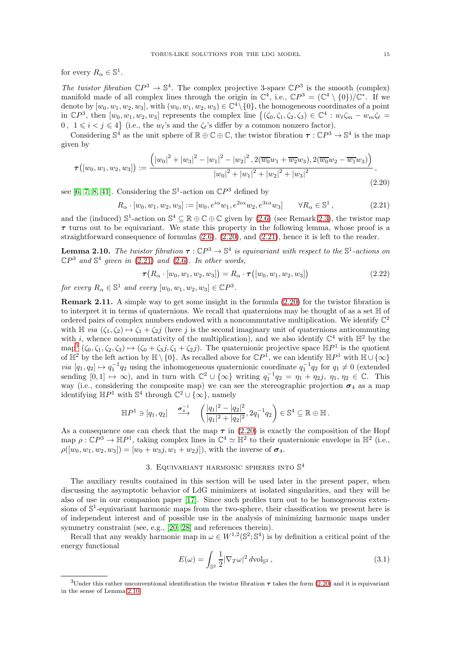for every  $R_{\alpha} \in \mathbb{S}^1$ .

The twistor fibration  $\mathbb{C}P^3 \to \mathbb{S}^4$ . The complex projective 3-space  $\mathbb{C}P^3$  is the smooth (complex) manifold made of all complex lines through the origin in  $\mathbb{C}^4$ , i.e.,  $\mathbb{C}P^3 = (\mathbb{C}^4 \setminus \{0\})/\mathbb{C}^*$ . If we denote by  $[w_0, w_1, w_2, w_3]$ , with  $(w_0, w_1, w_2, w_3) \in \mathbb{C}^4 \setminus \{0\}$ , the homogeneous coordinates of a point in  $\mathbb{C}P^3$ , then  $[w_0, w_1, w_2, w_3]$  represents the complex line  $\{(\zeta_0, \zeta_1, \zeta_2, \zeta_3) \in \mathbb{C}^4 : w_\ell \zeta_m - w_m \zeta_\ell =$ 0,  $1 \leq i < j \leq 4$  (i.e., the  $w_{\ell}$ 's and the  $\zeta_{\ell}$ 's differ by a common nonzero factor).

Considering  $\mathbb{S}^4$  as the unit sphere of  $\mathbb{R} \oplus \mathbb{C} \oplus \mathbb{C}$ , the twistor fibration  $\tau : \mathbb{C}P^3 \to \mathbb{S}^4$  is the map given by

<span id="page-14-1"></span>
$$
\boldsymbol{\tau}([w_0, w_1, w_2, w_3]) := \frac{(|w_0|^2 + |w_3|^2 - |w_1|^2 - |w_2|^2, 2(\overline{w_0}w_1 + \overline{w_2}w_3), 2(\overline{w_0}w_2 - \overline{w_1}w_3))}{|w_0|^2 + |w_1|^2 + |w_2|^2 + |w_3|^2}, \tag{2.20}
$$

see [\[6,](#page-60-15) [7,](#page-60-16) [8,](#page-60-17) [41\]](#page-61-21). Considering the  $\mathbb{S}^1$ -action on  $\mathbb{C}P^3$  defined by

<span id="page-14-2"></span> $R_{\alpha} \cdot [w_0, w_1, w_2, w_3] := [w_0, e^{i\alpha} w_1, e^{2i\alpha} w_2, e^{3i\alpha} w_3]$  $\forall R_{\alpha} \in \mathbb{S}^1$ .  $(2.21)$ 

and the (induced)  $\mathbb{S}^1$ -action on  $\mathbb{S}^4 \subseteq \mathbb{R} \oplus \mathbb{C} \oplus \mathbb{C}$  given by [\(2.6\)](#page-11-1) (see Remark [2.3\)](#page-11-6), the twistor map  $\tau$  turns out to be equivariant. We state this property in the following lemma, whose proof is a straightforward consequence of formulas [\(2.6\)](#page-11-1), [\(2.20\)](#page-14-1), and [\(2.21\)](#page-14-2), hence it is left to the reader.

<span id="page-14-4"></span>**Lemma 2.10.** The twistor fibration  $\tau : \mathbb{C}P^3 \to \mathbb{S}^4$  is equivariant with respect to the  $\mathbb{S}^1$ -actions on  $\mathbb{C}P^3$  and  $\mathbb{S}^4$  given in [\(2.21\)](#page-14-2) and [\(2.6\)](#page-11-1). In other words,

$$
\tau(R_{\alpha} \cdot [w_0, w_1, w_2, w_3]) = R_{\alpha} \cdot \tau([w_0, w_1, w_2, w_3])
$$
\n(2.22)

for every  $R_{\alpha} \in \mathbb{S}^1$  and every  $[w_0, w_1, w_2, w_3] \in \mathbb{C}P^3$ .

Remark 2.11. A simple way to get some insight in the formula [\(2.20\)](#page-14-1) for the twistor fibration is to interpret it in terms of quaternions. We recall that quaternions may be thought of as a set H of ordered pairs of complex numbers endowed with a noncommutative multiplication. We identify  $\mathbb{C}^2$ with  $\mathbb{H}$  via  $(\zeta_1, \zeta_2) \mapsto \zeta_1 + \zeta_2 j$  (here j is the second imaginary unit of quaternions anticommuting with *i*, whence noncommutativity of the multiplication), and we also identify  $\mathbb{C}^4$  with  $\mathbb{H}^2$  by the  $\text{map}^3 (\zeta_0, \zeta_1, \zeta_2, \zeta_3) \mapsto (\zeta_0 + \zeta_3 j, \zeta_1 + \zeta_2 j).$  $\text{map}^3 (\zeta_0, \zeta_1, \zeta_2, \zeta_3) \mapsto (\zeta_0 + \zeta_3 j, \zeta_1 + \zeta_2 j).$  $\text{map}^3 (\zeta_0, \zeta_1, \zeta_2, \zeta_3) \mapsto (\zeta_0 + \zeta_3 j, \zeta_1 + \zeta_2 j).$  The quaternionic projective space  $\mathbb{H}P^1$  is the quotient of  $\mathbb{H}^2$  by the left action by  $\mathbb{H} \setminus \{0\}$ . As recalled above for  $\mathbb{C}P^1$ , we can identify  $\mathbb{H}P^1$  with  $\mathbb{H} \cup \{\infty\}$ via  $[q_1, q_2] \mapsto q_1^{-1}q_2$  using the inhomogeneous quaternionic coordinate  $q_1^{-1}q_2$  for  $q_1 \neq 0$  (extended sending  $[0,1] \mapsto \infty$ ), and in turn with  $\mathbb{C}^2 \cup {\infty}$  writing  $q_1^{-1}q_2 = \eta_1 + \eta_2 j$ ,  $\eta_1, \eta_2 \in \mathbb{C}$ . This way (i.e., considering the composite map) we can see the stereographic projection  $\sigma_4$  as a map identifying  $\mathbb{H}P^1$  with  $\mathbb{S}^4$  through  $\mathbb{C}^2 \cup {\infty}$ , namely

$$
\mathbb{H}P^1 \ni [q_1, q_2] \quad \stackrel{\sigma_4^{-1}}{\longrightarrow} \quad \left( \frac{|q_1|^2 - |q_2|^2}{|q_1|^2 + |q_2|^2}, 2q_1^{-1}q_2 \right) \in \mathbb{S}^4 \subseteq \mathbb{R} \oplus \mathbb{H}.
$$

As a consequence one can check that the map  $\tau$  in [\(2.20\)](#page-14-1) is exactly the composition of the Hopf map  $\rho: \mathbb{C}P^3 \to \mathbb{H}P^1$ , taking complex lines in  $\mathbb{C}^4 \simeq \mathbb{H}^2$  to their quaternionic envelope in  $\mathbb{H}^2$  (i.e.,  $\rho([w_0, w_1, w_2, w_3]) = [w_0 + w_3 j, w_1 + w_2 j]$ , with the inverse of  $\sigma_4$ .

# 3. EQUIVARIANT HARMONIC SPHERES INTO  $\mathbb{S}^4$

<span id="page-14-0"></span>The auxiliary results contained in this section will be used later in the present paper, when discussing the asymptotic behavior of LdG minimizers at isolated singularities, and they will be also of use in our companion paper [\[17\]](#page-60-2). Since such profiles turn out to be homogeneous extensions of  $\mathbb{S}^1$ -equivariant harmonic maps from the two-sphere, their classification we present here is of independent interest and of possible use in the analysis of minimizing harmonic maps under symmetry constraint (see, e.g., [\[20,](#page-60-18) [28\]](#page-61-22) and references therein).

Recall that any weakly harmonic map in  $\omega \in W^{1,2}(\mathbb{S}^2;\mathbb{S}^4)$  is by definition a critical point of the energy functional

<span id="page-14-5"></span>
$$
E(\omega) = \int_{\mathbb{S}^2} \frac{1}{2} |\nabla_T \omega|^2 d\mathrm{vol}_{\mathbb{S}^2},\tag{3.1}
$$

<span id="page-14-3"></span><sup>&</sup>lt;sup>3</sup>Under this rather unconventional identification the twistor fibration  $\tau$  takes the form [\(2.20\)](#page-14-1) and it is equivariant in the sense of Lemma [2.10.](#page-14-4)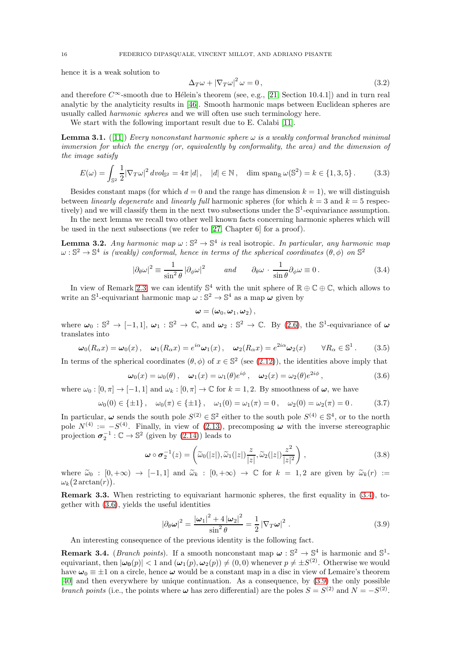hence it is a weak solution to

<span id="page-15-7"></span>
$$
\Delta_T \omega + |\nabla_T \omega|^2 \omega = 0, \qquad (3.2)
$$

and therefore  $C^{\infty}$ -smooth due to Hélein's theorem (see, e.g., [\[21,](#page-61-23) Section 10.4.1]) and in turn real analytic by the analyticity results in [\[46\]](#page-61-24). Smooth harmonic maps between Euclidean spheres are usually called harmonic spheres and we will often use such terminology here.

We start with the following important result due to E. Calabi [\[11\]](#page-60-5).

<span id="page-15-3"></span>**Lemma 3.1.** ([\[11\]](#page-60-5)) Every nonconstant harmonic sphere  $\omega$  is a weakly conformal branched minimal immersion for which the energy (or, equivalently by conformality, the area) and the dimension of the image satisfy

<span id="page-15-4"></span>
$$
E(\omega) = \int_{\mathbb{S}^2} \frac{1}{2} |\nabla_T \omega|^2 \, dvol_{\mathbb{S}^2} = 4\pi |d| \,, \quad |d| \in \mathbb{N} \,, \quad \dim \operatorname{span}_{\mathbb{R}} \omega(\mathbb{S}^2) = k \in \{1, 3, 5\} \,. \tag{3.3}
$$

Besides constant maps (for which  $d = 0$  and the range has dimension  $k = 1$ ), we will distinguish between *linearly degenerate* and *linearly full harmonic spheres (for which*  $k = 3$  and  $k = 5$  respectively) and we will classify them in the next two subsections under the  $\mathbb{S}^1$ -equivariance assumption.

In the next lemma we recall two other well known facts concerning harmonic spheres which will be used in the next subsections (we refer to [\[27,](#page-61-25) Chapter 6] for a proof).

<span id="page-15-9"></span>**Lemma 3.2.** Any harmonic map  $\omega : \mathbb{S}^2 \to \mathbb{S}^4$  is real isotropic. In particular, any harmonic map  $\omega: \mathbb{S}^2 \to \mathbb{S}^4$  is (weakly) conformal, hence in terms of the spherical coordinates  $(\theta, \phi)$  on  $\mathbb{S}^2$ 

<span id="page-15-0"></span>
$$
|\partial_{\theta}\omega|^2 \equiv \frac{1}{\sin^2\theta} |\partial_{\phi}\omega|^2 \qquad and \qquad \partial_{\theta}\omega \cdot \frac{1}{\sin\theta} \partial_{\phi}\omega \equiv 0. \tag{3.4}
$$

In view of Remark [2.3,](#page-11-6) we can identify  $\mathbb{S}^4$  with the unit sphere of  $\mathbb{R} \oplus \mathbb{C} \oplus \mathbb{C}$ , which allows to write an  $\mathbb{S}^1$ -equivariant harmonic map  $\omega : \mathbb{S}^2 \to \mathbb{S}^4$  as a map  $\omega$  given by

$$
\boldsymbol{\omega} = (\omega_0, \omega_1, \omega_2),
$$

where  $\omega_0 : \mathbb{S}^2 \to [-1,1], \omega_1 : \mathbb{S}^2 \to \mathbb{C}$ , and  $\omega_2 : \mathbb{S}^2 \to \mathbb{C}$ . By [\(2.6\)](#page-11-1), the  $\mathbb{S}^1$ -equivariance of  $\omega$ translates into

<span id="page-15-6"></span>
$$
\omega_0(R_\alpha x) = \omega_0(x), \quad \omega_1(R_\alpha x) = e^{i\alpha}\omega_1(x), \quad \omega_2(R_\alpha x) = e^{2i\alpha}\omega_2(x) \qquad \forall R_\alpha \in \mathbb{S}^1. \tag{3.5}
$$

In terms of the spherical coordinates  $(\theta, \phi)$  of  $x \in \mathbb{S}^2$  (see [\(2.12\)](#page-13-2)), the identities above imply that

<span id="page-15-1"></span>
$$
\boldsymbol{\omega}_0(x) = \omega_0(\theta), \quad \boldsymbol{\omega}_1(x) = \omega_1(\theta)e^{i\phi}, \quad \boldsymbol{\omega}_2(x) = \omega_2(\theta)e^{2i\phi}, \tag{3.6}
$$

where  $\omega_0 : [0, \pi] \to [-1, 1]$  and  $\omega_k : [0, \pi] \to \mathbb{C}$  for  $k = 1, 2$ . By smoothness of  $\omega$ , we have

$$
\omega_0(0) \in \{\pm 1\}, \quad \omega_0(\pi) \in \{\pm 1\}, \quad \omega_1(0) = \omega_1(\pi) = 0, \quad \omega_2(0) = \omega_2(\pi) = 0. \tag{3.7}
$$

In particular,  $\omega$  sends the south pole  $S^{(2)} \in \mathbb{S}^2$  either to the south pole  $S^{(4)} \in \mathbb{S}^4$ , or to the north pole  $N^{(4)} := -S^{(4)}$ . Finally, in view of [\(2.13\)](#page-13-3), precomposing  $\omega$  with the inverse stereographic projection  $\sigma_2^{-1} : \mathbb{C} \to \mathbb{S}^2$  (given by [\(2.14\)](#page-13-4)) leads to

<span id="page-15-5"></span>
$$
\boldsymbol{\omega} \circ \boldsymbol{\sigma}_2^{-1}(z) = \left( \widetilde{\omega}_0(|z|), \widetilde{\omega}_1(|z|) \frac{z}{|z|}, \widetilde{\omega}_2(|z|) \frac{z^2}{|z|^2} \right), \tag{3.8}
$$

where  $\widetilde{\omega}_0 : [0, +\infty) \to [-1, 1]$  and  $\widetilde{\omega}_k : [0, +\infty) \to \mathbb{C}$  for  $k = 1, 2$  are given by  $\widetilde{\omega}_k(r) :=$  $\omega_k(2\arctan(r)).$ 

Remark 3.3. When restricting to equivariant harmonic spheres, the first equality in [\(3.4\)](#page-15-0), together with [\(3.6\)](#page-15-1), yields the useful identities

<span id="page-15-2"></span>
$$
|\partial_{\theta}\omega|^2 = \frac{|\omega_1|^2 + 4|\omega_2|^2}{\sin^2\theta} = \frac{1}{2} |\nabla_T \omega|^2.
$$
 (3.9)

An interesting consequence of the previous identity is the following fact.

<span id="page-15-8"></span>**Remark 3.4.** (*Branch points*). If a smooth nonconstant map  $\omega : \mathbb{S}^2 \to \mathbb{S}^4$  is harmonic and  $\mathbb{S}^1$ equivariant, then  $|\omega_0(p)| < 1$  and  $(\omega_1(p), \omega_2(p)) \neq (0, 0)$  whenever  $p \neq \pm S^{(2)}$ . Otherwise we would have  $\omega_0 \equiv \pm 1$  on a circle, hence  $\omega$  would be a constant map in a disc in view of Lemaire's theorem [\[40\]](#page-61-26) and then everywhere by unique continuation. As a consequence, by [\(3.9\)](#page-15-2) the only possible branch points (i.e., the points where  $\omega$  has zero differential) are the poles  $S = S^{(2)}$  and  $N = -S^{(2)}$ .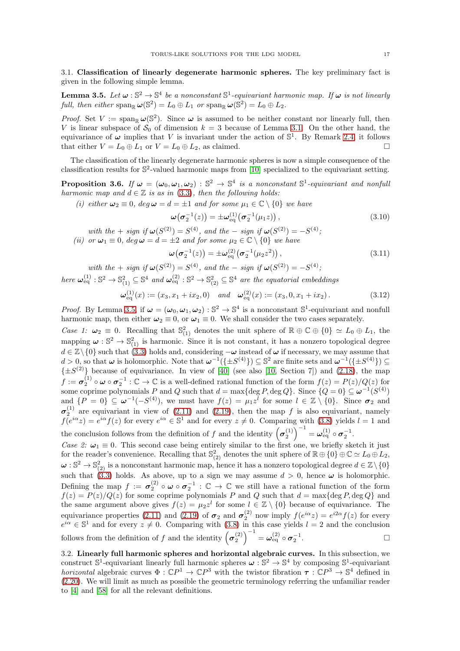<span id="page-16-0"></span>3.1. Classification of linearly degenerate harmonic spheres. The key preliminary fact is given in the following simple lemma.

<span id="page-16-2"></span>**Lemma 3.5.** Let  $\omega : \mathbb{S}^2 \to \mathbb{S}^4$  be a nonconstant  $\mathbb{S}^1$ -equivariant harmonic map. If  $\omega$  is not linearly full, then either  $\text{span}_{\mathbb{R}} \omega(\mathbb{S}^2) = L_0 \oplus L_1$  or  $\text{span}_{\mathbb{R}} \omega(\mathbb{S}^2) = L_0 \oplus L_2$ .

*Proof.* Set  $V := \text{span}_{\mathbb{R}} \omega(\mathbb{S}^2)$ . Since  $\omega$  is assumed to be neither constant nor linearly full, then V is linear subspace of  $S_0$  of dimension  $k = 3$  because of Lemma [3.1.](#page-15-3) On the other hand, the equivariance of  $\omega$  implies that V is invariant under the action of  $\mathbb{S}^1$ . By Remark [2.4,](#page-11-4) it follows that either  $V = L_0 \oplus L_1$  or  $V = L_0 \oplus L_2$ , as claimed.

The classification of the linearly degenerate harmonic spheres is now a simple consequence of the classification results for S 2 -valued harmonic maps from [\[10\]](#page-60-19) specialized to the equivariant setting.

<span id="page-16-3"></span>**Proposition 3.6.** If  $\omega = (\omega_0, \omega_1, \omega_2) : \mathbb{S}^2 \to \mathbb{S}^4$  is a nonconstant  $\mathbb{S}^1$ -equivariant and nonfull harmonic map and  $d \in \mathbb{Z}$  is as in [\(3.3\)](#page-15-4), then the following holds:

(i) either  $\omega_2 \equiv 0$ ,  $deg \omega = d = \pm 1$  and for some  $\mu_1 \in \mathbb{C} \setminus \{0\}$  we have

$$
\boldsymbol{\omega}\big(\boldsymbol{\sigma}_2^{-1}(z)\big) = \pm \boldsymbol{\omega}_{\text{eq}}^{(1)}\big(\boldsymbol{\sigma}_2^{-1}(\mu_1 z)\big)\,,\tag{3.10}
$$

with the + sign if  $\omega(S^{(2)}) = S^{(4)}$ , and the – sign if  $\omega(S^{(2)}) = -S^{(4)}$ ; (ii) or  $\omega_1 \equiv 0$ ,  $\deg \omega = d = \pm 2$  and for some  $\mu_2 \in \mathbb{C} \setminus \{0\}$  we have

$$
\omega(\sigma_2^{-1}(z)) = \pm \omega_{\text{eq}}^{(2)}(\sigma_2^{-1}(\mu_2 z^2)), \qquad (3.11)
$$

with the  $+$  sign if  $\omega(S^{(2)}) = S^{(4)}$ , and the  $-$  sign if  $\omega(S^{(2)}) = -S^{(4)}$ ;

here  $\omega_{\text{eq}}^{(1)} : \mathbb{S}^2 \to \mathbb{S}_{(1)}^2 \subseteq \mathbb{S}^4$  and  $\omega_{\text{eq}}^{(2)} : \mathbb{S}^2 \to \mathbb{S}_{(2)}^2 \subseteq \mathbb{S}^4$  are the equatorial embeddings

<span id="page-16-4"></span>
$$
\boldsymbol{\omega}_{\text{eq}}^{(1)}(x) := (x_3, x_1 + ix_2, 0) \quad \text{and} \quad \boldsymbol{\omega}_{\text{eq}}^{(2)}(x) := (x_3, 0, x_1 + ix_2). \tag{3.12}
$$

*Proof.* By Lemma [3.5,](#page-16-2) if  $\omega = (\omega_0, \omega_1, \omega_2) : \mathbb{S}^2 \to \mathbb{S}^4$  is a nonconstant  $\mathbb{S}^1$ -equivariant and nonfull harmonic map, then either  $\omega_2 \equiv 0$ , or  $\omega_1 \equiv 0$ . We shall consider the two cases separately.

Case 1:  $\omega_2 \equiv 0$ . Recalling that  $\mathbb{S}_{(1)}^2$  denotes the unit sphere of  $\mathbb{R} \oplus \mathbb{C} \oplus \{0\} \simeq L_0 \oplus L_1$ , the mapping  $\omega : \mathbb{S}^2 \to \mathbb{S}^2_{(1)}$  is harmonic. Since it is not constant, it has a nonzero topological degree  $d \in \mathbb{Z}\setminus\{0\}$  such that [\(3.3\)](#page-15-4) holds and, considering  $-\omega$  instead of  $\omega$  if necessary, we may assume that  $d > 0$ , so that  $\omega$  is holomorphic. Note that  $\omega^{-1}(\{\pm S^{(4)}\}) \subseteq \mathbb{S}^2$  are finite sets and  $\omega^{-1}(\{\pm S^{(4)}\}) \subseteq$  $\{\pm S^{(2)}\}$  because of equivariance. In view of [\[40\]](#page-61-26) (see also [\[10,](#page-60-19) Section 7]) and [\(2.18\)](#page-13-5), the map  $f := \sigma_2^{(1)} \circ \omega \circ \sigma_2^{-1} : \mathbb{C} \to \mathbb{C}$  is a well-defined rational function of the form  $f(z) = P(z)/Q(z)$  for some coprime polynomials P and Q such that  $d = \max\{\deg P, \deg Q\}$ . Since  $\{Q = 0\} \subseteq \omega^{-1}(S^{(4)})$ and  $\{P = 0\} \subseteq \omega^{-1}(-S^{(4)})$ , we must have  $f(z) = \mu_1 z^l$  for some  $l \in \mathbb{Z} \setminus \{0\}$ . Since  $\sigma_2$  and  $\sigma_2^{(1)}$  are equivariant in view of [\(2.11\)](#page-13-0) and [\(2.19\)](#page-13-6), then the map f is also equivariant, namely  $f(e^{i\alpha}z) = e^{i\alpha}f(z)$  for every  $e^{i\alpha} \in \mathbb{S}^1$  and for every  $z \neq 0$ . Comparing with [\(3.8\)](#page-15-5) yields  $l = 1$  and the conclusion follows from the definition of f and the identity  $(\sigma_2^{(1)})^{-1} = \omega_{\text{eq}}^{(1)} \circ \sigma_2^{-1}$ .

Case 2:  $\omega_1 \equiv 0$ . This second case being entirely similar to the first one, we briefly sketch it just for the reader's convenience. Recalling that  $\mathbb{S}_{(2)}^2$  denotes the unit sphere of  $\mathbb{R} \oplus \{0\} \oplus \mathbb{C} \simeq L_0 \oplus L_2$ ,  $\omega: \mathbb{S}^2 \to \mathbb{S}^2_{(2)}$  is a nonconstant harmonic map, hence it has a nonzero topological degree  $d \in \mathbb{Z} \setminus \{0\}$ such that [\(3.3\)](#page-15-4) holds. As above, up to a sign we may assume  $d > 0$ , hence  $\omega$  is holomorphic. Defining the map  $f := \sigma_2^{(2)} \circ \omega \circ \sigma_2^{-1} : \mathbb{C} \to \mathbb{C}$  we still have a rational function of the form  $f(z) = P(z)/Q(z)$  for some coprime polynomials P and Q such that  $d = \max\{\deg P, \deg Q\}$  and the same argument above gives  $f(z) = \mu_2 z^l$  for some  $l \in \mathbb{Z} \setminus \{0\}$  because of equivariance. The equivariance properties [\(2.11\)](#page-13-0) and [\(2.19\)](#page-13-6) of  $\sigma_2$  and  $\sigma_2^{(2)}$  now imply  $f(e^{i\alpha}z) = e^{i2\alpha}f(z)$  for every  $e^{i\alpha} \in \mathbb{S}^1$  and for every  $z \neq 0$ . Comparing with [\(3.8\)](#page-15-5) in this case yields  $l = 2$  and the conclusion follows from the definition of f and the identity  $(\sigma_2^{(2)})^{-1} = \omega_{\text{eq}}^{(2)} \circ \sigma_2^{-1}$ .

<span id="page-16-1"></span>3.2. Linearly full harmonic spheres and horizontal algebraic curves. In this subsection, we construct  $\mathbb{S}^1$ -equivariant linearly full harmonic spheres  $\omega : \mathbb{S}^2 \to \mathbb{S}^4$  by composing  $\mathbb{S}^1$ -equivariant *horizontal* algebraic curves  $\Phi : \mathbb{C}P^1 \to \mathbb{C}P^3$  with the twistor fibration  $\tau : \mathbb{C}P^3 \to \mathbb{S}^4$  defined in [\(2.20\)](#page-14-1). We will limit as much as possible the geometric terminology referring the unfamiliar reader to [\[4\]](#page-60-7) and [\[58\]](#page-62-2) for all the relevant definitions.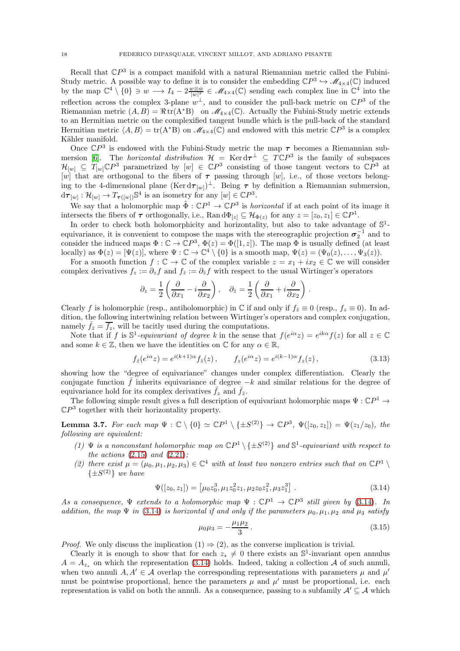Recall that  $\mathbb{C}P^3$  is a compact manifold with a natural Riemannian metric called the Fubini-Study metric. A possible way to define it is to consider the embedding  $\mathbb{C}P^3 \hookrightarrow \mathscr{M}_{4\times 4}(\mathbb{C})$  induced by the map  $\mathbb{C}^4 \setminus \{0\} \ni w \longrightarrow I_4 - 2 \frac{w \otimes \bar{w}}{|w|^2} \in \mathcal{M}_{4 \times 4}(\mathbb{C})$  sending each complex line in  $\mathbb{C}^4$  into the reflection across the complex 3-plane  $w^{\perp}$ , and to consider the pull-back metric on  $\mathbb{C}P^3$  of the Riemannian metric  $(A, B) = \Re \text{tr}(A^*B)$  on  $\mathcal{M}_{4\times 4}(\mathbb{C})$ . Actually the Fubini-Study metric extends to an Hermitian metric on the complexified tangent bundle which is the pull-back of the standard Hermitian metric  $\langle A, B \rangle = \text{tr}(A^*B)$  on  $\mathcal{M}_{4\times 4}(\mathbb{C})$  and endowed with this metric  $\mathbb{C}P^3$  is a complex Kähler manifold.

Once  $\mathbb{C}P^3$  is endowed with the Fubini-Study metric the map  $\tau$  becomes a Riemannian sub-mersion [\[6\]](#page-60-15). The *horizontal distribution*  $\mathcal{H} = \text{Ker} d\tau^{\perp} \subseteq T\mathbb{C}P^3$  is the family of subspaces  $\mathcal{H}_{[w]} \subseteq T_{[w]} \mathbb{C}P^3$  parametrized by  $[w] \in \mathbb{C}P^3$  consisting of those tangent vectors to  $\mathbb{C}P^3$  at [w] that are orthogonal to the fibers of  $\tau$  passing through [w], i.e., of those vectors belonging to the 4-dimensional plane  $(\text{Ker} d\tau_{[w]})^{\perp}$ . Being  $\tau$  by definition a Riemannian submersion,  $d\tau_{[w]} : \mathcal{H}_{[w]} \to T_{\tau([w])} \mathbb{S}^4$  is an isometry for any  $[w] \in \mathbb{C}P^3$ .

We say that a holomorphic map  $\tilde{\Phi}: \mathbb{C}P^1 \to \mathbb{C}P^3$  is *horizontal* if at each point of its image it intersects the fibers of  $\tau$  orthogonally, i.e.,  $\text{Ran} \, d\Phi_{[z]} \subseteq \mathcal{H}_{\Phi(z)}$  for any  $z = [z_0, z_1] \in \mathbb{C}P^1$ .

In order to check both holomorphicity and horizontality, but also to take advantage of  $\mathbb{S}^1$ equivariance, it is convenient to compose the maps with the stereographic projection  $\sigma_2^{-1}$  and to consider the induced maps  $\Phi : \mathbb{C} \to \mathbb{C}P^3$ ,  $\Phi(z) = \Phi([1, z])$ . The map  $\Phi$  is usually defined (at least locally) as  $\Phi(z) = [\Psi(z)]$ , where  $\Psi : \mathbb{C} \to \mathbb{C}^4 \setminus \{0\}$  is a smooth map,  $\Psi(z) = (\Psi_0(z), \dots, \Psi_3(z))$ .

For a smooth function  $f: \mathbb{C} \to \mathbb{C}$  of the complex variable  $z = x_1 + ix_2 \in \mathbb{C}$  we will consider complex derivatives  $f_z := \partial_z f$  and  $f_{\bar{z}} := \partial_{\bar{z}} f$  with respect to the usual Wirtinger's operators

$$
\partial_z = \frac{1}{2} \left( \frac{\partial}{\partial x_1} - i \frac{\partial}{\partial x_2} \right), \quad \partial_{\bar{z}} = \frac{1}{2} \left( \frac{\partial}{\partial x_1} + i \frac{\partial}{\partial x_2} \right)
$$

Clearly f is holomorphic (resp., antiholomorphic) in  $\mathbb C$  if and only if  $f_{\bar z}\equiv 0$  (resp.,  $f_z\equiv 0$ ). In addition, the following intertwining relation between Wirtinger's operators and complex conjugation, namely  $\bar{f}_{\bar{z}} = \bar{f}_z$ , will be tacitly used during the computations.

Note that if f is  $\mathbb{S}^1$ -equivariant of degree k in the sense that  $f(e^{i\alpha}z) = e^{ik\alpha}f(z)$  for all  $z \in \mathbb{C}$ and some  $k \in \mathbb{Z}$ , then we have the identities on  $\mathbb C$  for any  $\alpha \in \mathbb{R}$ ,

<span id="page-17-2"></span>
$$
f_{\bar{z}}(e^{i\alpha}z) = e^{i(k+1)\alpha} f_{\bar{z}}(z), \qquad f_z(e^{i\alpha}z) = e^{i(k-1)\alpha} f_z(z), \qquad (3.13)
$$

.

showing how the "degree of equivariance" changes under complex differentiation. Clearly the conjugate function  $\bar{f}$  inherits equivariance of degree  $-k$  and similar relations for the degree of equivariance hold for its complex derivatives  $\bar{f}_z$  and  $\bar{f}_{\bar{z}}$ .

The following simple result gives a full description of equivariant holomorphic maps  $\Psi : \mathbb{C}P^1 \to$  $\mathbb{C}P^3$  together with their horizontality property.

<span id="page-17-3"></span>**Lemma 3.7.** For each map  $\Psi : \mathbb{C} \setminus \{0\} \simeq \mathbb{C}P^1 \setminus \{\pm S^{(2)}\} \to \mathbb{C}P^3$ ,  $\Psi([z_0, z_1]) = \Psi(z_1/z_0)$ , the following are equivalent:

- (1)  $\Psi$  is a nonconstant holomorphic map on  $\mathbb{C}P^1 \setminus {\pm S^{(2)}}$  and  $\mathbb{S}^1$ -equivariant with respect to the actions  $(2.15)$  and  $(2.21)$ ;
- (2) there exist  $\mu = (\mu_0, \mu_1, \mu_2, \mu_3) \in \mathbb{C}^4$  with at least two nonzero entries such that on  $\mathbb{C}P^1 \setminus \mathbb{C}P^1$  $\{\pm S^{(2)}\}\$  we have

<span id="page-17-0"></span>
$$
\Psi([z_0, z_1]) = [\mu_0 z_0^3, \mu_1 z_0^2 z_1, \mu_2 z_0 z_1^2, \mu_3 z_1^3].
$$
\n(3.14)

As a consequence,  $\Psi$  extends to a holomorphic map  $\Psi : \mathbb{C}P^1 \to \mathbb{C}P^3$  still given by [\(3.14\)](#page-17-0). In addition, the map  $\Psi$  in [\(3.14\)](#page-17-0) is horizontal if and only if the parameters  $\mu_0, \mu_1, \mu_2$  and  $\mu_3$  satisfy

<span id="page-17-1"></span>
$$
\mu_0 \mu_3 = -\frac{\mu_1 \mu_2}{3} \,. \tag{3.15}
$$

*Proof.* We only discuss the implication  $(1) \Rightarrow (2)$ , as the converse implication is trivial.

Clearly it is enough to show that for each  $z_* \neq 0$  there exists an S<sup>1</sup>-invariant open annulus  $A = A_{z_{n}}$  on which the representation [\(3.14\)](#page-17-0) holds. Indeed, taking a collection A of such annuli, when two annuli  $A, A' \in \mathcal{A}$  overlap the corresponding representations with parameters  $\mu$  and  $\mu'$ must be pointwise proportional, hence the parameters  $\mu$  and  $\mu'$  must be proportional, i.e. each representation is valid on both the annuli. As a consequence, passing to a subfamily  $A' \subseteq A$  which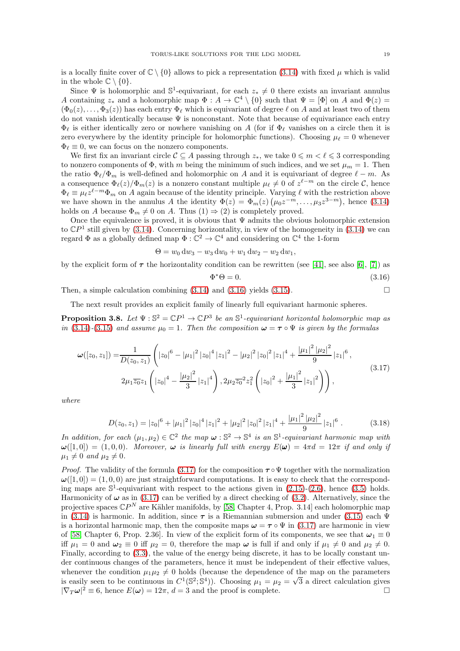is a locally finite cover of  $\mathbb{C} \setminus \{0\}$  allows to pick a representation [\(3.14\)](#page-17-0) with fixed  $\mu$  which is valid in the whole  $\mathbb{C} \setminus \{0\}$ .

Since  $\Psi$  is holomorphic and  $\mathbb{S}^1$ -equivariant, for each  $z_* \neq 0$  there exists an invariant annulus A containing  $z_*$  and a holomorphic map  $\Phi: A \to \mathbb{C}^4 \setminus \{0\}$  such that  $\Psi = [\Phi]$  on A and  $\Phi(z) =$  $(\Phi_0(z), \ldots, \Phi_3(z))$  has each entry  $\Phi_\ell$  which is equivariant of degree  $\ell$  on A and at least two of them do not vanish identically because  $\Psi$  is nonconstant. Note that because of equivariance each entry  $\Phi_{\ell}$  is either identically zero or nowhere vanishing on A (for if  $\Phi_{\ell}$  vanishes on a circle then it is zero everywhere by the identity principle for holomorphic functions). Choosing  $\mu_{\ell} = 0$  whenever  $\Phi_{\ell} \equiv 0$ , we can focus on the nonzero components.

We first fix an invariant circle  $\mathcal{C} \subseteq A$  passing through  $z_*$ , we take  $0 \leq m < \ell \leq 3$  corresponding to nonzero components of  $\Phi$ , with m being the minimum of such indices, and we set  $\mu_m = 1$ . Then the ratio  $\Phi_{\ell}/\Phi_m$  is well-defined and holomorphic on A and it is equivariant of degree  $\ell - m$ . As a consequence  $\Phi_{\ell}(z)/\Phi_m(z)$  is a nonzero constant multiple  $\mu_{\ell} \neq 0$  of  $z^{\ell-m}$  on the circle C, hence  $\Phi_{\ell} \equiv \mu_{\ell} z^{\ell-m} \Phi_m$  on A again because of the identity principle. Varying  $\ell$  with the restriction above we have shown in the annulus A the identity  $\Phi(z) = \Phi_m(z) (\mu_0 z^{-m}, \dots, \mu_3 z^{3-m})$ , hence [\(3.14\)](#page-17-0) holds on A because  $\Phi_m \neq 0$  on A. Thus  $(1) \Rightarrow (2)$  is completely proved.

Once the equivalence is proved, it is obvious that  $\Psi$  admits the obvious holomorphic extension to  $\mathbb{C}P^1$  still given by [\(3.14\)](#page-17-0). Concerning horizontality, in view of the homogeneity in (3.14) we can regard  $\Phi$  as a globally defined map  $\Phi : \mathbb{C}^2 \to \mathbb{C}^4$  and considering on  $\mathbb{C}^4$  the 1-form

$$
\Theta = w_0 \, dw_3 - w_3 \, dw_0 + w_1 \, dw_2 - w_2 \, dw_1,
$$

by the explicit form of  $\tau$  the horizontality condition can be rewritten (see [\[41\]](#page-61-21), see also [\[6\]](#page-60-15), [\[7\]](#page-60-16)) as

<span id="page-18-0"></span>
$$
\Phi^* \Theta = 0. \tag{3.16}
$$

Then, a simple calculation combining  $(3.14)$  and  $(3.16)$  yields  $(3.15)$ .

The next result provides an explicit family of linearly full equivariant harmonic spheres.

<span id="page-18-2"></span>**Proposition 3.8.** Let  $\Psi : \mathbb{S}^2 = \mathbb{C}P^1 \to \mathbb{C}P^3$  be an  $\mathbb{S}^1$ -equivariant horizontal holomorphic map as in [\(3.14\)](#page-17-0)-[\(3.15\)](#page-17-1) and assume  $\mu_0 = 1$ . Then the composition  $\omega = \tau \circ \Psi$  is given by the formulas

<span id="page-18-1"></span>
$$
\omega([z_0, z_1]) = \frac{1}{D(z_0, z_1)} \left( |z_0|^6 - |\mu_1|^2 |z_0|^4 |z_1|^2 - |\mu_2|^2 |z_0|^2 |z_1|^4 + \frac{|\mu_1|^2 |\mu_2|^2}{9} |z_1|^6 \right),
$$
  

$$
2\mu_1 \overline{z_0} z_1 \left( |z_0|^4 - \frac{|\mu_2|^2}{3} |z_1|^4 \right), 2\mu_2 \overline{z_0}^2 z_1^2 \left( |z_0|^2 + \frac{|\mu_1|^2}{3} |z_1|^2 \right) \right),
$$
\n(3.17)

where

$$
D(z_0, z_1) = |z_0|^6 + |\mu_1|^2 |z_0|^4 |z_1|^2 + |\mu_2|^2 |z_0|^2 |z_1|^4 + \frac{|\mu_1|^2 |\mu_2|^2}{9} |z_1|^6.
$$
 (3.18)

In addition, for each  $(\mu_1, \mu_2) \in \mathbb{C}^2$  the map  $\omega : \mathbb{S}^2 \to \mathbb{S}^4$  is an  $\mathbb{S}^1$ -equivariant harmonic map with  $\omega([1,0]) = (1,0,0)$ . Moreover,  $\omega$  is linearly full with energy  $E(\omega) = 4\pi d = 12\pi$  if and only if  $\mu_1 \neq 0$  and  $\mu_2 \neq 0$ .

*Proof.* The validity of the formula [\(3.17\)](#page-18-1) for the composition  $\tau \circ \Psi$  together with the normalization  $\omega([1,0]) = (1,0,0)$  are just straightforward computations. It is easy to check that the corresponding maps are  $\mathbb{S}^1$ -equivariant with respect to the actions given in  $(2.15)-(2.6)$  $(2.15)-(2.6)$ , hence  $(3.5)$  holds. Harmonicity of  $\omega$  as in [\(3.17\)](#page-18-1) can be verified by a direct checking of [\(3.2\)](#page-15-7). Alternatively, since the projective spaces  $\mathbb{C}P^N$  are Kähler manifolds, by [\[58,](#page-62-2) Chapter 4, Prop. 3.14] each holomorphic map in [\(3.14\)](#page-17-0) is harmonic. In addition, since  $\tau$  is a Riemannian submersion and under [\(3.15\)](#page-17-1) each  $\Psi$ is a horizontal harmonic map, then the composite maps  $\omega = \tau \circ \Psi$  in [\(3.17\)](#page-18-1) are harmonic in view of [\[58,](#page-62-2) Chapter 6, Prop. 2.36]. In view of the explicit form of its components, we see that  $\omega_1 \equiv 0$ iff  $\mu_1 = 0$  and  $\omega_2 \equiv 0$  iff  $\mu_2 = 0$ , therefore the map  $\omega$  is full if and only if  $\mu_1 \neq 0$  and  $\mu_2 \neq 0$ . Finally, according to [\(3.3\)](#page-15-4), the value of the energy being discrete, it has to be locally constant under continuous changes of the parameters, hence it must be independent of their effective values, whenever the condition  $\mu_1\mu_2 \neq 0$  holds (because the dependence of the map on the parameters is easily seen to be continuous in  $C^1(\mathbb{S}^2;\mathbb{S}^4)$ ). Choosing  $\mu_1 = \mu_2 = \sqrt{3}$  a direct calculation gives  $|\nabla_T \omega|^2 \equiv 6$ , hence  $E(\omega) = 12\pi$ ,  $d = 3$  and the proof is complete.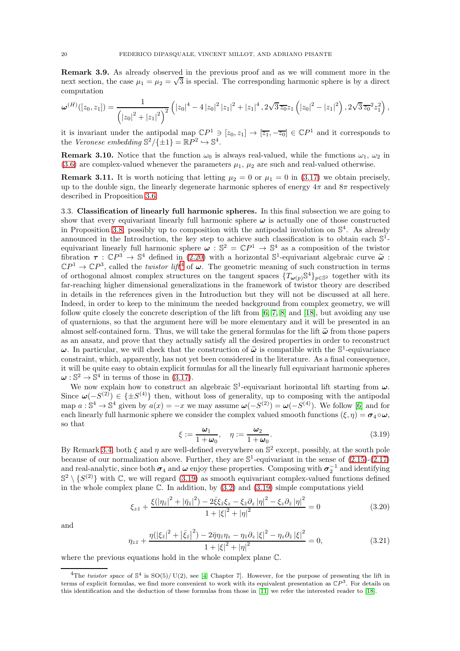<span id="page-19-5"></span>Remark 3.9. As already observed in the previous proof and as we will comment more in the next section, the case  $\mu_1 = \mu_2 = \sqrt{3}$  is special. The corresponding harmonic sphere is by a direct computation

$$
\omega^{(H)}([z_0,z_1]) = \frac{1}{\left(|z_0|^2 + |z_1|^2\right)^2} \left( |z_0|^4 - 4 |z_0|^2 |z_1|^2 + |z_1|^4 \right), 2\sqrt{3} \overline{z_0} z_1 \left( |z_0|^2 - |z_1|^2 \right), 2\sqrt{3} \overline{z_0}^2 z_1^2 \right),
$$

it is invariant under the antipodal map  $\mathbb{C}P^1 \ni [z_0, z_1] \to [\overline{z_1}, -\overline{z_0}] \in \mathbb{C}P^1$  and it corresponds to the Veronese embedding  $\mathbb{S}^2/\{\pm 1\} = \mathbb{R}P^2 \hookrightarrow \mathbb{S}^4$ .

**Remark 3.10.** Notice that the function  $\omega_0$  is always real-valued, while the functions  $\omega_1$ ,  $\omega_2$  in [\(3.6\)](#page-15-1) are complex-valued whenever the parameters  $\mu_1$ ,  $\mu_2$  are such and real-valued otherwise.

**Remark 3.11.** It is worth noticing that letting  $\mu_2 = 0$  or  $\mu_1 = 0$  in [\(3.17\)](#page-18-1) we obtain precisely, up to the double sign, the linearly degenerate harmonic spheres of energy  $4\pi$  and  $8\pi$  respectively described in Proposition [3.6.](#page-16-3)

<span id="page-19-0"></span>3.3. Classification of linearly full harmonic spheres. In this final subsection we are going to show that every equivariant linearly full harmonic sphere  $\omega$  is actually one of those constructed in Proposition [3.8,](#page-18-2) possibly up to composition with the antipodal involution on  $\mathbb{S}^4$ . As already announced in the Introduction, the key step to achieve such classification is to obtain each  $\mathbb{S}^1$ equivariant linearly full harmonic sphere  $\omega : \mathbb{S}^2 = \mathbb{C}P^1 \to \mathbb{S}^4$  as a composition of the twistor fibration  $\tau : \mathbb{C}P^3 \to \mathbb{S}^4$  defined in [\(2.20\)](#page-14-1) with a horizontal  $\mathbb{S}^1$ -equivariant algebraic curve  $\tilde{\omega}$ :  $\mathbb{C}P^1 \to \mathbb{C}P^3$ , called the *twistor lift*<sup>[4](#page-19-1)</sup> of  $\omega$ . The geometric meaning of such construction in terms of orthogonal almost complex structures on the tangent spaces  $\{T_{\omega(p)}\mathbb{S}^4\}_{p\in\mathbb{S}^2}$  together with its far-reaching higher dimensional generalizations in the framework of twistor theory are described in details in the references given in the Introduction but they will not be discussed at all here. Indeed, in order to keep to the minimum the needed background from complex geometry, we will follow quite closely the concrete description of the lift from [\[6,](#page-60-15) [7,](#page-60-16) [8\]](#page-60-17) and [\[18\]](#page-60-8), but avoiding any use of quaternions, so that the argument here will be more elementary and it will be presented in an almost self-contained form. Thus, we will take the general formulas for the lift  $\tilde{\omega}$  from those papers as an ansatz, and prove that they actually satisfy all the desired properties in order to reconstruct  $\omega$ . In particular, we will check that the construction of  $\tilde{\omega}$  is compatible with the S<sup>1</sup>-equivariance constraint, which, apparently, has not yet been considered in the literature. As a final consequence, it will be quite easy to obtain explicit formulas for all the linearly full equivariant harmonic spheres  $\omega : \mathbb{S}^2 \to \mathbb{S}^4$  in terms of those in [\(3.17\)](#page-18-1).

We now explain how to construct an algebraic  $\mathbb{S}^1$ -equivariant horizontal lift starting from  $\omega$ . Since  $\omega(-S^{(2)}) \in \{\pm S^{(4)}\}$  then, without loss of generality, up to composing with the antipodal map  $a: \mathbb{S}^4 \to \mathbb{S}^4$  given by  $a(x) = -x$  we may assume  $\omega(-S^{(2)}) = \omega(-S^{(4)})$ . We follow [\[6\]](#page-60-15) and for each linearly full harmonic sphere we consider the complex valued smooth functions  $(\xi, \eta) = \sigma_4 \circ \omega$ , so that

<span id="page-19-2"></span>
$$
\xi := \frac{\omega_1}{1 + \omega_0}, \quad \eta := \frac{\omega_2}{1 + \omega_0}.\tag{3.19}
$$

By Remark [3.4,](#page-15-8) both  $\xi$  and  $\eta$  are well-defined everywhere on  $\mathbb{S}^2$  except, possibly, at the south pole because of our normalization above. Further, they are  $\mathbb{S}^1$ -equivariant in the sense of  $(2.15)-(2.17)$  $(2.15)-(2.17)$ and real-analytic, since both  $\sigma_4$  and  $\omega$  enjoy these properties. Composing with  $\sigma_2^{-1}$  and identifying  $\mathbb{S}^2 \setminus \{S^{(2)}\}$  with C, we will regard [\(3.19\)](#page-19-2) as smooth equivariant complex-valued functions defined in the whole complex plane  $\mathbb C$ . In addition, by  $(3.2)$  and  $(3.19)$  simple computations yield

<span id="page-19-3"></span>
$$
\xi_{z\bar{z}} + \frac{\xi(|\eta_{\bar{z}}|^2 + |\bar{\eta}_{\bar{z}}|^2) - 2\bar{\xi}\xi_{\bar{z}}\xi_z - \xi_{\bar{z}}\partial_z|\eta|^2 - \xi_z\partial_{\bar{z}}|\eta|^2}{1 + |\xi|^2 + |\eta|^2} = 0
$$
\n(3.20)

and

<span id="page-19-4"></span>
$$
\eta_{z\bar{z}} + \frac{\eta(|\xi_{\bar{z}}|^2 + |\bar{\xi}_{\bar{z}}|^2) - 2\bar{\eta}\eta_{\bar{z}}\eta_z - \eta_{\bar{z}}\partial_z|\xi|^2 - \eta_z\partial_{\bar{z}}|\xi|^2}{1 + |\xi|^2 + |\eta|^2} = 0,
$$
\n(3.21)

where the previous equations hold in the whole complex plane C.

<span id="page-19-1"></span><sup>&</sup>lt;sup>4</sup>The twistor space of  $\mathbb{S}^4$  is  $\mathbb{S}(\mathbb{S})/\mathbb{U}(2)$ , see [\[4,](#page-60-7) Chapter 7]. However, for the purpose of presenting the lift in terms of explicit formulas, we find more convenient to work with its equivalent presentation as  $\mathbb{C}P^3$ . For details on this identification and the deduction of these formulas from those in [\[11\]](#page-60-5) we refer the interested reader to [\[18\]](#page-60-8).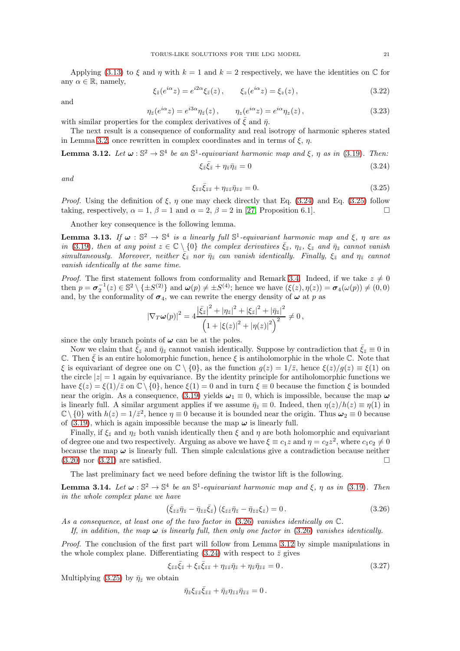Applying [\(3.13\)](#page-17-2) to  $\xi$  and  $\eta$  with  $k = 1$  and  $k = 2$  respectively, we have the identities on  $\mathbb C$  for any  $\alpha \in \mathbb{R}$ , namely,

<span id="page-20-6"></span>
$$
\xi_{\bar{z}}(e^{i\alpha}z) = e^{i2\alpha}\xi_{\bar{z}}(z), \qquad \xi_z(e^{i\alpha}z) = \xi_z(z), \qquad (3.22)
$$

and

<span id="page-20-7"></span>
$$
\eta_{\bar{z}}(e^{i\alpha}z) = e^{i3\alpha}\eta_{\bar{z}}(z), \qquad \eta_z(e^{i\alpha}z) = e^{i\alpha}\eta_z(z), \tag{3.23}
$$

with similar properties for the complex derivatives of  $\xi$  and  $\bar{\eta}$ .

The next result is a consequence of conformality and real isotropy of harmonic spheres stated in Lemma [3.2,](#page-15-9) once rewritten in complex coordinates and in terms of  $\xi$ ,  $\eta$ .

<span id="page-20-3"></span>**Lemma 3.12.** Let  $\omega : \mathbb{S}^2 \to \mathbb{S}^4$  be an  $\mathbb{S}^1$ -equivariant harmonic map and  $\xi$ ,  $\eta$  as in [\(3.19\)](#page-19-2). Then:

<span id="page-20-0"></span>
$$
\xi_{\bar{z}}\bar{\xi}_{\bar{z}} + \eta_{\bar{z}}\bar{\eta}_{\bar{z}} = 0 \tag{3.24}
$$

and

<span id="page-20-1"></span>
$$
\xi_{\bar{z}\bar{z}}\bar{\xi}_{\bar{z}\bar{z}} + \eta_{\bar{z}\bar{z}}\bar{\eta}_{\bar{z}\bar{z}} = 0.
$$
\n(3.25)

*Proof.* Using the definition of  $\xi$ ,  $\eta$  one may check directly that Eq. [\(3.24\)](#page-20-0) and Eq. [\(3.25\)](#page-20-1) follow taking, respectively,  $\alpha = 1$ ,  $\beta = 1$  and  $\alpha = 2$ ,  $\beta = 2$  in [\[27,](#page-61-25) Proposition 6.1].

Another key consequence is the following lemma.

<span id="page-20-5"></span>**Lemma 3.13.** If  $\omega : \mathbb{S}^2 \to \mathbb{S}^4$  is a linearly full  $\mathbb{S}^1$ -equivariant harmonic map and  $\xi$ ,  $\eta$  are as in [\(3.19\)](#page-19-2), then at any point  $z \in \mathbb{C} \setminus \{0\}$  the complex derivatives  $\bar{\xi}_{\bar{z}}, \eta_{\bar{z}}, \xi_{\bar{z}}$  and  $\bar{\eta}_{\bar{z}}$  cannot vanish simultaneously. Moreover, neither  $\xi_{\bar{z}}$  nor  $\bar{\eta}_{\bar{z}}$  can vanish identically. Finally,  $\xi_{\bar{z}}$  and  $\eta_{\bar{z}}$  cannot vanish identically at the same time.

*Proof.* The first statement follows from conformality and Remark [3.4.](#page-15-8) Indeed, if we take  $z \neq 0$ then  $p = \sigma_2^{-1}(z) \in \mathbb{S}^2 \setminus \{ \pm S^{(2)} \}$  and  $\omega(p) \neq \pm S^{(4)}$ ; hence we have  $(\xi(z), \eta(z)) = \sigma_4(\omega(p)) \neq (0, 0)$ and, by the conformality of  $\sigma_4$ , we can rewrite the energy density of  $\omega$  at p as

$$
|\nabla_T \omega(p)|^2 = 4 \frac{\left|\bar{\xi}_z\right|^2 + |\eta_{\bar{z}}|^2 + \left|\xi_{\bar{z}}\right|^2 + |\bar{\eta}_{\bar{z}}|^2}{\left(1 + |\xi(z)|^2 + |\eta(z)|^2\right)^2} \neq 0,
$$

since the only branch points of  $\omega$  can be at the poles.

Now we claim that  $\bar{\xi}_{\bar{z}}$  and  $\bar{\eta}_{\bar{z}}$  cannot vanish identically. Suppose by contradiction that  $\bar{\xi}_{\bar{z}}\equiv 0$  in C. Then  $\bar{\xi}$  is an entire holomorphic function, hence  $\xi$  is antiholomorphic in the whole C. Note that  $\xi$  is equivariant of degree one on  $\mathbb{C} \setminus \{0\}$ , as the function  $g(z) = 1/\overline{z}$ , hence  $\xi(z)/g(z) \equiv \xi(1)$  on the circle  $|z|=1$  again by equivariance. By the identity principle for antiholomorphic functions we have  $\xi(z) = \xi(1)/\overline{z}$  on  $\mathbb{C} \setminus \{0\}$ , hence  $\xi(1) = 0$  and in turn  $\xi \equiv 0$  because the function  $\xi$  is bounded near the origin. As a consequence, [\(3.19\)](#page-19-2) yields  $\omega_1 \equiv 0$ , which is impossible, because the map  $\omega$ is linearly full. A similar argument applies if we assume  $\bar{\eta}_{\bar{z}}\equiv 0$ . Indeed, then  $\eta(z)/h(z)\equiv \eta(1)$  in  $\mathbb{C}\setminus\{0\}$  with  $h(z) = 1/\bar{z}^2$ , hence  $\eta \equiv 0$  because it is bounded near the origin. Thus  $\omega_2 \equiv 0$  because of [\(3.19\)](#page-19-2), which is again impossible because the map  $\omega$  is linearly full.

Finally, if  $\xi_{\bar{z}}$  and  $\eta_{\bar{z}}$  both vanish identically then  $\xi$  and  $\eta$  are both holomorphic and equivariant of degree one and two respectively. Arguing as above we have  $\xi \equiv c_1 z$  and  $\eta = c_2 z^2$ , where  $c_1 c_2 \neq 0$ because the map  $\omega$  is linearly full. Then simple calculations give a contradiction because neither [\(3.20\)](#page-19-3) nor [\(3.21\)](#page-19-4) are satisfied.

The last preliminary fact we need before defining the twistor lift is the following.

<span id="page-20-8"></span>**Lemma 3.14.** Let  $\omega : \mathbb{S}^2 \to \mathbb{S}^4$  be an  $\mathbb{S}^1$ -equivariant harmonic map and  $\xi$ ,  $\eta$  as in [\(3.19\)](#page-19-2). Then in the whole complex plane we have

<span id="page-20-2"></span>
$$
\left(\bar{\xi}_{\bar{z}\bar{z}}\bar{\eta}_{\bar{z}} - \bar{\eta}_{\bar{z}\bar{z}}\bar{\xi}_{\bar{z}}\right)\left(\xi_{\bar{z}\bar{z}}\bar{\eta}_{\bar{z}} - \bar{\eta}_{\bar{z}\bar{z}}\xi_{\bar{z}}\right) = 0.
$$
\n(3.26)

As a consequence, at least one of the two factor in [\(3.26\)](#page-20-2) vanishes identically on C.

If, in addition, the map  $\omega$  is linearly full, then only one factor in [\(3.26\)](#page-20-2) vanishes identically.

Proof. The conclusion of the first part will follow from Lemma [3.12](#page-20-3) by simple manipulations in the whole complex plane. Differentiating  $(3.24)$  with respect to  $\bar{z}$  gives

<span id="page-20-4"></span>
$$
\xi_{\bar{z}\bar{z}}\bar{\xi}_{\bar{z}} + \xi_{\bar{z}}\bar{\xi}_{\bar{z}\bar{z}} + \eta_{\bar{z}\bar{z}}\bar{\eta}_{\bar{z}} + \eta_{\bar{z}}\bar{\eta}_{\bar{z}\bar{z}} = 0.
$$
\n(3.27)

Multiplying [\(3.25\)](#page-20-1) by  $\bar{\eta}_{\bar{z}}$  we obtain

$$
\bar\eta_{\bar z}\xi_{\bar z\bar z}\bar\xi_{\bar z\bar z}+\bar\eta_{\bar z}\eta_{\bar z\bar z}\bar\eta_{\bar z\bar z}=0\,.
$$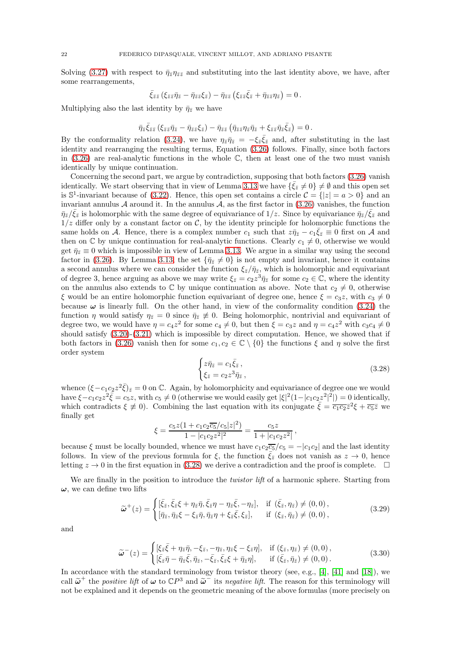Solving [\(3.27\)](#page-20-4) with respect to  $\bar{\eta}z\eta\bar{z}z$  and substituting into the last identity above, we have, after some rearrangements,

$$
\bar{\xi}_{\bar{z}\bar{z}}\left(\xi_{\bar{z}\bar{z}}\bar{\eta}_{\bar{z}}-\bar{\eta}_{\bar{z}\bar{z}}\xi_{\bar{z}}\right)-\bar{\eta}_{\bar{z}\bar{z}}\left(\xi_{\bar{z}\bar{z}}\bar{\xi}_{\bar{z}}+\bar{\eta}_{\bar{z}\bar{z}}\eta_{\bar{z}}\right)=0\,.
$$

Multiplying also the last identity by  $\bar{\eta}_{\bar{z}}$  we have

$$
\bar{\eta}_{\bar{z}}\bar{\xi}_{\bar{z}\bar{z}}\left(\xi_{\bar{z}\bar{z}}\bar{\eta}_{\bar{z}}-\bar{\eta}_{\bar{z}\bar{z}}\xi_{\bar{z}}\right)-\bar{\eta}_{\bar{z}\bar{z}}\left(\bar{\eta}_{\bar{z}\bar{z}}\eta_{\bar{z}}\bar{\eta}_{\bar{z}}+\xi_{\bar{z}\bar{z}}\bar{\eta}_{\bar{z}}\bar{\xi}_{\bar{z}}\right)=0.
$$

By the conformality relation [\(3.24\)](#page-20-0), we have  $\eta_{\bar{z}}\bar{\eta}_{\bar{z}} = -\xi_{\bar{z}}\bar{\xi}_{\bar{z}}$  and, after substituting in the last identity and rearranging the resulting terms, Equation [\(3.26\)](#page-20-2) follows. Finally, since both factors in  $(3.26)$  are real-analytic functions in the whole  $\mathbb{C}$ , then at least one of the two must vanish identically by unique continuation.

Concerning the second part, we argue by contradiction, supposing that both factors [\(3.26\)](#page-20-2) vanish identically. We start observing that in view of Lemma [3.13](#page-20-5) we have  $\{\bar{\xi}_z \neq 0\} \neq \emptyset$  and this open set is  $\mathbb{S}^1$ -invariant because of [\(3.22\)](#page-20-6). Hence, this open set contains a circle  $\mathcal{C} = \{|z| = a > 0\}$  and an invariant annulus  $A$  around it. In the annulus  $A$ , as the first factor in  $(3.26)$  vanishes, the function  $\bar{\eta}_{\bar{z}}/\bar{\xi}_{\bar{z}}$  is holomorphic with the same degree of equivariance of  $1/z$ . Since by equivariance  $\bar{\eta}_{\bar{z}}/\bar{\xi}_{\bar{z}}$  and  $1/z$  differ only by a constant factor on C, by the identity principle for holomorphic functions the same holds on A. Hence, there is a complex number  $c_1$  such that  $z\overline{\eta}z - c_1\overline{\xi}z \equiv 0$  first on A and then on  $\mathbb C$  by unique continuation for real-analytic functions. Clearly  $c_1 \neq 0$ , otherwise we would get  $\bar{\eta}_{\bar{z}}\equiv 0$  which is impossible in view of Lemma [3.13.](#page-20-5) We argue in a similar way using the second factor in [\(3.26\)](#page-20-2). By Lemma [3.13,](#page-20-5) the set  $\{\bar{\eta}_{\bar{z}}\neq 0\}$  is not empty and invariant, hence it contains a second annulus where we can consider the function  $\xi_{\bar{z}}/\bar{\eta}_{\bar{z}}$ , which is holomorphic and equivariant of degree 3, hence arguing as above we may write  $\xi_{\bar{z}} = c_2 z^3 \bar{\eta}_{\bar{z}}$  for some  $c_2 \in \mathbb{C}$ , where the identity on the annulus also extends to  $\mathbb C$  by unique continuation as above. Note that  $c_2 \neq 0$ , otherwise ξ would be an entire holomorphic function equivariant of degree one, hence  $\xi = c_3z$ , with  $c_3 \neq 0$ because  $\omega$  is linearly full. On the other hand, in view of the conformality condition [\(3.24\)](#page-20-0) the function  $\eta$  would satisfy  $\eta_{\bar{z}}=0$  since  $\bar{\eta}_{\bar{z}}\neq 0$ . Being holomorphic, nontrivial and equivariant of degree two, we would have  $\eta = c_4 z^2$  for some  $c_4 \neq 0$ , but then  $\xi = c_3 z$  and  $\eta = c_4 z^2$  with  $c_3 c_4 \neq 0$ should satisfy [\(3.20\)](#page-19-3)-[\(3.21\)](#page-19-4) which is impossible by direct computation. Hence, we showed that if both factors in [\(3.26\)](#page-20-2) vanish then for some  $c_1, c_2 \in \mathbb{C} \setminus \{0\}$  the functions  $\xi$  and  $\eta$  solve the first order system

<span id="page-21-0"></span>
$$
\begin{cases} z\bar{\eta}_{\bar{z}} = c_1 \bar{\xi}_{\bar{z}} ,\\ \xi_{\bar{z}} = c_2 z^3 \bar{\eta}_{\bar{z}} , \end{cases} \tag{3.28}
$$

whence  $(\xi - c_1c_2z^2\bar{\xi})_{\bar{z}} = 0$  on  $\mathbb{C}$ . Again, by holomorphicity and equivariance of degree one we would have  $\xi - c_1c_2z^2\bar{\xi} = c_5z$ , with  $c_5 \neq 0$  (otherwise we would easily get  $|\xi|^2(1-|c_1c_2z^2|^2|) = 0$  identically, which contradicts  $\xi \neq 0$ ). Combining the last equation with its conjugate  $\bar{\xi} = \frac{\partial}{\partial z} \bar{z}^2 \xi + \overline{c_5} \bar{z}$  we finally get

$$
\xi = \frac{c_5 z (1 + c_1 c_2 \overline{c_5}/c_5 |z|^2)}{1 - |c_1 c_2 z^2|^2} = \frac{c_5 z}{1 + |c_1 c_2 z^2|},
$$

because  $\xi$  must be locally bounded, whence we must have  $c_1c_2\overline{c_5}/c_5 = -|c_1c_2|$  and the last identity follows. In view of the previous formula for  $\xi$ , the function  $\bar{\xi}_{\bar{z}}$  does not vanish as  $z \to 0$ , hence letting  $z \to 0$  in the first equation in [\(3.28\)](#page-21-0) we derive a contradiction and the proof is complete.  $\Box$ 

We are finally in the position to introduce the *twistor lift* of a harmonic sphere. Starting from  $\omega$ , we can define two lifts

<span id="page-21-1"></span>
$$
\widetilde{\omega}^{+}(z) = \begin{cases} [\bar{\xi}_{\bar{z}}, \bar{\xi}_{\bar{z}}\xi + \eta_{\bar{z}}\bar{\eta}, \bar{\xi}_{\bar{z}}\eta - \eta_{\bar{z}}\bar{\xi}, -\eta_{\bar{z}}], & \text{if } (\bar{\xi}_{\bar{z}}, \eta_{\bar{z}}) \neq (0,0), \\ [\bar{\eta}_{\bar{z}}, \bar{\eta}_{\bar{z}}\xi - \xi_{\bar{z}}\bar{\eta}, \bar{\eta}_{\bar{z}}\eta + \xi_{\bar{z}}\bar{\xi}, \xi_{\bar{z}}], & \text{if } (\xi_{\bar{z}}, \bar{\eta}_{\bar{z}}) \neq (0,0), \end{cases}
$$
(3.29)

and

<span id="page-21-2"></span>
$$
\widetilde{\omega}^-(z) = \begin{cases} [\xi_{\bar{z}}\bar{\xi} + \eta_{\bar{z}}\bar{\eta}, -\xi_{\bar{z}}, -\eta_{\bar{z}}, \eta_{\bar{z}}\xi - \xi_{\bar{z}}\eta], & \text{if } (\xi_{\bar{z}}, \eta_{\bar{z}}) \neq (0,0), \\ [\bar{\xi}_{\bar{z}}\bar{\eta} - \bar{\eta}_{\bar{z}}\bar{\xi}, \bar{\eta}_{\bar{z}}, -\bar{\xi}_{\bar{z}}, \bar{\xi}_{\bar{z}}\xi + \bar{\eta}_{\bar{z}}\eta], & \text{if } (\bar{\xi}_{\bar{z}}, \bar{\eta}_{\bar{z}}) \neq (0,0). \end{cases}
$$
\n(3.30)

In accordance with the standard terminology from twistor theory (see, e.g., [\[4\]](#page-60-7), [\[41\]](#page-61-21) and [\[18\]](#page-60-8)), we call  $\tilde{\omega}^+$  the positive lift of  $\omega$  to  $\mathbb{C}P^3$  and  $\tilde{\omega}^-$  its negative lift. The reason for this terminology will not be explained and it depends on the geometric meaning of the above formulas (more precisely on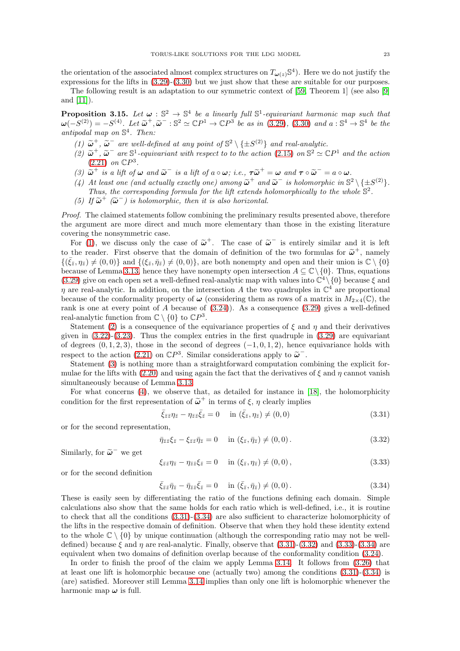the orientation of the associated almost complex structures on  $T_{\omega(z)}\mathbb{S}^4$ ). Here we do not justify the expressions for the lifts in [\(3.29\)](#page-21-1)-[\(3.30\)](#page-21-2) but we just show that these are suitable for our purposes.

The following result is an adaptation to our symmetric context of [\[59,](#page-62-1) Theorem 1] (see also [\[9\]](#page-60-6) and [\[11\]](#page-60-5)).

<span id="page-22-0"></span>**Proposition 3.15.** Let  $\omega : \mathbb{S}^2 \to \mathbb{S}^4$  be a linearly full  $\mathbb{S}^1$ -equivariant harmonic map such that  $\omega(-S^{(2)}) = -S^{(4)}$ . Let  $\tilde{\omega}^+$ ,  $\tilde{\omega}^-$ :  $\mathbb{S}^2 \simeq \mathbb{C}P^1 \to \mathbb{C}P^3$  be as in [\(3.29\)](#page-21-1), [\(3.30\)](#page-21-2) and  $a : \mathbb{S}^4 \to \mathbb{S}^4$  be the antipodal map on  $\mathbb{S}^4$ . Then:

- <span id="page-22-2"></span><span id="page-22-1"></span>(1)  $\tilde{\omega}^+$ ,  $\tilde{\omega}^-$  are well-defined at any point of  $\mathbb{S}^2 \setminus \{\pm S^{(2)}\}$  and real-analytic.
- (2)  $\tilde{\omega}^+$ ,  $\tilde{\omega}^-$  are  $\mathbb{S}^1$ -equivariant with respect to to the action [\(2.15\)](#page-13-7) on  $\mathbb{S}^2 \simeq \mathbb{C}P^1$  and the action  $(2.21)$  on  $\mathbb{C}P^3$ .
- <span id="page-22-4"></span><span id="page-22-3"></span>(3)  $\widetilde{\omega}^+$  is a lift of  $\omega$  and  $\widetilde{\omega}^-$  is a lift of  $a \circ \omega$ ; i.e.,  $\tau \widetilde{\omega}^+ = \omega$  and  $\tau \circ \widetilde{\omega}^- = a \circ \omega$ .
- (4) At least one (and actually exactly one) among  $\tilde{\omega}^+$  and  $\tilde{\omega}^-$  is holomorphic in  $\mathbb{S}^2 \setminus \{ \pm S^{(2)} \}$ .
- <span id="page-22-9"></span>Thus, the corresponding formula for the lift extends holomorphically to the whole  $\mathbb{S}^2$ . (5) If  $\tilde{\omega}^+$  ( $\tilde{\omega}^-$ ) is holomorphic, then it is also horizontal.

Proof. The claimed statements follow combining the preliminary results presented above, therefore the argument are more direct and much more elementary than those in the existing literature covering the nonsymmetric case.

For [\(1\)](#page-22-1), we discuss only the case of  $\tilde{\omega}^+$ . The case of  $\tilde{\omega}^-$  is entirely similar and it is left to the reader. First observe that the domain of definition of the two formulas for  $\tilde{\omega}^+$ , namely  $\{(\bar{\xi}_{\bar{z}},\eta_{\bar{z}})\neq(0,0)\}\$  and  $\{(\xi_{\bar{z}},\bar{\eta}_{\bar{z}})\neq(0,0)\}\$ , are both nonempty and open and their union is  $\mathbb{C}\setminus\{0\}\$ because of Lemma [3.13,](#page-20-5) hence they have nonempty open intersection  $A \subseteq \mathbb{C} \setminus \{0\}$ . Thus, equations [\(3.29\)](#page-21-1) give on each open set a well-defined real-analytic map with values into  $\mathbb{C}^4 \setminus \{0\}$  because  $\xi$  and  $\eta$  are real-analytic. In addition, on the intersection A the two quadruples in  $\mathbb{C}^4$  are proportional because of the conformality property of  $\omega$  (considering them as rows of a matrix in  $M_{2\times 4}(\mathbb{C})$ , the rank is one at every point of A because of  $(3.24)$ ). As a consequence  $(3.29)$  gives a well-defined real-analytic function from  $\mathbb{C} \setminus \{0\}$  to  $\mathbb{C}P^3$ .

Statement [\(2\)](#page-22-2) is a consequence of the equivariance properties of  $\xi$  and  $\eta$  and their derivatives given in  $(3.22)-(3.23)$  $(3.22)-(3.23)$ . Thus the complex entries in the first quadruple in  $(3.29)$  are equivariant of degrees  $(0, 1, 2, 3)$ , those in the second of degrees  $(-1, 0, 1, 2)$ , hence equivariance holds with respect to the action [\(2.21\)](#page-14-2) on  $\mathbb{C}P^3$ . Similar considerations apply to  $\tilde{\omega}^-$ .

Statement [\(3\)](#page-22-3) is nothing more than a straightforward computation combining the explicit for-mulae for the lifts with [\(2.20\)](#page-14-1) and using again the fact that the derivatives of  $\xi$  and  $\eta$  cannot vanish simultaneously because of Lemma [3.13.](#page-20-5)

For what concerns [\(4\)](#page-22-4), we observe that, as detailed for instance in [\[18\]](#page-60-8), the holomorphicity condition for the first representation of  $\tilde{\omega}^+$  in terms of  $\xi$ ,  $\eta$  clearly implies

<span id="page-22-5"></span>
$$
\bar{\xi}_{\bar{z}\bar{z}}\eta_{\bar{z}} - \eta_{\bar{z}\bar{z}}\bar{\xi}_{\bar{z}} = 0 \quad \text{in } (\bar{\xi}_{\bar{z}}, \eta_{\bar{z}}) \neq (0, 0)
$$
\n(3.31)

or for the second representation,

<span id="page-22-7"></span>
$$
\bar{\eta}_{\bar{z}\bar{z}}\xi_{\bar{z}} - \xi_{\bar{z}\bar{z}}\bar{\eta}_{\bar{z}} = 0 \quad \text{in } (\xi_{\bar{z}}, \bar{\eta}_{\bar{z}}) \neq (0, 0). \tag{3.32}
$$

Similarly, for  $\tilde{\omega}^-$  we get

<span id="page-22-8"></span>
$$
\xi_{\bar{z}\bar{z}}\eta_{\bar{z}} - \eta_{\bar{z}\bar{z}}\xi_{\bar{z}} = 0 \quad \text{in } (\xi_{\bar{z}}, \eta_{\bar{z}}) \neq (0, 0), \tag{3.33}
$$

or for the second definition

<span id="page-22-6"></span>
$$
\bar{\xi}_{\bar{z}\bar{z}}\bar{\eta}_{\bar{z}} - \bar{\eta}_{\bar{z}\bar{z}}\bar{\xi}_{\bar{z}} = 0 \quad \text{in } (\bar{\xi}_{\bar{z}}, \bar{\eta}_{\bar{z}}) \neq (0, 0). \tag{3.34}
$$

These is easily seen by differentiating the ratio of the functions defining each domain. Simple calculations also show that the same holds for each ratio which is well-defined, i.e., it is routine to check that all the conditions [\(3.31\)](#page-22-5)-[\(3.34\)](#page-22-6) are also sufficient to characterize holomorphicity of the lifts in the respective domain of definition. Observe that when they hold these identity extend to the whole  $\mathbb{C} \setminus \{0\}$  by unique continuation (although the corresponding ratio may not be welldefined) because  $\xi$  and  $\eta$  are real-analytic. Finally, observe that  $(3.31)-(3.32)$  $(3.31)-(3.32)$  and  $(3.33)-(3.34)$  $(3.33)-(3.34)$  are equivalent when two domains of definition overlap because of the conformality condition [\(3.24\)](#page-20-0).

In order to finish the proof of the claim we apply Lemma [3.14.](#page-20-8) It follows from [\(3.26\)](#page-20-2) that at least one lift is holomorphic because one (actually two) among the conditions [\(3.31\)](#page-22-5)-[\(3.34\)](#page-22-6) is (are) satisfied. Moreover still Lemma [3.14](#page-20-8) implies than only one lift is holomorphic whenever the harmonic map  $\omega$  is full.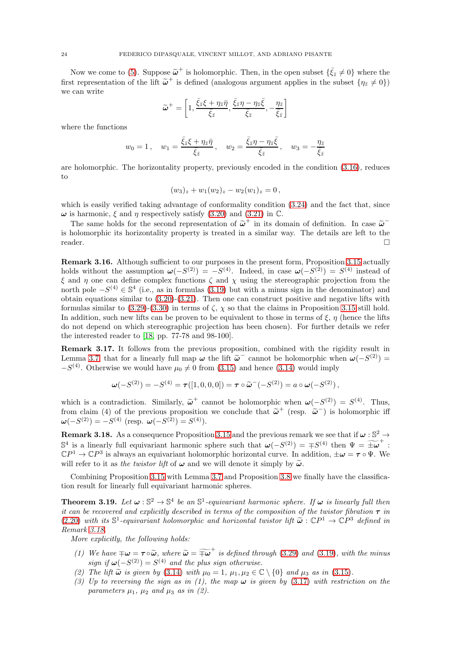Now we come to [\(5\)](#page-22-9). Suppose  $\tilde{\omega}^+$  is holomorphic. Then, in the open subset  $\{\bar{\xi}_z \neq 0\}$  where the first representation of the lift  $\tilde{\omega}^+$  is defined (analogous argument applies in the subset  $\{\eta_{\bar{z}}\neq 0\}$ ) we can write

$$
\widetilde{\omega}^+ = \left[1, \frac{\bar{\xi}_{\bar{z}}\xi + \eta_{\bar{z}}\bar{\eta}}{\bar{\xi}_{\bar{z}}}, \frac{\bar{\xi}_{\bar{z}}\eta - \eta_{\bar{z}}\bar{\xi}}{\bar{\xi}_{\bar{z}}}, -\frac{\eta_{\bar{z}}}{\bar{\xi}_{\bar{z}}}\right]
$$

where the functions

$$
w_0 = 1
$$
,  $w_1 = \frac{\bar{\xi}_{\bar{z}}\xi + \eta_{\bar{z}}\bar{\eta}}{\bar{\xi}_{\bar{z}}}$ ,  $w_2 = \frac{\bar{\xi}_{\bar{z}}\eta - \eta_{\bar{z}}\bar{\xi}}{\bar{\xi}_{\bar{z}}}$ ,  $w_3 = -\frac{\eta_{\bar{z}}}{\bar{\xi}_{\bar{z}}}$ 

are holomorphic. The horizontality property, previously encoded in the condition [\(3.16\)](#page-18-0), reduces to

$$
(w_3)_z + w_1(w_2)_z - w_2(w_1)_z = 0,
$$

which is easily verified taking advantage of conformality condition [\(3.24\)](#page-20-0) and the fact that, since  $\omega$  is harmonic,  $\xi$  and  $\eta$  respectively satisfy [\(3.20\)](#page-19-3) and [\(3.21\)](#page-19-4) in  $\mathbb{C}$ .

The same holds for the second representation of  $\tilde{\omega}^+$  in its domain of definition. In case  $\tilde{\omega}^$ is holomorphic its horizontality property is treated in a similar way. The details are left to the reader.

Remark 3.16. Although sufficient to our purposes in the present form, Proposition [3.15](#page-22-0) actually holds without the assumption  $\omega(-S^{(2)}) = -S^{(4)}$ . Indeed, in case  $\omega(-S^{(2)}) = S^{(4)}$  instead of  $\xi$  and  $\eta$  one can define complex functions  $\zeta$  and  $\chi$  using the stereographic projection from the north pole  $-S^{(4)} \in \mathbb{S}^4$  (i.e., as in formulas [\(3.19\)](#page-19-2) but with a minus sign in the denominator) and obtain equations similar to  $(3.20)-(3.21)$  $(3.20)-(3.21)$ . Then one can construct positive and negative lifts with formulas similar to  $(3.29)-(3.30)$  $(3.29)-(3.30)$  in terms of  $\zeta$ ,  $\chi$  so that the claims in Proposition [3.15](#page-22-0) still hold. In addition, such new lifts can be proven to be equivalent to those in terms of  $\xi$ ,  $\eta$  (hence the lifts do not depend on which stereographic projection has been chosen). For further details we refer the interested reader to [\[18,](#page-60-8) pp. 77-78 and 98-100].

Remark 3.17. It follows from the previous proposition, combined with the rigidity result in Lemma [3.7,](#page-17-3) that for a linearly full map  $\omega$  the lift  $\tilde{\omega}^-$  cannot be holomorphic when  $\omega(-S^{(2)}) =$  $-S<sup>(4)</sup>$ . Otherwise we would have  $\mu_0 \neq 0$  from [\(3.15\)](#page-17-1) and hence [\(3.14\)](#page-17-0) would imply

$$
\boldsymbol{\omega}(-S^{(2)}) = -S^{(4)} = \boldsymbol{\tau}([1,0,0,0]) = \boldsymbol{\tau} \circ \widetilde{\boldsymbol{\omega}}^{-}(-S^{(2)}) = a \circ \boldsymbol{\omega}(-S^{(2)}),
$$

which is a contradiction. Similarly,  $\tilde{\omega}^+$  cannot be holomorphic when  $\omega(-S^{(2)}) = S^{(4)}$ . Thus, from claim (4) of the previous proposition we conclude that  $\tilde{\boldsymbol{\omega}}^+$  (resp.  $\tilde{\boldsymbol{\omega}}^-$ ) is holomorphic iff  $\boldsymbol{\omega}(-S^{(2)}) = -S^{(4)}$  (resp.  $\boldsymbol{\omega}(-S^{(2)}) = S^{(4)}$ ).

<span id="page-23-1"></span>**Remark 3.18.** As a consequence Proposition [3.15](#page-22-0) and the previous remark we see that if  $\omega : \mathbb{S}^2 \to$  $\mathbb{S}^4$  is a linearly full equivariant harmonic sphere such that  $\omega(-S^{(2)}) = \mp S^{(4)}$  then  $\Psi = \widetilde{\pm \omega}^+$ ;  $\mathbb{C}P^1 \to \mathbb{C}P^3$  is always an equivariant holomorphic horizontal curve. In addition,  $\pm \omega = \tau \circ \Psi$ . We will refer to it as the twistor lift of  $\omega$  and we will denote it simply by  $\tilde{\omega}$ .

Combining Proposition [3.15](#page-22-0) with Lemma [3.7](#page-17-3) and Proposition [3.8](#page-18-2) we finally have the classification result for linearly full equivariant harmonic spheres.

<span id="page-23-0"></span>**Theorem 3.19.** Let  $\omega : \mathbb{S}^2 \to \mathbb{S}^4$  be an  $\mathbb{S}^1$ -equivariant harmonic sphere. If  $\omega$  is linearly full then it can be recovered and explicitly described in terms of the composition of the twistor fibration  $\tau$  in [\(2.20\)](#page-14-1) with its  $\mathbb{S}^1$ -equivariant holomorphic and horizontal twistor lift  $\tilde{\omega}: \mathbb{C}P^1 \to \mathbb{C}P^3$  defined in Remark [3.18.](#page-23-1)

More explicitly, the following holds:

- (1) We have  $\mp \omega = \tau \circ \widetilde{\omega}$ , where  $\widetilde{\omega} = \widetilde{\mp \omega}^+$  is defined through [\(3.29\)](#page-21-1) and [\(3.19\)](#page-19-2), with the minus sign if  $\omega(-S^{(2)}) = S^{(4)}$  and the plus sign otherwise.
- (2) The lift  $\tilde{\omega}$  is given by [\(3.14\)](#page-17-0) with  $\mu_0 = 1$ ,  $\mu_1, \mu_2 \in \mathbb{C} \setminus \{0\}$  and  $\mu_3$  as in [\(3.15\)](#page-17-1).
- (3) Up to reversing the sign as in (1), the map  $\omega$  is given by [\(3.17\)](#page-18-1) with restriction on the parameters  $\mu_1$ ,  $\mu_2$  and  $\mu_3$  as in (2).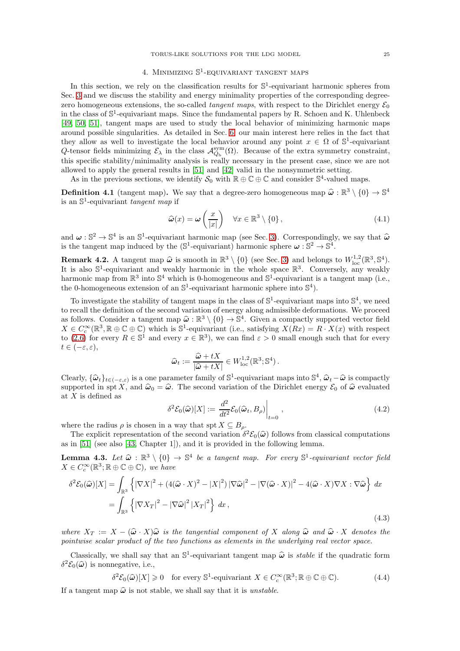# 4. MINIMIZING  $\mathbb{S}^1$ -EQUIVARIANT TANGENT MAPS

<span id="page-24-0"></span>In this section, we rely on the classification results for  $\mathbb{S}^1$ -equivariant harmonic spheres from Sec. [3](#page-14-0) and we discuss the stability and energy minimality properties of the corresponding degreezero homogeneous extensions, the so-called *tangent maps*, with respect to the Dirichlet energy  $\mathcal{E}_0$ in the class of  $\mathbb{S}^1$ -equivariant maps. Since the fundamental papers by R. Schoen and K. Uhlenbeck [\[49,](#page-61-4) [50,](#page-61-5) [51\]](#page-61-6), tangent maps are used to study the local behavior of minimizing harmonic maps around possible singularities. As detailed in Sec. [6,](#page-33-0) our main interest here relies in the fact that they allow as well to investigate the local behavior around any point  $x \in \Omega$  of  $\mathbb{S}^1$ -equivariant Q-tensor fields minimizing  $\mathcal{E}_{\lambda}$  in the class  $\mathcal{A}_{Q_{\rm b}}^{\rm sym}(\Omega)$ . Because of the extra symmetry constraint, this specific stability/minimality analysis is really necessary in the present case, since we are not allowed to apply the general results in [\[51\]](#page-61-6) and [\[42\]](#page-61-27) valid in the nonsymmetric setting.

As in the previous sections, we identify  $S_0$  with  $\mathbb{R} \oplus \mathbb{C} \oplus \mathbb{C}$  and consider  $\mathbb{S}^4$ -valued maps.

**Definition 4.1** (tangent map). We say that a degree-zero homogeneous map  $\hat{\omega} : \mathbb{R}^3 \setminus \{0\} \to \mathbb{S}^4$ is an  $\mathbb{S}^1$ -equivariant *tangent map* if

$$
\widehat{\omega}(x) = \omega\left(\frac{x}{|x|}\right) \quad \forall x \in \mathbb{R}^3 \setminus \{0\},\tag{4.1}
$$

and  $\omega : \mathbb{S}^2 \to \mathbb{S}^4$  is an  $\mathbb{S}^1$ -equivariant harmonic map (see Sec. [3\)](#page-14-0). Correspondingly, we say that  $\hat{\omega}$ is the tangent map induced by the  $(\mathbb{S}^1$ -equivariant) harmonic sphere  $\omega : \mathbb{S}^2 \to \mathbb{S}^4$ .

**Remark 4.2.** A tangent map  $\hat{\boldsymbol{\omega}}$  is smooth in  $\mathbb{R}^3 \setminus \{0\}$  (see Sec. [3\)](#page-14-0) and belongs to  $W^{1,2}_{loc}(\mathbb{R}^3, \mathbb{S}^4)$ . It is also  $\mathbb{S}^1$ -equivariant and weakly harmonic in the whole space  $\mathbb{R}^3$ . Conversely, any weakly harmonic map from  $\mathbb{R}^3$  into  $\mathbb{S}^4$  which is 0-homogeneous and  $\mathbb{S}^1$ -equivariant is a tangent map (i.e., the 0-homogeneous extension of an  $\mathbb{S}^1$ -equivariant harmonic sphere into  $\mathbb{S}^4$ ).

To investigate the stability of tangent maps in the class of  $\mathbb{S}^1$ -equivariant maps into  $\mathbb{S}^4$ , we need to recall the definition of the second variation of energy along admissible deformations. We proceed as follows. Consider a tangent map  $\hat{\omega} : \mathbb{R}^3 \setminus \{0\} \to \mathbb{S}^4$ . Given a compactly supported vector field  $X \in C_c^{\infty}(\mathbb{R}^3, \mathbb{R} \oplus \mathbb{C} \oplus \mathbb{C})$  which is  $\mathbb{S}^1$ -equivariant (i.e., satisfying  $X(Rx) = R \cdot X(x)$  with respect to [\(2.6\)](#page-11-1) for every  $R \in \mathbb{S}^1$  and every  $x \in \mathbb{R}^3$ , we can find  $\varepsilon > 0$  small enough such that for every  $t \in (-\varepsilon, \varepsilon),$ 

$$
\widehat{\omega}_t:=\frac{\widehat{\omega}+tX}{|\widehat{\omega}+tX|}\in W^{1,2}_{\rm loc}(\mathbb{R}^3;\mathbb{S}^4)\,.
$$

Clearly,  $\{\hat{\omega}_t\}_{t\in(-\varepsilon,\varepsilon)}$  is a one parameter family of  $\mathbb{S}^1$ -equivariant maps into  $\mathbb{S}^4$ ,  $\hat{\omega}_t - \hat{\omega}$  is compactly supported in spt X, and  $\hat{\omega}_0 = \hat{\omega}$ . The second variation of the Dirichlet energy  $\mathcal{E}_0$  of  $\hat{\omega}$  evaluated at X is defined as

$$
\delta^2 \mathcal{E}_0(\widehat{\omega})[X] := \left. \frac{d^2}{dt^2} \mathcal{E}_0(\widehat{\omega}_t, B_\rho) \right|_{t=0},\tag{4.2}
$$

where the radius  $\rho$  is chosen in a way that spt  $X \subseteq B_{\rho}$ .

The explicit representation of the second variation  $\delta^2 \mathcal{E}_0(\hat{\omega})$  follows from classical computations<br>in [51] (see also [42] Chapter 1]) and it is gravided in the following lawyer as in [\[51\]](#page-61-6) (see also [\[43,](#page-61-28) Chapter 1]), and it is provided in the following lemma.

**Lemma 4.3.** Let  $\hat{\omega} : \mathbb{R}^3 \setminus \{0\} \to \mathbb{S}^4$  be a tangent map. For every  $\mathbb{S}^1$ -equivariant vector field  $V \in C\infty(\mathbb{R}^3, \mathbb{R} \oplus \mathbb{C} \oplus \mathbb{C})$ , we have  $X \in C_c^{\infty}(\mathbb{R}^3; \mathbb{R} \oplus \mathbb{C} \oplus \mathbb{C}),$  we have

<span id="page-24-2"></span>
$$
\delta^2 \mathcal{E}_0(\widehat{\omega})[X] = \int_{\mathbb{R}^3} \left\{ |\nabla X|^2 + (4(\widehat{\omega} \cdot X)^2 - |X|^2) |\nabla \widehat{\omega}|^2 - |\nabla (\widehat{\omega} \cdot X)|^2 - 4(\widehat{\omega} \cdot X) \nabla X : \nabla \widehat{\omega} \right\} dx
$$
  
= 
$$
\int_{\mathbb{R}^3} \left\{ |\nabla X_T|^2 - |\nabla \widehat{\omega}|^2 |X_T|^2 \right\} dx,
$$
 (4.3)

where  $X_T := X - (\hat{\omega} \cdot X) \hat{\omega}$  is the tangential component of X along  $\hat{\omega}$  and  $\hat{\omega} \cdot X$  denotes the pointwise scalar product of the two functions as elements in the underlying real vector space.

Classically, we shall say that an  $\mathbb{S}^1$ -equivariant tangent map  $\hat{\omega}$  is *stable* if the quadratic form  $\delta^2 \mathcal{E}_0(\hat{\boldsymbol{\omega}})$  is nonnegative, i.e.,

<span id="page-24-1"></span>
$$
\delta^2 \mathcal{E}_0(\widehat{\boldsymbol{\omega}})[X] \geq 0 \quad \text{for every } \mathbb{S}^1\text{-equivariant } X \in C_c^\infty(\mathbb{R}^3; \mathbb{R} \oplus \mathbb{C} \oplus \mathbb{C}).\tag{4.4}
$$

If a tangent map  $\hat{\omega}$  is not stable, we shall say that it is unstable.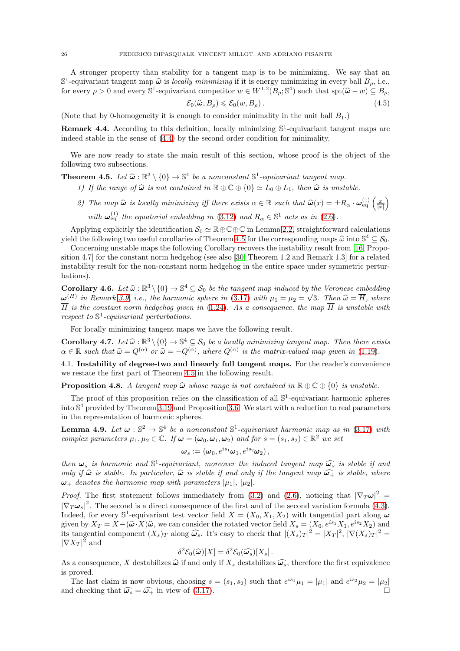A stronger property than stability for a tangent map is to be minimizing. We say that an  $\mathbb{S}^1$ -equivariant tangent map  $\hat{\omega}$  is locally minimizing if it is energy minimizing in every ball  $B_\rho$ , i.e.,  $\hat{\omega}$ for every  $\rho > 0$  and every  $\mathbb{S}^1$ -equivariant competitor  $w \in W^{1,2}(B_\rho; \mathbb{S}^4)$  such that  $\text{spt}(\hat{\omega} - w) \subseteq B_\rho$ ,

$$
\mathcal{E}_0(\widehat{\omega}, B_\rho) \leq \mathcal{E}_0(w, B_\rho). \tag{4.5}
$$

(Note that by 0-homogeneity it is enough to consider minimality in the unit ball  $B_1$ .)

<span id="page-25-4"></span>**Remark 4.4.** According to this definition, locally minimizing  $\mathbb{S}^1$ -equivariant tangent maps are indeed stable in the sense of [\(4.4\)](#page-24-1) by the second order condition for minimality.

We are now ready to state the main result of this section, whose proof is the object of the following two subsections.

<span id="page-25-1"></span>**Theorem 4.5.** Let  $\widehat{\omega} : \mathbb{R}^3 \setminus \{0\} \to \mathbb{S}^4$  be a nonconstant  $\mathbb{S}^1$ -equivariant tangent map.

- 1) If the range of  $\hat{\omega}$  is not contained in  $\mathbb{R} \oplus \mathbb{C} \oplus \{0\} \simeq L_0 \oplus L_1$ , then  $\hat{\omega}$  is unstable.
- 2) The map  $\hat{\omega}$  is locally minimizing iff there exists  $\alpha \in \mathbb{R}$  such that  $\hat{\omega}(x) = \pm R_{\alpha} \cdot \omega_{eq}^{(1)}\left(\frac{x}{|x|}\right)$  $\overline{ }$ with  $\omega_{\text{eq}}^{(1)}$  the equatorial embedding in [\(3.12\)](#page-16-4) and  $R_{\alpha} \in \mathbb{S}^1$  acts as in [\(2.6\)](#page-11-1).

Applying explicitly the identification  $S_0 \simeq \mathbb{R} \oplus \mathbb{C} \oplus \mathbb{C}$  in Lemma [2.2,](#page-10-0) straightforward calculations yield the following two useful corollaries of Theorem [4.5](#page-25-1) for the corresponding maps  $\hat{\omega}$  into  $\mathbb{S}^4 \subseteq \mathcal{S}_0$ .

Concerning unstable maps the following Corollary recovers the instability result from [\[16,](#page-60-0) Proposition 4.7] for the constant norm hedgehog (see also [\[30,](#page-61-29) Theorem 1.2 and Remark 1.3] for a related instability result for the non-constant norm hedgehog in the entire space under symmetric perturbations).

<span id="page-25-6"></span>**Corollary 4.6.** Let  $\widehat{\omega}$ :  $\mathbb{R}^3 \setminus \{0\} \to \mathbb{S}^4 \subseteq \mathcal{S}_0$  be the tangent map induced by the Veronese embedding  $\omega^{(H)}$  in Remark [3.9,](#page-19-5) i.e., the harmonic sphere in [\(3.17\)](#page-18-1) with  $\mu_1 = \mu_2 = \sqrt{3}$ . Then  $\widehat{\omega} = \overline{H}$ , where  $\overline{H}$  is the constant norm hedgehog given in [\(1.24\)](#page-5-1). As a consequence, the map  $\overline{H}$  is unstable with respect to  $\mathbb{S}^1$ -equivariant perturbations.

For locally minimizing tangent maps we have the following result.

<span id="page-25-5"></span>**Corollary 4.7.** Let  $\hat{\omega} : \mathbb{R}^3 \setminus \{0\} \to \mathbb{S}^4 \subseteq \mathcal{S}_0$  be a locally minimizing tangent map. Then there exists  $\alpha \in \mathbb{R}$  such that  $\widehat{\omega} = Q^{(\alpha)}$  or  $\widehat{\omega} = -Q^{(\alpha)}$ , where  $Q^{(\alpha)}$  is the matrix-valued map given in [\(1.19\)](#page-3-5).

<span id="page-25-0"></span>4.1. Instability of degree-two and linearly full tangent maps. For the reader's convenience we restate the first part of Theorem [4.5](#page-25-1) in the following result.

<span id="page-25-2"></span>**Proposition 4.8.** A tangent map  $\hat{\omega}$  whose range is not contained in  $\mathbb{R} \oplus \mathbb{C} \oplus \{0\}$  is unstable.

The proof of this proposition relies on the classification of all  $\mathbb{S}^1$ -equivariant harmonic spheres into S <sup>4</sup> provided by Theorem [3.19](#page-23-0) and Proposition [3.6.](#page-16-3) We start with a reduction to real parameters in the representation of harmonic spheres.

<span id="page-25-3"></span>**Lemma 4.9.** Let  $\omega : \mathbb{S}^2 \to \mathbb{S}^4$  be a nonconstant  $\mathbb{S}^1$ -equivariant harmonic map as in [\(3.17\)](#page-18-1) with complex parameters  $\mu_1, \mu_2 \in \mathbb{C}$ . If  $\omega = (\omega_0, \omega_1, \omega_2)$  and for  $s = (s_1, s_2) \in \mathbb{R}^2$  we set

$$
\boldsymbol{\omega}_s := (\omega_0, e^{is_1}\omega_1, e^{is_2}\omega_2),
$$

then  $\omega_s$  is harmonic and  $\mathbb{S}^1$ -equivariant, moreover the induced tangent map  $\widehat{\omega_s}$  is stable if and only if  $\hat{\omega}$  is stable. In particular,  $\hat{\omega}$  is stable if and only if the tangent map  $\hat{\omega}_+$  is stable, where  $\omega_+$  denotes the harmonic map with parameters  $|\mu_1|, |\mu_2|$ .

*Proof.* The first statement follows immediately from [\(3.2\)](#page-15-7) and [\(2.6\)](#page-11-1), noticing that  $|\nabla_T \omega|^2$  =  $|\nabla_T \omega_s|^2$ . The second is a direct consequence of the first and of the second variation formula [\(4.3\)](#page-24-2). Indeed, for every  $\mathbb{S}^1$ -equivariant test vector field  $X = (X_0, X_1, X_2)$  with tangential part along  $\omega$ given by  $X_T = X - (\hat{\omega} \cdot X)\hat{\omega}$ , we can consider the rotated vector field  $X_s = (X_0, e^{is_1}X_1, e^{is_2}X_2)$  and its tangential component  $(X_s)_T$  along  $\widehat{\omega_s}$ . It's easy to check that  $|(X_s)_T|^2 = |X_T|^2$ ,  $|\nabla (X_s)_T|^2 = |\nabla \overline{X_s}|^2$  $|\nabla X_T|^2$  and

$$
\delta^2 \mathcal{E}_0(\widehat{\omega})[X] = \delta^2 \mathcal{E}_0(\widehat{\omega_s})[X_s].
$$

As a consequence, X destabilizes  $\hat{\omega}$  if and only if  $X_s$  destabilizes  $\hat{\omega_s}$ , therefore the first equivalence is proved.

The last claim is now obvious, choosing  $s = (s_1, s_2)$  such that  $e^{is_1}\mu_1 = |\mu_1|$  and  $e^{is_2}\mu_2 = |\mu_2|$ and checking that  $\widehat{\omega_s} = \widehat{\omega_+}$  in view of [\(3.17\)](#page-18-1).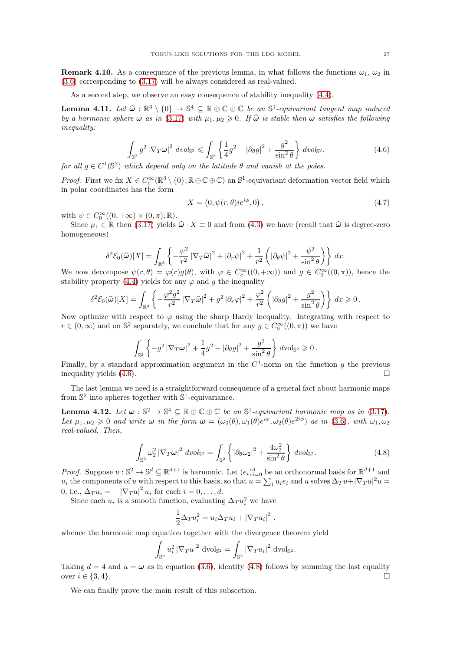**Remark 4.10.** As a consequence of the previous lemma, in what follows the functions  $\omega_1$ ,  $\omega_2$  in [\(3.6\)](#page-15-1) corresponding to [\(3.17\)](#page-18-1) will be always considered as real-valued.

As a second step, we observe an easy consequence of stability inequality [\(4.4\)](#page-24-1).

<span id="page-26-2"></span>**Lemma 4.11.** Let  $\hat{\omega} : \mathbb{R}^3 \setminus \{0\} \to \mathbb{S}^4 \subseteq \mathbb{R} \oplus \mathbb{C} \oplus \mathbb{C}$  be an  $\mathbb{S}^1$ -equivariant tangent map induced by a homomorphy subsequence of  $(3.17)$  with  $\omega$  and  $\sum_{k=1}^n C_k$  is table that the set of by a harmonic sphere  $\omega$  as in [\(3.17\)](#page-18-1) with  $\mu_1, \mu_2 \geq 0$ . If  $\hat{\omega}$  is stable then  $\omega$  satisfies the following inequality:

<span id="page-26-0"></span>
$$
\int_{\mathbb{S}^2} g^2 \left| \nabla_T \omega \right|^2 dv \, ds_2 \leqslant \int_{\mathbb{S}^2} \left\{ \frac{1}{4} g^2 + \left| \partial_\theta g \right|^2 + \frac{g^2}{\sin^2 \theta} \right\} dv \, ds_2,\tag{4.6}
$$

for all  $g \in C^1(\mathbb{S}^2)$  which depend only on the latitude  $\theta$  and vanish at the poles.

*Proof.* First we fix  $X \in C_c^{\infty}(\mathbb{R}^3 \setminus \{0\}; \mathbb{R} \oplus \mathbb{C} \oplus \mathbb{C})$  an  $\mathbb{S}^1$ -equivariant deformation vector field which in polar coordinates has the form

$$
X = \left(0, \psi(r, \theta) i e^{i\phi}, 0\right),\tag{4.7}
$$

with  $\psi \in C_0^{\infty}((0, +\infty) \times (0, \pi); \mathbb{R})$ .

Since  $\mu_1 \in \mathbb{R}$  then [\(3.17\)](#page-18-1) yields  $\hat{\omega} \cdot X \equiv 0$  and from [\(4.3\)](#page-24-2) we have (recall that  $\hat{\omega}$  is degree-zero homogeneous)

$$
\delta^2 \mathcal{E}_0(\widehat{\omega})[X] = \int_{\mathbb{R}^3} \left\{ -\frac{\psi^2}{r^2} |\nabla_T \widehat{\omega}|^2 + |\partial_r \psi|^2 + \frac{1}{r^2} \left( |\partial_\theta \psi|^2 + \frac{\psi^2}{\sin^2 \theta} \right) \right\} dx.
$$

We now decompose  $\psi(r,\theta) = \varphi(r)g(\theta)$ , with  $\varphi \in C_c^{\infty}((0,+\infty))$  and  $g \in C_0^{\infty}((0,\pi))$ , hence the stability property [\(4.4\)](#page-24-1) yields for any  $\varphi$  and g the inequality

$$
\delta^2 \mathcal{E}_0(\widehat{\omega})[X] = \int_{\mathbb{R}^3} \left\{ -\frac{\varphi^2 g^2}{r^2} \left| \nabla_T \widehat{\omega} \right|^2 + g^2 \left| \partial_r \varphi \right|^2 + \frac{\varphi^2}{r^2} \left( \left| \partial_\theta g \right|^2 + \frac{g^2}{\sin^2 \theta} \right) \right\} dx \geqslant 0 \,.
$$

Now optimize with respect to  $\varphi$  using the sharp Hardy inequality. Integrating with respect to  $r \in (0, \infty)$  and on  $\mathbb{S}^2$  separately, we conclude that for any  $g \in C_0^{\infty}((0, \pi))$  we have

$$
\int_{\mathbb{S}^2} \left\{-g^2 |\nabla_T \omega|^2 + \frac{1}{4}g^2 + |\partial_\theta g|^2 + \frac{g^2}{\sin^2 \theta}\right\} d\text{vol}_{\mathbb{S}^2} \geqslant 0.
$$

Finally, by a standard approximation argument in the  $C<sup>1</sup>$ -norm on the function g the previous inequality yields  $(4.6)$ .

The last lemma we need is a straightforward consequence of a general fact about harmonic maps from  $\mathbb{S}^2$  into spheres together with  $\mathbb{S}^1$ -equivariance.

**Lemma 4.12.** Let  $\omega : \mathbb{S}^2 \to \mathbb{S}^4 \subseteq \mathbb{R} \oplus \mathbb{C} \oplus \mathbb{C}$  be an  $\mathbb{S}^1$ -equivariant harmonic map as in [\(3.17\)](#page-18-1). Let  $\mu_1, \mu_2 \geq 0$  and write  $\omega$  in the form  $\omega = (\omega_0(\theta), \omega_1(\theta)e^{i\phi}, \omega_2(\theta)e^{2i\phi})$  as in [\(3.6\)](#page-15-1), with  $\omega_1, \omega_2$ real-valued. Then,

<span id="page-26-1"></span>
$$
\int_{\mathbb{S}^2} \omega_2^2 |\nabla_T \omega|^2 \, dvol_{\mathbb{S}^2} = \int_{\mathbb{S}^2} \left\{ |\partial_\theta \omega_2|^2 + \frac{4\omega_2^2}{\sin^2 \theta} \right\} \, dvol_{\mathbb{S}^2}.\tag{4.8}
$$

*Proof.* Suppose  $u : \mathbb{S}^2 \to \mathbb{S}^d \subseteq \mathbb{R}^{d+1}$  is harmonic. Let  $(e_i)_{i=0}^d$  be an orthonormal basis for  $\mathbb{R}^{d+1}$  and  $u_i$  the components of u with respect to this basis, so that  $u = \sum_i u_i e_i$  and u solves  $\Delta T^2 u + |\nabla T^2 u|^2 u =$ 0, i.e.,  $\Delta T u_i = - |\nabla T u|^2 u_i$  for each  $i = 0, \ldots, d$ .

Since each  $u_i$  is a smooth function, evaluating  $\Delta T u_i^2$  we have

$$
\frac{1}{2}\Delta_T u_i^2 = u_i \Delta_T u_i + |\nabla_T u_i|^2,
$$

whence the harmonic map equation together with the divergence theorem yield

$$
\int_{\mathbb{S}^2} u_i^2 |\nabla_T u|^2 \text{ dvol}_{\mathbb{S}^2} = \int_{\mathbb{S}^2} |\nabla_T u_i|^2 \text{ dvol}_{\mathbb{S}^2}.
$$

Taking  $d = 4$  and  $u = \omega$  as in equation [\(3.6\)](#page-15-1), identity [\(4.8\)](#page-26-1) follows by summing the last equality over  $i \in \{3, 4\}$ .

We can finally prove the main result of this subsection.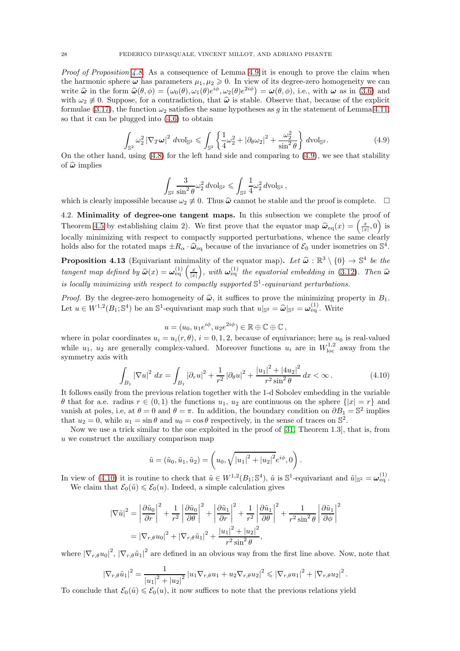*Proof of Proposition [4.8.](#page-25-2)* As a consequence of Lemma [4.9](#page-25-3) it is enough to prove the claim when the harmonic sphere  $\omega$  has parameters  $\mu_1, \mu_2 \geqslant 0$ . In view of its degree-zero homogeneity we can write  $\hat{\omega}$  in the form  $\hat{\omega}(\theta, \phi) = (\omega_0(\theta), \omega_1(\theta)e^{i\phi}, \omega_2(\theta)e^{2i\phi}) = \omega(\theta, \phi)$ , i.e., with  $\omega$  as in [\(3.6\)](#page-15-1) and with  $\omega_2 \neq 0$ . Suppose, for a contradiction, that  $\hat{\omega}$  is stable. Observe that, because of the explicit formulae [\(3.17\)](#page-18-1), the function  $\omega_2$  satisfies the same hypotheses as g in the statement of Lemma [4.11,](#page-26-2) so that it can be plugged into [\(4.6\)](#page-26-0) to obtain

<span id="page-27-1"></span>
$$
\int_{\mathbb{S}^2} \omega_2^2 |\nabla_T \omega|^2 \, d\text{vol}_{\mathbb{S}^2} \le \int_{\mathbb{S}^2} \left\{ \frac{1}{4} \omega_2^2 + |\partial_\theta \omega_2|^2 + \frac{\omega_2^2}{\sin^2 \theta} \right\} d\text{vol}_{\mathbb{S}^2}.
$$
\n(4.9)

On the other hand, using [\(4.8\)](#page-26-1) for the left hand side and comparing to [\(4.9\)](#page-27-1), we see that stability of  $\hat{\omega}$  implies

$$
\int_{\mathbb{S}^2} \frac{3}{\sin^2 \theta} \omega_2^2 d\text{vol}_{\mathbb{S}^2} \leqslant \int_{\mathbb{S}^2} \frac{1}{4} \omega_2^2 d\text{vol}_{\mathbb{S}^2} ,
$$

<span id="page-27-0"></span>which is clearly impossible because  $\omega_2 \neq 0$ . Thus  $\hat{\omega}$  cannot be stable and the proof is complete.  $\Box$ 

4.2. Minimality of degree-one tangent maps. In this subsection we complete the proof of Theorem [4.5](#page-25-1) by establishing claim 2). We first prove that the equator map  $\hat{\omega}_{eq}(x) = \left(\frac{x}{|x|}, 0\right)$  is locally minimizing with respect to compactly supported perturbations, whence the same clearly holds also for the rotated maps  $\pm R_{\alpha} \cdot \hat{\omega}_{\text{eq}}$  because of the invariance of  $\mathcal{E}_0$  under isometries on  $\mathbb{S}^4$ .

<span id="page-27-3"></span>**Proposition 4.13** (Equivariant minimality of the equator map). Let  $\hat{\omega} : \mathbb{R}^3 \setminus \{0\} \to \mathbb{S}^4$  be the tangent map defined by  $\widehat{\omega}(x) = \omega_{\text{eq}}^{(1)}\left(\frac{x}{|x|}\right)$ ), with  $\omega_{\text{eq}}^{(1)}$  the equatorial embedding in [\(3.12\)](#page-16-4). Then  $\widehat{\omega}$ is locally minimizing with respect to compactly supported  $\mathbb{S}^1$ -equivariant perturbations.

*Proof.* By the degree-zero homogeneity of  $\hat{\omega}$ , it suffices to prove the minimizing property in  $B_1$ . Let  $u \in W^{1,2}(B_1; \mathbb{S}^4)$  be an  $\mathbb{S}^1$ -equivariant map such that  $u|_{\mathbb{S}^2} = \hat{\omega}|_{\mathbb{S}^2} = \omega_{\text{eq}}^{(1)}$ . Write

$$
u = (u_0, u_1 e^{i\phi}, u_2 e^{2i\phi}) \in \mathbb{R} \oplus \mathbb{C} \oplus \mathbb{C},
$$

where in polar coordinates  $u_i = u_i(r, \theta)$ ,  $i = 0, 1, 2$ , because of equivariance; here  $u_0$  is real-valued while  $u_1$ ,  $u_2$  are generally complex-valued. Moreover functions  $u_i$  are in  $W^{1,2}_{loc}$  away from the symmetry axis with

<span id="page-27-2"></span>
$$
\int_{B_1} |\nabla u|^2 \, dx = \int_{B_1} |\partial_r u|^2 + \frac{1}{r^2} |\partial_\theta u|^2 + \frac{|u_1|^2 + |4u_2|^2}{r^2 \sin^2 \theta} \, dx < \infty. \tag{4.10}
$$

It follows easily from the previous relation together with the 1-d Sobolev embedding in the variable  $\theta$  that for a.e. radius  $r \in (0, 1)$  the functions  $u_1, u_2$  are continuous on the sphere  $\{|x| = r\}$  and vanish at poles, i.e, at  $\theta = 0$  and  $\theta = \pi$ . In addition, the boundary condition on  $\partial B_1 = \mathbb{S}^2$  implies that  $u_2 = 0$ , while  $u_1 = \sin \theta$  and  $u_0 = \cos \theta$  respectively, in the sense of traces on  $\mathbb{S}^2$ .

Now we use a trick similar to the one exploited in the proof of [\[31,](#page-61-30) Theorem 1.3], that is, from u we construct the auxiliary comparison map

$$
\tilde{u} = (\tilde{u}_0, \tilde{u}_1, \tilde{u}_2) = (u_0, \sqrt{|u_1|^2 + |u_2|^2} e^{i\phi}, 0).
$$

In view of [\(4.10\)](#page-27-2) it is routine to check that  $\tilde{u} \in W^{1,2}(B_1; \mathbb{S}^4)$ ,  $\tilde{u}$  is  $\mathbb{S}^1$ -equivariant and  $\tilde{u}|_{\mathbb{S}^2} = \omega_{eq}^{(1)}$ .

We claim that  $\mathcal{E}_0(\tilde{u}) \leq \mathcal{E}_0(u)$ . Indeed, a simple calculation gives

$$
|\nabla \tilde{u}|^2 = \left| \frac{\partial \tilde{u}_0}{\partial r} \right|^2 + \frac{1}{r^2} \left| \frac{\partial \tilde{u}_0}{\partial \theta} \right|^2 + \left| \frac{\partial \tilde{u}_1}{\partial r} \right|^2 + \frac{1}{r^2} \left| \frac{\partial \tilde{u}_1}{\partial \theta} \right|^2 + \frac{1}{r^2 \sin^2 \theta} \left| \frac{\partial \tilde{u}_1}{\partial \phi} \right|^2
$$
  
= 
$$
|\nabla_{r,\theta} u_0|^2 + |\nabla_{r,\theta} \tilde{u}_1|^2 + \frac{|u_1|^2 + |u_2|^2}{r^2 \sin^2 \theta},
$$

where  $|\nabla_{r,\theta}u_0|^2$ ,  $|\nabla_{r,\theta}\tilde{u}_1|^2$  are defined in an obvious way from the first line above. Now, note that

$$
\left|\nabla_{r,\theta}\tilde{u}_1\right|^2 = \frac{1}{|u_1|^2 + |u_2|^2} \left|u_1\nabla_{r,\theta}u_1 + u_2\nabla_{r,\theta}u_2\right|^2 \leq \left|\nabla_{r,\theta}u_1\right|^2 + \left|\nabla_{r,\theta}u_2\right|^2.
$$

To conclude that  $\mathcal{E}_0(\tilde{u}) \leq \mathcal{E}_0(u)$ , it now suffices to note that the previous relations yield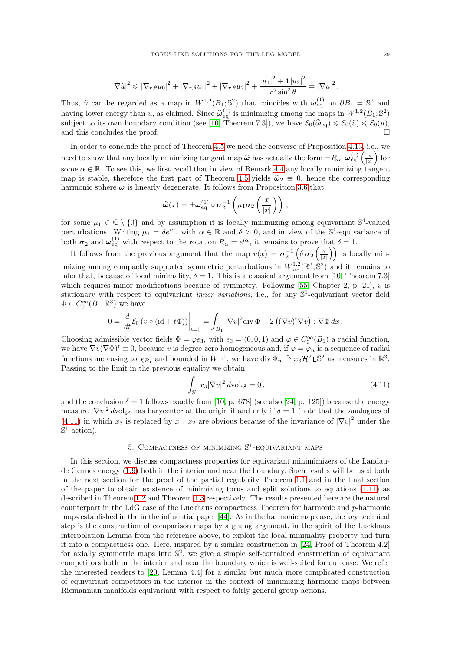$$
|\nabla \tilde{u}|^2 \leq |\nabla_{r,\theta} u_0|^2 + |\nabla_{r,\theta} u_1|^2 + |\nabla_{r,\theta} u_2|^2 + \frac{|u_1|^2 + 4|u_2|^2}{r^2 \sin^2 \theta} = |\nabla u|^2.
$$

Thus,  $\tilde{u}$  can be regarded as a map in  $W^{1,2}(B_1; \mathbb{S}^2)$  that coincides with  $\omega_{\text{eq}}^{(1)}$  on  $\partial B_1 = \mathbb{S}^2$  and having lower energy than u, as claimed. Since  $\hat{\omega}_{eq}^{(1)}$  is minimizing among the maps in  $W^{1,2}(B_1;\mathbb{S}^2)$ subject to its own boundary condition (see [\[10,](#page-60-19) Theorem 7.3]), we have  $\mathcal{E}_0(\hat{\omega}_{\text{eq}}) \leq \mathcal{E}_0(\tilde{u}) \leq \mathcal{E}_0(u)$ , and this concludes the proof.

In order to conclude the proof of Theorem [4.5](#page-25-1) we need the converse of Proposition [4.13,](#page-27-3) i.e., we need to show that any locally minimizing tangent map  $\hat{\omega}$  has actually the form  $\pm R_{\alpha} \cdot \omega_{\text{eq}}^{(1)}\left(\frac{x}{|x|}\right)$  $\int$  for some  $\alpha \in \mathbb{R}$ . To see this, we first recall that in view of Remark [4.4](#page-25-4) any locally minimizing tangent map is stable, therefore the first part of Theorem [4.5](#page-25-1) yields  $\hat{\omega}_2 \equiv 0$ , hence the corresponding harmonic sphere  $\omega$  is linearly degenerate. It follows from Proposition [3.6](#page-16-3) that

$$
\widehat{\boldsymbol{\omega}}(x) = \pm \boldsymbol{\omega}_{\mathrm{eq}}^{(1)} \circ \boldsymbol{\sigma}_2^{-1} \left( \mu_1 \boldsymbol{\sigma}_2 \left( \frac{x}{|x|} \right) \right) ,
$$

for some  $\mu_1 \in \mathbb{C} \setminus \{0\}$  and by assumption it is locally minimizing among equivariant  $\mathbb{S}^4$ -valued perturbations. Writing  $\mu_1 = \delta e^{i\alpha}$ , with  $\alpha \in \mathbb{R}$  and  $\delta > 0$ , and in view of the S<sup>1</sup>-equivariance of both  $\sigma_2$  and  $\omega_{eq}^{(1)}$  with respect to the rotation  $R_\alpha = e^{i\alpha}$ , it remains to prove that  $\delta = 1$ .

It follows from the previous argument that the map  $v(x) = \sigma_2^{-1} \left( \delta \sigma_2 \left( \frac{x}{|x|} \right) \right)$  is locally minimizing among compactly supported symmetric perturbations in  $W^{1,2}_{loc}(\mathbb{R}^3; \mathbb{S}^2)$  and it remains to infer that, because of local minimality,  $\delta = 1$ . This is a classical argument from [\[10,](#page-60-19) Theorem 7.3] which requires minor modifications because of symmetry. Following [\[55,](#page-61-8) Chapter 2, p. 21],  $v$  is stationary with respect to equivariant *inner variations*, i.e., for any  $\mathbb{S}^1$ -equivariant vector field  $\Phi \in C_0^{\infty}(B_1;\mathbb{R}^3)$  we have

$$
0 = \frac{d}{dt} \mathcal{E}_0 \left( v \circ (\mathrm{id} + t\Phi) \right) \Big|_{t=0} = \int_{B_1} |\nabla v|^2 \mathrm{div} \, \Phi - 2 \left( (\nabla v)^{\mathsf{t}} \nabla v \right) : \nabla \Phi \, dx \, .
$$

Choosing admissible vector fields  $\Phi = \varphi e_3$ , with  $e_3 = (0, 0, 1)$  and  $\varphi \in C_0^{\infty}(B_1)$  a radial function, we have  $\nabla v(\nabla \Phi)^t \equiv 0$ , because v is degree-zero homogeneous and, if  $\varphi = \varphi_n$  is a sequence of radial functions increasing to  $\chi_{B_1}$  and bounded in  $W^{1,1}$ , we have div  $\Phi_n \stackrel{*}{\rightharpoonup} x_3\mathcal{H}^2\mathsf{LS}^2$  as measures in  $\mathbb{R}^3$ . Passing to the limit in the previous equality we obtain

<span id="page-28-1"></span>
$$
\int_{\mathbb{S}^2} x_3 |\nabla v|^2 \, d\text{vol}_{\mathbb{S}^2} = 0 \,, \tag{4.11}
$$

and the conclusion  $\delta = 1$  follows exactly from [\[10,](#page-60-19) p. 678] (see also [\[24,](#page-61-20) p. 125]) because the energy measure  $|\nabla v|^2 dv$ ol<sub>S</sub><sup>2</sup> has barycenter at the origin if and only if  $\delta = 1$  (note that the analogues of  $(4.11)$  in which  $x_3$  is replaced by  $x_1, x_2$  are obvious because of the invariance of  $|\nabla v|^2$  under the  $\dot{\mathbb{S}}^1$ -action).

# 5. COMPACTNESS OF MINIMIZING  $\mathbb{S}^1$ -EQUIVARIANT MAPS

<span id="page-28-0"></span>In this section, we discuss compactness properties for equivariant minimimizers of the Landaude Gennes energy [\(1.9\)](#page-2-1) both in the interior and near the boundary. Such results will be used both in the next section for the proof of the partial regularity Theorem [1.1](#page-3-3) and in the final section of the paper to obtain existence of minimizing torus and split solutions to equations [\(1.11\)](#page-2-0) as described in Theorem [1.2](#page-6-0) and Theorem [1.3](#page-7-0) respectively. The results presented here are the natural counterpart in the LdG case of the Luckhaus compactness Theorem for harmonic and p-harmonic maps established in the in the influential paper [\[44\]](#page-61-31). As in the harmonic map case, the key technical step is the construction of comparison maps by a gluing argument, in the spirit of the Luckhaus interpolation Lemma from the reference above, to exploit the local minimality property and turn it into a compactness one. Here, inspired by a similar construction in [\[24,](#page-61-20) Proof of Theorem 4.2] for axially symmetric maps into  $\mathbb{S}^2$ , we give a simple self-contained construction of equivariant competitors both in the interior and near the boundary which is well-suited for our case. We refer the interested readers to [\[20,](#page-60-18) Lemma 4.4] for a similar but much more complicated construction of equivariant competitors in the interior in the context of minimizing harmonic maps between Riemannian manifolds equivariant with respect to fairly general group actions.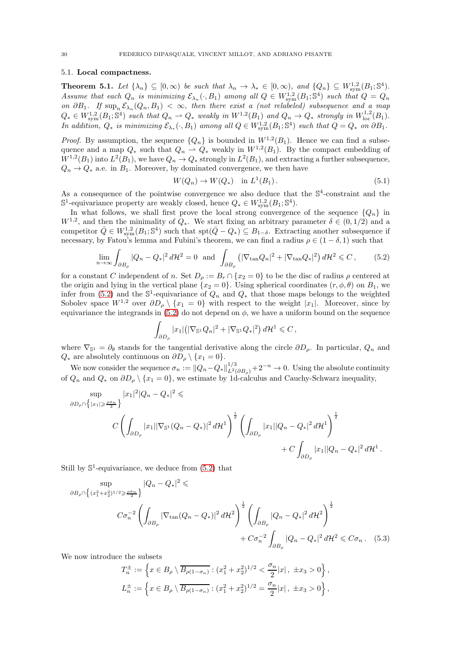## <span id="page-29-0"></span>5.1. Local compactness.

<span id="page-29-4"></span>**Theorem 5.1.** Let  $\{\lambda_n\} \subseteq [0,\infty)$  be such that  $\lambda_n \to \lambda_* \in [0,\infty)$ , and  $\{Q_n\} \subseteq W^{1,2}_{sym}(B_1;\mathbb{S}^4)$ . Assume that each  $Q_n$  is minimizing  $\mathcal{E}_{\lambda_n}(\cdot, B_1)$  among all  $Q \in W^{1,2}_{sym}(B_1; \mathbb{S}^4)$  such that  $Q = Q_n$ on  $\partial B_1$ . If  $\sup_n \mathcal{E}_{\lambda_n}(Q_n, B_1) < \infty$ , then there exist a (not relabeled) subsequence and a map  $Q_* \in W^{1,2}_{sym}(B_1;\mathbb{S}^4)$  such that  $Q_n \rightharpoonup Q_*$  weakly in  $W^{1,2}(B_1)$  and  $Q_n \rightharpoonup Q_*$  strongly in  $W^{1,2}_{loc}(B_1)$ . In addition,  $Q_*$  is minimizing  $\mathcal{E}_{\lambda_*}(\cdot, B_1)$  among all  $Q \in W^{1,2}_{sym}(B_1; \mathbb{S}^4)$  such that  $Q = Q_*$  on  $\partial B_1$ .

*Proof.* By assumption, the sequence  $\{Q_n\}$  is bounded in  $W^{1,2}(B_1)$ . Hence we can find a subsequence and a map  $Q_*$  such that  $Q_n \rightharpoonup Q_*$  weakly in  $W^{1,2}(B_1)$ . By the compact embedding of  $W^{1,2}(B_1)$  into  $L^2(B_1)$ , we have  $Q_n \to Q_*$  strongly in  $L^2(B_1)$ , and extracting a further subsequence,  $Q_n \to Q_*$  a.e. in  $B_1$ . Moreover, by dominated convergence, we then have

<span id="page-29-3"></span>
$$
W(Q_n) \to W(Q_*) \quad \text{in } L^1(B_1). \tag{5.1}
$$

As a consequence of the pointwise convergence we also deduce that the  $\mathbb{S}^4$ -constraint and the  $\mathbb{S}^1$ -equivariance property are weakly closed, hence  $Q_* \in W^{1,2}_{sym}(B_1; \mathbb{S}^4)$ .

In what follows, we shall first prove the local strong convergence of the sequence  $\{Q_n\}$  in  $W^{1,2}$ , and then the minimality of  $Q_*$ . We start fixing an arbitrary parameter  $\delta \in (0,1/2)$  and a competitor  $\overline{Q} \in W^{1,2}_{sym}(B_1; \mathbb{S}^4)$  such that  $\text{spt}(\overline{Q}-Q_*) \subseteq B_{1-\delta}$ . Extracting another subsequence if necessary, by Fatou's lemma and Fubini's theorem, we can find a radius  $\rho \in (1 - \delta, 1)$  such that

<span id="page-29-1"></span>
$$
\lim_{n \to \infty} \int_{\partial B_{\rho}} |Q_n - Q_*|^2 d\mathcal{H}^2 = 0 \text{ and } \int_{\partial B_{\rho}} \left( |\nabla_{\tan} Q_n|^2 + |\nabla_{\tan} Q_*|^2 \right) d\mathcal{H}^2 \leq C, \qquad (5.2)
$$

for a constant C independent of n. Set  $D_{\rho} := B_r \cap \{x_2 = 0\}$  to be the disc of radius  $\rho$  centered at the origin and lying in the vertical plane  $\{x_2 = 0\}$ . Using spherical coordinates  $(r, \phi, \theta)$  on  $B_1$ , we infer from [\(5.2\)](#page-29-1) and the  $\mathbb{S}^1$ -equivariance of  $Q_n$  and  $Q_*$  that those maps belongs to the weighted Sobolev space  $W^{1,2}$  over  $\partial D_{\rho} \setminus \{x_1 = 0\}$  with respect to the weight |x<sub>1</sub>|. Moreover, since by equivariance the integrands in  $(5.2)$  do not depend on  $\phi$ , we have a uniform bound on the sequence

$$
\int_{\partial D_\rho} |x_1| \big( |\nabla_{\mathbb{S}^1} Q_n|^2 + |\nabla_{\mathbb{S}^1} Q_*|^2 \big) d{\mathcal{H}}^1 \leqslant C\,,
$$

where  $\nabla_{\mathbb{S}^1} = \partial_{\theta}$  stands for the tangential derivative along the circle  $\partial D_{\rho}$ . In particular,  $Q_n$  and  $Q_*$  are absolutely continuous on  $\partial D_\rho \setminus \{x_1 = 0\}.$ 

We now consider the sequence  $\sigma_n := ||Q_n - Q_*||_{L^2(\partial B_\rho)}^{1/3} + 2^{-n} \to 0$ . Using the absolute continuity of  $Q_n$  and  $Q_*$  on  $\partial D_\rho \setminus \{x_1 = 0\}$ , we estimate by 1d-calculus and Cauchy-Schwarz inequality,

$$
\sup_{\partial D_{\rho} \cap \{|x_1| \geq \frac{\rho \sigma_n}{2}\}} |x_1|^2 |Q_n - Q_*|^2 \leq
$$
\n
$$
C \left( \int_{\partial D_{\rho}} |x_1| |\nabla_{\mathbb{S}^1} (Q_n - Q_*)|^2 d\mathcal{H}^1 \right)^{\frac{1}{2}} \left( \int_{\partial D_{\rho}} |x_1| |Q_n - Q_*|^2 d\mathcal{H}^1 \right)^{\frac{1}{2}} + C \int_{\partial D_{\rho}} |x_1| |Q_n - Q_*|^2 d\mathcal{H}^1.
$$

Still by  $\mathbb{S}^1$ -equivariance, we deduce from  $(5.2)$  that

$$
\sup_{\partial B_{\rho} \cap \left\{ (x_1^2 + x_2^2)^{1/2} \ge \frac{\rho \sigma_n}{2} \right\}} |Q_n - Q_*|^2 \le
$$
\n
$$
C\sigma_n^{-2} \left( \int_{\partial B_{\rho}} |\nabla_{\tan}(Q_n - Q_*)|^2 d\mathcal{H}^2 \right)^{\frac{1}{2}} \left( \int_{\partial B_{\rho}} |Q_n - Q_*|^2 d\mathcal{H}^2 \right)^{\frac{1}{2}} + C\sigma_n^{-2} \int_{\partial B_{\rho}} |Q_n - Q_*|^2 d\mathcal{H}^2 \le C\sigma_n. \quad (5.3)
$$

We now introduce the subsets

<span id="page-29-2"></span>
$$
T_n^{\pm} := \left\{ x \in B_\rho \setminus \overline{B_{\rho(1-\sigma_n)}} : (x_1^2 + x_2^2)^{1/2} < \frac{\sigma_n}{2}|x|, \pm x_3 > 0 \right\},
$$
  

$$
L_n^{\pm} := \left\{ x \in B_\rho \setminus \overline{B_{\rho(1-\sigma_n)}} : (x_1^2 + x_2^2)^{1/2} = \frac{\sigma_n}{2}|x|, \pm x_3 > 0 \right\},
$$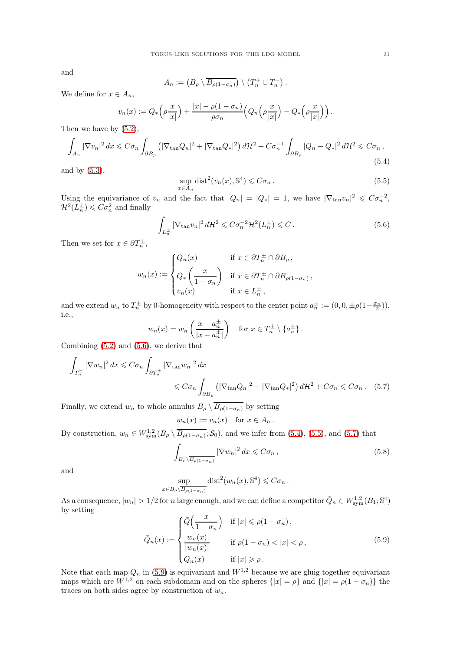and

$$
A_n := (B_\rho \setminus \overline{B_{\rho(1-\sigma_n)}}) \setminus (T_n^+ \cup T_n^-).
$$

We define for  $x \in A_n$ ,

$$
v_n(x) := Q_*\left(\rho \frac{x}{|x|}\right) + \frac{|x| - \rho(1 - \sigma_n)}{\rho \sigma_n} \left(Q_n\left(\rho \frac{x}{|x|}\right) - Q_*\left(\rho \frac{x}{|x|}\right)\right).
$$

Then we have by [\(5.2\)](#page-29-1),

<span id="page-30-1"></span>
$$
\int_{A_n} |\nabla v_n|^2 dx \leqslant C \sigma_n \int_{\partial B_\rho} \left( |\nabla_{\tan} Q_n|^2 + |\nabla_{\tan} Q_*|^2 \right) d\mathcal{H}^2 + C \sigma_n^{-1} \int_{\partial B_\rho} |Q_n - Q_*|^2 d\mathcal{H}^2 \leqslant C \sigma_n ,\tag{5.4}
$$

and by [\(5.3\)](#page-29-2),

<span id="page-30-2"></span>
$$
\sup_{x \in A_n} \text{dist}^2(v_n(x), \mathbb{S}^4) \leqslant C\sigma_n. \tag{5.5}
$$

Using the equivariance of  $v_n$  and the fact that  $|Q_n| = |Q_*| = 1$ , we have  $|\nabla_{\tan} v_n|^2 \leq C \sigma_n^{-2}$ ,  $\mathcal{H}^2(L_n^{\pm}) \leqslant C\sigma_n^2$  and finally

<span id="page-30-0"></span>
$$
\int_{L_n^{\pm}} |\nabla_{\tan} v_n|^2 d\mathcal{H}^2 \leqslant C\sigma_n^{-2} \mathcal{H}^2(L_n^{\pm}) \leqslant C. \tag{5.6}
$$

Then we set for  $x \in \partial T_n^{\pm}$ ,

$$
w_n(x) := \begin{cases} Q_n(x) & \text{if } x \in \partial T_n^{\pm} \cap \partial B_{\rho}, \\ Q_*\left(\frac{x}{1-\sigma_n}\right) & \text{if } x \in \partial T_n^{\pm} \cap \partial B_{\rho(1-\sigma_n)}, \\ v_n(x) & \text{if } x \in L_n^{\pm}, \end{cases}
$$

and we extend  $w_n$  to  $T_n^{\pm}$  by 0-homogeneity with respect to the center point  $a_n^{\pm} := (0, 0, \pm \rho(1 - \frac{\sigma_n}{2})),$ i.e.,

$$
w_n(x) = w_n \left( \frac{x - a_n^{\pm}}{|x - a_n^{\pm}|} \right) \quad \text{for } x \in T_n^{\pm} \setminus \{a_n^{\pm}\}.
$$

Combining [\(5.2\)](#page-29-1) and [\(5.6\)](#page-30-0), we derive that

$$
\int_{T_n^{\pm}} |\nabla w_n|^2 dx \leq C \sigma_n \int_{\partial T_n^{\pm}} |\nabla_{\tan} w_n|^2 dx
$$
\n
$$
\leq C \sigma_n \int_{\partial B_\rho} \left( |\nabla_{\tan} Q_n|^2 + |\nabla_{\tan} Q_*|^2 \right) dH^2 + C \sigma_n \leq C \sigma_n. \quad (5.7)
$$

Finally, we extend  $w_n$  to whole annulus  $B_\rho \setminus \overline{B_{\rho(1-\sigma_n)}}$  by setting

<span id="page-30-3"></span>
$$
w_n(x) := v_n(x) \quad \text{for } x \in A_n \, .
$$

By construction,  $w_n \in W^{1,2}_{sym}(B_\rho \setminus \overline{B_{\rho(1-\sigma_n)}}; S_0)$ , and we infer from [\(5.4\)](#page-30-1), [\(5.5\)](#page-30-2), and [\(5.7\)](#page-30-3) that

<span id="page-30-5"></span>
$$
\int_{B_{\rho}\setminus\overline{B_{\rho(1-\sigma_n)}}} |\nabla w_n|^2 dx \leqslant C\sigma_n ,\qquad (5.8)
$$

and

$$
\sup_{x \in B_{\rho} \setminus \overline{B_{\rho(1-\sigma_n)}}} \text{dist}^2(w_n(x), \mathbb{S}^4) \leq C\sigma_n.
$$

As a consequence,  $|w_n| > 1/2$  for n large enough, and we can define a competitor  $\bar{Q}_n \in W^{1,2}_{sym}(B_1;\mathbb{S}^4)$ by setting

<span id="page-30-4"></span>
$$
\bar{Q}_n(x) := \begin{cases} \bar{Q}\left(\frac{x}{1-\sigma_n}\right) & \text{if } |x| \leqslant \rho(1-\sigma_n), \\ \frac{w_n(x)}{|w_n(x)|} & \text{if } \rho(1-\sigma_n) < |x| < \rho, \\ Q_n(x) & \text{if } |x| \geqslant \rho. \end{cases}
$$
\n
$$
(5.9)
$$

Note that each map  $\bar{Q}_n$  in [\(5.9\)](#page-30-4) is equivariant and  $W^{1,2}$  because we are gluig together equivariant maps which are  $W^{1,2}$  on each subdomain and on the spheres  $\{|x| = \rho\}$  and  $\{|x| = \rho(1 - \sigma_n)\}$  the traces on both sides agree by construction of  $w_n$ .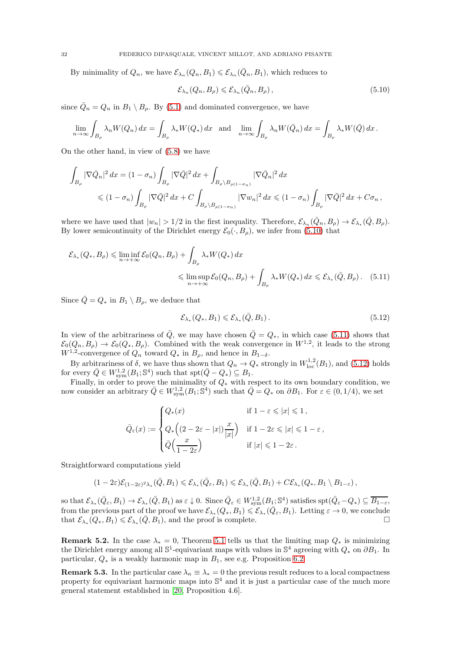By minimality of  $Q_n$ , we have  $\mathcal{E}_{\lambda_n}(Q_n, B_1) \leq \mathcal{E}_{\lambda_n}(\bar{Q}_n, B_1)$ , which reduces to

<span id="page-31-0"></span>
$$
\mathcal{E}_{\lambda_n}(Q_n, B_\rho) \leqslant \mathcal{E}_{\lambda_n}(\bar{Q}_n, B_\rho), \qquad (5.10)
$$

since  $\overline{Q}_n = Q_n$  in  $B_1 \setminus B_\rho$ . By [\(5.1\)](#page-29-3) and dominated convergence, we have

$$
\lim_{n \to \infty} \int_{B_{\rho}} \lambda_n W(Q_n) dx = \int_{B_{\rho}} \lambda_* W(Q_*) dx \text{ and } \lim_{n \to \infty} \int_{B_{\rho}} \lambda_n W(\bar{Q}_n) dx = \int_{B_{\rho}} \lambda_* W(\bar{Q}) dx.
$$

On the other hand, in view of [\(5.8\)](#page-30-5) we have

$$
\int_{B_{\rho}} |\nabla \bar{Q}_n|^2 dx = (1 - \sigma_n) \int_{B_{\rho}} |\nabla \bar{Q}|^2 dx + \int_{B_{\rho} \setminus B_{\rho(1 - \sigma_n)}} |\nabla \bar{Q}_n|^2 dx
$$
  
\$\leqslant (1 - \sigma\_n) \int\_{B\_{\rho}} |\nabla \bar{Q}|^2 dx + C \int\_{B\_{\rho} \setminus B\_{\rho(1 - \sigma\_n)}} |\nabla w\_n|^2 dx \leqslant (1 - \sigma\_n) \int\_{B\_{\rho}} |\nabla \bar{Q}|^2 dx + C \sigma\_n,

where we have used that  $|w_n| > 1/2$  in the first inequality. Therefore,  $\mathcal{E}_{\lambda_n}(\bar{Q}_n, B_\rho) \to \mathcal{E}_{\lambda_*}(\bar{Q}, B_\rho)$ . By lower semicontinuity of the Dirichlet energy  $\mathcal{E}_0(\cdot, B_\rho)$ , we infer from [\(5.10\)](#page-31-0) that

$$
\mathcal{E}_{\lambda_*}(Q_*, B_{\rho}) \leq \liminf_{n \to +\infty} \mathcal{E}_0(Q_n, B_{\rho}) + \int_{B_{\rho}} \lambda_* W(Q_*) dx
$$
  

$$
\leq \limsup_{n \to +\infty} \mathcal{E}_0(Q_n, B_{\rho}) + \int_{B_{\rho}} \lambda_* W(Q_*) dx \leq \mathcal{E}_{\lambda_*}(\bar{Q}, B_{\rho}). \quad (5.11)
$$

Since  $\overline{Q} = Q_*$  in  $B_1 \setminus B_\rho$ , we deduce that

<span id="page-31-2"></span><span id="page-31-1"></span>
$$
\mathcal{E}_{\lambda_*}(Q_*, B_1) \leq \mathcal{E}_{\lambda_*}(\bar{Q}, B_1). \tag{5.12}
$$

In view of the arbitrariness of  $\overline{Q}$ , we may have chosen  $\overline{Q}=Q_*$ , in which case [\(5.11\)](#page-31-1) shows that  $\mathcal{E}_0(Q_n, B_\rho) \to \mathcal{E}_0(Q_*, B_\rho)$ . Combined with the weak convergence in  $W^{1,2}$ , it leads to the strong  $W^{1,2}$ -convergence of  $Q_n$  toward  $Q_*$  in  $B_\rho$ , and hence in  $B_{1-\delta}$ .

By arbitrariness of  $\delta$ , we have thus shown that  $Q_n \to Q_*$  strongly in  $W^{1,2}_{loc}(B_1)$ , and [\(5.12\)](#page-31-2) holds for every  $\overline{Q} \in W^{1,2}_{sym}(B_1;\mathbb{S}^4)$  such that  $\text{spt}(\overline{Q}-Q_*) \subseteq B_1$ .

Finally, in order to prove the minimality of  $Q_*$  with respect to its own boundary condition, we now consider an arbitrary  $\overline{Q} \in W^{1,2}_{sym}(B_1;\mathbb{S}^4)$  such that  $\overline{Q} = Q_*$  on  $\partial B_1$ . For  $\varepsilon \in (0,1/4)$ , we set

$$
\bar{Q}_{\varepsilon}(x):=\begin{cases} Q_*(x) & \text{if } 1-\varepsilon\leqslant |x|\leqslant 1\,,\\[0.2cm] Q_*\Big((2-2\varepsilon-|x|)\frac{x}{|x|}\Big) & \text{if } 1-2\varepsilon\leqslant |x|\leqslant 1-\varepsilon\,,\\[0.2cm] \bar{Q}\Big(\frac{x}{1-2\varepsilon}\Big) & \text{if } |x|\leqslant 1-2\varepsilon\,. \end{cases}
$$

Straightforward computations yield

$$
(1-2\varepsilon)\mathcal{E}_{(1-2\varepsilon)^2\lambda_*}(\bar Q,B_1)\leqslant \mathcal{E}_{\lambda_*}(\bar Q_\varepsilon,B_1)\leqslant \mathcal{E}_{\lambda_*}(\bar Q,B_1)+C\mathcal{E}_{\lambda_*}(Q_*,B_1\setminus B_{1-\varepsilon})\,,
$$

so that  $\mathcal{E}_{\lambda_*}(\bar{Q}_\varepsilon, B_1) \to \mathcal{E}_{\lambda_*}(\bar{Q}, B_1)$  as  $\varepsilon \downarrow 0$ . Since  $\bar{Q}_\varepsilon \in W^{1,2}_{sym}(B_1; \mathbb{S}^4)$  satisfies  $\text{spt}(\bar{Q}_\varepsilon - Q_*) \subseteq \overline{B_{1-\varepsilon}}$ , from the previous part of the proof we have  $\mathcal{E}_{\lambda_*}(Q_*,B_1) \leq \mathcal{E}_{\lambda_*}(\bar{Q}_{\varepsilon},B_1)$ . Letting  $\varepsilon \to 0$ , we conclude that  $\mathcal{E}_{\lambda_*}(Q_*, B_1) \leq \mathcal{E}_{\lambda_*}(\bar{Q}, B_1)$ , and the proof is complete.

**Remark 5.2.** In the case  $\lambda_* = 0$ , Theorem [5.1](#page-29-4) tells us that the limiting map  $Q_*$  is minimizing the Dirichlet energy among all  $\mathbb{S}^1$ -equivariant maps with values in  $\mathbb{S}^4$  agreeing with  $Q_*$  on  $\partial B_1$ . In particular,  $Q_*$  is a weakly harmonic map in  $B_1$ , see e.g. Proposition [6.2.](#page-35-0)

**Remark 5.3.** In the particular case  $\lambda_n \equiv \lambda_* = 0$  the previous result reduces to a local compactness property for equivariant harmonic maps into  $\mathbb{S}^4$  and it is just a particular case of the much more general statement established in [\[20,](#page-60-18) Proposition 4.6].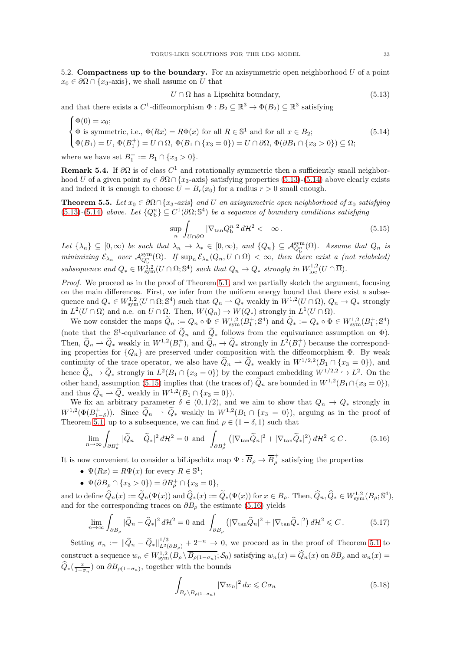<span id="page-32-0"></span>5.2. Compactness up to the boundary. For an axisymmetric open neighborhood  $U$  of a point  $x_0 \in \partial\Omega \cap \{x_3\}$ , we shall assume on U that

<span id="page-32-1"></span>
$$
U \cap \Omega \text{ has a Lipschitz boundary, } \tag{5.13}
$$

and that there exists a  $C^1$ -diffeomorphism  $\Phi: B_2 \subseteq \mathbb{R}^3 \to \Phi(B_2) \subseteq \mathbb{R}^3$  satisfying

<span id="page-32-2"></span>
$$
\begin{cases}\n\Phi(0) = x_0; \\
\Phi \text{ is symmetric, i.e., } \Phi(Rx) = R\Phi(x) \text{ for all } R \in \mathbb{S}^1 \text{ and for all } x \in B_2; \\
\Phi(B_1) = U, \Phi(B_1^+) = U \cap \Omega, \Phi(B_1 \cap \{x_3 = 0\}) = U \cap \partial\Omega, \Phi(\partial B_1 \cap \{x_3 > 0\}) \subseteq \Omega;\n\end{cases}
$$
\n(5.14)

where we have set  $B_1^+ := B_1 \cap \{x_3 > 0\}.$ 

**Remark 5.4.** If  $\partial\Omega$  is of class  $C^1$  and rotationally symmetric then a sufficiently small neighborhood U of a given point  $x_0 \in \partial\Omega \cap \{x_3\}$ -axis} satisfying properties [\(5.13\)](#page-32-1)-[\(5.14\)](#page-32-2) above clearly exists and indeed it is enough to choose  $U = B_r(x_0)$  for a radius  $r > 0$  small enough.

<span id="page-32-6"></span>**Theorem 5.5.** Let  $x_0 \in \partial\Omega \cap \{x_3\text{-axis}\}\$  and U an axisymmetric open neighborhood of  $x_0$  satisfying [\(5.13\)](#page-32-1)-[\(5.14\)](#page-32-2) above. Let  ${Q_b^n} \subseteq C^1(\partial \Omega; \mathbb{S}^4)$  be a sequence of boundary conditions satisfying

<span id="page-32-3"></span>
$$
\sup_{n} \int_{U \cap \partial \Omega} |\nabla_{\tan} Q_{\mathbf{b}}^{n}|^{2} d\mathcal{H}^{2} < +\infty.
$$
 (5.15)

Let  $\{\lambda_n\} \subseteq [0,\infty)$  be such that  $\lambda_n \to \lambda_* \in [0,\infty)$ , and  $\{Q_n\} \subseteq \mathcal{A}_{Q_h^n}^{\text{sym}}(\Omega)$ . Assume that  $Q_n$  is minimizing  $\mathcal{E}_{\lambda_n}$  over  $\mathcal{A}_{Q_0^n}^{\text{sym}}(\Omega)$ . If  $\sup_n \mathcal{E}_{\lambda_n}(Q_n, U \cap \Omega) < \infty$ , then there exist a (not relabeled) subsequence and  $Q_* \in W^{1,2}_{sym}(U \cap \Omega; \mathbb{S}^4)$  such that  $Q_n \to Q_*$  strongly in  $W^{1,2}_{loc}(U \cap \overline{\Omega})$ .

Proof. We proceed as in the proof of Theorem [5.1,](#page-29-4) and we partially sketch the argument, focusing on the main differences. First, we infer from the uniform energy bound that there exist a subsequence and  $Q_* \in W^{1,2}_{sym}(U \cap \Omega; \mathbb{S}^4)$  such that  $Q_n \to Q_*$  weakly in  $W^{1,2}(U \cap \Omega)$ ,  $Q_n \to Q_*$  strongly in  $L^2(U \cap \Omega)$  and a.e. on  $U \cap \Omega$ . Then,  $W(Q_n) \to W(Q_*)$  strongly in  $L^1(U \cap \Omega)$ .

We now consider the maps  $\widetilde{Q}_n := Q_n \circ \Phi \in W^{1,2}_{sym}(B_1^+; \mathbb{S}^4)$  and  $\widetilde{Q}_* := Q_* \circ \Phi \in W^{1,2}_{sym}(B_1^+; \mathbb{S}^4)$ (note that the  $\mathbb{S}^1$ -equivariance of  $\widetilde{Q}_n$  and  $\widetilde{Q}_*$  follows from the equivariance assumption on  $\Phi$ ). Then,  $\widetilde{Q}_n \rightharpoonup \widetilde{Q}_*$  weakly in  $W^{1,2}(B_1^+)$ , and  $\widetilde{Q}_n \rightarrow \widetilde{Q}_*$  strongly in  $L^2(B_1^+)$  because the corresponding properties for  ${Q_n}$  are preserved under composition with the diffeomorphism  $\Phi$ . By weak continuity of the trace operator, we also have  $\tilde{Q}_n \rightharpoonup \tilde{Q}_*$  weakly in  $W^{1/2,2}(B_1 \cap \{x_3 = 0\})$ , and hence  $\tilde{Q}_n \to \tilde{Q}_*$  strongly in  $L^2(B_1 \cap \{x_3 = 0\})$  by the compact embedding  $W^{1/2,2} \to L^2$ . On the other hand, assumption [\(5.15\)](#page-32-3) implies that (the traces of)  $Q_n$  are bounded in  $W^{1,2}(B_1 \cap \{x_3 = 0\}),$ and thus  $Q_n \rightharpoonup Q_*$  weakly in  $W^{1,2}(B_1 \cap \{x_3 = 0\}).$ 

We fix an arbitrary parameter  $\delta \in (0,1/2)$ , and we aim to show that  $Q_n \to Q_*$  strongly in  $W^{1,2}(\Phi(B_{1-\delta}^+))$ . Since  $\widetilde{Q}_n \rightharpoonup \widetilde{Q}_*$  weakly in  $W^{1,2}(B_1 \cap \{x_3 = 0\})$ , arguing as in the proof of Theorem [5.1,](#page-29-4) up to a subsequence, we can find  $\rho \in (1 - \delta, 1)$  such that

<span id="page-32-4"></span>
$$
\lim_{n \to \infty} \int_{\partial B_{\rho}^+} |\widetilde{Q}_n - \widetilde{Q}_*|^2 d\mathcal{H}^2 = 0 \text{ and } \int_{\partial B_{\rho}^+} \left( |\nabla_{\tan} \widetilde{Q}_n|^2 + |\nabla_{\tan} \widetilde{Q}_*|^2 \right) d\mathcal{H}^2 \leq C. \tag{5.16}
$$

It is now convenient to consider a biLipschitz map  $\Psi:\overline{B}_\rho\to \overline{B}^+_\rho$  $\mu$  satisfying the properties

- $\Psi(Rx) = R\Psi(x)$  for every  $R \in \mathbb{S}^1$ ;
- $\Psi(\partial B_{\rho} \cap \{x_3 > 0\}) = \partial B_{\rho}^+ \cap \{x_3 = 0\},\$

and to define  $\widehat{Q}_n(x) := \widetilde{Q}_n(\Psi(x))$  and  $\widehat{Q}_*(x) := \widetilde{Q}_*(\Psi(x))$  for  $x \in B_\rho$ . Then,  $\widehat{Q}_n, \widehat{Q}_* \in W^{1,2}_{sym}(B_\rho; \mathbb{S}^4)$ , and for the corresponding traces on  $\partial B_{\rho}$  the estimate [\(5.16\)](#page-32-4) yields

$$
\lim_{n \to \infty} \int_{\partial B_{\rho}} |\widehat{Q}_n - \widehat{Q}_*|^2 d\mathcal{H}^2 = 0 \text{ and } \int_{\partial B_{\rho}} \left( |\nabla_{\tan} \widehat{Q}_n|^2 + |\nabla_{\tan} \widehat{Q}_*|^2 \right) d\mathcal{H}^2 \leq C. \tag{5.17}
$$

Setting  $\sigma_n := \|\widehat{Q}_n - \widehat{Q}_*\|_{L^2(\partial B_\rho)}^{1/3} + 2^{-n} \to 0$ , we proceed as in the proof of Theorem [5.1](#page-29-4) to construct a sequence  $w_n \in W^{1,2}_{sym}(B_\rho \setminus \overline{B_{\rho(1-\sigma_n)}}; S_0)$  satisfying  $w_n(x) = \hat{Q}_n(x)$  on  $\partial B_\rho$  and  $w_n(x) = \hat{Q}_n(x)$  $\widehat{Q}_{*}(\frac{x}{1-\sigma_n})$  on  $\partial B_{\rho(1-\sigma_n)}$ , together with the bounds

<span id="page-32-5"></span>
$$
\int_{B_{\rho}\setminus B_{\rho(1-\sigma_n)}} |\nabla w_n|^2 \, dx \leqslant C\sigma_n \tag{5.18}
$$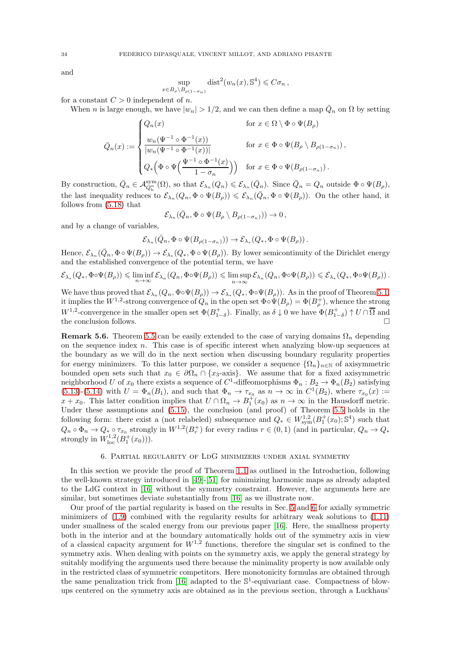and

$$
\sup_{x \in B_{\rho} \setminus B_{\rho(1-\sigma_n)}} \text{dist}^2(w_n(x), \mathbb{S}^4) \leqslant C\sigma_n ,
$$

for a constant  $C > 0$  independent of n.

When *n* is large enough, we have  $|w_n| > 1/2$ , and we can then define a map  $\overline{Q}_n$  on  $\Omega$  by setting

$$
\bar{Q}_n(x) := \begin{cases} Q_n(x) & \text{for } x \in \Omega \setminus \Phi \circ \Psi(B_\rho) \\ \frac{w_n(\Psi^{-1} \circ \Phi^{-1}(x))}{|w_n(\Psi^{-1} \circ \Phi^{-1}(x))|} & \text{for } x \in \Phi \circ \Psi(B_\rho \setminus B_{\rho(1-\sigma_n)}) \\ Q_*\left(\Phi \circ \Psi\left(\frac{\Psi^{-1} \circ \Phi^{-1}(x)}{1-\sigma_n}\right)\right) & \text{for } x \in \Phi \circ \Psi(B_{\rho(1-\sigma_n)}) \end{cases}
$$

By construction,  $\overline{Q}_n \in \mathcal{A}_{Q_0^n}^{sym}(\Omega)$ , so that  $\mathcal{E}_{\lambda_n}(Q_n) \leq \mathcal{E}_{\lambda_n}(\overline{Q}_n)$ . Since  $\overline{Q}_n = Q_n$  outside  $\Phi \circ \Psi(B_\rho)$ , the last inequality reduces to  $\mathcal{E}_{\lambda_n}(Q_n, \Phi \circ \Psi(B_\rho)) \leq \mathcal{E}_{\lambda_n}(\bar{Q}_n, \Phi \circ \Psi(B_\rho))$ . On the other hand, it follows from [\(5.18\)](#page-32-5) that

$$
\mathcal{E}_{\lambda_n}(\bar{Q}_n, \Phi \circ \Psi(B_\rho \setminus B_{\rho(1-\sigma_n)})) \to 0,
$$

and by a change of variables,

$$
\mathcal{E}_{\lambda_n}\big(\bar Q_n, \Phi\circ\Psi\big(B_{\rho(1-\sigma_n)}\big)\big)\rightarrow \mathcal{E}_{\lambda_*}\big(Q_*,\Phi\circ\Psi\big(B_\rho\big)\big)\,.
$$

Hence,  $\mathcal{E}_{\lambda_n}(\overline{Q}_n, \Phi \circ \Psi(B_\rho)) \to \mathcal{E}_{\lambda_*}(Q_*, \Phi \circ \Psi(B_\rho))$ . By lower semicontinuity of the Dirichlet energy and the established convergence of the potential term, we have

$$
\mathcal{E}_{\lambda_*}(Q_*, \Phi \circ \Psi(B_\rho)) \leqslant \liminf_{n \to \infty} \mathcal{E}_{\lambda_n}(Q_n, \Phi \circ \Psi(B_\rho)) \leqslant \limsup_{n \to \infty} \mathcal{E}_{\lambda_n}(Q_n, \Phi \circ \Psi(B_\rho)) \leqslant \mathcal{E}_{\lambda_*}(Q_*, \Phi \circ \Psi(B_\rho)).
$$

We have thus proved that  $\mathcal{E}_{\lambda_n}(Q_n, \Phi \circ \Psi(B_\rho)) \to \mathcal{E}_{\lambda_*}(Q_*, \Phi \circ \Psi(B_\rho))$ . As in the proof of Theorem [5.1,](#page-29-4) it implies the  $W^{1,2}$ -strong convergence of  $Q_n$  in the open set  $\Phi \circ \Psi(B_\rho) = \Phi(B_\rho^+),$  whence the strong  $W^{1,2}$ -convergence in the smaller open set  $\Phi(B_{1-\delta}^+)$ . Finally, as  $\delta \downarrow 0$  we have  $\Phi(B_{1-\delta}^+) \uparrow U \cap \overline{\Omega}$  and the conclusion follows.

<span id="page-33-1"></span>**Remark 5.6.** Theorem [5.5](#page-32-6) can be easily extended to the case of varying domains  $\Omega_n$  depending on the sequence index  $n$ . This case is of specific interest when analyzing blow-up sequences at the boundary as we will do in the next section when discussing boundary regularity properties for energy minimizers. To this latter purpose, we consider a sequence  $\{\Omega_n\}_{n\in\mathbb{N}}$  of axisymmetric bounded open sets such that  $x_0 \in \partial \Omega_n \cap \{x_3$ -axis}. We assume that for a fixed axisymmetric neighborhood U of  $x_0$  there exists a sequence of  $C^1$ -diffeomorphisms  $\Phi_n : B_2 \to \Phi_n(B_2)$  satisfying [\(5.13\)](#page-32-1)-[\(5.14\)](#page-32-2) with  $U = \Phi_n(B_1)$ , and such that  $\Phi_n \to \tau_{x_0}$  as  $n \to \infty$  in  $C^1(B_2)$ , where  $\tau_{x_0}(x) :=$  $x + x_0$ . This latter condition implies that  $U \cap \Omega_n \to B_1^+(x_0)$  as  $n \to \infty$  in the Hausdorff metric. Under these assumptions and [\(5.15\)](#page-32-3), the conclusion (and proof) of Theorem [5.5](#page-32-6) holds in the following form: there exist a (not relabeled) subsequence and  $Q_* \in W^{1,2}_{sym}(B_1^+(x_0); \mathbb{S}^4)$  such that  $Q_n \circ \Phi_n \to Q_{*} \circ \tau_{x_0}$  strongly in  $W^{1,2}(B_r^+)$  for every radius  $r \in (0,1)$  (and in particular,  $Q_n \to Q_*$ strongly in  $W^{1,2}_{\text{loc}}(B_1^+(x_0))$ .

### 6. Partial regularity of LdG minimizers under axial symmetry

<span id="page-33-0"></span>In this section we provide the proof of Theorem [1.1](#page-3-3) as outlined in the Introduction, following the well-known strategy introduced in [\[49\]](#page-61-4)-[\[51\]](#page-61-6) for minimizing harmonic maps as already adapted to the LdG context in [\[16\]](#page-60-0) without the symmetry constraint. However, the arguments here are similar, but sometimes deviate substantially from [\[16\]](#page-60-0) as we illustrate now.

Our proof of the partial regularity is based on the results in Sec. [5](#page-28-0) and [6](#page-33-0) for axially symmetric minimizers of  $(1.9)$  combined with the regularity results for arbitrary weak solutions to  $(1.11)$ under smallness of the scaled energy from our previous paper [\[16\]](#page-60-0). Here, the smallness property both in the interior and at the boundary automatically holds out of the symmetry axis in view of a classical capacity argument for  $W^{1,2}$  functions, therefore the singular set is confined to the symmetry axis. When dealing with points on the symmetry axis, we apply the general strategy by suitably modifying the arguments used there because the minimality property is now available only in the restricted class of symmetric competitors. Here monotonicity formulas are obtained through the same penalization trick from [\[16\]](#page-60-0) adapted to the  $\mathbb{S}^1$ -equivariant case. Compactness of blowups centered on the symmetry axis are obtained as in the previous section, through a Luckhaus'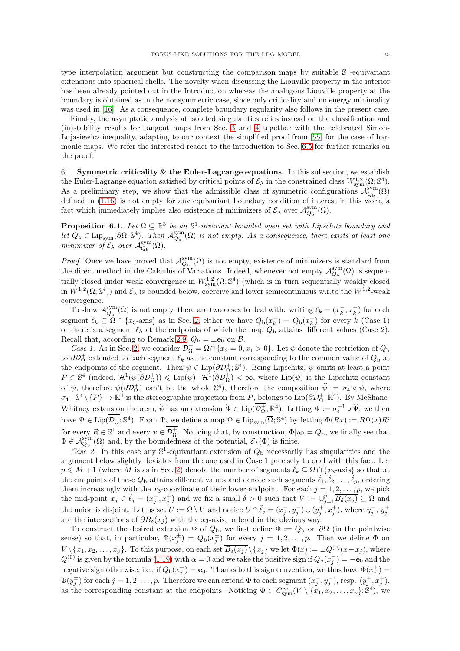type interpolation argument but constructing the comparison maps by suitable  $\mathbb{S}^1$ -equivariant extensions into spherical shells. The novelty when discussing the Liouville property in the interior has been already pointed out in the Introduction whereas the analogous Liouville property at the boundary is obtained as in the nonsymmetric case, since only criticality and no energy minimality was used in [\[16\]](#page-60-0). As a consequence, complete boundary regularity also follows in the present case.

Finally, the asymptotic analysis at isolated singularities relies instead on the classification and (in)stability results for tangent maps from Sec. [3](#page-14-0) and [4](#page-24-0) together with the celebrated Simon- Lojasiewicz inequality, adapting to our context the simplified proof from [\[55\]](#page-61-8) for the case of harmonic maps. We refer the interested reader to the introduction to Sec. [6.5](#page-39-0) for further remarks on the proof.

<span id="page-34-0"></span>6.1. Symmetric criticality  $&$  the Euler-Lagrange equations. In this subsection, we establish the Euler-Lagrange equation satisfied by critical points of  $\mathcal{E}_{\lambda}$  in the constrained class  $W^{1,2}_{sym}(\Omega; \mathbb{S}^4)$ . As a preliminary step, we show that the admissible class of symmetric configurations  $\mathcal{A}_{Q_{\rm b}}^{\rm sym}(\Omega)$ defined in [\(1.16\)](#page-3-2) is not empty for any equivariant boundary condition of interest in this work, a fact which immediately implies also existence of minimizers of  $\mathcal{E}_{\lambda}$  over  $\mathcal{A}_{Q_{\rm b}}^{\rm sym}(\Omega)$ .

<span id="page-34-1"></span>**Proposition 6.1.** Let  $\Omega \subseteq \mathbb{R}^3$  be an  $\mathbb{S}^1$ -invariant bounded open set with Lipschitz boundary and let  $Q_{b} \in \text{Lip}_{sym}(\partial \Omega; \mathbb{S}^{4})$ . Then  $\mathcal{A}_{Q_{b}}^{sym}(\Omega)$  is not empty. As a consequence, there exists at least one minimizer of  $\mathcal{E}_{\lambda}$  over  $\mathcal{A}_{Q_{\rm b}}^{\rm sym}(\Omega)$ .

*Proof.* Once we have proved that  $\mathcal{A}_{Q_b}^{sym}(\Omega)$  is not empty, existence of minimizers is standard from the direct method in the Calculus of Variations. Indeed, whenever not empty  $\mathcal{A}_{Q_{\rm b}}^{\rm sym}(\Omega)$  is sequentially closed under weak convergence in  $W^{1,2}_{sym}(\Omega; \mathbb{S}^4)$  (which is in turn sequentially weakly closed in  $W^{1,2}(\Omega;\mathbb{S}^4)$  and  $\mathcal{E}_\lambda$  is bounded below, coercive and lower semicontinuous w.r.to the  $W^{1,2}$ -weak convergence.

To show  $\mathcal{A}_{Q_{\rm b}}^{\rm sym}(\Omega)$  is not empty, there are two cases to deal with: writing  $\ell_k = (x_k^-, x_k^+)$  for each segment  $\ell_k \subseteq \Omega \cap \{x_3$ -axis} as in Sec. [2,](#page-9-0) either we have  $Q_{\text{b}}(x_k^-) = Q_{\text{b}}(x_k^+)$  for every k (Case 1) or there is a segment  $\ell_k$  at the endpoints of which the map  $Q_{\rm b}$  attains different values (Case 2). Recall that, according to Remark [2.9,](#page-12-3)  $Q_{\rm b} = \pm \mathbf{e}_0$  on  $\beta$ .

Case 1. As in Sec. [2,](#page-9-0) we consider  $\mathcal{D}_{\Omega}^+ = \Omega \cap \{x_2 = 0, x_1 > 0\}$ . Let  $\psi$  denote the restriction of  $Q_{\text{b}}$ to  $\partial \mathcal{D}_{\Omega}^+$  extended to each segment  $\ell_k$  as the constant corresponding to the common value of  $Q_{\text{b}}$  at the endpoints of the segment. Then  $\psi \in \text{Lip}(\partial \mathcal{D}_{\Omega}^+; \mathbb{S}^4)$ . Being Lipschitz,  $\psi$  omits at least a point  $P \in \mathbb{S}^4$  (indeed,  $\mathcal{H}^1(\psi(\partial \mathcal{D}_{\Omega}^+) ) \leqslant \text{Lip}(\psi) \cdot \mathcal{H}^1(\partial \mathcal{D}_{\Omega}^+) < \infty$ , where  $\text{Lip}(\psi)$  is the Lipschitz constant of  $\psi$ , therefore  $\psi(\partial \mathcal{D}_{\Omega}^+)$  can't be the whole  $\mathbb{S}^4$ ), therefore the composition  $\hat{\psi} := \sigma_4 \circ \psi$ , where  $\sigma_4: \mathbb{S}^4 \setminus \{P\} \to \mathbb{R}^4$  is the stereographic projection from  $P$ , belongs to  $\text{Lip}(\partial \mathcal{D}_{\Omega}^+; \mathbb{R}^4)$ . By McShane-Whitney extension theorem,  $\hat{\psi}$  has an extension  $\hat{\Psi} \in \text{Lip}(\overline{\mathcal{D}_{\Omega}}; \mathbb{R}^4)$ . Letting  $\Psi := \sigma_4^{-1} \circ \hat{\Psi}$ , we then have  $\Psi \in \text{Lip}(\overline{\mathcal{D}_{\Omega}^+}; \mathbb{S}^4)$ . From  $\Psi$ , we define a map  $\Phi \in \text{Lip}_{sym}(\overline{\Omega}; \mathbb{S}^4)$  by letting  $\Phi(Rx) := R\Psi(x)R^t$ for every  $R \in \mathbb{S}^1$  and every  $x \in \mathcal{D}^+_{\Omega}$ . Noticing that, by construction,  $\Phi|_{\partial\Omega} = Q_{\rm b}$ , we finally see that  $\Phi \in \mathcal{A}_{Q_{\rm b}}^{\rm sym}(\Omega)$  and, by the boundedness of the potential,  $\mathcal{E}_{\lambda}(\Phi)$  is finite.

Case 2. In this case any  $\mathbb{S}^1$ -equivariant extension of  $Q_b$  necessarily has singularities and the argument below slightly deviates from the one used in Case 1 precisely to deal with this fact. Let  $p \leq M + 1$  (where M is as in Sec. [2\)](#page-9-0) denote the number of segments  $\ell_k \subseteq \Omega \cap \{x_3$ -axis so that at the endpoints of these  $Q_{\rm b}$  attains different values and denote such segments  $\tilde{\ell}_1, \tilde{\ell}_2, \ldots, \tilde{\ell}_p$ , ordering them increasingly with the  $x_3$ -coordinate of their lower endpoint. For each  $j = 1, 2, \ldots, p$ , we pick the mid-point  $x_j \in \tilde{\ell}_j = (x_j^-, x_j^+)$  and we fix a small  $\delta > 0$  such that  $V := \bigcup_{j=1}^p \overline{B_{\delta}(x_j)} \subseteq \Omega$  and the union is disjoint. Let us set  $U := \Omega \setminus V$  and notice  $U \cap \tilde{\ell}_j = (x_j^-, y_j^-) \cup (y_j^+, x_j^+)$ , where  $y_j^-, y_j^+$ are the intersections of  $\partial B_{\delta}(x_j)$  with the x<sub>3</sub>-axis, ordered in the obvious way.

To construct the desired extension  $\Phi$  of  $Q_{\rm b}$ , we first define  $\Phi := Q_{\rm b}$  on  $\partial\Omega$  (in the pointwise sense) so that, in particular,  $\Phi(x_j^{\pm}) = Q_{\rm b}(x_j^{\pm})$  for every  $j = 1, 2, ..., p$ . Then we define  $\Phi$  on  $V \setminus \{x_1, x_2, \ldots, x_p\}$ . To this purpose, on each set  $\overline{B_\delta(x_j)} \setminus \{x_j\}$  we let  $\Phi(x) := \pm Q^{(0)}(x-x_j)$ , where  $Q^{(0)}$  is given by the formula [\(1.19\)](#page-3-5) with  $\alpha = 0$  and we take the positive sign if  $Q_{b}(x_j^{-}) = -e_0$  and the negative sign otherwise, i.e., if  $Q_b(x_j^-) = e_0$ . Thanks to this sign convention, we thus have  $\Phi(x_j^{\pm}) =$  $\Phi(y_j^{\pm})$  for each  $j=1,2,\ldots,p$ . Therefore we can extend  $\Phi$  to each segment  $(x_j^-, y_j^-)$ , resp.  $(y_j^+, x_j^+)$ , as the corresponding constant at the endpoints. Noticing  $\Phi \in C_{sym}^{\infty}(V \setminus \{x_1, x_2, \ldots, x_p\}; \mathbb{S}^4)$ , we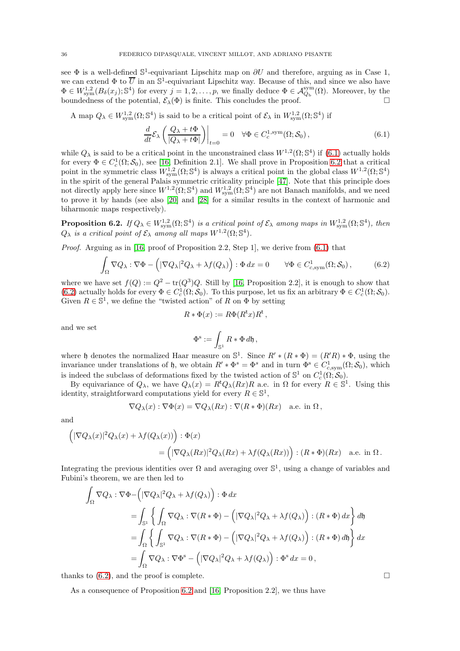see  $\Phi$  is a well-defined  $\mathbb{S}^1$ -equivariant Lipschitz map on  $\partial U$  and therefore, arguing as in Case 1, we can extend  $\Phi$  to  $\overline{U}$  in an  $\mathbb{S}^1$ -equivariant Lipschitz way. Because of this, and since we also have  $\Phi \in W^{1,2}_{sym}(B_\delta(x_j);\mathbb{S}^4)$  for every  $j=1,2,\ldots,p$ , we finally deduce  $\Phi \in \mathcal{A}_{Q_{\rm b}}^{sym}(\Omega)$ . Moreover, by the boundedness of the potential,  $\mathcal{E}_{\lambda}(\Phi)$  is finite. This concludes the proof.

A map  $Q_{\lambda} \in W^{1,2}_{sym}(\Omega; \mathbb{S}^4)$  is said to be a critical point of  $\mathcal{E}_{\lambda}$  in  $W^{1,2}_{sym}(\Omega; \mathbb{S}^4)$  if

<span id="page-35-1"></span>
$$
\frac{d}{dt}\mathcal{E}_{\lambda}\left(\frac{Q_{\lambda}+t\Phi}{|Q_{\lambda}+t\Phi|}\right)\Big|_{t=0} = 0 \quad \forall \Phi \in C_c^{1,\text{sym}}(\Omega; \mathcal{S}_0),\tag{6.1}
$$

while  $Q_{\lambda}$  is said to be a critical point in the unconstrained class  $W^{1,2}(\Omega; \mathbb{S}^4)$  if  $(6.1)$  actually holds for every  $\Phi \in C_c^1(\Omega; \mathcal{S}_0)$ , see [\[16,](#page-60-0) Definition 2.1]. We shall prove in Proposition [6.2](#page-35-0) that a critical point in the symmetric class  $W^{1,2}_{sym}(\Omega; \mathbb{S}^4)$  is always a critical point in the global class  $W^{1,2}(\Omega; \mathbb{S}^4)$ in the spirit of the general Palais symmetric criticality principle [\[47\]](#page-61-32). Note that this principle does not directly apply here since  $W^{1,2}(\Omega; \mathbb{S}^4)$  and  $W^{1,2}_{sym}(\Omega; \mathbb{S}^4)$  are not Banach manifolds, and we need to prove it by hands (see also [\[20\]](#page-60-18) and [\[28\]](#page-61-22) for a similar results in the context of harmonic and biharmonic maps respectively).

<span id="page-35-0"></span>**Proposition 6.2.** If  $Q_{\lambda} \in W^{1,2}_{sym}(\Omega; \mathbb{S}^4)$  is a critical point of  $\mathcal{E}_{\lambda}$  among maps in  $W^{1,2}_{sym}(\Omega; \mathbb{S}^4)$ , then  $Q_{\lambda}$  is a critical point of  $\mathcal{E}_{\lambda}$  among all maps  $W^{1,2}(\Omega; \mathbb{S}^{4})$ .

*Proof.* Arguing as in [\[16,](#page-60-0) proof of Proposition 2.2, Step 1], we derive from  $(6.1)$  that

<span id="page-35-2"></span>
$$
\int_{\Omega} \nabla Q_{\lambda} : \nabla \Phi - \left( |\nabla Q_{\lambda}|^2 Q_{\lambda} + \lambda f(Q_{\lambda}) \right) : \Phi \, dx = 0 \qquad \forall \Phi \in C^1_{c, \text{sym}}(\Omega; \mathcal{S}_0), \tag{6.2}
$$

where we have set  $f(Q) := Q^2 - \text{tr}(Q^3)Q$ . Still by [\[16,](#page-60-0) Proposition 2.2], it is enough to show that [\(6.2\)](#page-35-2) actually holds for every  $\Phi \in C_c^1(\Omega; \mathcal{S}_0)$ . To this purpose, let us fix an arbitrary  $\Phi \in C_c^1(\Omega; \mathcal{S}_0)$ . Given  $R \in \mathbb{S}^1$ , we define the "twisted action" of R on  $\Phi$  by setting

$$
R\ast\Phi(x):=R\Phi(R^{\bf t}x)R^{\bf t}\,,
$$

and we set

$$
\Phi^{\rm s}:=\int_{\mathbb{S}^1} R\ast \Phi\, d\mathfrak{h}\,,
$$

where h denotes the normalized Haar measure on  $\mathbb{S}^1$ . Since  $R' * (R * \Phi) = (R'R) * \Phi$ , using the invariance under translations of h, we obtain  $R' * \Phi^s = \Phi^s$  and in turn  $\Phi^s \in C^1_{c, sym}(\Omega; \mathcal{S}_0)$ , which is indeed the subclass of deformations fixed by the twisted action of  $\mathbb{S}^1$  on  $C_c^1(\Omega; \mathcal{S}_0)$ .

By equivariance of  $Q_{\lambda}$ , we have  $Q_{\lambda}(x) = R^{\mathsf{t}}Q_{\lambda}(Rx)R$  a.e. in  $\Omega$  for every  $R \in \mathbb{S}^1$ . Using this identity, straightforward computations yield for every  $R \in \mathbb{S}^1$ ,

$$
\nabla Q_{\lambda}(x) : \nabla \Phi(x) = \nabla Q_{\lambda}(Rx) : \nabla (R * \Phi)(Rx) \quad \text{a.e. in } \Omega,
$$

and

$$
\begin{aligned} \Big(|\nabla Q_\lambda(x)|^2 Q_\lambda(x) + \lambda f(Q_\lambda(x))\Big) : \Phi(x) \\ &= \Big(|\nabla Q_\lambda(Rx)|^2 Q_\lambda(Rx) + \lambda f(Q_\lambda(Rx))\Big) : (R \ast \Phi)(Rx) \quad \text{a.e. in } \Omega \,. \end{aligned}
$$

Integrating the previous identities over  $\Omega$  and averaging over  $\mathbb{S}^1$ , using a change of variables and Fubini's theorem, we are then led to

$$
\int_{\Omega} \nabla Q_{\lambda} : \nabla \Phi - \left( |\nabla Q_{\lambda}|^{2} Q_{\lambda} + \lambda f(Q_{\lambda}) \right) : \Phi dx
$$
\n
$$
= \int_{\mathbb{S}^{1}} \left\{ \int_{\Omega} \nabla Q_{\lambda} : \nabla (R * \Phi) - \left( |\nabla Q_{\lambda}|^{2} Q_{\lambda} + \lambda f(Q_{\lambda}) \right) : (R * \Phi) dx \right\} d\mathfrak{h}
$$
\n
$$
= \int_{\Omega} \left\{ \int_{\mathbb{S}^{1}} \nabla Q_{\lambda} : \nabla (R * \Phi) - \left( |\nabla Q_{\lambda}|^{2} Q_{\lambda} + \lambda f(Q_{\lambda}) \right) : (R * \Phi) d\mathfrak{h} \right\} dx
$$
\n
$$
= \int_{\Omega} \nabla Q_{\lambda} : \nabla \Phi^{s} - \left( |\nabla Q_{\lambda}|^{2} Q_{\lambda} + \lambda f(Q_{\lambda}) \right) : \Phi^{s} dx = 0,
$$

thanks to  $(6.2)$ , and the proof is complete.

As a consequence of Proposition [6.2](#page-35-0) and [\[16,](#page-60-0) Proposition 2.2], we thus have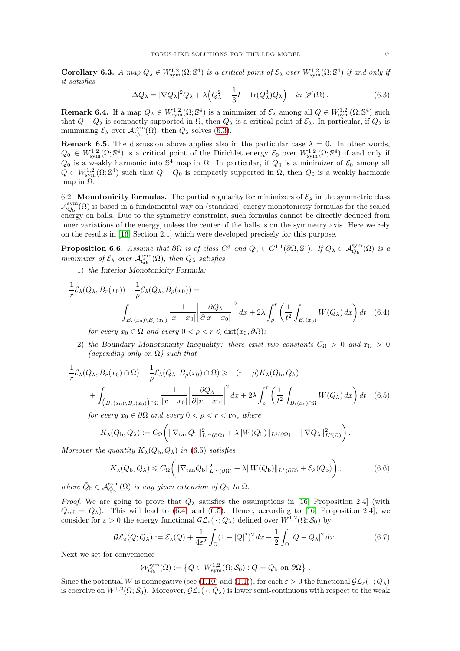<span id="page-36-6"></span>Corollary 6.3. A map  $Q_{\lambda} \in W^{1,2}_{sym}(\Omega; \mathbb{S}^4)$  is a critical point of  $\mathcal{E}_{\lambda}$  over  $W^{1,2}_{sym}(\Omega; \mathbb{S}^4)$  if and only if it satisfies

<span id="page-36-1"></span>
$$
-\Delta Q_{\lambda} = |\nabla Q_{\lambda}|^2 Q_{\lambda} + \lambda \Big(Q_{\lambda}^2 - \frac{1}{3}I - \text{tr}(Q_{\lambda}^3)Q_{\lambda}\Big) \quad \text{in } \mathscr{D}'(\Omega). \tag{6.3}
$$

**Remark 6.4.** If a map  $Q_{\lambda} \in W^{1,2}_{sym}(\Omega; \mathbb{S}^4)$  is a minimizer of  $\mathcal{E}_{\lambda}$  among all  $Q \in W^{1,2}_{sym}(\Omega; \mathbb{S}^4)$  such that  $Q - Q_{\lambda}$  is compactly supported in  $\Omega$ , then  $Q_{\lambda}$  is a critical point of  $\mathcal{E}_{\lambda}$ . In particular, if  $Q_{\lambda}$  is minimizing  $\mathcal{E}_{\lambda}$  over  $\mathcal{A}_{Q_{\rm b}}^{\rm sym}(\Omega)$ , then  $Q_{\lambda}$  solves [\(6.3\)](#page-36-1).

<span id="page-36-5"></span>**Remark 6.5.** The discussion above applies also in the particular case  $\lambda = 0$ . In other words,  $Q_0 \in W^{1,2}_{sym}(\Omega; \mathbb{S}^4)$  is a critical point of the Dirichlet energy  $\mathcal{E}_0$  over  $W^{1,2}_{sym}(\Omega; \mathbb{S}^4)$  if and only if  $Q_0$  is a weakly harmonic into  $\mathbb{S}^4$  map in  $\Omega$ . In particular, if  $Q_0$  is a minimizer of  $\mathcal{E}_0$  among all  $Q \in W^{1,2}_{sym}(\Omega; \mathbb{S}^4)$  such that  $Q - Q_0$  is compactly supported in  $\Omega$ , then  $Q_0$  is a weakly harmonic map in  $\Omega$ .

<span id="page-36-0"></span>6.2. **Monotonicity formulas.** The partial regularity for minimizers of  $\mathcal{E}_{\lambda}$  in the symmetric class  $\mathcal{A}_{Q_{\rm b}}^{\rm sym}(\Omega)$  is based in a fundamental way on (standard) energy monotonicity formulas for the scaled energy on balls. Due to the symmetry constraint, such formulas cannot be directly deduced from inner variations of the energy, unless the center of the balls is on the symmetry axis. Here we rely on the results in [\[16,](#page-60-0) Section 2.1] which were developed precisely for this purpose.

<span id="page-36-7"></span>**Proposition 6.6.** Assume that  $\partial\Omega$  is of class  $C^3$  and  $Q_b \in C^{1,1}(\partial\Omega, \mathbb{S}^4)$ . If  $Q_\lambda \in \mathcal{A}_{Q_b}^{sym}(\Omega)$  is a minimizer of  $\mathcal{E}_{\lambda}$  over  $\mathcal{A}_{Q_{\rm b}}^{\rm sym}(\Omega)$ , then  $Q_{\lambda}$  satisfies

1) the Interior Monotonicity Formula:

$$
\frac{1}{r}\mathcal{E}_{\lambda}(Q_{\lambda}, B_r(x_0)) - \frac{1}{\rho}\mathcal{E}_{\lambda}(Q_{\lambda}, B_{\rho}(x_0)) =
$$
\n
$$
\int_{B_r(x_0)\backslash B_{\rho}(x_0)} \frac{1}{|x - x_0|} \left| \frac{\partial Q_{\lambda}}{\partial |x - x_0|} \right|^2 dx + 2\lambda \int_{\rho}^r \left( \frac{1}{t^2} \int_{B_t(x_0)} W(Q_{\lambda}) dx \right) dt \quad (6.4)
$$

<span id="page-36-3"></span>for every  $x_0 \in \Omega$  and every  $0 < \rho < r \leq \text{dist}(x_0, \partial \Omega)$ ;

2) the Boundary Monotonicity Inequality: there exist two constants  $C_{\Omega} > 0$  and  $\mathbf{r}_{\Omega} > 0$ (depending only on  $\Omega$ ) such that

$$
\frac{1}{r}\mathcal{E}_{\lambda}(Q_{\lambda}, B_{r}(x_{0}) \cap \Omega) - \frac{1}{\rho}\mathcal{E}_{\lambda}(Q_{\lambda}, B_{\rho}(x_{0}) \cap \Omega) \ge -(r - \rho)K_{\lambda}(Q_{b}, Q_{\lambda})
$$
\n
$$
+ \int_{\left(B_{r}(x_{0}) \setminus B_{\rho}(x_{0})\right) \cap \Omega} \frac{1}{|x - x_{0}|} \left| \frac{\partial Q_{\lambda}}{\partial |x - x_{0}|} \right|^{2} dx + 2\lambda \int_{\rho}^{r} \left(\frac{1}{t^{2}} \int_{B_{t}(x_{0}) \cap \Omega} W(Q_{\lambda}) dx\right) dt \quad (6.5)
$$

for every  $x_0 \in \partial \Omega$  and every  $0 < \rho < r < \mathbf{r}_\Omega$ , where

$$
K_{\lambda}(Q_{\mathrm{b}},Q_{\lambda}) := C_{\Omega}\bigg(\|\nabla_{\tan}Q_{\mathrm{b}}\|_{L^{\infty}(\partial\Omega)}^2 + \lambda \|W(Q_{\mathrm{b}})\|_{L^1(\partial\Omega)} + \|\nabla Q_{\lambda}\|_{L^2(\Omega)}^2\bigg)\,.
$$

Moreover the quantity  $K_{\lambda}(Q_{\rm b}, Q_{\lambda})$  in [\(6.5\)](#page-36-2) satisfies

<span id="page-36-4"></span><span id="page-36-2"></span>
$$
K_{\lambda}(Q_{\rm b}, Q_{\lambda}) \leq C_{\Omega}\left(\|\nabla_{\tan}Q_{\rm b}\|_{L^{\infty}(\partial\Omega)}^2 + \lambda \|W(Q_{\rm b})\|_{L^{1}(\partial\Omega)} + \mathcal{E}_{\lambda}(\bar{Q}_{\rm b})\right),\tag{6.6}
$$

where  $\overline{Q}_{\text{b}} \in \mathcal{A}_{Q_{\text{b}}}^{\text{sym}}(\Omega)$  is any given extension of  $Q_{\text{b}}$  to  $\Omega$ .

*Proof.* We are going to prove that  $Q_{\lambda}$  satisfies the assumptions in [\[16,](#page-60-0) Proposition 2.4] (with  $Q_{\text{ref}} = Q_{\lambda}$ . This will lead to [\(6.4\)](#page-36-3) and [\(6.5\)](#page-36-2). Hence, according to [\[16,](#page-60-0) Proposition 2.4], we consider for  $\varepsilon > 0$  the energy functional  $\mathcal{GL}_{\varepsilon}(\cdot; Q_{\lambda})$  defined over  $W^{1,2}(\Omega; \mathcal{S}_0)$  by

$$
\mathcal{GL}_{\varepsilon}(Q;Q_{\lambda}) := \mathcal{E}_{\lambda}(Q) + \frac{1}{4\varepsilon^{2}} \int_{\Omega} (1 - |Q|^{2})^{2} dx + \frac{1}{2} \int_{\Omega} |Q - Q_{\lambda}|^{2} dx.
$$
 (6.7)

Next we set for convenience

$$
\mathcal{W}_{Q_{\mathrm{b}}}^{\mathrm{sym}}(\Omega):=\left\{Q\in W^{1,2}_{\mathrm{sym}}(\Omega;\mathcal{S}_0):Q=Q_{\mathrm{b}}\text{ on }\partial\Omega\right\}\,.
$$

Since the potential W is nonnegative (see [\(1.10\)](#page-2-3) and [\(1.1\)](#page-1-2)), for each  $\varepsilon > 0$  the functional  $\mathcal{GL}_{\varepsilon}(\cdot; Q_{\lambda})$ is coercive on  $W^{1,2}(\Omega; \mathcal{S}_0)$ . Moreover,  $\mathcal{GL}_{\varepsilon}(\cdot; Q_\lambda)$  is lower semi-continuous with respect to the weak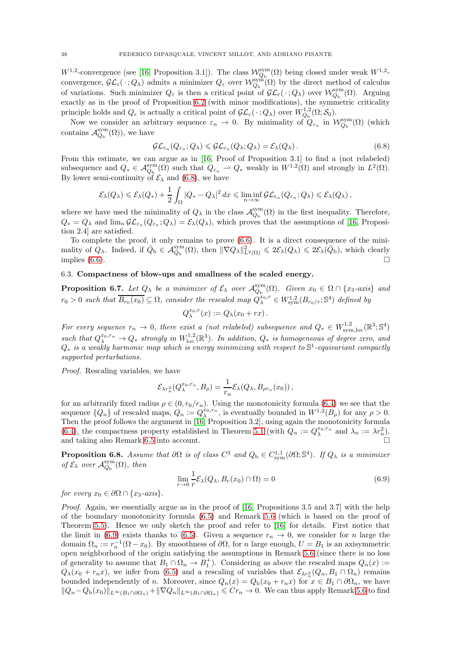$W^{1,2}$ -convergence (see [\[16,](#page-60-0) Proposition 3.1]). The class  $\mathcal{W}_{Q_{\rm b}}^{\rm sym}(\Omega)$  being closed under weak  $W^{1,2}$ convergence,  $\mathcal{GL}_{\varepsilon}(\cdot; Q_{\lambda})$  admits a minimizer  $Q_{\varepsilon}$  over  $\mathcal{W}_{Q_{\rm b}}^{\text{sym}}(\Omega)$  by the direct method of calculus of variations. Such minimizer  $Q_{\varepsilon}$  is then a critical point of  $\mathcal{GL}_{\varepsilon}(\cdot; Q_{\lambda})$  over  $\mathcal{W}_{Q_{\rm b}}^{\rm sym}(\Omega)$ . Arguing exactly as in the proof of Proposition [6.2](#page-35-0) (with minor modifications), the symmetric criticality principle holds and  $Q_{\varepsilon}$  is actually a critical point of  $\mathcal{GL}_{\varepsilon}(\cdot; Q_{\lambda})$  over  $W_{Q_{\rm b}}^{1,2}(\Omega; \mathcal{S}_0)$ .

Now we consider an arbitrary sequence  $\varepsilon_n \to 0$ . By minimality of  $Q_{\varepsilon_n}$  in  $\mathcal{W}_{Q_{\rm b}}^{\rm sym}(\Omega)$  (which contains  $\mathcal{A}_{Q_{\rm b}}^{\rm sym}(\Omega)$ ), we have

<span id="page-37-1"></span>
$$
\mathcal{GL}_{\varepsilon_n}(Q_{\varepsilon_n}; Q_\lambda) \leqslant \mathcal{GL}_{\varepsilon_n}(Q_\lambda; Q_\lambda) = \mathcal{E}_\lambda(Q_\lambda).
$$
 (6.8)

From this estimate, we can argue as in [\[16,](#page-60-0) Proof of Proposition 3.1] to find a (not relabeled) subsequence and  $Q_* \in \mathcal{A}_{Q_b}^{sym}(\Omega)$  such that  $Q_{\varepsilon_n} \rightharpoonup Q_*$  weakly in  $W^{1,2}(\Omega)$  and strongly in  $L^2(\Omega)$ . By lower semi-continuity of  $\mathcal{E}_{\lambda}$  and [\(6.8\)](#page-37-1), we have

$$
\mathcal{E}_{\lambda}(Q_{\lambda}) \leqslant \mathcal{E}_{\lambda}(Q_{*}) + \frac{1}{2} \int_{\Omega} |Q_{*} - Q_{\lambda}|^{2} dx \leqslant \liminf_{n \to \infty} \mathcal{GL}_{\varepsilon_{n}}(Q_{\varepsilon_{n}}; Q_{\lambda}) \leqslant \mathcal{E}_{\lambda}(Q_{\lambda}),
$$

where we have used the minimality of  $Q_{\lambda}$  in the class  $\mathcal{A}_{Q_{\rm b}}^{\rm sym}(\Omega)$  in the first inequality. Therefore,  $Q_* = Q_\lambda$  and  $\lim_n \mathcal{GL}_{\varepsilon_n}(Q_{\varepsilon_n}; Q_\lambda) = \mathcal{E}_\lambda(Q_\lambda)$ , which proves that the assumptions of [\[16,](#page-60-0) Proposition 2.4] are satisfied.

To complete the proof, it only remains to prove [\(6.6\)](#page-36-4). It is a direct consequence of the minimality of  $Q_{\lambda}$ . Indeed, if  $\bar{Q}_{\mathrm{b}} \in \mathcal{A}_{Q_{\mathrm{b}}}^{\mathrm{sym}}(\Omega)$ , then  $\|\nabla Q_{\lambda}\|_{L^{2}(\Omega)}^{2} \leq 2\mathcal{E}_{\lambda}(Q_{\lambda}) \leq 2\mathcal{E}_{\lambda}(\bar{Q}_{\mathrm{b}})$ , which clearly implies  $(6.6)$ .

## <span id="page-37-0"></span>6.3. Compactness of blow-ups and smallness of the scaled energy.

<span id="page-37-4"></span>**Proposition 6.7.** Let  $Q_{\lambda}$  be a minimizer of  $\mathcal{E}_{\lambda}$  over  $\mathcal{A}_{Q_{\rm b}}^{\rm sym}(\Omega)$ . Given  $x_0 \in \Omega \cap \{x_3$ -axis} and  $r_0 > 0$  such that  $\overline{B_{r_0}(x_0)} \subseteq \Omega$ , consider the rescaled map  $Q_{\lambda}^{x_0,r} \in W^{1,2}_{sym}(B_{r_0/r}; \mathbb{S}^4)$  defined by  $Q_{\lambda}^{x_0,r}(x) := Q_{\lambda}(x_0 + rx).$ 

For every sequence  $r_n \to 0$ , there exist a (not relabeled) subsequence and  $Q_* \in W^{1,2}_{sym,loc}(\mathbb{R}^3;\mathbb{S}^4)$ such that  $Q_{\lambda}^{x_0,r_n} \to Q_*$  strongly in  $W^{1,2}_{\text{loc}}(\mathbb{R}^3)$ . In addition,  $Q_*$  is homogeneous of degree zero, and  $Q_*$  is a weakly harmonic map which is energy minimizing with respect to  $\mathbb{S}^1$ -equivariant compactly supported perturbations.

Proof. Rescaling variables, we have

$$
\mathcal{E}_{\lambda r_n^2}(Q_\lambda^{x_0,r_n},B_\rho)=\frac{1}{r_n}\mathcal{E}_\lambda(Q_\lambda,B_{\rho r_n}(x_0)),
$$

for an arbitrarily fixed radius  $\rho \in (0, r_0/r_n)$ . Using the monotonicity formula [\(6.4\)](#page-36-3) we see that the sequence  $\{Q_n\}$  of rescaled maps,  $Q_n := Q_{\lambda}^{x_0, r_n}$ , is eventually bounded in  $W^{1,2}(B_\rho)$  for any  $\rho > 0$ . Then the proof follows the argument in [\[16,](#page-60-0) Proposition 3.2], using again the monotonicity formula [\(6.4\)](#page-36-3), the compactness property established in Theorem [5.1](#page-29-4) (with  $Q_n := Q_{\lambda}^{x_0, r_n}$  and  $\lambda_n := \lambda r_n^2$ ), and taking also Remark [6.5](#page-36-5) into account.

<span id="page-37-3"></span>**Proposition 6.8.** Assume that  $\partial\Omega$  is of class  $C^3$  and  $Q_b \in C^{1,1}_{sym}(\partial\Omega; \mathbb{S}^4)$ . If  $Q_\lambda$  is a minimizer of  $\mathcal{E}_{\lambda}$  over  $\mathcal{A}_{Q_{\rm b}}^{\rm sym}(\Omega)$ , then

<span id="page-37-2"></span>
$$
\lim_{r \to 0} \frac{1}{r} \mathcal{E}_{\lambda}(Q_{\lambda}, B_r(x_0) \cap \Omega) = 0
$$
\n(6.9)

for every  $x_0 \in \partial\Omega \cap \{x_3 \text{-axis}\}.$ 

Proof. Again, we essentially argue as in the proof of [\[16,](#page-60-0) Propositions 3.5 and 3.7] with the help of the boundary monotonicity formula [\(6.5\)](#page-36-2) and Remark [5.6](#page-33-1) (which is based on the proof of Theorem [5.5\)](#page-32-6). Hence we only sketch the proof and refer to [\[16\]](#page-60-0) for details. First notice that the limit in [\(6.9\)](#page-37-2) exists thanks to [\(6.5\)](#page-36-2). Given a sequence  $r_n \to 0$ , we consider for n large the domain  $\Omega_n := r_n^{-1}(\Omega - x_0)$ . By smoothness of  $\partial\Omega$ , for n large enough,  $U = B_1$  is an axisymmetric open neighborhood of the origin satisfying the assumptions in Remark [5.6](#page-33-1) (since there is no loss of generality to assume that  $B_1 \cap \Omega_n \to B_1^+$ . Considering as above the rescaled maps  $Q_n(x) :=$  $Q_{\lambda}(x_0+r_n x)$ , we infer from [\(6.5\)](#page-36-2) and a rescaling of variables that  $\mathcal{E}_{\lambda r_n^2}(Q_n, B_1 \cap \Omega_n)$  remains bounded independently of n. Moreover, since  $Q_n(x) = Q_b(x_0 + r_n x)$  for  $x \in B_1 \cap \partial \Omega_n$ , we have  $||Q_n-Q_b(x_0)||_{L^\infty(B_1\cap\partial\Omega_n)}+||\nabla Q_n||_{L^\infty(B_1\cap\partial\Omega_n)}\leqslant Cr_n\to 0.$  We can thus apply Remark [5.6](#page-33-1) to find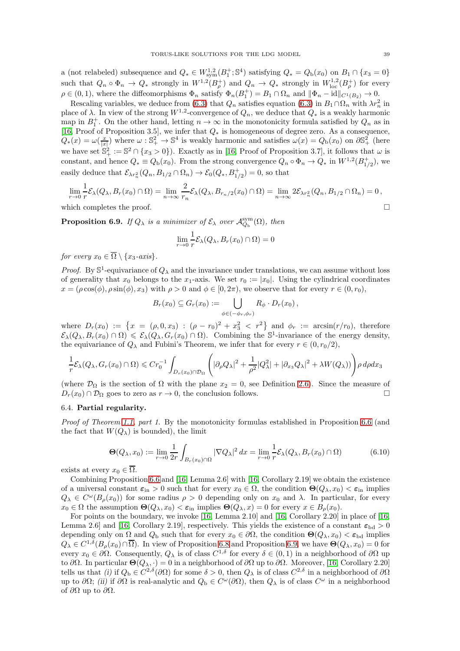a (not relabeled) subsequence and  $Q_* \in W^{1,2}_{sym}(B_1^+; \mathbb{S}^4)$  satisfying  $Q_* = Q_{\rm b}(x_0)$  on  $B_1 \cap \{x_3 = 0\}$ such that  $Q_n \circ \Phi_n \to Q_*$  strongly in  $W^{1,2}(B_\rho^+)$  and  $Q_n \to Q_*$  strongly in  $W^{1,2}_{loc}(B_\rho^+)$  for every  $\rho \in (0,1)$ , where the diffeomorphisms  $\Phi_n$  satisfy  $\Phi_n(B_1^+) = B_1 \cap \Omega_n$  and  $\|\Phi_n - \text{id}\|_{C^1(B_2)} \to 0$ .

Rescaling variables, we deduce from [\(6.3\)](#page-36-1) that  $Q_n$  satisfies equation (6.3) in  $B_1 \cap \Omega_n$  with  $\lambda r_n^2$  in place of  $\lambda$ . In view of the strong  $W^{1,2}$ -convergence of  $Q_n$ , we deduce that  $Q_*$  is a weakly harmonic map in  $B_1^+$ . On the other hand, letting  $n \to \infty$  in the monotonicity formula satisfied by  $Q_n$  as in [\[16,](#page-60-0) Proof of Proposition 3.5], we infer that Q<sup>∗</sup> is homogeneous of degree zero. As a consequence,  $Q_*(x) = \omega(\frac{x}{|x|})$  where  $\omega : \mathbb{S}^2_+ \to \mathbb{S}^4$  is weakly harmonic and satisfies  $\omega(x) = Q_b(x_0)$  on  $\partial \mathbb{S}^2_+$  (here we have set  $\mathbb{S}^2_+ := \mathbb{S}^2 \cap \{x_3 > 0\}$ . Exactly as in [\[16,](#page-60-0) Proof of Proposition 3.7], it follows that  $\omega$  is constant, and hence  $Q_* \equiv Q_{\rm b}(x_0)$ . From the strong convergence  $Q_n \circ \Phi_n \to Q_*$  in  $W^{1,2}(B_{1/2}^+)$ , we easily deduce that  $\mathcal{E}_{\lambda r_n^2}(Q_n, B_{1/2} \cap \Omega_n) \to \mathcal{E}_0(Q_*, B_{1/2}^+) = 0$ , so that

$$
\lim_{r \to 0} \frac{1}{r} \mathcal{E}_{\lambda}(Q_{\lambda}, B_r(x_0) \cap \Omega) = \lim_{n \to \infty} \frac{2}{r_n} \mathcal{E}_{\lambda}(Q_{\lambda}, B_{r_n/2}(x_0) \cap \Omega) = \lim_{n \to \infty} 2 \mathcal{E}_{\lambda r_n^2}(Q_n, B_{1/2} \cap \Omega_n) = 0,
$$

which completes the proof.  $\square$ 

<span id="page-38-1"></span>**Proposition 6.9.** If  $Q_{\lambda}$  is a minimizer of  $\mathcal{E}_{\lambda}$  over  $\mathcal{A}_{Q_{\rm b}}^{\rm sym}(\Omega)$ , then

$$
\lim_{r \to 0} \frac{1}{r} \mathcal{E}_{\lambda}(Q_{\lambda}, B_r(x_0) \cap \Omega) = 0
$$

for every  $x_0 \in \overline{\Omega} \setminus \{x_3 \text{-axis}\}.$ 

*Proof.* By  $\mathbb{S}^1$ -equivariance of  $Q_\lambda$  and the invariance under translations, we can assume without loss of generality that  $x_0$  belongs to the  $x_1$ -axis. We set  $r_0 := |x_0|$ . Using the cylindrical coordinates  $x = (\rho \cos(\phi), \rho \sin(\phi), x_3)$  with  $\rho > 0$  and  $\phi \in [0, 2\pi)$ , we observe that for every  $r \in (0, r_0)$ ,

$$
B_r(x_0) \subseteq G_r(x_0) := \bigcup_{\phi \in (-\phi_r, \phi_r)} R_\phi \cdot D_r(x_0),
$$

where  $D_r(x_0) := \{x = (\rho, 0, x_3) : (\rho - r_0)^2 + x_3^2 < r^2\}$  and  $\phi_r := \arcsin(r/r_0)$ , therefore  $\mathcal{E}_{\lambda}(Q_{\lambda}, B_r(x_0) \cap \Omega) \leq \mathcal{E}_{\lambda}(Q_{\lambda}, G_r(x_0) \cap \Omega)$ . Combining the  $\mathbb{S}^1$ -invariance of the energy density, the equivariance of  $Q_{\lambda}$  and Fubini's Theorem, we infer that for every  $r \in (0, r_0/2)$ ,

$$
\frac{1}{r}\mathcal{E}_\lambda(Q_\lambda, G_r(x_0)\cap\Omega)\leqslant Cr_0^{-1}\int_{D_r(x_0)\cap\mathcal{D}_\Omega}\Bigg(|\partial_\rho Q_\lambda|^2+\frac{1}{\rho^2}|Q_\lambda^2|+|\partial_{x_3}Q_\lambda|^2+\lambda W(Q_\lambda))\Bigg)\rho\,d\rho dx_3
$$

(where  $\mathcal{D}_{\Omega}$  is the section of  $\Omega$  with the plane  $x_2 = 0$ , see Definition [2.6\)](#page-11-7). Since the measure of  $D_{\Omega}(x_0) \cap \mathcal{D}_{\Omega}$  goes to zero as  $r \to 0$  the conclusion follows  $D_r(x_0) \cap \mathcal{D}_{\Omega}$  goes to zero as  $r \to 0$ , the conclusion follows.

### <span id="page-38-0"></span>6.4. Partial regularity.

Proof of Theorem [1.1,](#page-3-3) part 1. By the monotonicity formulas established in Proposition [6.6](#page-36-7) (and the fact that  $W(Q_{\lambda})$  is bounded), the limit

<span id="page-38-2"></span>
$$
\Theta(Q_{\lambda}, x_0) := \lim_{r \to 0} \frac{1}{2r} \int_{B_r(x_0) \cap \Omega} |\nabla Q_{\lambda}|^2 dx = \lim_{r \to 0} \frac{1}{r} \mathcal{E}_{\lambda}(Q_{\lambda}, B_r(x_0) \cap \Omega) \tag{6.10}
$$

exists at every  $x_0 \in \overline{\Omega}$ .

Combining Proposition [6.6](#page-36-7) and [\[16,](#page-60-0) Lemma 2.6] with [\[16,](#page-60-0) Corollary 2.19] we obtain the existence of a universal constant  $\varepsilon_{\text{in}} > 0$  such that for every  $x_0 \in \Omega$ , the condition  $\Theta(Q_\lambda, x_0) < \varepsilon_{\text{in}}$  implies  $Q_{\lambda} \in C^{\omega}(B_{\rho}(x_0))$  for some radius  $\rho > 0$  depending only on  $x_0$  and  $\lambda$ . In particular, for every  $x_0 \in \Omega$  the assumption  $\Theta(Q_\lambda, x_0) < \varepsilon_{\text{in}}$  implies  $\Theta(Q_\lambda, x) = 0$  for every  $x \in B_\rho(x_0)$ .

For points on the boundary, we invoke [\[16,](#page-60-0) Lemma 2.10] and [\[16,](#page-60-0) Corollary 2.20] in place of [\[16,](#page-60-0) Lemma 2.6] and [\[16,](#page-60-0) Corollary 2.19], respectively. This yields the existence of a constant  $\varepsilon_{\text{bd}} > 0$ depending only on  $\Omega$  and  $Q_{\rm b}$  such that for every  $x_0 \in \partial\Omega$ , the condition  $\Theta(Q_{\lambda}, x_0) < \varepsilon_{\rm bd}$  implies  $Q_{\lambda} \in C^{1,\delta}(B_{\rho}(x_0) \cap \overline{\Omega})$ . In view of Proposition [6.8](#page-37-3) and Proposition [6.9,](#page-38-1) we have  $\Theta(Q_{\lambda}, x_0) = 0$  for every  $x_0 \in \partial\Omega$ . Consequently,  $Q_\lambda$  is of class  $C^{1,\delta}$  for every  $\delta \in (0,1)$  in a neighborhood of  $\partial\Omega$  up to ∂Ω. In particular  $\Theta(Q_\lambda, \cdot) = 0$  in a neighborhood of  $\partial\Omega$  up to  $\partial\Omega$ . Moreover, [\[16,](#page-60-0) Corollary 2.20] tells us that (i) if  $Q_{\rm b} \in C^{2,\delta}(\partial\Omega)$  for some  $\delta > 0$ , then  $Q_{\lambda}$  is of class  $C^{2,\delta}$  in a neighborhood of  $\partial\Omega$ up to  $\partial\Omega$ ; (ii) if  $\partial\Omega$  is real-analytic and  $Q_{\rm b} \in C^{\omega}(\partial\Omega)$ , then  $Q_{\lambda}$  is of class  $C^{\omega}$  in a neighborhood of  $\partial\Omega$  up to  $\partial\Omega$ .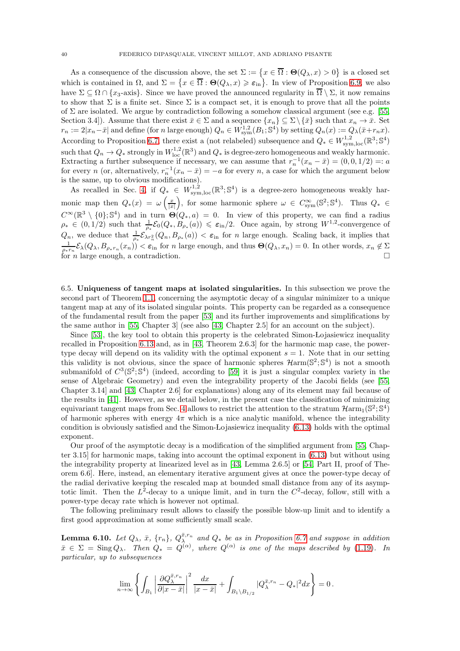As a consequence of the discussion above, the set  $\Sigma := \{x \in \overline{\Omega} : \Theta(Q_\lambda, x) > 0\}$  is a closed set which is contained in  $\Omega$ , and  $\Sigma = \{x \in \overline{\Omega} : \Theta(Q_\lambda, x) \geqslant \varepsilon_{\text{in}}\}$ . In view of Proposition [6.9,](#page-38-1) we also have  $\Sigma \subset \Omega \cap \{x_3$ -axis}. Since we have proved the announced regularity in  $\overline{\Omega} \setminus \Sigma$ , it now remains to show that  $\Sigma$  is a finite set. Since  $\Sigma$  is a compact set, it is enough to prove that all the points of  $\Sigma$  are isolated. We argue by contradiction following a somehow classical argument (see e.g. [\[55,](#page-61-8) Section 3.4]). Assume that there exist  $\bar{x} \in \Sigma$  and a sequence  $\{x_n\} \subseteq \Sigma \setminus {\bar{x}}$  such that  $x_n \to \bar{x}$ . Set  $r_n := 2|x_n - \bar{x}|$  and define (for n large enough)  $Q_n \in W^{1,2}_{sym}(B_1; \mathbb{S}^4)$  by setting  $Q_n(x) := Q_{\lambda}(\bar{x} + r_n x)$ . According to Proposition [6.7,](#page-37-4) there exist a (not relabeled) subsequence and  $Q_* \in W^{1,2}_{sym,loc}(\mathbb{R}^3;\mathbb{S}^4)$ such that  $Q_n \to Q_*$  strongly in  $W^{1,2}_{loc}(\mathbb{R}^3)$  and  $Q_*$  is degree-zero homogeneous and weakly harmonic. Extracting a further subsequence if necessary, we can assume that  $r_n^{-1}(x_n - \bar{x}) = (0, 0, 1/2) =: a$ for every n (or, alternatively,  $r_n^{-1}(x_n - \bar{x}) = -a$  for every n, a case for which the argument below is the same, up to obvious modifications).

As recalled in Sec. [4,](#page-24-0) if  $Q_* \in W^{1,2}_{sym,loc}(\mathbb{R}^3;\mathbb{S}^4)$  is a degree-zero homogeneous weakly harmonic map then  $Q_*(x) = \omega \left( \frac{x}{|x|} \right)$ ), for some harmonic sphere  $\omega \in C_{sym}^{\infty}(\mathbb{S}^2;\mathbb{S}^4)$ . Thus  $Q_* \in$  $C^{\infty}(\mathbb{R}^3 \setminus \{0\}; \mathbb{S}^4)$  and in turn  $\Theta(Q_*, a) = 0$ . In view of this property, we can find a radius  $\rho_* \in (0,1/2)$  such that  $\frac{1}{\rho_*} \mathcal{E}_0(Q_*, B_{\rho_*}(a)) \leq \varepsilon_{\rm in}/2$ . Once again, by strong  $W^{1,2}$ -convergence of  $Q_n$ , we deduce that  $\frac{1}{\rho_*} \mathcal{E}_{\lambda r_n^2}(Q_n, B_{\rho_*}(a)) < \varepsilon_{\text{in}}$  for n large enough. Scaling back, it implies that  $\frac{1}{\rho_* r_n} \mathcal{E}_\lambda(Q_\lambda, B_{\rho_* r_n}(x_n)) < \varepsilon_{\text{in}}$  for n large enough, and thus  $\Theta(Q_\lambda, x_n) = 0$ . In other words,  $x_n \notin \Sigma$ for *n* large enough, a contradiction.

<span id="page-39-0"></span>6.5. Uniqueness of tangent maps at isolated singularities. In this subsection we prove the second part of Theorem [1.1,](#page-3-3) concerning the asymptotic decay of a singular minimizer to a unique tangent map at any of its isolated singular points. This property can be regarded as a consequence of the fundamental result from the paper [\[53\]](#page-61-7) and its further improvements and simplifications by the same author in [\[55,](#page-61-8) Chapter 3] (see also [\[43,](#page-61-28) Chapter 2.5] for an account on the subject).

Since [\[53\]](#page-61-7), the key tool to obtain this property is the celebrated Simon-Lojasiewicz inequality recalled in Proposition [6.13](#page-40-0) and, as in [\[43,](#page-61-28) Theorem 2.6.3] for the harmonic map case, the powertype decay will depend on its validity with the optimal exponent  $s = 1$ . Note that in our setting this validity is not obvious, since the space of harmonic spheres  $\mathcal{H}arm(\mathbb{S}^2;\mathbb{S}^4)$  is not a smooth submanifold of  $C^3(\mathbb{S}^2;\mathbb{S}^4)$  (indeed, according to [\[59\]](#page-62-1) it is just a singular complex variety in the sense of Algebraic Geometry) and even the integrability property of the Jacobi fields (see [\[55,](#page-61-8) Chapter 3.14] and [\[43,](#page-61-28) Chapter 2.6] for explanations) along any of its element may fail because of the results in [\[41\]](#page-61-21). However, as we detail below, in the present case the classification of minimizing equivariant tangent maps from Sec. [4](#page-24-0) allows to restrict the attention to the stratum  $\mathcal{H}arm_1(\mathbb{S}^2;\mathbb{S}^4)$ of harmonic spheres with energy  $4\pi$  which is a nice analytic manifold, whence the integrability condition is obviously satisfied and the Simon-Lojasiewicz inequality  $(6.13)$  holds with the optimal exponent.

Our proof of the asymptotic decay is a modification of the simplified argument from [\[55,](#page-61-8) Chapter 3.15] for harmonic maps, taking into account the optimal exponent in [\(6.13\)](#page-40-1) but without using the integrability property at linearized level as in [\[43,](#page-61-28) Lemma 2.6.5] or [\[54,](#page-61-33) Part II, proof of Theorem 6.6]. Here, instead, an elementary iterative argument gives at once the power-type decay of the radial derivative keeping the rescaled map at bounded small distance from any of its asymptotic limit. Then the  $L^2$ -decay to a unique limit, and in turn the  $C^2$ -decay, follow, still with a power-type decay rate which is however not optimal.

The following preliminary result allows to classify the possible blow-up limit and to identify a first good approximation at some sufficiently small scale.

<span id="page-39-1"></span>**Lemma 6.10.** Let  $Q_\lambda$ ,  $\bar{x}$ ,  $\{r_n\}$ ,  $Q_\lambda^{\bar{x},r_n}$  and  $Q_*$  be as in Proposition [6.7](#page-37-4) and suppose in addition  $\bar{x} \in \Sigma$  = Sing  $Q_{\lambda}$ . Then  $Q_* = Q^{(\alpha)}$ , where  $Q^{(\alpha)}$  is one of the maps described by [\(1.19\)](#page-3-5). In particular, up to subsequences

$$
\lim_{n\to\infty}\left\{\int_{B_1}\left|\frac{\partial Q_\lambda^{\bar x,r_n}}{\partial |x-\bar x|}\right|^2\frac{dx}{|x-\bar x|}+\int_{B_1\backslash B_{1/2}}|Q_\lambda^{\bar x,r_n}-Q_*|^2dx\right\}=0\,.
$$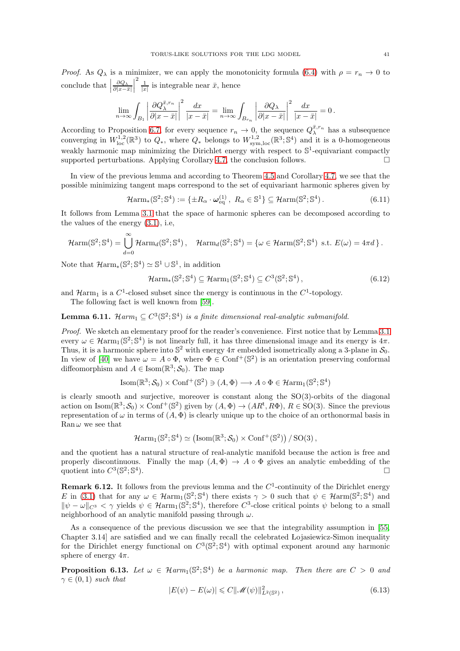*Proof.* As  $Q_{\lambda}$  is a minimizer, we can apply the monotonicity formula [\(6.4\)](#page-36-3) with  $\rho = r_n \to 0$  to conclude that  $\Bigl\vert$  $\frac{\partial Q_{\lambda}}{\partial |x-\bar{x}|}$   $\frac{2}{|x|}$  is integrable near  $\bar{x}$ , hence

$$
\lim_{n \to \infty} \int_{B_1} \left| \frac{\partial Q_{\lambda}^{\bar{x}, r_n}}{\partial |x - \bar{x}|} \right|^2 \frac{dx}{|x - \bar{x}|} = \lim_{n \to \infty} \int_{B_{r_n}} \left| \frac{\partial Q_{\lambda}}{\partial |x - \bar{x}|} \right|^2 \frac{dx}{|x - \bar{x}|} = 0.
$$

According to Proposition [6.7,](#page-37-4) for every sequence  $r_n \to 0$ , the sequence  $Q_{\lambda}^{\bar{x},r_n}$  has a subsequence converging in  $W^{1,2}_{loc}(\mathbb{R}^3)$  to  $Q_*$ , where  $Q_*$  belongs to  $W^{1,2}_{sym,loc}(\mathbb{R}^3;\mathbb{S}^4)$  and it is a 0-homogeneous weakly harmonic map minimizing the Dirichlet energy with respect to  $\mathbb{S}^1$ -equivariant compactly supported perturbations. Applying Corollary [4.7,](#page-25-5) the conclusion follows.  $\square$ 

In view of the previous lemma and according to Theorem [4.5](#page-25-1) and Corollary [4.7,](#page-25-5) we see that the possible minimizing tangent maps correspond to the set of equivariant harmonic spheres given by

<span id="page-40-3"></span>
$$
\mathcal{H}arm_*(\mathbb{S}^2;\mathbb{S}^4) := \{ \pm R_\alpha \cdot \boldsymbol{\omega}_{\mathrm{eq}}^{(1)}, \ R_\alpha \in \mathbb{S}^1 \} \subseteq \mathcal{H}arm(\mathbb{S}^2;\mathbb{S}^4).
$$
 (6.11)

It follows from Lemma [3.1](#page-15-3) that the space of harmonic spheres can be decomposed according to the values of the energy [\(3.1\)](#page-14-5), i.e,

$$
\mathcal{H}arm(\mathbb{S}^2; \mathbb{S}^4) = \bigcup_{d=0}^{\infty} \mathcal{H}arm_d(\mathbb{S}^2; \mathbb{S}^4), \quad \mathcal{H}arm_d(\mathbb{S}^2; \mathbb{S}^4) = \{ \omega \in \mathcal{H}arm(\mathbb{S}^2; \mathbb{S}^4) \text{ s.t. } E(\omega) = 4\pi d \}.
$$

Note that  $\mathcal{H}arm_*(\mathbb{S}^2;\mathbb{S}^4) \simeq \mathbb{S}^1 \cup \mathbb{S}^1$ , in addition

<span id="page-40-4"></span>
$$
\mathcal{H}_{\rm{arm}_{*}}(\mathbb{S}^{2}; \mathbb{S}^{4}) \subseteq \mathcal{H}_{\rm{arm}_{1}}(\mathbb{S}^{2}; \mathbb{S}^{4}) \subseteq C^{3}(\mathbb{S}^{2}; \mathbb{S}^{4}), \tag{6.12}
$$

and  $\mathcal{H}arm_1$  is a  $C^1$ -closed subset since the energy is continuous in the  $C^1$ -topology.

The following fact is well known from [\[59\]](#page-62-1).

**Lemma 6.11.**  $\mathcal{H}arm_1 \subseteq C^3(\mathbb{S}^2; \mathbb{S}^4)$  is a finite dimensional real-analytic submanifold.

Proof. We sketch an elementary proof for the reader's convenience. First notice that by Lemma [3.1](#page-15-3) every  $\omega \in \mathcal{H}arm_1(\mathbb{S}^2;\mathbb{S}^4)$  is not linearly full, it has three dimensional image and its energy is  $4\pi$ . Thus, it is a harmonic sphere into  $\mathbb{S}^2$  with energy  $4\pi$  embedded isometrically along a 3-plane in  $\mathcal{S}_0$ . In view of [\[40\]](#page-61-26) we have  $\omega = A \circ \Phi$ , where  $\Phi \in \text{Conf}^+(\mathbb{S}^2)$  is an orientation preserving conformal diffeomorphism and  $A \in \text{Isom}(\mathbb{R}^3; \mathcal{S}_0)$ . The map

$$
\text{Isom}(\mathbb{R}^3; \mathcal{S}_0) \times \text{Conf}^+(\mathbb{S}^2) \ni (A, \Phi) \longrightarrow A \circ \Phi \in \mathcal{H} \text{arm}_1(\mathbb{S}^2; \mathbb{S}^4)
$$

is clearly smooth and surjective, moreover is constant along the SO(3)-orbits of the diagonal action on Isom( $\mathbb{R}^3$ ;  $\mathcal{S}_0$ ) × Conf<sup>+</sup>( $\mathbb{S}^2$ ) given by  $(A, \Phi) \to (AR^{\mathsf{t}}, R\Phi)$ ,  $R \in SO(3)$ . Since the previous representation of  $\omega$  in terms of  $(A, \Phi)$  is clearly unique up to the choice of an orthonormal basis in Ran  $\omega$  we see that

$$
\mathcal{H}arm_1(\mathbb{S}^2;\mathbb{S}^4)\simeq \left({\rm Isom}(\mathbb{R}^3;\mathcal{S}_0)\times{\rm Conf}^+(\mathbb{S}^2)\right)/\,{\rm SO}(3)\,,
$$

and the quotient has a natural structure of real-analytic manifold because the action is free and properly discontinuous. Finally the map  $(A, \Phi) \to A \circ \Phi$  gives an analytic embedding of the quotient into  $C^3(\mathbb{S}^2;\mathbb{S}^4)$ . quotient into  $C^3(\mathbb{S}^2;\mathbb{S}^4)$ ).  $\qquad \qquad \Box$ 

<span id="page-40-2"></span>**Remark 6.12.** It follows from the previous lemma and the  $C<sup>1</sup>$ -continuity of the Dirichlet energy E in [\(3.1\)](#page-14-5) that for any  $\omega \in \mathcal{H}arm_1(\mathbb{S}^2;\mathbb{S}^4)$  there exists  $\gamma > 0$  such that  $\psi \in \mathcal{H}arm(\mathbb{S}^2;\mathbb{S}^4)$  and  $\|\psi - \omega\|_{C^3} < \gamma$  yields  $\psi \in \mathcal{Harm}_1(\mathbb{S}^2; \mathbb{S}^4)$ , therefore C<sup>3</sup>-close critical points  $\psi$  belong to a small neighborhood of an analytic manifold passing through  $\omega$ .

As a consequence of the previous discussion we see that the integrability assumption in [\[55,](#page-61-8) Chapter 3.14] are satisfied and we can finally recall the celebrated Lojasiewicz-Simon inequality for the Dirichlet energy functional on  $C^3(\mathbb{S}^2;\mathbb{S}^4)$  with optimal exponent around any harmonic sphere of energy  $4\pi$ .

<span id="page-40-0"></span>**Proposition 6.13.** Let  $\omega \in \mathcal{H}arm_1(\mathbb{S}^2;\mathbb{S}^4)$  be a harmonic map. Then there are  $C > 0$  and  $\gamma \in (0,1)$  such that

<span id="page-40-1"></span>
$$
|E(\psi) - E(\omega)| \leq C ||\mathcal{M}(\psi)||_{L^2(\mathbb{S}^2)}^2,
$$
\n(6.13)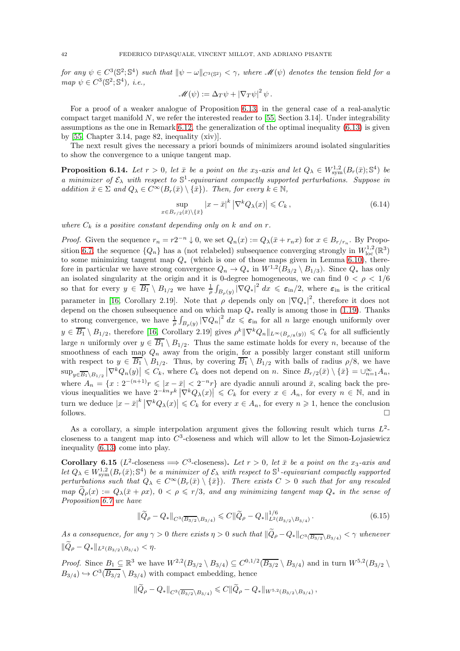for any  $\psi \in C^3(\mathbb{S}^2;\mathbb{S}^4)$  such that  $\|\psi - \omega\|_{C^3(\mathbb{S}^2)} < \gamma$ , where  $\mathscr{M}(\psi)$  denotes the tension field for a  $map \ \psi \in C^3(\mathbb{S}^2; \mathbb{S}^4), \ i.e.,$ 

$$
\mathscr{M}(\psi) := \Delta_T \psi + |\nabla_T \psi|^2 \psi.
$$

For a proof of a weaker analogue of Proposition [6.13,](#page-40-0) in the general case of a real-analytic compact target manifold  $N$ , we refer the interested reader to [\[55,](#page-61-8) Section 3.14]. Under integrability assumptions as the one in Remark [6.12,](#page-40-2) the generalization of the optimal inequality [\(6.13\)](#page-40-1) is given by  $[55, Chapter 3.14, page 82, inequality (xiv)].$ 

The next result gives the necessary a priori bounds of minimizers around isolated singularities to show the convergence to a unique tangent map.

<span id="page-41-1"></span>**Proposition 6.14.** Let  $r > 0$ , let  $\bar{x}$  be a point on the  $x_3$ -axis and let  $Q_{\lambda} \in W^{1,2}_{sym}(B_r(\bar{x}); \mathbb{S}^4)$  be a minimizer of  $\mathcal{E}_{\lambda}$  with respect to  $\mathbb{S}^1$ -equivariant compactly supported perturbations. Suppose in addition  $\bar{x} \in \Sigma$  and  $Q_{\lambda} \in C^{\infty}(B_r(\bar{x}) \setminus {\bar{x}})$ . Then, for every  $k \in \mathbb{N}$ ,

<span id="page-41-0"></span>
$$
\sup_{x \in B_{r/2}(\bar{x}) \setminus {\{\bar{x}\}}} |x - \bar{x}|^k |\nabla^k Q_\lambda(x)| \leq C_k ,\tag{6.14}
$$

where  $C_k$  is a positive constant depending only on k and on r.

*Proof.* Given the sequence  $r_n = r2^{-n} \downarrow 0$ , we set  $Q_n(x) := Q_\lambda(\bar{x} + r_n x)$  for  $x \in B_{r/r_n}$ . By Propo-sition [6.7,](#page-37-4) the sequence  $\{Q_n\}$  has a (not relabeled) subsequence converging strongly in  $W^{1,2}_{loc}(\mathbb{R}^3)$ to some minimizing tangent map  $Q_*$  (which is one of those maps given in Lemma [6.10\)](#page-39-1), therefore in particular we have strong convergence  $Q_n \to Q_*$  in  $W^{1,2}(B_{3/2} \setminus B_{1/3})$ . Since  $Q_*$  has only an isolated singularity at the origin and it is 0-degree homogeneous, we can find  $0 < \rho < 1/6$ so that for every  $y \in \overline{B_1} \setminus B_{1/2}$  we have  $\frac{1}{\rho} \int_{B_\rho(y)} |\nabla Q_*|^2 dx \leqslant \varepsilon_{\rm in}/2$ , where  $\varepsilon_{\rm in}$  is the critical parameter in [\[16,](#page-60-0) Corollary 2.19]. Note that  $\rho$  depends only on  $|\nabla Q_*|^2$ , therefore it does not depend on the chosen subsequence and on which map  $Q_*$  really is among those in [\(1.19\)](#page-3-5). Thanks to strong convergence, we have  $\frac{1}{\rho} \int_{B_{\rho}(y)} |\nabla Q_n|^2 dx \leq \varepsilon_{\text{in}}$  for all n large enough uniformly over  $y \in \overline{B_1} \setminus B_{1/2}$ , therefore [\[16,](#page-60-0) Corollary 2.19] gives  $\rho^k \|\nabla^k Q_n\|_{L^\infty(B_{\rho/8}(y))} \leqslant C_k$  for all sufficiently large *n* uniformly over  $y \in \overline{B_1} \setminus B_{1/2}$ . Thus the same estimate holds for every *n*, because of the smoothness of each map  $Q_n$  away from the origin, for a possibly larger constant still uniform with respect to  $y \in \overline{B_1} \setminus B_{1/2}$ . Thus, by covering  $\overline{B_1} \setminus B_{1/2}$  with balls of radius  $\rho/8$ , we have  $\sup_{y\in\overline{B_1}\setminus B_{1/2}}|\nabla^kQ_n(y)|\leqslant C_k$ , where  $C_k$  does not depend on n. Since  $B_{r/2}(\bar x)\setminus\{\bar x\}=\cup_{n=1}^{\infty}A_n$ , where  $A_n = \{x : 2^{-(n+1)}r \leqslant |x-\bar{x}| < 2^{-n}r\}$  are dyadic annuli around  $\bar{x}$ , scaling back the previous inequalities we have  $2^{-kn}r^k |\nabla^k Q_\lambda(x)| \leq C_k$  for every  $x \in A_n$ , for every  $n \in \mathbb{N}$ , and in turn we deduce  $|x - \bar{x}|^k |\nabla^k Q_\lambda(x)| \leqslant C_k$  for every  $x \in A_n$ , for every  $n \geqslant 1$ , hence the conclusion follows.  $\Box$ 

As a corollary, a simple interpolation argument gives the following result which turns  $L^2$ closeness to a tangent map into  $C^3$ -closeness and which will allow to let the Simon-Lojasiewicz inequality [\(6.13\)](#page-40-1) come into play.

<span id="page-41-3"></span>**Corollary 6.15** ( $L^2$ -closeness  $\implies C^3$ -closeness). Let  $r > 0$ , let  $\bar{x}$  be a point on the x<sub>3</sub>-axis and let  $Q_{\lambda} \in W^{1,2}_{sym}(B_r(\bar{x}); \mathbb{S}^4)$  be a minimizer of  $\mathcal{E}_{\lambda}$  with respect to  $\mathbb{S}^1$ -equivariant compactly supported perturbations such that  $Q_{\lambda} \in C^{\infty}(B_r(\bar{x}) \setminus \{\bar{x}\})$ . There exists  $C > 0$  such that for any rescaled  $map\ \widetilde{Q}_{\rho}(x) := Q_{\lambda}(\bar{x} + \rho x), \ 0 < \rho \leqslant r/3$ , and any minimizing tangent map  $Q_*$  in the sense of Proposition [6.7](#page-37-4) we have

<span id="page-41-2"></span>
$$
\|\widetilde{Q}_{\rho} - Q_{*}\|_{C^{3}(\overline{B_{3/2}} \setminus B_{3/4})} \leq C \|\widetilde{Q}_{\rho} - Q_{*}\|_{L^{2}(B_{3/2} \setminus B_{3/4})}^{1/6}.
$$
\n(6.15)

As a consequence, for any  $\gamma > 0$  there exists  $\eta > 0$  such that  $\|\widetilde{Q}_{\rho} - Q_*\|_{C^3(\overline{B_{3/2}}\setminus B_{3/4})} < \gamma$  whenever  $\|\widetilde{Q}_{\rho} - Q_*\|_{L^2(B_{2/2}\setminus B_{2/4})} < \eta.$ 

*Proof.* Since  $\underline{B_1} \subseteq \mathbb{R}^3$  we have  $W^{2,2}(B_{3/2} \setminus B_{3/4}) \subseteq C^{0,1/2}(\overline{B_{3/2}} \setminus B_{3/4})$  and in turn  $W^{5,2}(B_{3/2} \setminus B_{3/4})$  $B_{3/4}$ )  $\hookrightarrow$   $C^3(\overline{B_{3/2}} \setminus B_{3/4})$  with compact embedding, hence

$$
||Q_{\rho}-Q_*||_{C^3(\overline{B_{3/2}}\setminus B_{3/4})}\leqslant C||Q_{\rho}-Q_*||_{W^{5,2}(B_{3/2}\setminus B_{3/4})},
$$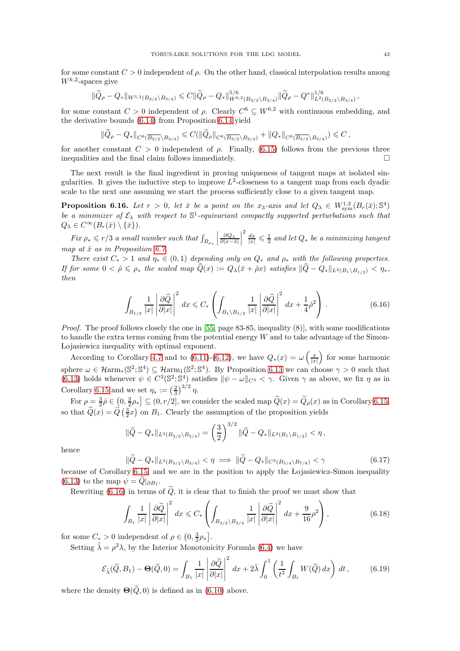for some constant  $C > 0$  independent of  $\rho$ . On the other hand, classical interpolation results among  $W^{k,2}$ -spaces give

$$
\|\widetilde{Q}_{\rho}-Q_{*}\|_{W^{5,2}(B_{3/2}\setminus B_{3/4})}\leqslant C\|\widetilde{Q}_{\rho}-Q_{*}\|_{W^{6,2}(B_{3/2}\setminus B_{3/4})}^{5/6}\|\widetilde{Q}_{\rho}-Q^{*}\|_{L^{2}(B_{3/2}\setminus B_{3/4})}^{1/6},
$$

for some constant  $C > 0$  independent of  $\rho$ . Clearly  $C^6 \subseteq W^{6,2}$  with continuous embedding, and the derivative bounds [\(6.14\)](#page-41-0) from Proposition [6.14](#page-41-1) yield

$$
||Q_{\rho}-Q_{*}||_{C^{6}(\overline{B_{3/2}}\setminus B_{3/4})}\leqslant C(||Q_{\rho}||_{C^{6}(\overline{B_{3/2}}\setminus B_{3/4})}+||Q_{*}||_{C^{6}(\overline{B_{3/2}}\setminus B_{3/4})})\leqslant C,
$$

for another constant  $C > 0$  independent of  $\rho$ . Finally, [\(6.15\)](#page-41-2) follows from the previous three inequalities and the final claim follows immediately.

The next result is the final ingredient in proving uniqueness of tangent maps at isolated singularities. It gives the inductive step to improve  $L^2$ -closeness to a tangent map from each dyadic scale to the next one assuming we start the process sufficiently close to a given tangent map.

<span id="page-42-4"></span>**Proposition 6.16.** Let  $r > 0$ , let  $\bar{x}$  be a point on the x<sub>3</sub>-axis and let  $Q_{\lambda} \in W^{1,2}_{sym}(B_r(\bar{x}); \mathbb{S}^4)$ be a minimizer of  $\mathcal{E}_{\lambda}$  with respect to  $\mathbb{S}^1$ -equivariant compactly supported perturbations such that  $Q_{\lambda} \in C^{\infty}(B_r(\bar{x}) \setminus {\bar{x}}).$ 

Fix  $\rho_* \leqslant r/3$  a small number such that  $\int_{B_{\rho_*}}$   $\frac{\partial Q_{\lambda}}{\partial |x-\bar{x}|}$   $\frac{d}{|x|} \leqslant \frac{1}{2}$  and let  $Q_*$  be a minimizing tangent map at  $\bar{x}$  as in Proposition [6.7.](#page-37-4)

There exist  $C_* > 1$  and  $\eta_* \in (0,1)$  depending only on  $Q_*$  and  $\rho_*$  with the following properties. If for some  $0 < \hat{\rho} \leq \rho_*$  the scaled map  $\widehat{Q}(x) := Q_{\lambda}(\bar{x} + \hat{\rho}x)$  satisfies  $\|\widehat{Q} - Q_*\|_{L^2(B_1 \setminus B_{1/2})} < \eta_*$ , then

<span id="page-42-0"></span>
$$
\int_{B_{1/2}} \frac{1}{|x|} \left| \frac{\partial \widehat{Q}}{\partial |x|} \right|^2 dx \leq C_* \left( \int_{B_1 \setminus B_{1/2}} \frac{1}{|x|} \left| \frac{\partial \widehat{Q}}{\partial |x|} \right|^2 dx + \frac{1}{4} \widehat{\rho}^2 \right).
$$
\n(6.16)

Proof. The proof follows closely the one in [\[55,](#page-61-8) page 83-85, inequality (8)], with some modifications to handle the extra terms coming from the potential energy  $W$  and to take advantage of the Simon-Lojasiewicz inequality with optimal exponent.

According to Corollary [4.7](#page-25-5) and to [\(6.11\)](#page-40-3)-[\(6.12\)](#page-40-4), we have  $Q_*(x) = \omega\left(\frac{x}{|x|}\right)$ for some harmonic sphere  $\omega \in \mathcal{H}_{\text{arm}_{*}}(\mathbb{S}^{2}; \mathbb{S}^{4}) \subseteq \mathcal{H}_{\text{arm}_{1}}(\mathbb{S}^{2}; \mathbb{S}^{4})$ . By Proposition [6.13](#page-40-0) we can choose  $\gamma > 0$  such that [\(6.13\)](#page-40-1) holds whenever  $\psi \in C^3(\mathbb{S}^2;\mathbb{S}^4)$  satisfies  $\|\psi - \omega\|_{C^3} < \gamma$ . Given  $\gamma$  as above, we fix  $\eta$  as in Corollary [6.15](#page-41-3) and we set  $\eta_* := \left(\frac{2}{3}\right)^{3/2} \eta$ .

For  $\rho = \frac{3}{2}\hat{\rho} \in (0, \frac{3}{2}\rho_{*}] \subseteq (0, r/2]$ , we consider the scaled map  $\tilde{Q}(x) = \tilde{Q}_{\rho}(x)$  as in Corollary [6.15,](#page-41-3) so that  $\widehat{Q}(x) = \widetilde{Q}(\frac{3}{2}x)$  on  $B_1$ . Clearly the assumption of the proposition yields

$$
\|\widetilde{Q} - Q_*\|_{L^2(B_{3/2} \setminus B_{3/4})} = \left(\frac{3}{2}\right)^{3/2} \|\widehat{Q} - Q_*\|_{L^2(B_1 \setminus B_{1/2})} < \eta\,,
$$

hence

<span id="page-42-2"></span>
$$
\|\widetilde{Q} - Q_*\|_{L^2(B_{3/2} \setminus B_{3/4})} < \eta \implies \|\widetilde{Q} - Q_*\|_{C^3(B_{5/4} \setminus B_{7/8})} < \gamma \tag{6.17}
$$

because of Corollary [6.15,](#page-41-3) and we are in the position to apply the Lojasiewicz-Simon inequality [\(6.13\)](#page-40-1) to the map  $\psi = Q|_{\partial B_1}$ .

Rewriting [\(6.16\)](#page-42-0) in terms of  $\tilde{Q}$ , it is clear that to finish the proof we must show that

<span id="page-42-3"></span>
$$
\int_{B_1} \frac{1}{|x|} \left| \frac{\partial \tilde{Q}}{\partial |x|} \right|^2 dx \leq C_* \left( \int_{B_{3/2} \setminus B_{3/4}} \frac{1}{|x|} \left| \frac{\partial \tilde{Q}}{\partial |x|} \right|^2 dx + \frac{9}{16} \rho^2 \right),\tag{6.18}
$$

for some  $C_* > 0$  independent of  $\rho \in \left(0, \frac{3}{2}\rho_*\right]$ .

Setting  $\tilde{\lambda} = \rho^2 \lambda$ , by the Interior Monotonicity Formula [\(6.4\)](#page-36-3) we have

<span id="page-42-1"></span>
$$
\mathcal{E}_{\tilde{\lambda}}(\tilde{Q}, B_1) - \Theta(\tilde{Q}, 0) = \int_{B_1} \frac{1}{|x|} \left| \frac{\partial \tilde{Q}}{\partial |x|} \right|^2 dx + 2\tilde{\lambda} \int_0^1 \left( \frac{1}{t^2} \int_{B_t} W(\tilde{Q}) dx \right) dt,
$$
(6.19)

where the density  $\Theta(\tilde{Q}, 0)$  is defined as in [\(6.10\)](#page-38-2) above.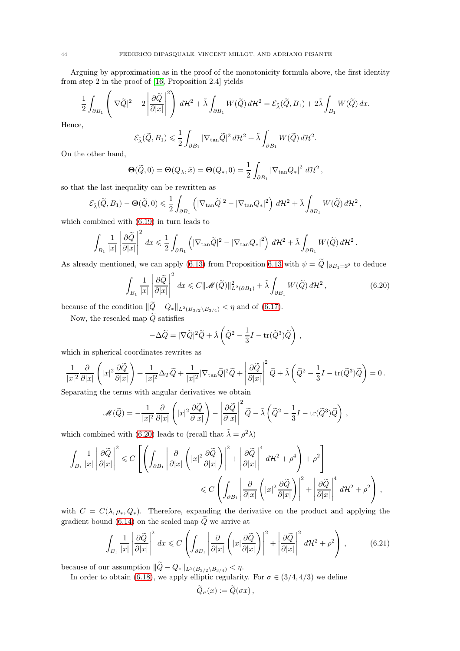Arguing by approximation as in the proof of the monotonicity formula above, the first identity from step 2 in the proof of [\[16,](#page-60-0) Proposition 2.4] yields

$$
\frac{1}{2}\int_{\partial B_1}\left(|\nabla \widetilde{Q}|^2-2\left|\frac{\partial \widetilde{Q}}{\partial |x|}\right|^2\right)\,d\mathcal{H}^2+\tilde{\lambda}\int_{\partial B_1}W(\widetilde{Q})\,d\mathcal{H}^2=\mathcal{E}_{\tilde{\lambda}}(\widetilde{Q},B_1)+2\tilde{\lambda}\int_{B_1}W(\widetilde{Q})\,dx.
$$

Hence,

$$
\mathcal{E}_{\tilde{\lambda}}(\widetilde{Q}, B_1) \leqslant \frac{1}{2} \int_{\partial B_1} |\nabla_{\tan} \widetilde{Q}|^2 \, d\mathcal{H}^2 + \tilde{\lambda} \int_{\partial B_1} W(\widetilde{Q}) \, d\mathcal{H}^2.
$$

On the other hand,

$$
\Theta(\widetilde{Q},0) = \Theta(Q_{\lambda},\bar{x}) = \Theta(Q_*,0) = \frac{1}{2} \int_{\partial B_1} |\nabla_{\tan} Q_*|^2 d\mathcal{H}^2,
$$

so that the last inequality can be rewritten as

$$
\mathcal{E}_{\tilde{\lambda}}(\widetilde{Q},B_1)-\Theta(\widetilde{Q},0)\leqslant \frac{1}{2}\int_{\partial B_1}\left(|\nabla_{\tan} \widetilde{Q}|^2-|\nabla_{\tan} Q_*|^2\right)\,d\mathcal{H}^2+\tilde{\lambda}\int_{\partial B_1}W(\widetilde{Q})\,d\mathcal{H}^2\,,
$$

which combined with [\(6.19\)](#page-42-1) in turn leads to

$$
\int_{B_1} \frac{1}{|x|} \left| \frac{\partial \widetilde{Q}}{\partial |x|} \right|^2 dx \leq \frac{1}{2} \int_{\partial B_1} \left( |\nabla_{\tan} \widetilde{Q}|^2 - |\nabla_{\tan} Q_*|^2 \right) d\mathcal{H}^2 + \tilde{\lambda} \int_{\partial B_1} W(\widetilde{Q}) d\mathcal{H}^2.
$$

As already mentioned, we can apply [\(6.13\)](#page-40-1) from Proposition [6.13](#page-40-0) with  $\psi = Q \mid_{\partial B_1 = \mathbb{S}^2}$  to deduce

<span id="page-43-0"></span>
$$
\int_{B_1} \frac{1}{|x|} \left| \frac{\partial \widetilde{Q}}{\partial |x|} \right|^2 dx \leq C \|\mathcal{M}(\widetilde{Q})\|_{L^2(\partial B_1)}^2 + \widetilde{\lambda} \int_{\partial B_1} W(\widetilde{Q}) d\mathcal{H}^2,
$$
\n(6.20)

because of the condition  $\|\widetilde{Q} - Q_*\|_{L^2(B_{3/2}\setminus B_{3/4})} < \eta$  and of [\(6.17\)](#page-42-2).

Now, the rescaled map  $\widetilde{Q}$  satisfies

$$
-\Delta \widetilde{Q} = |\nabla \widetilde{Q}|^2 \widetilde{Q} + \widetilde{\lambda} \left( \widetilde{Q}^2 - \frac{1}{3}I - \text{tr}(\widetilde{Q}^3)\widetilde{Q} \right) ,
$$

which in spherical coordinates rewrites as

$$
\frac{1}{|x|^2}\frac{\partial}{\partial |x|}\left(|x|^2\frac{\partial \widetilde{Q}}{\partial |x|}\right)+\frac{1}{|x|^2}\Delta_T\widetilde{Q}+\frac{1}{|x|^2}|\nabla_{\tan}\widetilde{Q}|^2\widetilde{Q}+\left|\frac{\partial \widetilde{Q}}{\partial |x|}\right|^2\widetilde{Q}+\widetilde{\lambda}\left(\widetilde{Q}^2-\frac{1}{3}I-{\rm tr}(\widetilde{Q}^3)\widetilde{Q}\right)=0\,.
$$

Separating the terms with angular derivatives we obtain

$$
\mathscr{M}(\widetilde{Q}) = -\frac{1}{|x|^2} \frac{\partial}{\partial |x|} \left( |x|^2 \frac{\partial \widetilde{Q}}{\partial |x|} \right) - \left| \frac{\partial \widetilde{Q}}{\partial |x|} \right|^2 \widetilde{Q} - \widetilde{\lambda} \left( \widetilde{Q}^2 - \frac{1}{3}I - \text{tr}(\widetilde{Q}^3) \widetilde{Q} \right) ,
$$

which combined with [\(6.20\)](#page-43-0) leads to (recall that  $\tilde{\lambda} = \rho^2 \lambda$ )

$$
\int_{B_1} \frac{1}{|x|} \left| \frac{\partial \widetilde{Q}}{\partial |x|} \right|^2 \leq C \left[ \left( \int_{\partial B_1} \left| \frac{\partial}{\partial |x|} \left( |x|^2 \frac{\partial \widetilde{Q}}{\partial |x|} \right) \right|^2 + \left| \frac{\partial \widetilde{Q}}{\partial |x|} \right|^4 d\mathcal{H}^2 + \rho^4 \right) + \rho^2 \right] \leq C \left( \int_{\partial B_1} \left| \frac{\partial}{\partial |x|} \left( |x|^2 \frac{\partial \widetilde{Q}}{\partial |x|} \right) \right|^2 + \left| \frac{\partial \widetilde{Q}}{\partial |x|} \right|^4 d\mathcal{H}^2 + \rho^2 \right),
$$

with  $C = C(\lambda, \rho_*, Q_*)$ . Therefore, expanding the derivative on the product and applying the gradient bound [\(6.14\)](#page-41-0) on the scaled map  $\widetilde{Q}$  we arrive at

<span id="page-43-1"></span>
$$
\int_{B_1} \frac{1}{|x|} \left| \frac{\partial \tilde{Q}}{\partial |x|} \right|^2 dx \leq C \left( \int_{\partial B_1} \left| \frac{\partial}{\partial |x|} \left( |x| \frac{\partial \tilde{Q}}{\partial |x|} \right) \right|^2 + \left| \frac{\partial \tilde{Q}}{\partial |x|} \right|^2 d\mathcal{H}^2 + \rho^2 \right), \tag{6.21}
$$

because of our assumption  $\|\widetilde{Q}-Q_*\|_{L^2(B_{3/2}\backslash B_{3/4})}<\eta.$ 

In order to obtain [\(6.18\)](#page-42-3), we apply elliptic regularity. For  $\sigma \in (3/4, 4/3)$  we define

$$
\widetilde{Q}_{\sigma}(x):=\widetilde{Q}(\sigma x)\,,
$$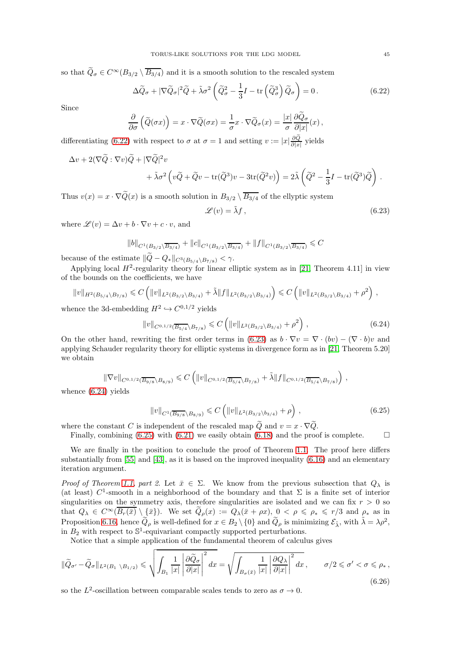so that  $\widetilde{Q}_{\sigma} \in C^{\infty}(B_{3/2} \setminus \overline{B_{3/4}})$  and it is a smooth solution to the rescaled system

<span id="page-44-0"></span>
$$
\Delta \widetilde{Q}_{\sigma} + |\nabla \widetilde{Q}_{\sigma}|^2 \widetilde{Q} + \widetilde{\lambda} \sigma^2 \left( \widetilde{Q}_{\sigma}^2 - \frac{1}{3} I - \text{tr} \left( \widetilde{Q}_{\sigma}^3 \right) \widetilde{Q}_{\sigma} \right) = 0. \tag{6.22}
$$

Since

$$
\frac{\partial}{\partial \sigma} \left( \widetilde{Q}(\sigma x) \right) = x \cdot \nabla \widetilde{Q}(\sigma x) = \frac{1}{\sigma} x \cdot \nabla \widetilde{Q}_{\sigma}(x) = \frac{|x|}{\sigma} \frac{\partial \widetilde{Q}_{\sigma}}{\partial |x|}(x),
$$

differentiating [\(6.22\)](#page-44-0) with respect to  $\sigma$  at  $\sigma = 1$  and setting  $v := |x|\frac{\partial \widetilde{Q}}{\partial |x|}$  $\frac{\partial Q}{\partial |x|}$  yields

$$
\Delta v + 2(\nabla \widetilde{Q} : \nabla v) \widetilde{Q} + |\nabla \widetilde{Q}|^2 v + \widetilde{\lambda} \sigma^2 \left( v \widetilde{Q} + \widetilde{Q} v - \text{tr}(\widetilde{Q}^3) v - 3 \text{tr}(\widetilde{Q}^2 v) \right) = 2 \widetilde{\lambda} \left( \widetilde{Q}^2 - \frac{1}{3} I - \text{tr}(\widetilde{Q}^3) \widetilde{Q} \right).
$$

Thus  $v(x) = x \cdot \nabla \widetilde{Q}(x)$  is a smooth solution in  $B_{3/2} \setminus \overline{B_{3/4}}$  of the ellyptic system

<span id="page-44-1"></span>
$$
\mathscr{L}(v) = \tilde{\lambda}f, \qquad (6.23)
$$

where  $\mathscr{L}(v) = \Delta v + b \cdot \nabla v + c \cdot v$ , and

$$
||b||_{C^{1}(B_{3/2}\setminus\overline{B_{3/4}})}+||c||_{C^{1}(B_{3/2}\setminus\overline{B_{3/4}})}+||f||_{C^{1}(B_{3/2}\setminus\overline{B_{3/4}})}\leqslant C
$$

because of the estimate  $\|\tilde{Q}-Q_*\|_{C^3(B_{5/4}\setminus B_{7/8})}<\gamma.$ 

Applying local  $H^2$ -regularity theory for linear elliptic system as in [\[21,](#page-61-23) Theorem 4.11] in view of the bounds on the coefficients, we have

$$
||v||_{H^2(B_{5/4}\setminus B_{7/8})} \leq C \left( ||v||_{L^2(B_{3/2}\setminus B_{3/4})} + \tilde{\lambda} ||f||_{L^2(B_{3/2}\setminus B_{3/4})} \right) \leq C \left( ||v||_{L^2(B_{3/2}\setminus B_{3/4})} + \rho^2 \right),
$$

whence the 3d-embedding  $H^2 \hookrightarrow C^{0,1/2}$  yields

<span id="page-44-2"></span>
$$
||v||_{C^{0,1/2}(\overline{B_{5/4}} \setminus B_{7/8})} \leqslant C \left( ||v||_{L^2(B_{3/2} \setminus B_{3/4})} + \rho^2 \right), \tag{6.24}
$$

On the other hand, rewriting the first order terms in [\(6.23\)](#page-44-1) as  $b \cdot \nabla v = \nabla \cdot (bv) - (\nabla \cdot b)v$  and applying Schauder regularity theory for elliptic systems in divergence form as in [\[21,](#page-61-23) Theorem 5.20] we obtain

$$
\|\nabla v\|_{C^{0,1/2}(\overline{B_{9/8}}\setminus B_{8/9})} \leqslant C \left( \|v\|_{C^{0,1/2}(\overline{B_{5/4}}\setminus B_{7/8})} + \tilde{\lambda} \|f\|_{C^{0,1/2}(\overline{B_{5/4}}\setminus B_{7/8})} \right),
$$

whence [\(6.24\)](#page-44-2) yields

<span id="page-44-3"></span>
$$
||v||_{C^{1}(\overline{B_{9/8}}\backslash B_{8/9})} \leq C\left(||v||_{L^{2}(B_{3/2}\backslash b_{3/4})} + \rho\right),\tag{6.25}
$$

where the constant C is independent of the rescaled map Q and  $v = x \cdot \nabla Q$ .

Finally, combining [\(6.25\)](#page-44-3) with [\(6.21\)](#page-43-1) we easily obtain [\(6.18\)](#page-42-3) and the proof is complete.  $\square$ 

We are finally in the position to conclude the proof of Theorem [1.1.](#page-3-3) The proof here differs substantially from [\[55\]](#page-61-8) and [\[43\]](#page-61-28), as it is based on the improved inequality [\(6.16\)](#page-42-4) and an elementary iteration argument.

Proof of Theorem [1.1,](#page-3-3) part 2. Let  $\bar{x} \in \Sigma$ . We know from the previous subsection that  $Q_{\lambda}$  is (at least)  $C^1$ -smooth in a neighborhood of the boundary and that  $\Sigma$  is a finite set of interior singularities on the symmetry axis, therefore singularities are isolated and we can fix  $r > 0$  so that  $Q_{\lambda} \in C^{\infty}(\overline{B_r(\bar{x})}\setminus {\bar{x}})$ . We set  $\widetilde{Q}_{\rho}(x) := Q_{\lambda}(\bar{x} + \rho x), 0 < \rho \leq \rho_* \leq r/3$  and  $\rho_*$  as in Proposition [6.16,](#page-42-4) hence  $\widetilde{Q}_{\rho}$  is well-defined for  $x \in B_2 \setminus \{0\}$  and  $\widetilde{Q}_{\rho}$  is minimizing  $\mathcal{E}_{\tilde{\lambda}}$ , with  $\tilde{\lambda} = \lambda \rho^2$ , in  $B_2$  with respect to  $\mathbb{S}^1$ -equivariant compactly supported perturbations.

Notice that a simple application of the fundamental theorem of calculus gives

<span id="page-44-4"></span>
$$
\|\widetilde{Q}_{\sigma'} - \widetilde{Q}_{\sigma}\|_{L^{2}(B_{1}\setminus B_{1/2})} \leq \sqrt{\int_{B_{1}}\frac{1}{|x|}\left|\frac{\partial\widetilde{Q}_{\sigma}}{\partial|x|}\right|^{2}dx} = \sqrt{\int_{B_{\sigma}(\bar{x})}\frac{1}{|x|}\left|\frac{\partial Q_{\lambda}}{\partial|x|}\right|^{2}dx}, \qquad \sigma/2 \leq \sigma' < \sigma \leq \rho_{*},
$$
\n(6.26)

so the  $L^2$ -oscillation between comparable scales tends to zero as  $\sigma \to 0$ .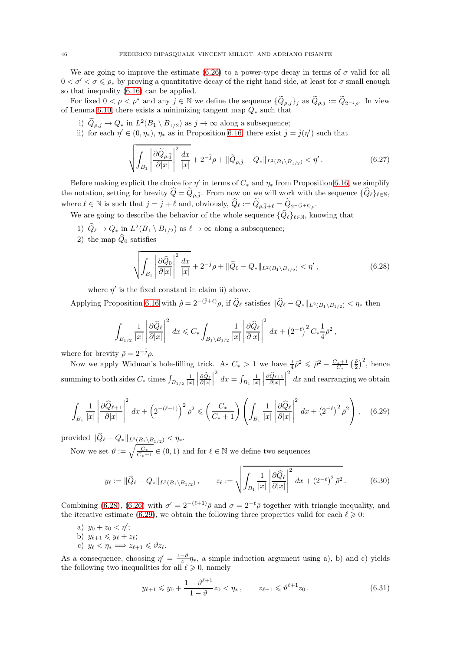We are going to improve the estimate [\(6.26\)](#page-44-4) to a power-type decay in terms of  $\sigma$  valid for all  $0 < \sigma' < \sigma \leq \rho_*$  by proving a quantitative decay of the right hand side, at least for  $\sigma$  small enough so that inequality [\(6.16\)](#page-42-0) can be applied.

For fixed  $0 < \rho < \rho^*$  and any  $j \in \mathbb{N}$  we define the sequence  $\{\widetilde{Q}_{\rho,j}\}_j$  as  $\widetilde{Q}_{\rho,j} := \widetilde{Q}_{2^{-j}\rho}$ . In view of Lemma [6.10,](#page-39-1) there exists a minimizing tangent map  $Q_*$  such that

- i)  $Q_{\rho,j} \to Q_*$  in  $L^2(B_1 \setminus B_{1/2})$  as  $j \to \infty$  along a subsequence;
- ii) for each  $\eta' \in (0, \eta_*)$ ,  $\eta_*$  as in Proposition [6.16,](#page-42-4) there exist  $\bar{j} = \bar{j}(\eta')$  such that

$$
\sqrt{\int_{B_1} \left| \frac{\partial \widetilde{Q}_{\rho,\overline{j}}}{\partial |x|} \right|^2 \frac{dx}{|x|}} + 2^{-\overline{j}} \rho + \| \widetilde{Q}_{\rho,\overline{j}} - Q_* \|_{L^2(B_1 \setminus B_{1/2})} < \eta'.
$$
\n(6.27)

Before making explicit the choice for  $\eta'$  in terms of  $C_*$  and  $\eta_*$  from Proposition [6.16,](#page-42-4) we simplify the notation, setting for brevity  $Q = Q_{\rho, \bar{j}}$ . From now on we will work with the sequence  $\{Q_{\ell}\}_{\ell \in \mathbb{N}}$ , where  $\ell \in \mathbb{N}$  is such that  $j = \bar{j} + \ell$  and, obviously,  $\widehat{Q}_\ell := \widetilde{Q}_{\rho, \bar{j}+\ell} = \widetilde{Q}_{2^{-(\bar{j}+\ell)}\rho}$ .

- We are going to describe the behavior of the whole sequence  $\{\widehat{Q}_{\ell}\}_{{\ell}\in\mathbb{N}},$  knowing that
	- 1)  $\hat{Q}_{\ell} \to Q_*$  in  $L^2(B_1 \setminus B_{1/2})$  as  $\ell \to \infty$  along a subsequence;
	- 2) the map  $\widehat{Q}_0$  satisfies

<span id="page-45-0"></span>
$$
\sqrt{\int_{B_1} \left| \frac{\partial \widehat{Q}_0}{\partial |x|} \right|^2 \frac{dx}{|x|}} + 2^{-\bar{j}} \rho + \| \widehat{Q}_0 - Q_* \|_{L^2(B_1 \setminus B_{1/2})} < \eta', \tag{6.28}
$$

where  $\eta'$  is the fixed constant in claim ii) above.

Applying Proposition [6.16](#page-42-4) with  $\hat{\rho} = 2^{-(\bar{j}+\ell)}\rho$ , if  $\hat{Q}_{\ell}$  satisfies  $\|\hat{Q}_{\ell} - Q_{*}\|_{L^{2}(B_{1}\setminus B_{1/2})} < \eta_{*}$  then

$$
\int_{B_{1/2}} \frac{1}{|x|} \left| \frac{\partial \widehat{Q}_{\ell}}{\partial |x|} \right|^2 dx \leqslant C_* \int_{B_1 \setminus B_{1/2}} \frac{1}{|x|} \left| \frac{\partial \widehat{Q}_{\ell}}{\partial |x|} \right|^2 dx + \left(2^{-\ell}\right)^2 C_* \frac{1}{4} \bar{\rho}^2,
$$

where for brevity  $\bar{\rho} = 2^{-j} \rho$ .

Now we apply Widman's hole-filling trick. As  $C_* > 1$  we have  $\frac{1}{4}\bar{\rho}^2 \leq \bar{\rho}^2 - \frac{C_*+1}{C_*}(\frac{\bar{\rho}}{2})^2$ , hence summing to both sides  $C_*$  times  $\int_{B_{1/2}} \frac{1}{|x|}$   $\partial {\widehat Q}_\ell$  $\partial |x|$   $\int_{B_1}^2 \frac{1}{|x|}$   $\partial {\widehat Q}_{\ell+1}$  $\partial |x|$   $\frac{2}{x}$  dx and rearranging we obtain

<span id="page-45-1"></span>
$$
\int_{B_1} \frac{1}{|x|} \left| \frac{\partial \widehat{Q}_{\ell+1}}{\partial |x|} \right|^2 dx + \left( 2^{-(\ell+1)} \right)^2 \bar{\rho}^2 \leq \left( \frac{C_*}{C_*+1} \right) \left( \int_{B_1} \frac{1}{|x|} \left| \frac{\partial \widehat{Q}_{\ell}}{\partial |x|} \right|^2 dx + \left( 2^{-\ell} \right)^2 \bar{\rho}^2 \right), \quad (6.29)
$$

provided  $\|\widehat{Q}_\ell - Q_*\|_{L^2(\underline{B_1}\backslash \underline{B}_{1/2})} < \eta_*.$ 

Now we set  $\vartheta := \sqrt{\frac{C_*}{C_*+1}} \in (0,1)$  and for  $\ell \in \mathbb{N}$  we define two sequences

$$
y_{\ell} := \|\widehat{Q}_{\ell} - Q_{*}\|_{L^{2}(B_{1} \setminus B_{1/2})}, \qquad z_{\ell} := \sqrt{\int_{B_{1}} \frac{1}{|x|} \left| \frac{\partial \widehat{Q}_{\ell}}{\partial |x|} \right|^{2} dx + (2^{-\ell})^{2} \bar{\rho}^{2}}.
$$
 (6.30)

Combining [\(6.28\)](#page-45-0), [\(6.26\)](#page-44-4) with  $\sigma' = 2^{-(\ell+1)}\bar{\rho}$  and  $\sigma = 2^{-\ell}\bar{\rho}$  together with triangle inequality, and the iterative estimate [\(6.29\)](#page-45-1), we obtain the following three properties valid for each  $\ell \geq 0$ :

- a)  $y_0 + z_0 < \eta'$ ;
- b)  $y_{\ell+1} \leqslant y_{\ell} + z_{\ell};$
- c)  $y_{\ell} < \eta_* \Longrightarrow z_{\ell+1} \leq \vartheta z_{\ell}.$

As a consequence, choosing  $\eta' = \frac{1-\vartheta}{4}\eta_*$ , a simple induction argument using a), b) and c) yields the following two inequalities for all  $\ell \geqslant 0$ , namely

<span id="page-45-2"></span>
$$
y_{\ell+1} \leq y_0 + \frac{1 - \vartheta^{\ell+1}}{1 - \vartheta} z_0 < \eta_*, \qquad z_{\ell+1} \leq \vartheta^{\ell+1} z_0. \tag{6.31}
$$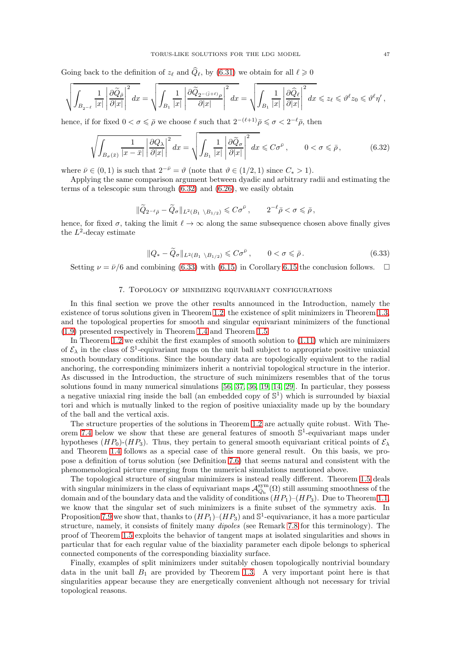Going back to the definition of  $z_{\ell}$  and  $\hat{Q}_{\ell}$ , by [\(6.31\)](#page-45-2) we obtain for all  $\ell \geq 0$ 

$$
\sqrt{\int_{B_{2^{-\ell}}}\frac{1}{|x|}\left|\frac{\partial \widetilde{Q}_{\bar{\rho}}}{\partial |x|}\right|^2dx}=\sqrt{\int_{B_{1}}\frac{1}{|x|}\left|\frac{\partial \widetilde{Q}_{2^{-}(\bar{\jmath}+\ell)\rho}}{\partial |x|}\right|^2dx}=\sqrt{\int_{B_{1}}\frac{1}{|x|}\left|\frac{\partial \widehat{Q}_{\ell}}{\partial |x|}\right|^2dx}\leqslant z_{\ell}\leqslant \vartheta^{\ell}z_{0}\leqslant \vartheta^{\ell}\eta^{\prime},
$$

hence, if for fixed  $0 < \sigma \leq \bar{\rho}$  we choose  $\ell$  such that  $2^{-(\ell+1)}\bar{\rho} \leq \sigma < 2^{-\ell}\bar{\rho}$ , then

<span id="page-46-1"></span>
$$
\sqrt{\int_{B_{\sigma}(\bar{x})} \frac{1}{|x-\bar{x}|} \left| \frac{\partial Q_{\lambda}}{\partial |x|} \right|^2 dx} = \sqrt{\int_{B_1} \frac{1}{|x|} \left| \frac{\partial \tilde{Q}_{\sigma}}{\partial |x|} \right|^2 dx} \leq C\sigma^{\bar{\nu}}, \qquad 0 < \sigma \leq \bar{\rho},
$$
\n(6.32)

where  $\bar{\nu} \in (0, 1)$  is such that  $2^{-\bar{\nu}} = \vartheta$  (note that  $\vartheta \in (1/2, 1)$  since  $C_* > 1$ ).

Applying the same comparison argument between dyadic and arbitrary radii and estimating the terms of a telescopic sum through [\(6.32\)](#page-46-1) and [\(6.26\)](#page-44-4), we easily obtain

$$
\|\widetilde{Q}_{2^{-\ell}\bar{\rho}}-\widetilde{Q}_{\sigma}\|_{L^2(B_1\setminus B_{1/2})}\leqslant C\sigma^{\bar{\nu}}\,,\qquad 2^{-\ell}\bar{\rho}<\sigma\leqslant\bar{\rho}\,,
$$

hence, for fixed  $\sigma$ , taking the limit  $\ell \to \infty$  along the same subsequence chosen above finally gives the  $L^2$ -decay estimate

<span id="page-46-2"></span>
$$
||Q_* - \widetilde{Q}_{\sigma}||_{L^2(B_1 \setminus B_{1/2})} \leqslant C\sigma^{\bar{\nu}}, \qquad 0 < \sigma \leqslant \bar{\rho}.
$$
 (6.33)

<span id="page-46-0"></span>Setting  $\nu = \bar{\nu}/6$  and combining [\(6.33\)](#page-46-2) with [\(6.15\)](#page-41-2) in Corollary [6.15](#page-41-3) the conclusion follows.  $\square$ 

#### 7. Topology of minimizing equivariant configurations

In this final section we prove the other results announced in the Introduction, namely the existence of torus solutions given in Theorem [1.2,](#page-6-0) the existence of split minimizers in Theorem [1.3,](#page-7-0) and the topological properties for smooth and singular equivariant minimizers of the functional [\(1.9\)](#page-2-1) presented respectively in Theorem [1.4](#page-8-0) and Theorem [1.5.](#page-8-1)

In Theorem [1.2](#page-6-0) we exhibit the first examples of smooth solution to [\(1.11\)](#page-2-0) which are minimizers of  $\mathcal{E}_{\lambda}$  in the class of  $\mathbb{S}^1$ -equivariant maps on the unit ball subject to appropriate positive uniaxial smooth boundary conditions. Since the boundary data are topologically equivalent to the radial anchoring, the corresponding minimizers inherit a nontrivial topological structure in the interior. As discussed in the Introduction, the structure of such minimizers resembles that of the torus solutions found in many numerical simulations [\[56,](#page-61-13) [37,](#page-61-14) [36,](#page-61-15) [19,](#page-60-11) [14,](#page-60-12) [29\]](#page-61-17). In particular, they possess a negative uniaxial ring inside the ball (an embedded copy of  $\mathbb{S}^1$ ) which is surrounded by biaxial tori and which is mutually linked to the region of positive uniaxiality made up by the boundary of the ball and the vertical axis.

The structure properties of the solutions in Theorem [1.2](#page-6-0) are actually quite robust. With The-orem [7.4](#page-51-1) below we show that these are general features of smooth  $\mathbb{S}^1$ -equivariant maps under hypotheses  $(HP_0)-(HP_3)$ . Thus, they pertain to general smooth equivariant critical points of  $\mathcal{E}_{\lambda}$ and Theorem [1.4](#page-8-0) follows as a special case of this more general result. On this basis, we propose a definition of torus solution (see Definition [7.6\)](#page-52-0) that seems natural and consistent with the phenomenological picture emerging from the numerical simulations mentioned above.

The topological structure of singular minimizers is instead really different. Theorem [1.5](#page-8-1) deals with singular minimizers in the class of equivariant maps  $\mathcal{A}_{Q_b}^{sym}(\Omega)$  still assuming smoothness of the domain and of the boundary data and the validity of conditions  $(HP_1)-(HP_3)$ . Due to Theorem [1.1,](#page-3-3) we know that the singular set of such minimizers is a finite subset of the symmetry axis. In Proposition [7.9](#page-53-3) we show that, thanks to  $(HP_1)$ – $(HP_3)$  and  $\mathbb{S}^1$ -equivariance, it has a more particular structure, namely, it consists of finitely many dipoles (see Remark [7.8](#page-53-4) for this terminology). The proof of Theorem [1.5](#page-8-1) exploits the behavior of tangent maps at isolated singularities and shows in particular that for each regular value of the biaxiality parameter each dipole belongs to spherical connected components of the corresponding biaxiality surface.

Finally, examples of split minimizers under suitably chosen topologically nontrivial boundary data in the unit ball  $B_1$  are provided by Theorem [1.3.](#page-7-0) A very important point here is that singularities appear because they are energetically convenient although not necessary for trivial topological reasons.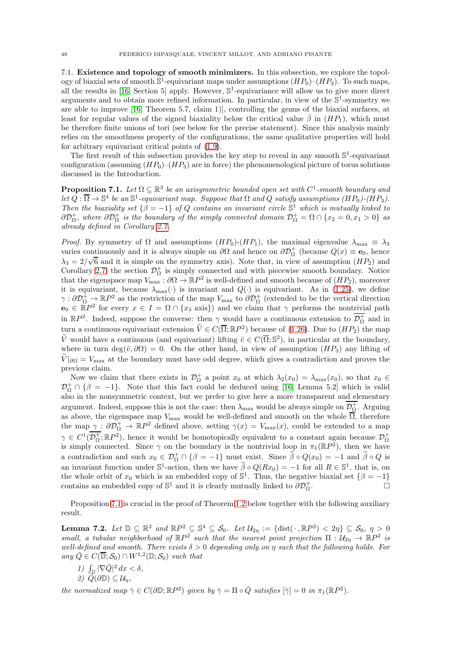<span id="page-47-0"></span>7.1. Existence and topology of smooth minimizers. In this subsection, we explore the topology of biaxial sets of smooth  $S^1$ -equivariant maps under assumptions  $(HP_0)-(HP_3)$ . To such maps, all the results in [\[16,](#page-60-0) Section 5] apply. However,  $\mathbb{S}^1$ -equivariance will allow us to give more direct arguments and to obtain more refined information. In particular, in view of the  $\mathbb{S}^1$ -symmetry we are able to improve [\[16,](#page-60-0) Theorem 5.7, claim 1)], controlling the genus of the biaxial surfaces, at least for regular values of the signed biaxiality below the critical value  $\bar{\beta}$  in  $(HP_1)$ , which must be therefore finite unions of tori (see below for the precise statement). Since this analysis mainly relies on the smoothness property of the configurations, the same qualitative properties will hold for arbitrary equivariant critical points of [\(1.9\)](#page-2-1).

The first result of this subsection provides the key step to reveal in any smooth  $\mathbb{S}^1$ -equivariant configuration (assuming  $(HP_0)$ – $(HP_3)$ ) are in force) the phenomenological picture of torus solutions discussed in the Introduction.

<span id="page-47-1"></span>**Proposition 7.1.** Let  $\Omega \subseteq \mathbb{R}^3$  be an axisymmetric bounded open set with  $C^1$ -smooth boundary and let  $Q : \overline{\Omega} \to \mathbb{S}^4$  be an  $\mathbb{S}^1$ -equivariant map. Suppose that  $\Omega$  and  $Q$  satisfy assumptions  $(HP_0)$ - $(HP_3)$ . Then the biaxiality set  $\{\beta = -1\}$  of Q contains an invariant circle  $\mathbb{S}^1$  which is mutually linked to  $\partial \mathcal{D}_{\Omega}^+$ , where  $\partial \mathcal{D}_{\Omega}^+$  is the boundary of the simply connected domain  $\mathcal{D}_{\Omega}^+ = \Omega \cap \{x_2 = 0, x_1 > 0\}$  as already defined in Corollary [2.7.](#page-11-3)

*Proof.* By symmetry of  $\Omega$  and assumptions  $(HP_0)-(HP_1)$ , the maximal eigenvalue  $\lambda_{\text{max}} \equiv \lambda_3$ varies continuously and it is always simple on  $\partial\Omega$  and hence on  $\partial\mathcal{D}_{\Omega}^+$  (because  $Q(x) \equiv \mathbf{e}_0$ , hence  $\lambda_3 = 2/\sqrt{6}$  and it is simple on the symmetry axis). Note that, in view of assumption  $(HP_2)$  and Corollary [2.7,](#page-11-3) the section  $\mathcal{D}_{\Omega}^{+}$  is simply connected and with piecewise smooth boundary. Notice that the eigenspace map  $V_{\text{max}} : \partial \Omega \to \mathbb{R}P^2$  is well-defined and smooth because of  $(HP_2)$ , moreover it is equivariant, because  $\lambda_{\text{max}}(\cdot)$  is invariant and  $Q(\cdot)$  is equivariant. As in [\(1.25\)](#page-6-1), we define  $\gamma: \partial \mathcal{D}_{\Omega}^+ \to \mathbb{R}P^2$  as the restriction of the map  $V_{\text{max}}$  to  $\partial \mathcal{D}_{\Omega}^+$  (extended to be the vertical direction  $\mathbf{e}_0 \in \mathbb{R}P^2$  for every  $x \in I = \Omega \cap \{x_3 \text{ axis}\}\)$  and we claim that  $\gamma$  performs the nontrivial path in  $\mathbb{R}P^2$ . Indeed, suppose the converse: then  $\gamma$  would have a continuous extension to  $\overline{\mathcal{D}_\Omega^+}$  and in turn a continuous equivariant extension  $\widetilde{V} \in C(\overline{\Omega}; \mathbb{R}P^2)$  because of [\(1.26\)](#page-8-2). Due to  $(HP_2)$  the map  $\tilde{V}$  would have a continuous (and equivariant) lifting  $\tilde{v} \in C(\overline{\Omega}; \mathbb{S}^2)$ , in particular at the boundary, where in turn deg( $\tilde{v}, \partial\Omega$ ) = 0. On the other hand, in view of assumption  $(HP_3)$  any lifting of  $\tilde{V}|_{\partial\Omega} = V_{\text{max}}$  at the boundary must have odd degree, which gives a contradiction and proves the previous claim.

Now we claim that there exists in  $\mathcal{D}_{\Omega}^+$  a point  $x_0$  at which  $\lambda_2(x_0) = \lambda_{\max}(x_0)$ , so that  $x_0 \in$  $\mathcal{D}_{\Omega}^{+} \cap \{\beta = -1\}$ . Note that this fact could be deduced using [\[16,](#page-60-0) Lemma 5.2] which is valid also in the nonsymmetric context, but we prefer to give here a more transparent and elementary argument. Indeed, suppose this is not the case: then  $\lambda_{\max}$  would be always simple on  $\mathcal{D}_{\Omega}^+$ . Arguing as above, the eigenspace map  $V_{\text{max}}$  would be well-defined and smooth on the whole  $\overline{\Omega}$ , therefore the map  $\gamma: \partial \mathcal{D}_{\Omega}^+ \to \mathbb{R}P^2$  defined above, setting  $\gamma(x) = V_{\max}(x)$ , could be extended to a map  $\gamma \in C^1(\mathcal{D}_{\Omega}^+;\mathbb{R}P^2)$ , hence it would be homotopically equivalent to a constant again because  $\mathcal{D}_{\Omega}^+$ is simply connected. Since  $\gamma$  on the boundary is the nontrivial loop in  $\pi_1(\mathbb{R}P^2)$ , then we have a contradiction and such  $x_0 \in \mathcal{D}_{\Omega}^+ \cap \{\beta = -1\}$  must exist. Since  $\tilde{\beta} \circ Q(x_0) = -1$  and  $\tilde{\beta} \circ Q$  is an invariant function under  $\mathbb{S}^1$ -action, then we have  $\tilde{\beta} \circ Q(Rx_0) = -1$  for all  $R \in \mathbb{S}^1$ , that is, on the whole orbit of  $x_0$  which is an embedded copy of  $\mathbb{S}^1$ . Thus, the negative biaxial set  $\{\beta = -1\}$ contains an embedded copy of  $\mathbb{S}^1$  and it is clearly mutually linked to  $\partial \mathcal{D}^+_{\Omega}$ . — Процессиональные продаже продага в собстановки в собстановки в собстановки в собстановки в собстановки в с<br>В собстановки в собстановки в собстановки в собстановки в собстановки в собстановки в собстановки в собстановк

Proposition [7.1](#page-47-1) is crucial in the proof of Theorem [1.2](#page-6-0) below together with the following auxiliary result.

<span id="page-47-2"></span>**Lemma 7.2.** Let  $\mathbb{D} \subseteq \mathbb{R}^2$  and  $\mathbb{R}P^2 \subseteq \mathbb{S}^4 \subseteq \mathcal{S}_0$ . Let  $\mathcal{U}_{2\eta} := \{ \text{dist}(\cdot, \mathbb{R}P^2) < 2\eta \} \subseteq \mathcal{S}_0$ ,  $\eta > 0$ small, a tubular neighborhood of  $\mathbb{R}P^2$  such that the nearest point projection  $\Pi : \mathcal{U}_{2\eta} \to \mathbb{R}P^2$  is well-defined and smooth. There exists  $\delta > 0$  depending only on  $\eta$  such that the following holds. For any  $\overline{Q} \in C(\overline{\mathbb{D}}; S_0) \cap W^{1,2}(\mathbb{D}; S_0)$  such that

- $1)\ \int_{\mathbb{D}}|\nabla \bar{Q}|^2\,dx < \delta,$
- 2)  $\widetilde{Q}(\partial \mathbb{D}) \subseteq \mathcal{U}_\eta$ ,

the normalized map  $\bar{\gamma} \in C(\partial \mathbb{D}; \mathbb{R}P^2)$  given by  $\bar{\gamma} = \Pi \circ \bar{Q}$  satisfies  $[\bar{\gamma}] = 0$  in  $\pi_1(\mathbb{R}P^2)$ .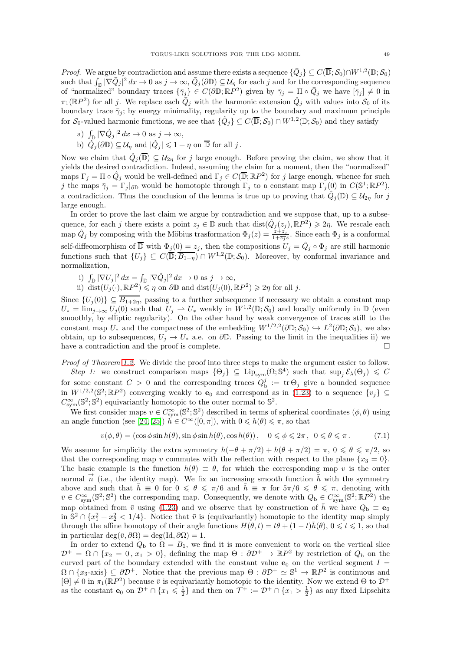*Proof.* We argue by contradiction and assume there exists a sequence  $\{\bar{Q}_j\} \subseteq C(\overline{\mathbb{D}}; \mathcal{S}_0) \cap W^{1,2}(\mathbb{D}; \mathcal{S}_0)$ such that  $\int_{\mathbb{D}} |\nabla \bar{Q}_j|^2 dx \to 0$  as  $j \to \infty$ ,  $\bar{Q}_j(\partial \mathbb{D}) \subseteq \mathcal{U}_\eta$  for each j and for the corresponding sequence of "normalized" boundary traces  $\{\bar{\gamma}_j\} \in C(\partial \mathbb{D}; \mathbb{R}P^2)$  given by  $\bar{\gamma}_j = \prod_{\alpha} \circ \bar{Q}_j$  we have  $[\bar{\gamma}_j] \neq 0$  in  $\pi_1(\mathbb{R}P^2)$  for all j. We replace each  $\overline{Q}_j$  with the harmonic extension  $\hat{Q}_j$  with values into  $\mathcal{S}_0$  of its boundary trace  $\bar{\gamma}_j$ ; by energy minimality, regularity up to the boundary and maximum principle for  $S_0$ -valued harmonic functions, we see that  $\{\hat{Q}_j\} \subseteq C(\overline{\mathbb{D}}; S_0) \cap W^{1,2}(\mathbb{D}; S_0)$  and they satisfy

a)  $\int_{\mathbb{D}} |\nabla \hat{Q}_j|^2 dx \to 0$  as  $j \to \infty$ , b)  $\hat{Q}_j(\partial \mathbb{D}) \subseteq \mathcal{U}_\eta$  and  $|\hat{Q}_j| \leq 1 + \eta$  on  $\overline{\mathbb{D}}$  for all j.

Now we claim that  $\hat{Q}_j(\overline{\mathbb{D}}) \subseteq \mathcal{U}_{2\eta}$  for j large enough. Before proving the claim, we show that it yields the desired contradiction. Indeed, assuming the claim for a moment, then the "normalized" maps  $\Gamma_j = \Pi \circ \hat{Q}_j$  would be well-defined and  $\Gamma_j \in C(\overline{\mathbb{D}}; \mathbb{R}P^2)$  for j large enough, whence for such j the maps  $\bar{\gamma}_j = \Gamma_j |_{\partial \mathbb{D}}$  would be homotopic through  $\Gamma_j$  to a constant map  $\Gamma_j(0)$  in  $C(\mathbb{S}^1; \mathbb{R}P^2)$ , a contradiction. Thus the conclusion of the lemma is true up to proving that  $\hat{Q}_j(\overline{\mathbb{D}}) \subseteq \mathcal{U}_{2\eta}$  for j large enough.

In order to prove the last claim we argue by contradiction and we suppose that, up to a subsequence, for each j there exists a point  $z_j \in \mathbb{D}$  such that  $dist(\hat{Q}_j(z_j), \mathbb{R}P^2) \geq 2\eta$ . We rescale each map  $\hat{Q}_j$  by composing with the Möbius trasformation  $\Phi_j(z) = \frac{z+z_j}{1+\overline{z_j}z}$ . Since each  $\Phi_j$  is a conformal self-diffeomorphism of  $\overline{\mathbb{D}}$  with  $\Phi_j(0) = z_j$ , then the compositions  $U_j = \hat{Q}_j \circ \Phi_j$  are still harmonic functions such that  $\{U_j\} \subseteq C(\overline{\mathbb{D}}; \overline{B_{1+\eta}}) \cap W^{1,2}(\mathbb{D}; \mathcal{S}_0)$ . Moreover, by conformal invariance and normalization,

- i)  $\int_{\mathbb{D}} |\nabla U_j|^2 dx = \int_{\mathbb{D}} |\nabla \hat{Q}_j|^2 dx \to 0 \text{ as } j \to \infty,$
- ii) dist $(U_j(\cdot), \mathbb{R}P^2) \leq \eta$  on  $\partial \mathbb{D}$  and dist $(U_j(0), \mathbb{R}P^2) \geq 2\eta$  for all j.

Since  $\{U_i(0)\}\subseteq \overline{B_{1+2\eta}}$ , passing to a further subsequence if necessary we obtain a constant map  $U_* = \lim_{j \to \infty} U_j(0)$  such that  $U_j \rightharpoonup U_*$  weakly in  $W^{1,2}(\mathbb{D}; S_0)$  and locally uniformly in  $\mathbb{D}$  (even smoothly, by elliptic regularity). On the other hand by weak convergence of traces still to the constant map  $U_*$  and the compactness of the embedding  $W^{1/2,2}(\partial \mathbb{D}; \mathcal{S}_0) \hookrightarrow L^2(\partial \mathbb{D}; \mathcal{S}_0)$ , we also obtain, up to subsequences,  $U_j \to U_*$  a.e. on  $\partial \mathbb{D}$ . Passing to the limit in the inequalities ii) we have a contradiction and the proof is complete. have a contradiction and the proof is complete.

Proof of Theorem [1.2.](#page-6-0) We divide the proof into three steps to make the argument easier to follow.

Step 1: we construct comparison maps  $\{\Theta_j\} \subseteq \text{Lip}_{sym}(\Omega; \mathbb{S}^4)$  such that  $\text{sup}_j \mathcal{E}_\lambda(\Theta_j) \leq C$ for some constant  $C > 0$  and the corresponding traces  $Q_{\text{b}}^j := \text{tr} \Theta_j$  give a bounded sequence in  $W^{1/2,2}(\mathbb{S}^2;\mathbb{R}P^2)$  converging weakly to  $\mathbf{e}_0$  and correspond as in [\(1.23\)](#page-5-0) to a sequence  $\{v_j\} \subseteq$  $C_{sym}^{\infty}(\mathbb{S}^2;\mathbb{S}^2)$  equivariantly homotopic to the outer normal to  $\mathbb{S}^2$ .

We first consider maps  $v \in C_{sym}^{\infty}(\mathbb{S}^2;\mathbb{S}^2)$  described in terms of spherical coordinates  $(\phi, \theta)$  using an angle function (see [\[24,](#page-61-20) [25\]](#page-61-19))  $h \in C^{\infty}([0, \pi])$ , with  $0 \leq h(\theta) \leq \pi$ , so that

<span id="page-48-0"></span>
$$
v(\phi, \theta) = (\cos \phi \sin h(\theta), \sin \phi \sin h(\theta), \cos h(\theta)), \quad 0 \le \phi \le 2\pi, \quad 0 \le \theta \le \pi. \tag{7.1}
$$

We assume for simplicity the extra symmetry  $h(-\theta + \pi/2) + h(\theta + \pi/2) = \pi$ ,  $0 \le \theta \le \pi/2$ , so that the corresponding map v commutes with the reflection with respect to the plane  $\{x_3 = 0\}$ . The basic example is the function  $h(\theta) \equiv \theta$ , for which the corresponding map v is the outer normal  $\vec{n}$  (i.e., the identity map). We fix an increasing smooth function  $\bar{h}$  with the symmetry above and such that  $\bar{h} \equiv 0$  for  $0 \le \theta \le \pi/6$  and  $\bar{h} \equiv \pi$  for  $5\pi/6 \le \theta \le \pi$ , denoting with  $\bar{v} \in C_{\text{sym}}^{\infty}(\mathbb{S}^2;\mathbb{S}^2)$  the corresponding map. Consequently, we denote with  $Q_{\text{b}} \in C_{\text{sym}}^{\infty}(\mathbb{S}^2;\mathbb{R}P^2)$  the map obtained from  $\bar{v}$  using [\(1.23\)](#page-5-0) and we observe that by construction of  $\bar{h}$  we have  $Q_{\rm b} \equiv \mathbf{e}_0$ in  $\mathbb{S}^2 \cap \{x_1^2 + x_2^2 < 1/4\}$ . Notice that  $\bar{v}$  is (equivariantly) homotopic to the identity map simply through the affine homotopy of their angle functions  $H(\theta, t) = t\theta + (1 - t)h(\theta)$ ,  $0 \le t \le 1$ , so that in particular deg( $\bar{v}, \partial \Omega$ ) = deg(Id,  $\partial \Omega$ ) = 1.

In order to extend  $Q_{\rm b}$  to  $\Omega = B_1$ , we find it is more convenient to work on the vertical slice  $\mathcal{D}^+ = \Omega \cap \{x_2 = 0, x_1 > 0\}$ , defining the map  $\Theta : \partial \mathcal{D}^+ \to \mathbb{R}P^2$  by restriction of  $Q_{\rm b}$  on the curved part of the boundary extended with the constant value  $e_0$  on the vertical segment  $I =$  $\Omega \cap \{x_3\text{-axis}\}\subseteq \partial \mathcal{D}^+$ . Notice that the previous map  $\Theta : \partial \mathcal{D}^+ \simeq \mathbb{S}^1 \to \mathbb{R}P^2$  is continuous and  $[\Theta] \neq 0$  in  $\pi_1(\mathbb{R}P^2)$  because  $\bar{v}$  is equivariantly homotopic to the identity. Now we extend  $\Theta$  to  $\mathcal{D}^+$ as the constant  $e_0$  on  $\mathcal{D}^+ \cap \{x_1 \leq \frac{1}{2}\}\$  and then on  $\mathcal{T}^+ := \mathcal{D}^+ \cap \{x_1 > \frac{1}{2}\}\$ as any fixed Lipschitz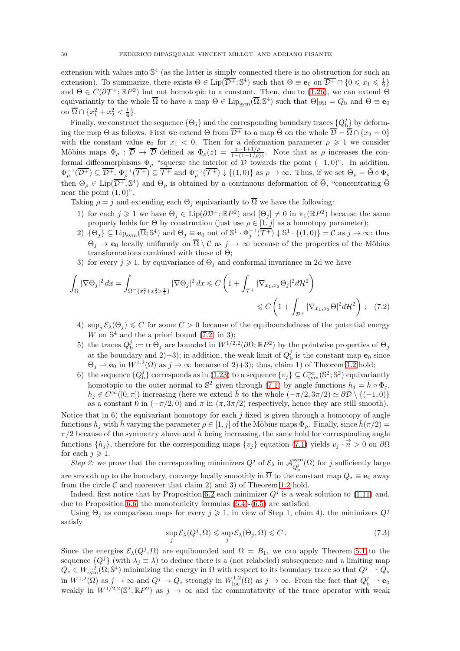extension with values into  $\mathbb{S}^4$  (as the latter is simply connected there is no obstruction for such an extension). To summarize, there exists  $\Theta \in \text{Lip}(\overline{\mathcal{D}^+}; \mathbb{S}^4)$  such that  $\Theta \equiv \mathbf{e}_0$  on  $\overline{\mathcal{D}^+} \cap \{0 \leq x_1 \leq \frac{1}{2}\}\$ and  $\Theta \in C(\partial \mathcal{T}^+;\mathbb{R}P^2)$  but not homotopic to a constant. Then, due to [\(1.26\)](#page-8-2), we can extend  $\Theta$ equivariantly to the whole  $\overline{\Omega}$  to have a map  $\Theta \in \text{Lip}_{sym}(\overline{\Omega}; \mathbb{S}^4)$  such that  $\Theta|_{\partial\Omega} = Q_{\text{b}}$  and  $\Theta \equiv \mathbf{e}_0$ on  $\overline{\Omega} \cap \{x_1^2 + x_2^2 < \frac{1}{4}\}.$ 

Finally, we construct the sequence  $\{\Theta_j\}$  and the corresponding boundary traces  $\{Q_{\rm b}^j\}$  by deforming the map  $\Theta$  as follows. First we extend  $\Theta$  from  $\overline{\mathcal{D}^+}$  to a map  $\overline{\Theta}$  on the whole  $\overline{\mathcal{D}} = \overline{\Omega} \cap \{x_2 = 0\}$ with the constant value  $e_0$  for  $x_1 < 0$ . Then for a deformation parameter  $\rho \geq 1$  we consider Möbius maps  $\Phi_{\rho} : \overline{\mathcal{D}} \to \overline{\mathcal{D}}$  defined as  $\Phi_{\rho}(z) = \frac{z-1+1/\rho}{1-(1-1/\rho)z}$ . Note that as  $\rho$  increases the conformal diffeomorphisms  $\Phi_{\rho}$  "squeeze the interior of  $\mathcal{D}$  towards the point  $(-1,0)$ ". In addition,  $\Phi_{\rho}^{-1}(\overline{\mathcal{D}^+}) \subseteq \overline{\mathcal{D}^+}, \ \Phi_{\rho}^{-1}(\overline{\mathcal{T}^+}) \subseteq \overline{\mathcal{T}^+} \text{ and } \Phi_{\rho}^{-1}(\overline{\mathcal{T}^+}) \downarrow \{(1,0)\} \text{ as } \rho \to \infty. \text{ Thus, if we set } \Theta_{\rho} = \overline{\Theta} \circ \Phi_{\rho}$ then  $\Theta_{\rho} \in \text{Lip}(\overline{\mathcal{D}^+}; \mathbb{S}^4)$  and  $\Theta_{\rho}$  is obtained by a continuous deformation of  $\bar{\Theta}$ , "concentrating  $\bar{\Theta}$ near the point  $(1,0)$ ".

Taking  $\rho = j$  and extending each  $\Theta_i$  equivariantly to  $\overline{\Omega}$  we have the following:

- 1) for each  $j \geq 1$  we have  $\Theta_j \in \text{Lip}(\partial \mathcal{D}^+; \mathbb{R}P^2)$  and  $[\Theta_j] \neq 0$  in  $\pi_1(\mathbb{R}P^2)$  because the same property holds for  $\bar{\Theta}$  by construction (just use  $\rho \in [1, j]$  as a homotopy parameter);
- 2)  $\{\Theta_j\} \subseteq \text{Lip}_{sym}(\overline{\Omega}; \mathbb{S}^4)$  and  $\Theta_j \equiv \mathbf{e}_0$  out of  $\mathbb{S}^1 \cdot \Phi_j^{-1}(\overline{\mathcal{T}^+}) \downarrow \mathbb{S}^1 \cdot \{(1,0)\} = \mathcal{C}$  as  $j \to \infty$ ; thus  $\Theta_i \to \mathbf{e}_0$  locally uniformly on  $\overline{\Omega} \setminus \mathcal{C}$  as  $j \to \infty$  because of the properties of the Möbius transformations combined with those of  $\Theta$ ;
- 3) for every  $j \geq 1$ , by equivariance of  $\Theta_j$  and conformal invariance in 2d we have

$$
\int_{\Omega} |\nabla \Theta_j|^2 dx = \int_{\Omega \cap \{x_1^2 + x_2^2 > \frac{1}{4}\}} |\nabla \Theta_j|^2 dx \leq C \left( 1 + \int_{\mathcal{T}^+} |\nabla_{x_1, x_3} \Theta_j|^2 d\mathcal{H}^2 \right) \leq C \left( 1 + \int_{\mathcal{D}^+} |\nabla_{x_1, x_3} \Theta|^2 d\mathcal{H}^2 \right); \quad (7.2)
$$

- <span id="page-49-0"></span>4)  $\sup_i \mathcal{E}_\lambda(\Theta_i) \leq C$  for some  $C > 0$  because of the equiboundedness of the potential energy W on  $\mathbb{S}^4$  and the a priori bound [\(7.2\)](#page-49-0) in 3);
- 5) the traces  $Q_b^j := \text{tr } \Theta_j$  are bounded in  $W^{1/2,2}(\partial \Omega;\mathbb{R}P^2)$  by the pointwise properties of  $\Theta_j$ at the boundary and 2 $(+)$ ; in addition, the weak limit of  $Q_{\rm b}^j$  is the constant map  $\mathbf{e}_0$  since  $\Theta_j \rightharpoonup \mathbf{e}_0$  in  $W^{1,2}(\Omega)$  as  $j \to \infty$  because of 2 $j$ +3 $j$ ; thus, claim 1 $j$  of Theorem [1.2](#page-6-0) hold;
- 6) the sequence  ${Q_b^j}$  corresponds as in [\(1.23\)](#page-5-0) to a sequence  ${v_j} \subseteq C_{sym}^{\infty}(\mathbb{S}^2;\mathbb{S}^2)$  equivariantly homotopic to the outer normal to  $\mathbb{S}^2$  given through [\(7.1\)](#page-48-0) by angle functions  $h_j = \bar{h} \circ \Phi_j$ ,  $h_j \in C^{\infty}([0,\pi])$  increasing (here we extend  $\bar{h}$  to the whole  $(-\pi/2, 3\pi/2) \simeq \partial \mathcal{D} \setminus \{(-1,0)\}\$ as a constant 0 in  $(-\pi/2, 0)$  and  $\pi$  in  $(\pi, 3\pi/2)$  respectively, hence they are still smooth).

Notice that in  $6$ ) the equivariant homotopy for each j fixed is given through a homotopy of angle functions  $h_j$  with h varying the parameter  $\rho \in [1, j]$  of the Möbius maps  $\Phi_\rho$ . Finally, since  $h(\pi/2)$  =  $\pi/2$  because of the symmetry above and  $\bar{h}$  being increasing, the same hold for corresponding angle functions  $\{h_j\}$ , therefore for the corresponding maps  $\{v_j\}$  equation [\(7.1\)](#page-48-0) yields  $v_j \cdot \vec{n} > 0$  on  $\partial\Omega$ for each  $j \geqslant 1$ .

Step 2: we prove that the corresponding minimizers  $Q^j$  of  $\mathcal{E}_\lambda$  in  $\mathcal{A}_{Q^j}^{\text{sym}}$  $\frac{\text{sym}}{Q_{\text{b}}^{j}}(\Omega)$  for j sufficiently large are smooth up to the boundary, converge locally smoothly in  $\overline{\Omega}$  to the constant map  $Q_* \equiv \mathbf{e}_0$  away from the circle  $\mathcal C$  and moreover that claim 2) and 3) of Theorem [1.2](#page-6-0) hold.

Indeed, first notice that by Proposition [6.2](#page-35-0) each minimizer  $Q<sup>j</sup>$  is a weak solution to [\(1.11\)](#page-2-0) and, due to Proposition [6.6,](#page-36-7) the monotonicity formulas [\(6.4\)](#page-36-3)-[\(6.5\)](#page-36-2) are satisfied.

Using  $\Theta_i$  as comparison maps for every  $j \geq 1$ , in view of Step 1, claim 4), the minimizers  $Q^j$ satisfy

<span id="page-49-1"></span>
$$
\sup_{j} \mathcal{E}_{\lambda}(Q^{j}, \Omega) \le \sup_{j} \mathcal{E}_{\lambda}(\Theta_{j}, \Omega) \le C. \tag{7.3}
$$

Since the energies  $\mathcal{E}_{\lambda}(Q^j, \Omega)$  are equibounded and  $\Omega = B_1$ , we can apply Theorem [5.1](#page-29-4) to the sequence  $\{Q^j\}$  (with  $\lambda_j \equiv \lambda$ ) to deduce there is a (not relabeled) subsequence and a limiting map  $Q_* \in W^{1,2}_{sym}(\Omega; \mathbb{S}^4)$  minimizing the energy in  $\Omega$  with respect to its boundary trace so that  $Q^j \to Q_*$ in  $W^{1,2}(\Omega)$  as  $j \to \infty$  and  $Q^j \to Q_*$  strongly in  $W^{1,2}_{loc}(\Omega)$  as  $j \to \infty$ . From the fact that  $Q^j_{\rm b} \to {\bf e}_0$ weakly in  $W^{1/2,2}(\mathbb{S}^2;\mathbb{R}P^2)$  as  $j \to \infty$  and the commutativity of the trace operator with weak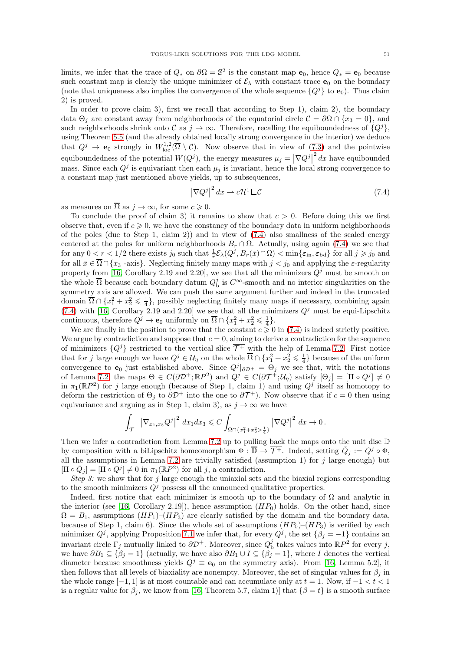limits, we infer that the trace of  $Q_*$  on  $\partial\Omega = \mathbb{S}^2$  is the constant map  $\mathbf{e}_0$ , hence  $Q_* = \mathbf{e}_0$  because such constant map is clearly the unique minimizer of  $\mathcal{E}_{\lambda}$  with constant trace  $\mathbf{e}_0$  on the boundary (note that uniqueness also implies the convergence of the whole sequence  $\{Q^j\}$  to  $\mathbf{e}_0$ ). Thus claim 2) is proved.

In order to prove claim 3), first we recall that according to Step 1), claim 2), the boundary data  $\Theta_i$  are constant away from neighborhoods of the equatorial circle  $\mathcal{C} = \partial\Omega \cap \{x_3 = 0\}$ , and such neighborhoods shrink onto C as  $j \to \infty$ . Therefore, recalling the equiboundedness of  $\{Q^j\}$ , using Theorem [5.5](#page-32-6) (and the already obtained locally strong convergence in the interior) we deduce that  $Q^j \to \mathbf{e}_0$  strongly in  $W^{1,2}_{loc}(\overline{\Omega} \setminus \mathcal{C})$ . Now observe that in view of  $(7.3)$  and the pointwise equiboundedness of the potential  $W(Q<sup>j</sup>)$ , the energy measures  $\mu_j = |\nabla Q<sup>j</sup>|^2 dx$  have equibounded mass. Since each  $Q^j$  is equivariant then each  $\mu_j$  is invariant, hence the local strong convergence to a constant map just mentioned above yields, up to subsequences,

<span id="page-50-0"></span>
$$
\left|\nabla Q^j\right|^2 dx \rightharpoonup c\mathcal{H}^1 \mathsf{L}\mathcal{C}
$$
\n(7.4)

as measures on  $\overline{\Omega}$  as  $j \to \infty$ , for some  $c \geq 0$ .

To conclude the proof of claim 3) it remains to show that  $c > 0$ . Before doing this we first observe that, even if  $c \geq 0$ , we have the constancy of the boundary data in uniform neighborhoods of the poles (due to Step 1, claim 2)) and in view of [\(7.4\)](#page-50-0) also smallness of the scaled energy centered at the poles for uniform neighborhoods  $B_r \cap \Omega$ . Actually, using again [\(7.4\)](#page-50-0) we see that for any  $0 < r < 1/2$  there exists  $j_0$  such that  $\frac{1}{r} \mathcal{E}_{\lambda}(Q^j, B_r(\bar{x}) \cap \Omega) < \min\{\varepsilon_{\text{in}}, \varepsilon_{\text{bd}}\}$  for all  $j \geqslant j_0$  and for all  $\bar{x} \in \overline{\Omega} \cap \{x_3 - axis\}$ . Neglecting finitely many maps with  $j < j_0$  and applying the  $\varepsilon$ -regularity property from [\[16,](#page-60-0) Corollary 2.19 and 2.20], we see that all the minimizers  $Q<sup>j</sup>$  must be smooth on the whole  $\overline{\Omega}$  because each boundary datum  $Q_{\rm b}^j$  is  $C^{\infty}$ -smooth and no interior singularities on the symmetry axis are allowed. We can push the same argument further and indeed in the truncated domain  $\overline{\Omega} \cap \{x_1^2 + x_2^2 \leq \frac{1}{4}\}$ , possibly neglecting finitely many maps if necessary, combining again [\(7.4\)](#page-50-0) with [\[16,](#page-60-0) Corollary 2.19 and 2.20] we see that all the minimizers  $Q<sup>j</sup>$  must be equi-Lipschitz continuous, therefore  $Q^j \to \mathbf{e}_0$  uniformly on  $\overline{\Omega} \cap \{x_1^2 + x_2^2 \leq \frac{1}{4}\}.$ 

We are finally in the position to prove that the constant  $c \geq 0$  in [\(7.4\)](#page-50-0) is indeed strictly positive. We argue by contradiction and suppose that  $c = 0$ , aiming to derive a contradiction for the sequence of minimizers  $\{Q^{j}\}\$  restricted to the vertical slice  $\overline{\mathcal{T}^+}$  with the help of Lemma [7.2.](#page-47-2) First notice that for j large enough we have  $Q^j \in \mathcal{U}_\eta$  on the whole  $\overline{\Omega} \cap \{x_1^2 + x_2^2 \leq \frac{1}{4}\}$  because of the uniform convergence to  $\mathbf{e}_0$  just established above. Since  $Q^j|_{\partial \mathcal{D}^+} = \Theta_j$  we see that, with the notations of Lemma [7.2,](#page-47-2) the maps  $\Theta \in C(\partial \mathcal{D}^+; \mathbb{R}P^2)$  and  $Q^j \in C(\partial \mathcal{T}^+; \mathcal{U}_\eta)$  satisfy  $[\Theta_j] = [\Pi \circ Q^j] \neq 0$ in  $\pi_1(\mathbb{R}P^2)$  for j large enough (because of Step 1, claim 1) and using  $Q^j$  itself as homotopy to deform the restriction of  $\Theta_j$  to  $\partial \mathcal{D}^+$  into the one to  $\partial \mathcal{T}^+$ ). Now observe that if  $c=0$  then using equivariance and arguing as in Step 1, claim 3), as  $j \to \infty$  we have

$$
\int_{\mathcal{T}^+} \left| \nabla_{x_1,x_3} Q^j \right|^2 \, dx_1 dx_3 \leqslant C \int_{\Omega \cap \{x_1^2 + x_2^2 > \frac{1}{4}\}} \left| \nabla Q^j \right|^2 \, dx \to 0 \, .
$$

Then we infer a contradiction from Lemma [7.2](#page-47-2) up to pulling back the maps onto the unit disc  $D$ by composition with a biLipschitz homeomorphism  $\Phi : \overline{\mathbb{D}} \to \overline{\mathcal{T}^+}$ . Indeed, setting  $\overline{Q}_j := Q^j \circ \Phi$ , all the assumptions in Lemma [7.2](#page-47-2) are trivially satisfied (assumption 1) for  $j$  large enough) but  $[\Pi \circ \bar{Q}_j] = [\Pi \circ Q^j] \neq 0$  in  $\pi_1(\mathbb{R}P^2)$  for all j, a contradiction.

Step 3: we show that for j large enough the uniaxial sets and the biaxial regions corresponding to the smooth minimizers  $Q<sup>j</sup>$  possess all the announced qualitative properties.

Indeed, first notice that each minimizer is smooth up to the boundary of  $\Omega$  and analytic in the interior (see [\[16,](#page-60-0) Corollary 2.19]), hence assumption  $(HP_0)$  holds. On the other hand, since  $\Omega = B_1$ , assumptions  $(HP_1)$ – $(HP_3)$  are clearly satisfied by the domain and the boundary data, because of Step 1, claim 6). Since the whole set of assumptions  $(HP_0)-(HP_3)$  is verified by each minimizer  $Q<sup>j</sup>$ , applying Proposition [7.1](#page-47-1) we infer that, for every  $Q<sup>j</sup>$ , the set  $\{\beta_j = -1\}$  contains an invariant circle  $\Gamma_j$  mutually linked to  $\partial \mathcal{D}^+$ . Moreover, since  $Q_{\rm b}^j$  takes values into  $\mathbb{R}P^2$  for every j, we have  $\partial B_1 \subseteq {\beta_i = 1}$  (actually, we have also  $\partial B_1 \cup I \subseteq {\beta_i = 1}$ , where I denotes the vertical diameter because smoothness yields  $Q^j \equiv \mathbf{e}_0$  on the symmetry axis). From [\[16,](#page-60-0) Lemma 5.2], it then follows that all levels of biaxiality are nonempty. Moreover, the set of singular values for  $\beta_i$  in the whole range  $[-1, 1]$  is at most countable and can accumulate only at  $t = 1$ . Now, if  $-1 < t < 1$ is a regular value for  $\beta_j$ , we know from [\[16,](#page-60-0) Theorem 5.7, claim 1)] that  $\{\beta = t\}$  is a smooth surface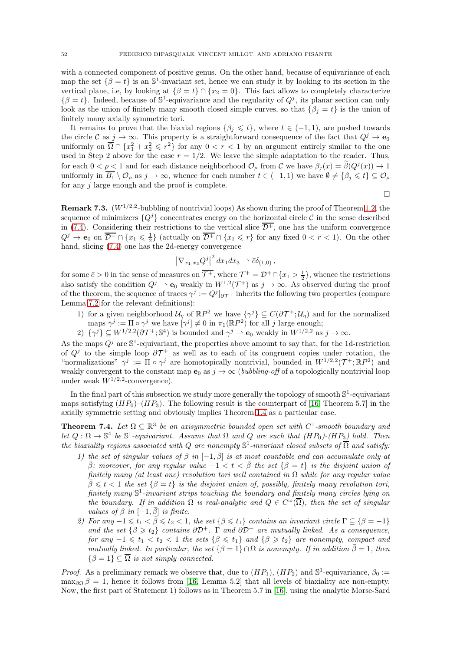with a connected component of positive genus. On the other hand, because of equivariance of each map the set  $\{\beta = t\}$  is an  $\mathbb{S}^1$ -invariant set, hence we can study it by looking to its section in the vertical plane, i.e, by looking at  $\{\beta = t\} \cap \{x_2 = 0\}$ . This fact allows to completely characterize  $\{\beta = t\}$ . Indeed, because of  $\mathbb{S}^1$ -equivariance and the regularity of  $Q^j$ , its planar section can only look as the union of finitely many smooth closed simple curves, so that  $\{\beta_j = t\}$  is the union of finitely many axially symmetric tori.

It remains to prove that the biaxial regions  $\{\beta_i \leq t\}$ , where  $t \in (-1,1)$ , are pushed towards the circle C as  $j \to \infty$ . This property is a straightforward consequence of the fact that  $Q^j \to \mathbf{e}_0$ uniformly on  $\overline{\Omega} \cap \{x_1^2 + x_2^2 \leqslant r^2\}$  for any  $0 < r < 1$  by an argument entirely similar to the one used in Step 2 above for the case  $r = 1/2$ . We leave the simple adaptation to the reader. Thus, for each  $0 < \rho < 1$  and for each distance neighborhood  $\mathcal{O}_{\rho}$  from C we have  $\beta_j(x) = \beta(Q^j(x)) \to 1$ uniformly in  $\overline{B_1} \setminus \mathcal{O}_\rho$  as  $j \to \infty$ , whence for each number  $t \in (-1,1)$  we have  $\emptyset \neq {\beta_j \leq t} \subseteq \mathcal{O}_\rho$ for any  $j$  large enough and the proof is complete.

 $\Box$ 

<span id="page-51-0"></span>**Remark 7.3.**  $(W^{1/2,2}$ -bubbling of nontrivial loops) As shown during the proof of Theorem [1.2,](#page-6-0) the sequence of minimizers  ${Q<sup>j</sup>}$  concentrates energy on the horizontal circle C in the sense described in [\(7.4\)](#page-50-0). Considering their restrictions to the vertical slice  $\overline{\mathcal{D}^+}$ , one has the uniform convergence  $Q^j \to \mathbf{e}_0$  on  $\overline{\mathcal{D}^+} \cap \{x_1 \leqslant \frac{1}{2}\}\$  (actually on  $\overline{\mathcal{D}^+} \cap \{x_1 \leqslant r\}$  for any fixed  $0 < r < 1$ ). On the other hand, slicing [\(7.4\)](#page-50-0) one has the 2d-energy convergence

$$
\left|\nabla_{x_1,x_3} Q^j\right|^2 dx_1 dx_3 \rightharpoonup \bar{c}\delta_{(1,0)},
$$

for some  $\bar{c} > 0$  in the sense of measures on  $\overline{\mathcal{T}^+}$ , where  $\mathcal{T}^+ = \mathcal{D}^+ \cap \{x_1 > \frac{1}{2}\}\$ , whence the restrictions also satisfy the condition  $Q^j \rightharpoonup \mathbf{e}_0$  weakly in  $W^{1,2}(\mathcal{T}^+)$  as  $j \to \infty$ . As observed during the proof of the theorem, the sequence of traces  $\gamma^j := Q^j|_{\partial \mathcal{T}^+}$  inherits the following two properties (compare Lemma [7.2](#page-47-2) for the relevant definitions):

- 1) for a given neighborhood  $\mathcal{U}_\eta$  of  $\mathbb{R}P^2$  we have  $\{\gamma^j\} \subseteq C(\partial \mathcal{T}^+;\mathcal{U}_\eta)$  and for the normalized maps  $\bar{\gamma}^j := \Pi \circ \gamma^j$  we have  $[\bar{\gamma}^j] \neq 0$  in  $\pi_1(\mathbb{R}P^2)$  for all j large enough;
- 2)  $\{\gamma^j\}\subseteq W^{1/2,2}(\partial\mathcal{T}^+;\mathbb{S}^4)$  is bounded and  $\gamma^j\rightharpoonup \mathbf{e}_0$  weakly in  $W^{1/2,2}$  as  $j\to\infty$ .

As the maps  $Q^j$  are  $\mathbb{S}^1$ -equivariant, the properties above amount to say that, for the 1d-restriction of  $Q^j$  to the simple loop  $\partial \mathcal{T}^+$  as well as to each of its congruent copies under rotation, the "normalizations"  $\bar{\gamma}^j := \Pi \circ \gamma^j$  are homotopically nontrivial, bounded in  $W^{1/2,2}(\mathcal{T}^+;\mathbb{R}P^2)$  and weakly convergent to the constant map  $e_0$  as  $j \to \infty$  (*bubbling-off* of a topologically nontrivial loop under weak  $W^{1/2,2}$ -convergence).

In the final part of this subsection we study more generally the topology of smooth  $\mathbb{S}^1$ -equivariant maps satisfying  $(HP_0)$ – $(HP_3)$ . The following result is the counterpart of [\[16,](#page-60-0) Theorem 5.7] in the axially symmetric setting and obviously implies Theorem [1.4](#page-8-0) as a particular case.

<span id="page-51-1"></span>**Theorem 7.4.** Let  $\Omega \subseteq \mathbb{R}^3$  be an axisymmetric bounded open set with  $C^1$ -smooth boundary and let  $Q : \overline{\Omega} \to \mathbb{S}^4$  be  $\mathbb{S}^1$ -equivariant. Assume that  $\Omega$  and  $Q$  are such that  $(HP_0)$ - $(HP_3)$  hold. Then the biaxiality regions associated with Q are nonempty  $\mathbb{S}^1$ -invariant closed subsets of  $\overline{\Omega}$  and satisfy:

- 1) the set of singular values of  $\beta$  in  $[-1, \overline{\beta}]$  is at most countable and can accumulate only at  $\bar{\beta}$ ; moreover, for any regular value  $-1 < t < \bar{\beta}$  the set  $\{\beta = t\}$  is the disjoint union of finitely many (at least one) revolution tori well contained in  $\Omega$  while for any regular value  $\bar{\beta} \leq t < 1$  the set  $\{\beta = t\}$  is the disjoint union of, possibly, finitely many revolution tori, finitely many  $\mathbb{S}^1$ -invariant strips touching the boundary and finitely many circles lying on the boundary. If in addition  $\Omega$  is real-analytic and  $Q \in C^{\omega}(\overline{\Omega})$ , then the set of singular values of  $\beta$  in  $[-1, \overline{\beta}]$  is finite.
- 2) For any  $-1 \leq t_1 < \bar{\beta} \leq t_2 < 1$ , the set  $\{\beta \leq t_1\}$  contains an invariant circle  $\Gamma \subseteq \{\beta = -1\}$ and the set  $\{\beta \geq t_2\}$  contains  $\partial \mathcal{D}^+$ .  $\Gamma$  and  $\partial \mathcal{D}^+$  are mutually linked. As a consequence, for any  $-1 \leq t_1 < t_2 < 1$  the sets  $\{\beta \leq t_1\}$  and  $\{\beta \geq t_2\}$  are nonempty, compact and mutually linked. In particular, the set  $\{\beta = 1\} \cap \Omega$  is nonempty. If in addition  $\bar{\beta} = 1$ , then  $\{\beta = 1\} \subset \overline{\Omega}$  is not simply connected.

*Proof.* As a preliminary remark we observe that, due to  $(HP_1)$ ,  $(HP_2)$  and  $\mathbb{S}^1$ -equivariance,  $\beta_0 :=$  $\max_{\partial\Omega} \beta = 1$ , hence it follows from [\[16,](#page-60-0) Lemma 5.2] that all levels of biaxiality are non-empty. Now, the first part of Statement 1) follows as in Theorem 5.7 in [\[16\]](#page-60-0), using the analytic Morse-Sard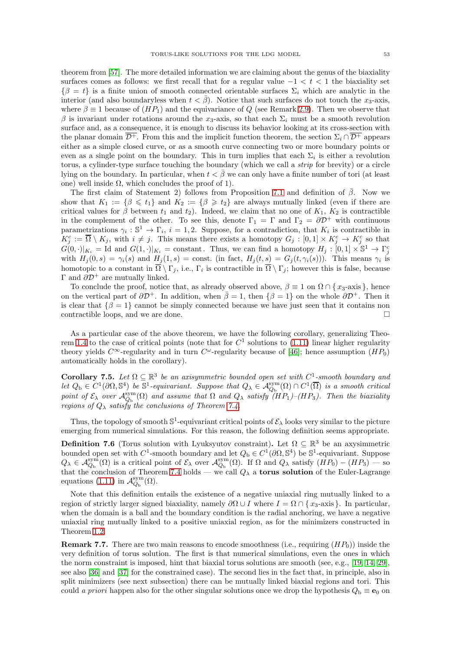theorem from [\[57\]](#page-62-3). The more detailed information we are claiming about the genus of the biaxiality surfaces comes as follows: we first recall that for a regular value  $-1 < t < 1$  the biaxiality set  $\{\beta = t\}$  is a finite union of smooth connected orientable surfaces  $\Sigma_i$  which are analytic in the interior (and also boundaryless when  $t < \bar{\beta}$ ). Notice that such surfaces do not touch the  $x_3$ -axis, where  $\beta \equiv 1$  because of  $(HP_1)$  and the equivariance of Q (see Remark [2.9\)](#page-12-3). Then we observe that β is invariant under rotations around the x<sub>3</sub>-axis, so that each  $\Sigma_i$  must be a smooth revolution surface and, as a consequence, it is enough to discuss its behavior looking at its cross-section with the planar domain  $\overline{\mathcal{D}^+}$ . From this and the implicit function theorem, the section  $\Sigma_i \cap \overline{\mathcal{D}^+}$  appears either as a simple closed curve, or as a smooth curve connecting two or more boundary points or even as a single point on the boundary. This in turn implies that each  $\Sigma_i$  is either a revolution torus, a cylinder-type surface touching the boundary (which we call a *strip* for brevity) or a circle lying on the boundary. In particular, when  $t < \bar{\beta}$  we can only have a finite number of tori (at least one) well inside  $Ω$ , which concludes the proof of 1).

The first claim of Statement 2) follows from Proposition [7.1](#page-47-1) and definition of  $\beta$ . Now we show that  $K_1 := \{\beta \leq t_1\}$  and  $K_2 := \{\beta \geq t_2\}$  are always mutually linked (even if there are critical values for  $\beta$  between  $t_1$  and  $t_2$ ). Indeed, we claim that no one of  $K_1, K_2$  is contractible in the complement of the other. To see this, denote  $\Gamma_1 = \Gamma$  and  $\Gamma_2 = \partial \mathcal{D}^+$  with continuous parametrizations  $\gamma_i : \mathbb{S}^1 \to \Gamma_i$ ,  $i = 1, 2$ . Suppose, for a contradiction, that  $K_i$  is contractible in  $K_j^c := \overline{\Omega} \setminus K_j$ , with  $i \neq j$ . This means there exists a homotopy  $G_j : [0,1] \times K_j^c \to K_j^c$  so that  $G(0, \cdot)|_{K_i} = \text{Id}$  and  $G(1, \cdot)|_{K_i} = \text{constant}$ . Thus, we can find a homotopy  $H_j : [0, 1] \times S^1 \to \Gamma_j^c$ with  $H_j(0,s) = \gamma_i(s)$  and  $H_j(1,s) = \text{const.}$  (in fact,  $H_j(t,s) = G_j(t,\gamma_i(s))$ ). This means  $\gamma_i$  is homotopic to a constant in  $\Omega \setminus \Gamma_j$ , i.e.,  $\Gamma_i$  is contractible in  $\Omega \setminus \Gamma_j$ ; however this is false, because Γ and  $\partial \mathcal{D}^+$  are mutually linked.

To conclude the proof, notice that, as already observed above,  $\beta \equiv 1$  on  $\Omega \cap \{x_3$ -axis }, hence on the vertical part of  $\partial \mathcal{D}^+$ . In addition, when  $\bar{\beta}=1$ , then  $\{\beta=1\}$  on the whole  $\partial \mathcal{D}^+$ . Then it is clear that  $\{\beta = 1\}$  cannot be simply connected because we have just seen that it contains non contractible loops and we are done contractible loops, and we are done.

As a particular case of the above theorem, we have the following corollary, generalizing Theo-rem [1.4](#page-8-0) to the case of critical points (note that for  $C<sup>1</sup>$  solutions to [\(1.11\)](#page-2-0) linear higher regularity theory yields  $C^{\infty}$ -regularity and in turn  $C^{\omega}$ -regularity because of [\[46\]](#page-61-24); hence assumption  $(HP_0)$ automatically holds in the corollary).

<span id="page-52-1"></span>Corollary 7.5. Let  $\Omega \subseteq \mathbb{R}^3$  be an axisymmetric bounded open set with  $C^1$ -smooth boundary and Let  $Q_{\text{b}} \in C^1(\partial\Omega, \mathbb{S}^4)$  be  $\mathbb{S}^1$ -equivariant. Suppose that  $Q_{\lambda} \in \mathcal{A}_{Q_{\text{b}}}^{\text{sym}}(\Omega) \cap C^1(\overline{\Omega})$  is a smooth critical point of  $\mathcal{E}_{\lambda}$  over  $\mathcal{A}_{Q_{\rm b}}^{\rm sym}(\Omega)$  and assume that  $\Omega$  and  $Q_{\lambda}$  satisfy  $(HP_1)-(HP_3)$ . Then the biaxiality regions of  $Q_{\lambda}$  satisfy the conclusions of Theorem [7.4.](#page-51-1)

Thus, the topology of smooth  $\mathbb{S}^1$ -equivariant critical points of  $\mathcal{E}_\lambda$  looks very similar to the picture emerging from numerical simulations. For this reason, the following definition seems appropriate.

<span id="page-52-0"></span>**Definition 7.6** (Torus solution with Lyuksyutov constraint). Let  $\Omega \subseteq \mathbb{R}^3$  be an axysimmetric bounded open set with  $C^1$ -smooth boundary and let  $Q_b \in C^1(\partial\Omega, \mathbb{S}^4)$  be  $\mathbb{S}^1$ -equivariant. Suppose  $Q_{\lambda} \in \mathcal{A}_{Q_{\rm b}}^{\rm sym}(\Omega)$  is a critical point of  $\mathcal{E}_{\lambda}$  over  $\mathcal{A}_{Q_{\rm b}}^{\rm sym}(\Omega)$ . If  $\Omega$  and  $Q_{\lambda}$  satisfy  $(HP_0) - (HP_3)$  — so that the conclusion of Theorem [7.4](#page-51-1) holds — we call  $Q_{\lambda}$  a torus solution of the Euler-Lagrange equations [\(1.11\)](#page-2-0) in  $\mathcal{A}_{Q_{\rm b}}^{\rm sym}(\Omega)$ .

Note that this definition entails the existence of a negative uniaxial ring mutually linked to a region of strictly larger signed biaxiality, namely  $\partial \Omega \cup I$  where  $I = \Omega \cap \{x_3\}$ -axis }. In particular, when the domain is a ball and the boundary condition is the radial anchoring, we have a negative uniaxial ring mutually linked to a positive uniaxial region, as for the minimizers constructed in Theorem [1.2.](#page-6-0)

**Remark 7.7.** There are two main reasons to encode smoothness (i.e., requiring  $(HP_0)$ ) inside the very definition of torus solution. The first is that numerical simulations, even the ones in which the norm constraint is imposed, hint that biaxial torus solutions are smooth (see, e.g., [\[19,](#page-60-11) [14,](#page-60-12) [29\]](#page-61-17), see also [\[36\]](#page-61-15) and [\[37\]](#page-61-14) for the constrained case). The second lies in the fact that, in principle, also in split minimizers (see next subsection) there can be mutually linked biaxial regions and tori. This could a priori happen also for the other singular solutions once we drop the hypothesis  $Q_{\rm b} \equiv \mathbf{e}_0$  on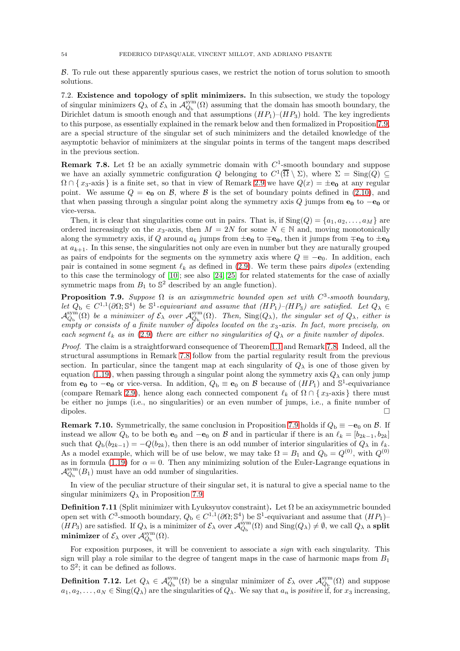B. To rule out these apparently spurious cases, we restrict the notion of torus solution to smooth solutions.

<span id="page-53-0"></span>7.2. Existence and topology of split minimizers. In this subsection, we study the topology of singular minimizers  $Q_\lambda$  of  $\mathcal{E}_\lambda$  in  $\mathcal{A}_{Q_\mathrm{b}}^{\text{sym}}(\Omega)$  assuming that the domain has smooth boundary, the Dirichlet datum is smooth enough and that assumptions  $(HP_1)$ – $(HP_3)$  hold. The key ingredients to this purpose, as essentially explained in the remark below and then formalized in Proposition [7.9,](#page-53-3) are a special structure of the singular set of such minimizers and the detailed knowledge of the asymptotic behavior of minimizers at the singular points in terms of the tangent maps described in the previous section.

<span id="page-53-4"></span>**Remark 7.8.** Let  $\Omega$  be an axially symmetric domain with  $C^1$ -smooth boundary and suppose we have an axially symmetric configuration Q belonging to  $C^1(\overline{\Omega} \setminus \Sigma)$ , where  $\Sigma = \text{Sing}(Q) \subseteq$  $\Omega \cap \{x_3$ -axis is a finite set, so that in view of Remark [2.9](#page-12-3) we have  $Q(x) = \pm e_0$  at any regular point. We assume  $Q = e_0$  on  $\mathcal{B}$ , where  $\mathcal{B}$  is the set of boundary points defined in [\(2.10\)](#page-12-2), and that when passing through a singular point along the symmetry axis Q jumps from  $e_0$  to  $-e_0$  or vice-versa.

Then, it is clear that singularities come out in pairs. That is, if  $\text{Sing}(Q) = \{a_1, a_2, \ldots, a_M\}$  are ordered increasingly on the x<sub>3</sub>-axis, then  $M = 2N$  for some  $N \in \mathbb{N}$  and, moving monotonically along the symmetry axis, if Q around  $a_k$  jumps from  $\pm \mathbf{e_0}$  to  $\mp \mathbf{e_0}$ , then it jumps from  $\mp \mathbf{e_0}$  to  $\pm \mathbf{e_0}$ at  $a_{k+1}$ . In this sense, the singularities not only are even in number but they are naturally grouped as pairs of endpoints for the segments on the symmetry axis where  $Q \equiv -e_0$ . In addition, each pair is contained in some segment  $\ell_k$  as defined in [\(2.9\)](#page-12-1). We term these pairs *dipoles* (extending to this case the terminology of [\[10\]](#page-60-19); see also [\[24,](#page-61-20) [25\]](#page-61-19) for related statements for the case of axially symmetric maps from  $B_1$  to  $\mathbb{S}^2$  described by an angle function).

<span id="page-53-3"></span>**Proposition 7.9.** Suppose  $\Omega$  is an axisymmetric bounded open set with  $C^3$ -smooth boundary, let  $Q_b \in C^{1,1}(\partial\Omega;\mathbb{S}^4)$  be  $\mathbb{S}^1$ -equivariant and assume that  $(HP_1)-(HP_3)$  are satisfied. Let  $Q_{\lambda} \in \mathbb{S}^4$  $\mathcal{A}_{Q_{\rm b}}^{\rm sym}(\Omega)$  be a minimizer of  $\mathcal{E}_\lambda$  over  $\mathcal{A}_{Q_{\rm b}}^{\rm sym}(\Omega)$ . Then,  $\rm Sing(Q_\lambda)$ , the singular set of  $Q_\lambda$ , either is empty or consists of a finite number of dipoles located on the  $x_3$ -axis. In fact, more precisely, on each segment  $\ell_k$  as in [\(2.9\)](#page-12-1) there are either no singularities of  $Q_\lambda$  or a finite number of dipoles.

Proof. The claim is a straightforward consequence of Theorem [1.1](#page-3-3) and Remark [7.8.](#page-53-4) Indeed, all the structural assumptions in Remark [7.8](#page-53-4) follow from the partial regularity result from the previous section. In particular, since the tangent map at each singularity of  $Q_{\lambda}$  is one of those given by equation [\(1.19\)](#page-3-5), when passing through a singular point along the symmetry axis  $Q_{\lambda}$  can only jump from  $e_0$  to  $-e_0$  or vice-versa. In addition,  $Q_b \equiv e_0$  on  $\beta$  because of  $(HP_1)$  and  $\mathbb{S}^1$ -equivariance (compare Remark [2.9\)](#page-12-3), hence along each connected component  $\ell_k$  of  $\Omega \cap \{x_3$ -axis } there must be either no jumps (i.e., no singularities) or an even number of jumps, i.e., a finite number of dipoles.

<span id="page-53-2"></span>**Remark 7.10.** Symmetrically, the same conclusion in Proposition [7.9](#page-53-3) holds if  $Q_{\rm b} \equiv -\mathbf{e}_0$  on  $\beta$ . If instead we allow  $Q_b$  to be both  $e_0$  and  $-e_0$  on B and in particular if there is an  $\ell_k = [b_{2k-1}, b_{2k}]$ such that  $Q_b(b_{2k-1}) = -Q(b_{2k})$ , then there is an odd number of interior singularities of  $Q_\lambda$  in  $\ell_k$ . As a model example, which will be of use below, we may take  $\Omega = B_1$  and  $Q_{\rm b} = Q^{(0)}$ , with  $Q^{(0)}$ as in formula [\(1.19\)](#page-3-5) for  $\alpha = 0$ . Then any minimizing solution of the Euler-Lagrange equations in  $\mathcal{A}_{Q_{\rm b}}^{\rm sym}(B_1)$  must have an odd number of singularities.

In view of the peculiar structure of their singular set, it is natural to give a special name to the singular minimizers  $Q_{\lambda}$  in Proposition [7.9.](#page-53-3)

<span id="page-53-1"></span>**Definition 7.11** (Split minimizer with Lyuksyutov constraint). Let  $\Omega$  be an axisymmetric bounded open set with  $C^3$ -smooth boundary,  $Q_b \in C^{1,1}(\partial\Omega; \mathbb{S}^4)$  be  $\mathbb{S}^1$ -equivariant and assume that  $(HP_1)$ - $(HP_3)$  are satisfied. If  $Q_\lambda$  is a minimizer of  $\mathcal{E}_\lambda$  over  $\mathcal{A}_{Q_b}^{sym}(\Omega)$  and  $\text{Sing}(Q_\lambda) \neq \emptyset$ , we call  $Q_\lambda$  a split **minimizer** of  $\mathcal{E}_{\lambda}$  over  $\mathcal{A}_{Q_{\rm b}}^{\rm sym}(\Omega)$ .

For exposition purposes, it will be convenient to associate a *sign* with each singularity. This sign will play a role similar to the degree of tangent maps in the case of harmonic maps from  $B_1$ to  $\mathbb{S}^2$ ; it can be defined as follows.

<span id="page-53-5"></span>**Definition 7.12.** Let  $Q_{\lambda} \in \mathcal{A}_{Q_{\rm b}}^{\rm sym}(\Omega)$  be a singular minimizer of  $\mathcal{E}_{\lambda}$  over  $\mathcal{A}_{Q_{\rm b}}^{\rm sym}(\Omega)$  and suppose  $a_1, a_2, \ldots, a_N \in \text{Sing}(Q_\lambda)$  are the singularities of  $Q_\lambda$ . We say that  $a_n$  is *positive* if, for  $x_3$  increasing,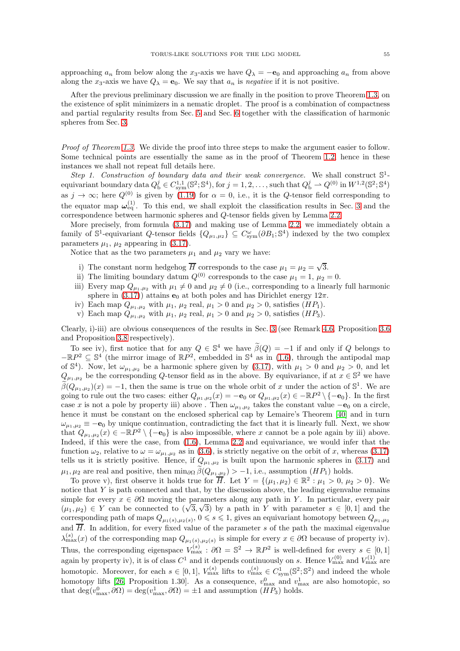approaching  $a_n$  from below along the x<sub>3</sub>-axis we have  $Q_\lambda = -e_0$  and approaching  $a_n$  from above along the  $x_3$ -axis we have  $Q_\lambda = \mathbf{e}_0$ . We say that  $a_n$  is negative if it is not positive.

After the previous preliminary discussion we are finally in the position to prove Theorem [1.3,](#page-7-0) on the existence of split minimizers in a nematic droplet. The proof is a combination of compactness and partial regularity results from Sec. [5](#page-28-0) and Sec. [6](#page-33-0) together with the classification of harmonic spheres from Sec. [3.](#page-14-0)

Proof of Theorem [1.3.](#page-7-0) We divide the proof into three steps to make the argument easier to follow. Some technical points are essentially the same as in the proof of Theorem [1.2,](#page-6-0) hence in these instances we shall not repeat full details here.

Step 1. Construction of boundary data and their weak convergence. We shall construct  $\mathbb{S}^1$ equivariant boundary data  $Q_{\rm b}^j \in C^{1,1}_{\rm sym}(\mathbb{S}^2;\mathbb{S}^4)$ , for  $j = 1, 2, ...,$  such that  $Q_{\rm b}^j \rightharpoonup Q^{(0)}$  in  $W^{1,2}(\mathbb{S}^2;\mathbb{S}^4)$ as  $j \to \infty$ ; here  $Q^{(0)}$  is given by [\(1.19\)](#page-3-5) for  $\alpha = 0$ , i.e., it is the Q-tensor field corresponding to the equator map  $\omega_{eq}^{(1)}$ . To this end, we shall exploit the classification results in Sec. [3](#page-14-0) and the correspondence between harmonic spheres and Q-tensor fields given by Lemma [2.2.](#page-10-0)

More precisely, from formula [\(3.17\)](#page-18-1) and making use of Lemma [2.2,](#page-10-0) we immediately obtain a family of  $\mathbb{S}^1$ -equivariant Q-tensor fields  $\{Q_{\mu_1,\mu_2}\}\subseteq C_{sym}^{\omega}(\partial B_1;\mathbb{S}^4)$  indexed by the two complex parameters  $\mu_1$ ,  $\mu_2$  appearing in [\(3.17\)](#page-18-1).

Notice that as the two parameters  $\mu_1$  and  $\mu_2$  vary we have:

- i) The constant norm hedgehog  $\overline{H}$  corresponds to the case  $\mu_1 = \mu_2 = \sqrt{3}$ .
- ii) The limiting boundary datum  $Q^{(0)}$  corresponds to the case  $\mu_1 = 1$ ,  $\mu_2 = 0$ .
- iii) Every map  $Q_{\mu_1,\mu_2}$  with  $\mu_1 \neq 0$  and  $\mu_2 \neq 0$  (i.e., corresponding to a linearly full harmonic sphere in [\(3.17\)](#page-18-1)) attains  $\mathbf{e}_0$  at both poles and has Dirichlet energy  $12\pi$ .
- iv) Each map  $Q_{\mu_1,\mu_2}$  with  $\mu_1, \mu_2$  real,  $\mu_1 > 0$  and  $\mu_2 > 0$ , satisfies  $(HP_1)$ .
- v) Each map  $Q_{\mu_1,\mu_2}$  with  $\mu_1, \mu_2$  real,  $\mu_1 > 0$  and  $\mu_2 > 0$ , satisfies  $(HP_3)$ .

Clearly, i)-iii) are obvious consequences of the results in Sec. [3](#page-14-0) (see Remark [4.6,](#page-25-6) Proposition [3.6](#page-16-3) and Proposition [3.8](#page-18-2) respectively).

To see iv), first notice that for any  $Q \in \mathbb{S}^4$  we have  $\tilde{\beta}(Q) = -1$  if and only if Q belongs to  $-\mathbb{R}P^2 \subseteq \mathbb{S}^4$  (the mirror image of  $\mathbb{R}P^2$ , embedded in  $\mathbb{S}^4$  as in [\(1.6\)](#page-1-4), through the antipodal map of  $\mathbb{S}^4$ ). Now, let  $\omega_{\mu_1,\mu_2}$  be a harmonic sphere given by [\(3.17\)](#page-18-1), with  $\mu_1 > 0$  and  $\mu_2 > 0$ , and let  $Q_{\mu_1,\mu_2}$  be the corresponding Q-tensor field as in the above. By equivariance, if at  $x \in \mathbb{S}^2$  we have  $\widetilde{\beta}(Q_{\mu_1,\mu_2})(x) = -1$ , then the same is true on the whole orbit of x under the action of  $\mathbb{S}^1$ . We are going to rule out the two cases: either  $Q_{\mu_1,\mu_2}(x) = -\mathbf{e}_0$  or  $Q_{\mu_1,\mu_2}(x) \in -\mathbb{R}P^2 \setminus \{-\mathbf{e}_0\}$ . In the first case x is not a pole by property iii) above. Then  $\omega_{\mu_1,\mu_2}$  takes the constant value  $-\mathbf{e}_0$  on a circle, hence it must be constant on the enclosed spherical cap by Lemaire's Theorem [\[40\]](#page-61-26) and in turn  $\omega_{\mu_1,\mu_2} \equiv -\mathbf{e}_0$  by unique continuation, contradicting the fact that it is linearly full. Next, we show that  $Q_{\mu_1,\mu_2}(x) \in -\mathbb{R}P^2 \setminus \{-\mathbf{e}_0\}$  is also impossible, where x cannot be a pole again by iii) above. Indeed, if this were the case, from [\(1.6\)](#page-1-4), Lemma [2.2](#page-10-0) and equivariance, we would infer that the function  $\omega_2$ , relative to  $\omega = \omega_{\mu_1,\mu_2}$  as in [\(3.6\)](#page-15-1), is strictly negative on the orbit of x, whereas [\(3.17\)](#page-18-1) tells us it is strictly positive. Hence, if  $Q_{\mu_1,\mu_2}$  is built upon the harmonic spheres in [\(3.17\)](#page-18-1) and  $\mu_1, \mu_2$  are real and positive, then  $\min_{\partial \Omega} \beta(Q_{\mu_1, \mu_2}) > -1$ , i.e., assumption  $(HP_1)$  holds.

To prove v), first observe it holds true for  $\overline{H}$ . Let  $Y = \{(\mu_1, \mu_2) \in \mathbb{R}^2 : \mu_1 > 0, \mu_2 > 0\}$ . We notice that  $Y$  is path connected and that, by the discussion above, the leading eigenvalue remains simple for every  $x \in \partial\Omega$  moving the parameters along any path in Y. In particular, every pair  $(\mu_1, \mu_2) \in Y$  can be connected to  $(\sqrt{3}, \sqrt{3})$  by a path in Y with parameter  $s \in [0, 1]$  and the corresponding path of maps  $Q_{\mu_1(s),\mu_2(s)}, 0 \leqslant s \leqslant 1$ , gives an equivariant homotopy between  $Q_{\mu_1,\mu_2}$ and  $\overline{H}$ . In addition, for every fixed value of the parameter s of the path the maximal eigenvalue  $\lambda_{\max}^{(s)}(x)$  of the corresponding map  $Q_{\mu_1(s),\mu_2(s)}$  is simple for every  $x \in \partial\Omega$  because of property iv). Thus, the corresponding eigenspace  $V_{\text{max}}^{(s)}$ :  $\partial \Omega = \mathbb{S}^2 \to \mathbb{R}P^2$  is well-defined for every  $s \in [0,1]$ again by property iv), it is of class  $C^1$  and it depends continuously on s. Hence  $V_{\text{max}}^{(0)}$  and  $V_{\text{max}}^{(1)}$  are homotopic. Moreover, for each  $s \in [0,1]$ ,  $V_{\text{max}}^{(s)}$  lifts to  $v_{\text{max}}^{(s)} \in C_{\text{sym}}^1(\mathbb{S}^2;\mathbb{S}^2)$  and indeed the whole homotopy lifts [\[26,](#page-61-34) Proposition 1.30]. As a consequence,  $v_{\text{max}}^0$  and  $v_{\text{max}}^1$  are also homotopic, so that  $\deg(v_{\text{max}}^0, \partial \Omega) = \deg(v_{\text{max}}^1, \partial \Omega) = \pm 1$  and assumption  $(HP_3)$  holds.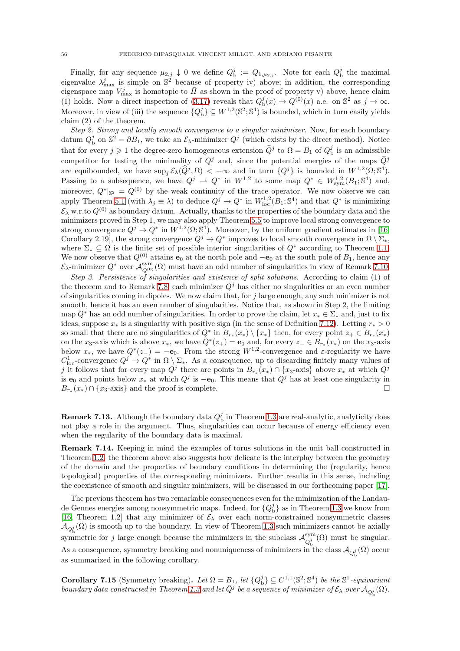Finally, for any sequence  $\mu_{2,j} \downarrow 0$  we define  $Q_{\rm b}^j := Q_{1,\mu_{2,j}}$ . Note for each  $Q_{\rm b}^j$  the maximal eigenvalue  $\lambda_{\max}^j$  is simple on  $\mathbb{S}^2$  because of property iv) above; in addition, the corresponding eigenspace map  $V_{\text{max}}^j$  is homotopic to  $\bar{H}$  as shown in the proof of property v) above, hence claim (1) holds. Now a direct inspection of [\(3.17\)](#page-18-1) reveals that  $Q_{\rm b}^j(x) \to Q^{(0)}(x)$  a.e. on  $\mathbb{S}^2$  as  $j \to \infty$ . Moreover, in view of (iii) the sequence  $\{Q_{\rm b}^j\} \subseteq W^{1,2}(\mathbb{S}^2;\mathbb{S}^4)$  is bounded, which in turn easily yields claim (2) of the theorem.

Step 2. Strong and locally smooth convergence to a singular minimizer. Now, for each boundary datum  $Q_{\rm b}^j$  on  $\mathbb{S}^2 = \partial B_1$ , we take an  $\mathcal{E}_{\lambda}$ -minimizer  $Q^j$  (which exists by the direct method). Notice that for every  $j \geqslant 1$  the degree-zero homogeneous extension  $\hat{Q}^j$  to  $\Omega = B_1$  of  $Q_{\text{b}}^j$  is an admissible competitor for testing the minimality of  $Q<sup>j</sup>$  and, since the potential energies of the maps  $\widehat{Q}$ <sup>j</sup> are equibounded, we have  $\sup_j \mathcal{E}_\lambda(\widehat{Q}^j, \Omega) < +\infty$  and in turn  $\{Q^j\}$  is bounded in  $W^{1,2}(\Omega; \mathbb{S}^4)$ . Passing to a subsequence, we have  $Q^j \rightharpoonup Q^*$  in  $W^{1,2}$  to some map  $Q^* \in W^{1,2}_{sym}(B_1;\mathbb{S}^4)$  and, moreover,  $Q^*|_{S^2} = Q^{(0)}$  by the weak continuity of the trace operator. We now observe we can apply Theorem [5.1](#page-29-4) (with  $\lambda_j \equiv \lambda$ ) to deduce  $Q^j \to Q^*$  in  $W^{1,2}_{loc}(B_1; S^4)$  and that  $Q^*$  is minimizing  $\mathcal{E}_{\lambda}$  w.r.to  $Q^{(0)}$  as boundary datum. Actually, thanks to the properties of the boundary data and the minimizers proved in Step 1, we may also apply Theorem [5.5](#page-32-6) to improve local strong convergence to strong convergence  $Q^j \to Q^*$  in  $W^{1,2}(\Omega; \mathbb{S}^4)$ . Moreover, by the uniform gradient estimates in [\[16,](#page-60-0) Corollary 2.19], the strong convergence  $Q^j \to Q^*$  improves to local smooth convergence in  $\Omega \setminus \Sigma_*$ , where  $\Sigma_* \subseteq \Omega$  is the finite set of possible interior singularities of  $Q^*$  according to Theorem [1.1.](#page-3-3) We now observe that  $Q^{(0)}$  attains  $e_0$  at the north pole and  $-e_0$  at the south pole of  $B_1$ , hence any  $\mathcal{E}_{\lambda}$ -minimizer  $Q^*$  over  $\mathcal{A}_{Q^{(0)}}^{sym}(\Omega)$  must have an odd number of singularities in view of Remark [7.10.](#page-53-2)

Step 3. Persistence of singularities and existence of split solutions. According to claim (1) of the theorem and to Remark [7.8,](#page-53-4) each minimizer  $Q<sup>j</sup>$  has either no singularities or an even number of singularities coming in dipoles. We now claim that, for  $j$  large enough, any such minimizer is not smooth, hence it has an even number of singularities. Notice that, as shown in Step 2, the limiting map  $Q^*$  has an odd number of singularities. In order to prove the claim, let  $x_* \in \Sigma_*$  and, just to fix ideas, suppose  $x_*$  is a singularity with positive sign (in the sense of Definition [7.12\)](#page-53-5). Letting  $r_* > 0$ so small that there are no singularities of  $Q^*$  in  $B_{r_*}(x_*) \setminus \{x_*\}$  then, for every point  $z_+ \in B_{r_*}(x_*)$ on the x<sub>3</sub>-axis which is above  $x_*$ , we have  $Q^*(z_+) = \mathbf{e}_0$  and, for every  $z_- \in B_{r_*}(x_*)$  on the  $x_3$ -axis below  $x_*$ , we have  $Q^*(z_-) = -e_0$ . From the strong  $W^{1,2}$ -convergence and  $\varepsilon$ -regularity we have  $C^1_{\text{loc}}$ -convergence  $Q^j \to Q^*$  in  $\Omega \setminus \Sigma_*$ . As a consequence, up to discarding finitely many values of j it follows that for every map  $Q^j$  there are points in  $B_{r_*}(x_*) \cap \{x_3$ -axis} above  $x_*$  at which  $Q^j$ is  $\mathbf{e}_0$  and points below  $x_*$  at which  $Q^j$  is  $-\mathbf{e}_0$ . This means that  $Q^j$  has at least one singularity in  $B_{r_*}(x_*) \cap \{x_3$ -axis} and the proof is complete.

**Remark 7.13.** Although the boundary data  $Q_{\text{b}}^{j}$  in Theorem [1.3](#page-7-0) are real-analytic, analyticity does not play a role in the argument. Thus, singularities can occur because of energy efficiency even when the regularity of the boundary data is maximal.

Remark 7.14. Keeping in mind the examples of torus solutions in the unit ball constructed in Theorem [1.2,](#page-6-0) the theorem above also suggests how delicate is the interplay between the geometry of the domain and the properties of boundary conditions in determining the (regularity, hence topological) properties of the corresponding minimizers. Further results in this sense, including the coexistence of smooth and singular minimizers, will be discussed in our forthcoming paper [\[17\]](#page-60-2).

The previous theorem has two remarkable consequences even for the minimization of the Landaude Gennes energies among nonsymmetric maps. Indeed, for  ${Q_b^j}$  as in Theorem [1.3](#page-7-0) we know from [\[16,](#page-60-0) Theorem 1.2] that any minimizer of  $\mathcal{E}_{\lambda}$  over each norm-constrained nonsymmetric classes  $\mathcal{A}_{Q_{\mathbf{b}}^j}(\Omega)$  is smooth up to the boundary. In view of Theorem [1.3](#page-7-0) such minimizers cannot be axially symmetric for j large enough because the minimizers in the subclass  $\mathcal{A}_{Q_i^j}^{\text{sym}}$  $Q_{\rm b}^j(\Omega)$  must be singular. As a consequence, symmetry breaking and nonuniqueness of minimizers in the class  $\mathcal{A}_{Q_{\rm b}^j}(\Omega)$  occur as summarized in the following corollary.

<span id="page-55-0"></span>**Corollary 7.15** (Symmetry breaking). Let  $\Omega = B_1$ , let  $\{Q_b^j\} \subseteq C^{1,1}(\mathbb{S}^2;\mathbb{S}^4)$  be the  $\mathbb{S}^1$ -equivariant boundary data constructed in Theorem [1.3](#page-7-0) and let  $\overline{Q}^j$  be a sequence of minimizer of  $\mathcal{E}_\lambda$  over  $\mathcal{A}_{Q^j_{\mathbf{b}}}(\Omega)$ .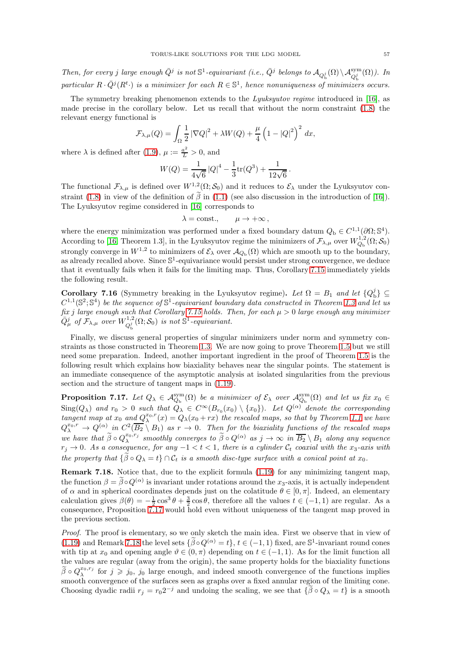Then, for every j large enough  $\overline{Q}^j$  is not  $\mathbb{S}^1$ -equivariant (i.e.,  $\overline{Q}^j$  belongs to  $\mathcal{A}_{Q_0^j}(\Omega) \setminus \mathcal{A}_{Q_0^j}^{\text{sym}}(\Omega)$ ). In particular  $R \cdot \bar{Q}^j(R^t)$  is a minimizer for each  $R \in \mathbb{S}^1$ , hence nonuniqueness of minimizers occurs.

The symmetry breaking phenomenon extends to the *Lyuksyutov regime* introduced in [\[16\]](#page-60-0), as made precise in the corollary below. Let us recall that without the norm constraint [\(1.8\)](#page-2-4) the relevant energy functional is

$$
\mathcal{F}_{\lambda,\mu}(Q) = \int_{\Omega} \frac{1}{2} |\nabla Q|^2 + \lambda W(Q) + \frac{\mu}{4} \left( 1 - |Q|^2 \right)^2 dx,
$$

where  $\lambda$  is defined after [\(1.9\)](#page-2-1),  $\mu := \frac{a^2}{L} > 0$ , and

$$
W(Q) = \frac{1}{4\sqrt{6}} |Q|^4 - \frac{1}{3} \text{tr}(Q^3) + \frac{1}{12\sqrt{6}}.
$$

The functional  $\mathcal{F}_{\lambda,\mu}$  is defined over  $W^{1,2}(\Omega;\mathcal{S}_0)$  and it reduces to  $\mathcal{E}_{\lambda}$  under the Lyuksyutov con-straint [\(1.8\)](#page-2-4) in view of the definition of  $\tilde{\beta}$  in [\(1.1\)](#page-1-2) (see also discussion in the introduction of [\[16\]](#page-60-0)). The Lyuksyutov regime considered in [\[16\]](#page-60-0) corresponds to

$$
\lambda = \text{const.}, \qquad \mu \to +\infty \,,
$$

where the energy minimization was performed under a fixed boundary datum  $Q_{\rm b} \in C^{1,1}(\partial\Omega;\mathbb{S}^4)$ . According to [\[16,](#page-60-0) Theorem 1.3], in the Lyuksyutov regime the minimizers of  $\mathcal{F}_{\lambda,\mu}$  over  $W^{1,2}_{Q_{\rm b}}(\Omega;\mathcal{S}_0)$ strongly converge in  $W^{1,2}$  to minimizers of  $\mathcal{E}_{\lambda}$  over  $\mathcal{A}_{Q_{\rm b}}(\Omega)$  which are smooth up to the boundary, as already recalled above. Since  $\mathbb{S}^1$ -equivariance would persist under strong convergence, we deduce that it eventually fails when it fails for the limiting map. Thus, Corollary [7.15](#page-55-0) immediately yields the following result.

<span id="page-56-0"></span>Corollary 7.16 (Symmetry breaking in the Lyuksyutov regime). Let  $\Omega = B_1$  and let  $\{Q_{b}^{j}\}\subseteq$  $C^{1,1}(\mathbb{S}^2;\mathbb{S}^4)$  be the sequence of  $\mathbb{S}^1$ -equivariant boundary data constructed in Theorem [1.3](#page-7-0) and let us fix j large enough such that Corollary [7.15](#page-55-0) holds. Then, for each  $\mu > 0$  large enough any minimizer  $\bar{Q}_{\mu}^j$  of  $\mathcal{F}_{\lambda,\mu}$  over  $W^{1,2}_{Q^j_\nu}$  $\mathcal{Q}_b^{\{1,2\}}(\Omega; \mathcal{S}_0)$  is not  $\mathbb{S}^1$ -equivariant.

Finally, we discuss general properties of singular minimizers under norm and symmetry constraints as those constructed in Theorem [1.3.](#page-7-0) We are now going to prove Theorem [1.5](#page-8-1) but we still need some preparation. Indeed, another important ingredient in the proof of Theorem [1.5](#page-8-1) is the following result which explains how biaxiality behaves near the singular points. The statement is an immediate consequence of the asymptotic analysis at isolated singularities from the previous section and the structure of tangent maps in [\(1.19\)](#page-3-5).

<span id="page-56-1"></span>**Proposition 7.17.** Let  $Q_{\lambda} \in \mathcal{A}_{Q_{\rm b}}^{\rm sym}(\Omega)$  be a minimizer of  $\mathcal{E}_{\lambda}$  over  $\mathcal{A}_{Q_{\rm b}}^{\rm sym}(\Omega)$  and let us fix  $x_0 \in$  $\text{Sing}(Q_\lambda)$  and  $r_0 > 0$  such that  $Q_\lambda \in C^\infty(B_{r_0}(x_0) \setminus \{x_0\})$ . Let  $Q^{(\alpha)}$  denote the corresponding tangent map at  $x_0$  and  $Q_\lambda^{x_0,r}(x) = Q_\lambda(x_0+rx)$  the rescaled maps, so that by Theorem [1.1](#page-3-3) we have  $Q_\lambda^{x_0,r} \to Q^{(\alpha)}$  in  $C^2(\overline{B_2} \setminus B_1)$  as  $r \to 0$ . Then for the biaxiality functions of the rescaled maps we have that  $\widetilde{\beta} \circ Q_{\lambda}^{x_0,r_j}$  smoothly converges to  $\widetilde{\beta} \circ Q^{(\alpha)}$  as  $j \to \infty$  in  $\overline{B_2} \setminus B_1$  along any sequence  $r_j \rightarrow 0$ . As a consequence, for any  $-1 < t < 1$ , there is a cylinder  $\mathcal{C}_t$  coaxial with the  $x_3$ -axis with the property that  $\{\tilde{\beta} \circ Q_{\lambda} = t\} \cap C_t$  is a smooth disc-type surface with a conical point at  $x_0$ .

<span id="page-56-2"></span>Remark 7.18. Notice that, due to the explicit formula [\(1.19\)](#page-3-5) for any minimizing tangent map, the function  $\beta = \beta \circ Q^{(\alpha)}$  is invariant under rotations around the  $x_3$ -axis, it is actually independent of  $\alpha$  and in spherical coordinates depends just on the colatitude  $\theta \in [0, \pi]$ . Indeed, an elementary calculation gives  $\beta(\theta) = -\frac{1}{2}\cos^3\theta + \frac{3}{2}\cos\theta$ , therefore all the values  $t \in (-1, 1)$  are regular. As a consequence, Proposition [7.17](#page-56-1) would hold even without uniqueness of the tangent map proved in the previous section.

Proof. The proof is elementary, so we only sketch the main idea. First we observe that in view of [\(1.19\)](#page-3-5) and Remark [7.18](#page-56-2) the level sets  $\{\widetilde{\beta} \circ Q^{(\alpha)} = t\}, t \in (-1, 1)$  fixed, are S<sup>1</sup>-invariant round cones with tip at  $x_0$  and opening angle  $\vartheta \in (0, \pi)$  depending on  $t \in (-1, 1)$ . As for the limit function all the values are regular (away from the origin), the same property holds for the biaxiality functions  $\widetilde{\beta} \circ Q_{\lambda}^{x_0,r_j}$  for  $j \geq j_0, j_0$  large enough, and indeed smooth convergence of the functions implies smooth convergence of the surfaces seen as graphs over a fixed annular region of the limiting cone. Choosing dyadic radii  $r_j = r_0 2^{-j}$  and undoing the scaling, we see that  $\{\beta \circ Q_\lambda = t\}$  is a smooth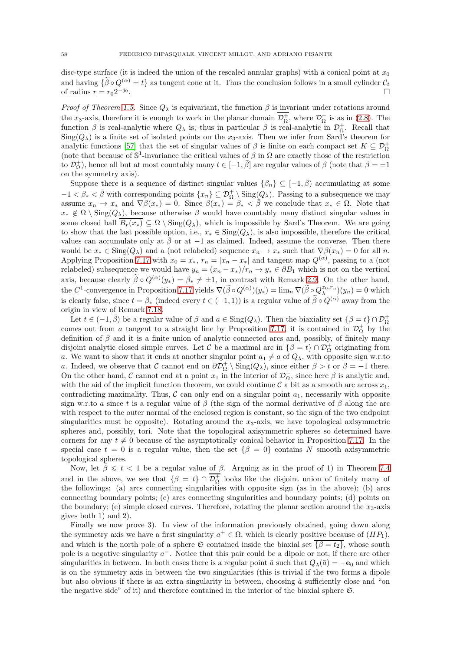disc-type surface (it is indeed the union of the rescaled annular graphs) with a conical point at  $x_0$ and having  $\{\widetilde{\beta} \circ Q^{(\alpha)} = t\}$  as tangent cone at it. Thus the conclusion follows in a small cylinder  $\mathcal{C}_t$  of radius  $r = r_0 2^{-j_0}$ of radius  $r = r_0 2^{-j_0}$ .

*Proof of Theorem [1.5.](#page-8-1)* Since  $Q_{\lambda}$  is equivariant, the function  $\beta$  is invariant under rotations around the x<sub>3</sub>-axis, therefore it is enough to work in the planar domain  $\mathcal{D}_{\Omega}^+$ , where  $\mathcal{D}_{\Omega}^+$  is as in [\(2.8\)](#page-12-4). The function  $\beta$  is real-analytic where  $Q_{\lambda}$  is; thus in particular  $\beta$  is real-analytic in  $\mathcal{D}_{\Omega}^{+}$ . Recall that  $Sing(Q_\lambda)$  is a finite set of isolated points on the  $x_3$ -axis. Then we infer from Sard's theorem for analytic functions [\[57\]](#page-62-3) that the set of singular values of  $\beta$  is finite on each compact set  $K \subseteq \mathcal{D}_{\Omega}^+$ (note that because of  $\mathbb{S}^1$ -invariance the critical values of  $\beta$  in  $\Omega$  are exactly those of the restriction to  $\mathcal{D}_{\Omega}^+$ ), hence all but at most countably many  $t \in [-1, \bar{\beta}]$  are regular values of  $\beta$  (note that  $\beta = \pm 1$ ) on the symmetry axis).

Suppose there is a sequence of distinct singular values  $\{\beta_n\} \subseteq [-1, \overline{\beta})$  accumulating at some  $-1 < \beta_* < \bar{\beta}$  with corresponding points  $\{x_n\} \subseteq \overline{\mathcal{D}_{\Omega}^+} \setminus \text{Sing}(Q_\lambda)$ . Passing to a subsequence we may assume  $x_n \to x_*$  and  $\nabla \beta(x_*) = 0$ . Since  $\beta(x_*) = \beta_* < \overline{\beta}$  we conclude that  $x_* \in \Omega$ . Note that  $x_* \notin \Omega \setminus \text{Sing}(Q_\lambda)$ , because otherwise  $\beta$  would have countably many distinct singular values in some closed ball  $B_r(x_*) \subseteq \Omega \setminus \text{Sing}(Q_\lambda)$ , which is impossible by Sard's Theorem. We are going to show that the last possible option, i.e.,  $x_* \in Sing(Q_\lambda)$ , is also impossible, therefore the critical values can accumulate only at  $\bar{\beta}$  or at  $-1$  as claimed. Indeed, assume the converse. Then there would be  $x_* \in \text{Sing}(Q_\lambda)$  and a (not relabeled) sequence  $x_n \to x_*$  such that  $\nabla \beta(x_n) = 0$  for all n. Applying Proposition [7.17](#page-56-1) with  $x_0 = x_*$ ,  $r_n = |x_n - x_*|$  and tangent map  $Q^{(\alpha)}$ , passing to a (not relabeled) subsequence we would have  $y_n = (x_n - x_*)/r_n \to y_* \in \partial B_1$  which is not on the vertical axis, because clearly  $\beta \circ Q^{(\alpha)}(y_*) = \beta_* \neq \pm 1$ , in contrast with Remark [2.9.](#page-12-3) On the other hand, the C<sup>1</sup>-convergence in Proposition [7.17](#page-56-1) yields  $\nabla(\widetilde{\beta} \circ Q^{(\alpha)})(y_*) = \lim_n \nabla(\widetilde{\beta} \circ Q^{x_0,r_n}_{\lambda})(y_n) = 0$  which is clearly false, since  $t = \beta_*$  (indeed every  $t \in (-1,1)$ ) is a regular value of  $\tilde{\beta} \circ Q^{(\alpha)}$  away from the origin in view of Remark [7.18.](#page-56-2)

Let  $t \in (-1, \bar{\beta})$  be a regular value of  $\beta$  and  $a \in Sing(Q_\lambda)$ . Then the biaxiality set  $\{\beta = t\} \cap \mathcal{D}^+_{\Omega}$ comes out from a tangent to a straight line by Proposition [7.17,](#page-56-1) it is contained in  $\mathcal{D}_{\Omega}^+$  by the definition of  $\bar{\beta}$  and it is a finite union of analytic connected arcs and, possibly, of finitely many disjoint analytic closed simple curves. Let C be a maximal arc in  $\{\beta = t\} \cap \mathcal{D}_{\Omega}^+$  originating from a. We want to show that it ends at another singular point  $a_1 \neq a$  of  $Q_\lambda$ , with opposite sign w.r.to a. Indeed, we observe that C cannot end on  $\partial \mathcal{D}_{\Omega}^+ \setminus \text{Sing}(Q_\lambda)$ , since either  $\beta > t$  or  $\beta = -1$  there. On the other hand, C cannot end at a point  $x_1$  in the interior of  $\mathcal{D}_{\Omega}^+$ , since here  $\beta$  is analytic and, with the aid of the implicit function theorem, we could continue  $\mathcal{C}$  a bit as a smooth arc across  $x_1$ , contradicting maximality. Thus,  $\mathcal C$  can only end on a singular point  $a_1$ , necessarily with opposite sign w.r.to a since t is a regular value of  $\beta$  (the sign of the normal derivative of  $\beta$  along the arc with respect to the outer normal of the enclosed region is constant, so the sign of the two endpoint singularities must be opposite). Rotating around the  $x_3$ -axis, we have topological axisymmetric spheres and, possibly, tori. Note that the topological axisymmetric spheres so determined have corners for any  $t \neq 0$  because of the asymptotically conical behavior in Proposition [7.17.](#page-56-1) In the special case  $t = 0$  is a regular value, then the set  $\{\beta = 0\}$  contains N smooth axisymmetric topological spheres.

Now, let  $\bar{\beta} \leq t < 1$  be a regular value of  $\beta$ . Arguing as in the proof of 1) in Theorem [7.4](#page-51-1) and in the above, we see that  $\{\beta = t\} \cap \mathcal{D}_{\Omega}^+$  looks like the disjoint union of finitely many of the followings: (a) arcs connecting singularities with opposite sign (as in the above); (b) arcs connecting boundary points; (c) arcs connecting singularities and boundary points; (d) points on the boundary; (e) simple closed curves. Therefore, rotating the planar section around the  $x_3$ -axis gives both 1) and 2).

Finally we now prove 3). In view of the information previously obtained, going down along the symmetry axis we have a first singularity  $a^+ \in \Omega$ , which is clearly positive because of  $(HP_1)$ , and which is the north pole of a sphere G contained inside the biaxial set  $\{ \beta = t_2 \}$ , whose south pole is a negative singularity  $a^-$ . Notice that this pair could be a dipole or not, if there are other singularities in between. In both cases there is a regular point  $\tilde{a}$  such that  $Q_{\lambda}(\tilde{a}) = -e_0$  and which is on the symmetry axis in between the two singularities (this is trivial if the two forms a dipole but also obvious if there is an extra singularity in between, choosing  $\tilde{a}$  sufficiently close and "on the negative side" of it) and therefore contained in the interior of the biaxial sphere S.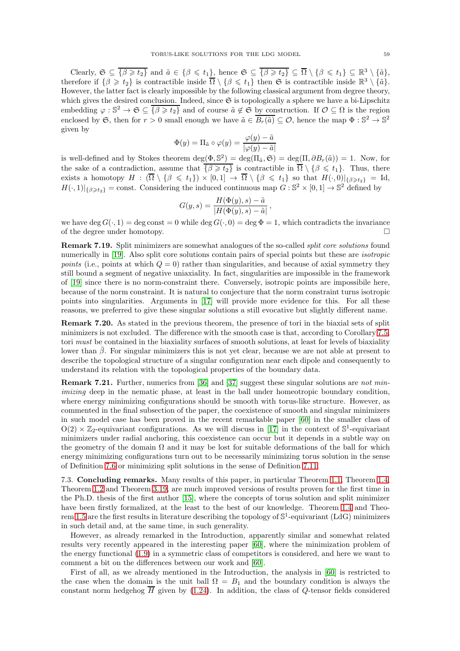Clearly,  $\mathfrak{S} \subseteq \overline{\{\beta \geqslant t_2\}}$  and  $\tilde{a} \in \{\beta \leqslant t_1\}$ , hence  $\mathfrak{S} \subseteq \overline{\{\beta \geqslant t_2\}} \subseteq \overline{\Omega} \setminus \{\beta \leqslant t_1\} \subseteq \mathbb{R}^3 \setminus \{\tilde{a}\},\$ therefore if  $\{\beta \geq t_2\}$  is contractible inside  $\overline{\Omega} \setminus \{\beta \leq t_1\}$  then  $\mathfrak{S}$  is contractible inside  $\mathbb{R}^3 \setminus \{\tilde{a}\}.$ However, the latter fact is clearly impossible by the following classical argument from degree theory, which gives the desired conclusion. Indeed, since  $\mathfrak S$  is topologically a sphere we have a bi-Lipschitz embedding  $\varphi : \mathbb{S}^2 \to \mathfrak{S} \subseteq \overline{\{\beta \geq t_2\}}$  and of course  $\tilde{a} \notin \mathfrak{S}$  by construction. If  $\mathcal{O} \subseteq \Omega$  is the region enclosed by G, then for  $r > 0$  small enough we have  $\tilde{a} \in \overline{B_r(\tilde{a})} \subseteq \mathcal{O}$ , hence the map  $\Phi : \mathbb{S}^2 \to \mathbb{S}^2$ given by

$$
\Phi(y) = \Pi_{\tilde{a}} \circ \varphi(y) = \frac{\varphi(y) - \tilde{a}}{|\varphi(y) - \tilde{a}|}
$$

is well-defined and by Stokes theorem  $\deg(\Phi, \mathbb{S}^2) = \deg(\Pi_{\tilde{a}}, \mathfrak{S}) = \deg(\Pi, \partial B_r(\tilde{a})) = 1$ . Now, for the sake of a contradiction, assume that  $\{\beta \geq t_2\}$  is contractible in  $\Omega \setminus \{\beta \leq t_1\}$ . Thus, there exists a homotopy  $H : (\Omega \setminus {\beta \leq t_1}) \times [0,1] \to \Omega \setminus {\beta \leq t_1}$  so that  $H(\cdot,0)|_{\{\beta \geq t_2\}} = \text{Id},$  $H(\cdot,1)|_{\{\beta\geqslant t_2\}} = \text{const.}$  Considering the induced continuous map  $G: \mathbb{S}^2 \times [0,1] \to \mathbb{S}^2$  defined by

$$
G(y,s) = \frac{H(\Phi(y),s) - \tilde{a}}{|H(\Phi(y),s) - \tilde{a}|},
$$

we have deg  $G(\cdot, 1) = \text{deg const} = 0$  while  $\text{deg } G(\cdot, 0) = \text{deg } \Phi = 1$ , which contradicts the invariance of the degree under homotopy. of the degree under homotopy.

Remark 7.19. Split minimizers are somewhat analogues of the so-called split core solutions found numerically in [\[19\]](#page-60-11). Also split core solutions contain pairs of special points but these are *isotropic* points (i.e., points at which  $Q = 0$ ) rather than singularities, and because of axial symmetry they still bound a segment of negative uniaxiality. In fact, singularities are impossible in the framework of [\[19\]](#page-60-11) since there is no norm-constraint there. Conversely, isotropic points are impossibile here, because of the norm constraint. It is natural to conjecture that the norm constraint turns isotropic points into singularities. Arguments in [\[17\]](#page-60-2) will provide more evidence for this. For all these reasons, we preferred to give these singular solutions a still evocative but slightly different name.

Remark 7.20. As stated in the previous theorem, the presence of tori in the biaxial sets of split minimizers is not excluded. The difference with the smooth case is that, according to Corollary [7.5,](#page-52-1) tori must be contained in the biaxiality surfaces of smooth solutions, at least for levels of biaxiality lower than β. For singular minimizers this is not yet clear, because we are not able at present to describe the topological structure of a singular configuration near each dipole and consequently to understand its relation with the topological properties of the boundary data.

<span id="page-58-1"></span>Remark 7.21. Further, numerics from [\[36\]](#page-61-15) and [\[37\]](#page-61-14) suggest these singular solutions are not minimizing deep in the nematic phase, at least in the ball under homeotropic boundary condition, where energy minimizing configurations should be smooth with torus-like structure. However, as commented in the final subsection of the paper, the coexistence of smooth and singular minimizers in such model case has been proved in the recent remarkable paper [\[60\]](#page-62-0) in the smaller class of  $O(2) \times \mathbb{Z}_2$ -equivariant configurations. As we will discuss in [\[17\]](#page-60-2) in the context of  $\mathbb{S}^1$ -equivariant minimizers under radial anchoring, this coexistence can occur but it depends in a subtle way on the geometry of the domain  $\Omega$  and it may be lost for suitable deformations of the ball for which energy minimizing configurations turn out to be necessarily minimizing torus solution in the sense of Definition [7.6](#page-52-0) or minimizing split solutions in the sense of Definition [7.11.](#page-53-1)

<span id="page-58-0"></span>7.3. Concluding remarks. Many results of this paper, in particular Theorem [1.1,](#page-3-3) Theorem [1.4,](#page-8-0) Theorem [1.2](#page-6-0) and Theorem [3.19,](#page-23-0) are much improved versions of results proven for the first time in the Ph.D. thesis of the first author [\[15\]](#page-60-20), where the concepts of torus solution and split minimizer have been firstly formalized, at the least to the best of our knowledge. Theorem [1.4](#page-8-0) and Theo-rem [1.5](#page-8-1) are the first results in literature describing the topology of  $\mathbb{S}^1$ -equivariant (LdG) minimizers in such detail and, at the same time, in such generality.

However, as already remarked in the Introduction, apparently similar and somewhat related results very recently appeared in the interesting paper [\[60\]](#page-62-0), where the minimization problem of the energy functional [\(1.9\)](#page-2-1) in a symmetric class of competitors is considered, and here we want to comment a bit on the differences between our work and [\[60\]](#page-62-0).

First of all, as we already mentioned in the Introduction, the analysis in [\[60\]](#page-62-0) is restricted to the case when the domain is the unit ball  $\Omega = B_1$  and the boundary condition is always the constant norm hedgehog  $\overline{H}$  given by [\(1.24\)](#page-5-1). In addition, the class of Q-tensor fields considered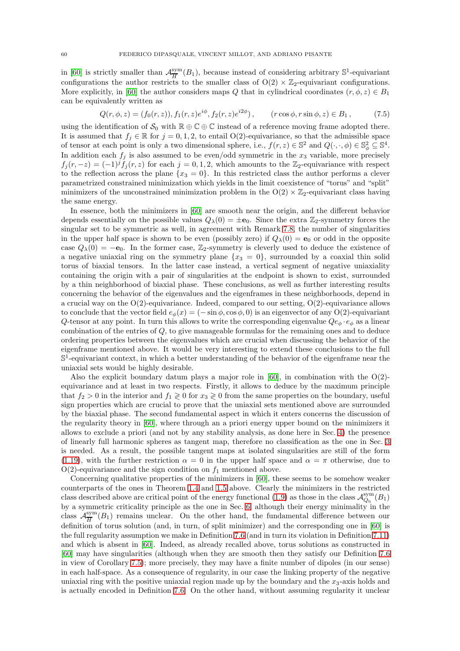in [\[60\]](#page-62-0) is strictly smaller than  $\mathcal{A}_{\overline{H}}^{\text{sym}}$  $\frac{\text{sym}}{H}(B_1)$ , because instead of considering arbitrary  $\mathbb{S}^1$ -equivariant configurations the author restricts to the smaller class of  $O(2) \times \mathbb{Z}_2$ -equivariant configurations. More explicitly, in [\[60\]](#page-62-0) the author considers maps Q that in cylindrical coordinates  $(r, \phi, z) \in B_1$ can be equivalently written as

$$
Q(r, \phi, z) = (f_0(r, z)), f_1(r, z)e^{i\phi}, f_2(r, z)e^{i2\phi}), \qquad (r \cos \phi, r \sin \phi, z) \in B_1,
$$
 (7.5)

using the identification of  $\mathcal{S}_0$  with  $\mathbb{R} \oplus \mathbb{C} \oplus \mathbb{C}$  instead of a reference moving frame adopted there. It is assumed that  $f_i \in \mathbb{R}$  for  $j = 0, 1, 2$ , to entail O(2)-equivariance, so that the admissible space of tensor at each point is only a two dimensional sphere, i.e.,  $f(r, z) \in \mathbb{S}^2$  and  $Q(\cdot, \cdot, \phi) \in \mathbb{S}^2_{\phi} \subseteq \mathbb{S}^4$ . In addition each  $f_i$  is also assumed to be even/odd symmetric in the  $x_3$  variable, more precisely  $f_j(r, -z) = (-1)^j \tilde{f}_j(r, z)$  for each  $j = 0, 1, 2$ , which amounts to the Z<sub>2</sub>-equivariance with respect to the reflection across the plane  $\{x_3 = 0\}$ . In this restricted class the author performs a clever parametrized constrained minimization which yields in the limit coexistence of "torus" and "split" minimizers of the unconstrained minimization problem in the  $O(2) \times \mathbb{Z}_2$ -equivariant class having the same energy.

In essence, both the minimizers in [\[60\]](#page-62-0) are smooth near the origin, and the different behavior depends essentially on the possible values  $Q_\lambda(0) = \pm \mathbf{e}_0$ . Since the extra  $\mathbb{Z}_2$ -symmetry forces the singular set to be symmetric as well, in agreement with Remark [7.8,](#page-53-4) the number of singularities in the upper half space is shown to be even (possibly zero) if  $Q_{\lambda}(0) = e_0$  or odd in the opposite case  $Q_{\lambda}(0) = -e_0$ . In the former case, Z<sub>2</sub>-symmetry is cleverly used to deduce the existence of a negative uniaxial ring on the symmetry plane  $\{x_3 = 0\}$ , surrounded by a coaxial thin solid torus of biaxial tensors. In the latter case instead, a vertical segment of negative uniaxiality containing the origin with a pair of singularities at the endpoint is shown to exist, surrounded by a thin neighborhood of biaxial phase. These conclusions, as well as further interesting results concerning the behavior of the eigenvalues and the eigenframes in these neighborhoods, depend in a crucial way on the  $O(2)$ -equivariance. Indeed, compared to our setting,  $O(2)$ -equivariance allows to conclude that the vector field  $e_{\phi}(x) = (-\sin \phi, \cos \phi, 0)$  is an eigenvector of any O(2)-equivariant Q-tensor at any point. In turn this allows to write the corresponding eigenvalue  $Qe_{\phi} \cdot e_{\phi}$  as a linear combination of the entries of  $Q$ , to give manageable formulas for the remaining ones and to deduce ordering properties between the eigenvalues which are crucial when discussing the behavior of the eigenframe mentioned above. It would be very interesting to extend these conclusions to the full  $\mathbb{S}^1$ -equivariant context, in which a better understanding of the behavior of the eigenframe near the uniaxial sets would be highly desirable.

Also the explicit boundary datum plays a major role in [\[60\]](#page-62-0), in combination with the  $O(2)$ equivariance and at least in two respects. Firstly, it allows to deduce by the maximum principle that  $f_2 > 0$  in the interior and  $f_1 \geq 0$  for  $x_3 \geq 0$  from the same properties on the boundary, useful sign properties which are crucial to prove that the uniaxial sets mentioned above are surrounded by the biaxial phase. The second fundamental aspect in which it enters concerns the discussion of the regularity theory in [\[60\]](#page-62-0), where through an a priori energy upper bound on the minimizers it allows to exclude a priori (and not by any stability analysis, as done here in Sec. [4\)](#page-24-0) the presence of linearly full harmonic spheres as tangent map, therefore no classification as the one in Sec. [3](#page-14-0) is needed. As a result, the possible tangent maps at isolated singularities are still of the form [\(1.19\)](#page-3-5), with the further restriction  $\alpha = 0$  in the upper half space and  $\alpha = \pi$  otherwise, due to  $O(2)$ -equivariance and the sign condition on  $f_1$  mentioned above.

Concerning qualitative properties of the minimizers in [\[60\]](#page-62-0), these seems to be somehow weaker counterparts of the ones in Theorem [1.4](#page-8-0) and [1.5](#page-8-1) above. Clearly the minimizers in the restricted class described above are critical point of the energy functional [\(1.9\)](#page-2-1) as those in the class  $\mathcal{A}_{Q_{\rm b}}^{\rm sym}(B_1)$ by a symmetric criticality principle as the one in Sec. [6,](#page-33-0) although their energy minimality in the class  $\mathcal{A}_{\overline{H}}^{\text{sym}}$  $\frac{\text{sym}}{H}(B_1)$  remains unclear. On the other hand, the fundamental difference between our definition of torus solution (and, in turn, of split minimizer) and the corresponding one in [\[60\]](#page-62-0) is the full regularity assumption we make in Definition [7.6](#page-52-0) (and in turn its violation in Definition [7.11\)](#page-53-1) and which is absent in [\[60\]](#page-62-0). Indeed, as already recalled above, torus solutions as constructed in [\[60\]](#page-62-0) may have singularities (although when they are smooth then they satisfy our Definition [7.6](#page-52-0) in view of Corollary [7.5\)](#page-52-1); more precisely, they may have a finite number of dipoles (in our sense) in each half-space. As a consequence of regularity, in our case the linking property of the negative uniaxial ring with the positive uniaxial region made up by the boundary and the  $x_3$ -axis holds and is actually encoded in Definition [7.6.](#page-52-0) On the other hand, without assuming regularity it unclear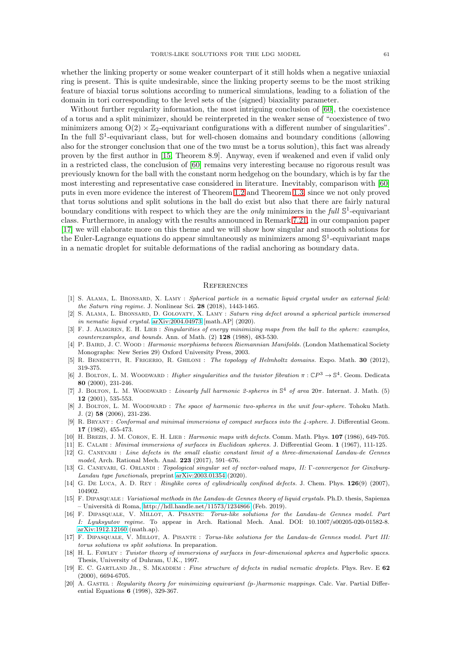whether the linking property or some weaker counterpart of it still holds when a negative uniaxial ring is present. This is quite undesirable, since the linking property seems to be the most striking feature of biaxial torus solutions according to numerical simulations, leading to a foliation of the domain in tori corresponding to the level sets of the (signed) biaxiality parameter.

Without further regularity information, the most intriguing conclusion of [\[60\]](#page-62-0), the coexistence of a torus and a split minimizer, should be reinterpreted in the weaker sense of "coexistence of two minimizers among  $O(2) \times \mathbb{Z}_2$ -equivariant configurations with a different number of singularities". In the full  $\mathbb{S}^1$ -equivariant class, but for well-chosen domains and boundary conditions (allowing also for the stronger conclusion that one of the two must be a torus solution), this fact was already proven by the first author in [\[15,](#page-60-20) Theorem 8.9]. Anyway, even if weakened and even if valid only in a restricted class, the conclusion of [\[60\]](#page-62-0) remains very interesting because no rigorous result was previously known for the ball with the constant norm hedgehog on the boundary, which is by far the most interesting and representative case considered in literature. Inevitably, comparison with [\[60\]](#page-62-0) puts in even more evidence the interest of Theorem [1.2](#page-6-0) and Theorem [1.3,](#page-7-0) since we not only proved that torus solutions and split solutions in the ball do exist but also that there are fairly natural boundary conditions with respect to which they are the *only* minimizers in the full  $\mathbb{S}^1$ -equivariant class. Furthermore, in analogy with the results announced in Remark [7.21,](#page-58-1) in our companion paper [\[17\]](#page-60-2) we will elaborate more on this theme and we will show how singular and smooth solutions for the Euler-Lagrange equations do appear simultaneously as minimizers among  $\mathbb{S}^1$ -equivariant maps in a nematic droplet for suitable deformations of the radial anchoring as boundary data.

#### <span id="page-60-1"></span>**REFERENCES**

- <span id="page-60-3"></span>[1] S. ALAMA, L. BRONSARD, X. LAMY : Spherical particle in a nematic liquid crystal under an external field: the Saturn ring regime. J. Nonlinear Sci. 28 (2018), 1443-1465.
- <span id="page-60-4"></span>[2] S. Alama, L. Bronsard, D. Golovaty, X. Lamy : Saturn ring defect around a spherical particle immersed in nematic liquid crystal. [arXiv:2004.04973](http://arxiv.org/abs/2004.04973) [math.AP] (2020).
- <span id="page-60-13"></span>[3] F. J. ALMGREN, E. H. LIEB : Singularities of energy minimizing maps from the ball to the sphere: examples,  $counter examples, and bounds. Ann. of Math. (2) 128 (1988), 483-530.$
- <span id="page-60-7"></span>[4] P. BAIRD, J. C. WOOD: Harmonic morphisms between Riemannian Manifolds. (London Mathematical Society Monographs: New Series 29) Oxford University Press, 2003.
- <span id="page-60-14"></span>[5] R. BENEDETTI, R. FRIGERIO, R. GHILONI : The topology of Helmholtz domains. Expo. Math. 30 (2012), 319-375.
- <span id="page-60-15"></span>[6] J. BOLTON, L. M. WOODWARD : *Higher singularities and the twistor fibration*  $\pi : \mathbb{C}P^3 \to \mathbb{S}^4$ . Geom. Dedicata 80 (2000), 231-246.
- <span id="page-60-16"></span>[7] J. BOLTON, L. M. WOODWARD : Linearly full harmonic 2-spheres in  $\mathbb{S}^4$  of area  $20\pi$ . Internat. J. Math. (5) 12 (2001), 535-553.
- <span id="page-60-17"></span>[8] J. BOLTON, L. M. WOODWARD : The space of harmonic two-spheres in the unit four-sphere. Tohoku Math. J. (2) 58 (2006), 231-236.
- <span id="page-60-6"></span>[9] R. Bryant : Conformal and minimal immersions of compact surfaces into the 4-sphere. J. Differential Geom. 17 (1982), 455-473.
- <span id="page-60-19"></span><span id="page-60-5"></span>[10] H. Brezis, J. M. Coron, E. H. Lieb : Harmonic maps with defects. Comm. Math. Phys. 107 (1986), 649-705.
- <span id="page-60-9"></span>[11] E. Calabi : Minimal immersions of surfaces in Euclidean spheres. J. Differential Geom. 1 (1967), 111-125.
- [12] G. Canevari : Line defects in the small elastic constant limit of a three-dimensional Landau-de Gennes model, Arch. Rational Mech. Anal. 223 (2017), 591–676.
- <span id="page-60-10"></span>[13] G. Canevari, G. Orlandi : Topological singular set of vector-valued maps, II: Γ-convergence for Ginzburg-Landau type functionals, preprint [arXiv:2003.01354](http://arxiv.org/abs/2003.01354) (2020).
- <span id="page-60-12"></span>[14] G. DE Luca, A. D. Rey : Ringlike cores of cylindrically confined defects. J. Chem. Phys. 126(9) (2007), 104902.
- <span id="page-60-20"></span>[15] F. DIPASQUALE: Variational methods in the Landau-de Gennes theory of liquid crystals. Ph.D. thesis, Sapienza  $-$  Università di Roma,<http://hdl.handle.net/11573/1234866> (Feb. 2019).
- <span id="page-60-0"></span>[16] F. DIPASQUALE, V. MILLOT, A. PISANTE: Torus-like solutions for the Landau-de Gennes model. Part I: Lyuksyutov regime. To appear in Arch. Rational Mech. Anal. DOI: 10.1007/s00205-020-01582-8. [arXiv:1912.12160](http://arxiv.org/abs/1912.12160) (math.ap).
- <span id="page-60-2"></span>[17] F. DIPASQUALE, V. MILLOT, A. PISANTE : Torus-like solutions for the Landau-de Gennes model. Part III: torus solutions vs split solutions. In preparation.
- <span id="page-60-8"></span>[18] H. L. FAWLEY : Twistor theory of immersions of surfaces in four-dimensional spheres and hyperbolic spaces. Thesis, University of Duhram, U.K., 1997.
- <span id="page-60-11"></span>[19] E. C. GARTLAND JR., S. MKADDEM : Fine structure of defects in radial nematic droplets. Phys. Rev. E  $62$ (2000), 6694-6705.
- <span id="page-60-18"></span>[20] A. GASTEL : Regularity theory for minimizing equivariant (p-)harmonic mappings. Calc. Var. Partial Differential Equations 6 (1998), 329-367.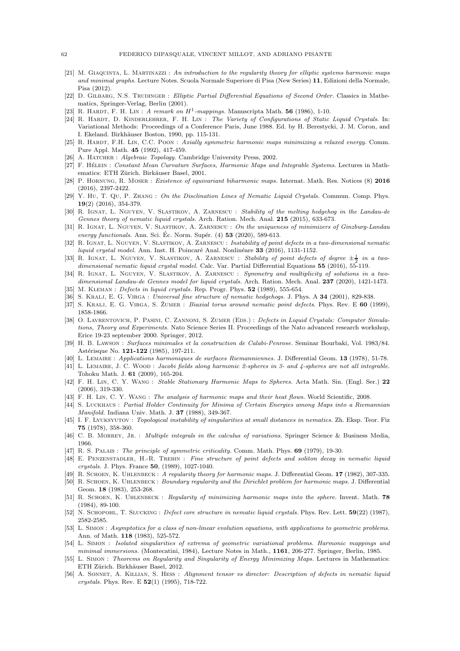- <span id="page-61-23"></span>[21] M. GIAQUINTA, L. MARTINAZZI : An introduction to the regularity theory for elliptic systems harmonic maps and minimal graphs. Lecture Notes. Scuola Normale Superiore di Pisa (New Series) 11, Edizioni della Normale, Pisa (2012).
- [22] D. GILBARG, N.S. TRUDINGER : Elliptic Partial Differential Equations of Second Order. Classics in Mathematics, Springer-Verlag, Berlin (2001).
- <span id="page-61-20"></span><span id="page-61-18"></span>[23] R. HARDT, F. H. LIN: A remark on  $H^1$ -mappings. Manuscripta Math. 56 (1986), 1-10.
- [24] R. HARDT, D. KINDERLEHRER, F. H. LIN : The Variety of Configurations of Static Liquid Crystals. In: Variational Methods: Proceedings of a Conference Paris, June 1988. Ed. by H. Berestycki, J. M. Coron, and I. Ekeland. Birkhäuser Boston, 1990, pp. 115-131.
- <span id="page-61-19"></span>[25] R. HARDT, F.H. LIN, C.C. POON : Axially symmetric harmonic maps minimizing a relaxed energy. Comm. Pure Appl. Math. 45 (1992), 417-459.
- <span id="page-61-34"></span><span id="page-61-25"></span>[26] A. HATCHER : Algebraic Topology. Cambridge University Press, 2002.
- [27] F. HÉLEIN : Constant Mean Curvature Surfaces, Harmonic Maps and Integrable Systems. Lectures in Mathematics: ETH Zürich. Birkäuser Basel, 2001.
- <span id="page-61-22"></span>[28] P. Hornung, R. Moser : Existence of equivariant biharmonic maps. Internat. Math. Res. Notices (8) 2016 (2016), 2397-2422.
- <span id="page-61-17"></span>[29] Y. Hu, T. Qu, P. Zhang : On the Disclination Lines of Nematic Liquid Crystals. Commun. Comp. Phys. 19(2) (2016), 354-379.
- <span id="page-61-29"></span>[30] R. Ignat, L. Nguyen, V. Slastikov, A. Zarnescu : Stability of the melting hedgehog in the Landau-de Gennes theory of nematic liquid crystals. Arch. Ration. Mech. Anal. **215** (2015), 633-673.
- <span id="page-61-30"></span>[31] R. IGNAT, L. NGUYEN, V. SLASTIKOV, A. ZARNESCU : On the uniqueness of minimizers of Ginzburg-Landau energy functionals. Ann. Sci. Éc. Norm. Supér.  $(4)$  53  $(2020)$ , 589-613.
- <span id="page-61-1"></span>[32] R. IGNAT, L. NGUYEN, V. SLASTIKOV, A. ZARNESCU : Instability of point defects in a two-dimensional nematic liquid crystal model. Ann. Inst. H. Poincaré Anal. Nonlinéare  $33$  (2016), 1131-1152.
- <span id="page-61-2"></span>[33] R. IGNAT, L. NGUYEN, V. SLASTIKOV, A. ZARNESCU : Stability of point defects of degree  $\pm \frac{1}{2}$  in a twodimensional nematic liquid crystal model. Calc. Var. Partial Differential Equations 55 (2016), 55-119.
- <span id="page-61-3"></span>[34] R. IGNAT, L. NGUYEN, V. SLASTIKOV, A. ZARNESCU : Symmetry and multiplicity of solutions in a twodimensional Landau-de Gennes model for liquid crystals. Arch. Ration. Mech. Anal. 237 (2020), 1421-1473.
- <span id="page-61-15"></span><span id="page-61-12"></span>[35] M. KLEMAN : *Defects in liquid crystals.* Rep. Progr. Phys. **52** (1989), 555-654.
- <span id="page-61-14"></span>[36] S. KRALJ, E. G. VIRGA : Universal fine structure of nematic hedgehogs. J. Phys. A 34 (2001), 829-838.
- <span id="page-61-16"></span>[37] S. KRALJ, E. G. VIRGA, S. ŽUMER : Biaxial torus around nematic point defects. Phys. Rev. E 60 (1999), 1858-1866.
- [38] O. LAVRENTOVICH, P. PASINI, C. ZANNONI, S. ZUMER (EDS.) : Defects in Liquid Crystals: Computer Simulations, Theory and Experiments. Nato Science Series II. Proceedings of the Nato advanced research workshop, Erice 19-23 september 2000. Springer, 2012.
- <span id="page-61-9"></span>[39] H. B. Lawson : Surfaces minimales et la construction de Calabi-Penrose. Seminar Bourbaki, Vol. 1983/84. Astérisque No. 121-122 (1985), 197-211.
- <span id="page-61-26"></span><span id="page-61-21"></span>[40] L. Lemaire : Applications harmoniques de surfaces Riemanniennes. J. Differential Geom. 13 (1978), 51-78.
- [41] L. LEMAIRE, J. C. WOOD : Jacobi fields along harmonic 2-spheres in 3- and 4-spheres are not all integrable. Tohoku Math. J. 61 (2009), 165-204.
- <span id="page-61-27"></span>[42] F. H. Lin, C. Y. Wang : Stable Stationary Harmonic Maps to Spheres. Acta Math. Sin. (Engl. Ser.) 22 (2006), 319-330.
- <span id="page-61-31"></span><span id="page-61-28"></span>[43] F. H. LIN, C. Y. WANG : The analysis of harmonic maps and their heat flows. World Scientific, 2008.
- [44] S. Luckhaus : Partial Holder Continuity for Minima of Certain Energies among Maps into a Riemannian Manifold. Indiana Univ. Math. J. 37 (1988), 349-367.
- <span id="page-61-0"></span>[45] I. F. Lyuksyutov : Topological instability of singularities at small distances in nematics. Zh. Eksp. Teor. Fiz 75 (1978), 358-360.
- <span id="page-61-24"></span>[46] C. B. MORREY, JR. : Multiple integrals in the calculus of variations. Springer Science & Business Media, 1966.
- <span id="page-61-32"></span><span id="page-61-11"></span>[47] R. S. PALAIS : The principle of symmetric criticality. Comm. Math. Phys. 69 (1979), 19-30.
- [48] E. Penzenstadler, H.-R. Trebin : Fine structure of point defects and soliton decay in nematic liquid crystals. J. Phys. France 50, (1989), 1027-1040.
- <span id="page-61-5"></span><span id="page-61-4"></span>[49] R. SCHOEN, K. UHLENBECK : A regularity theory for harmonic maps. J. Differential Geom. 17 (1982), 307-335.
- [50] R. SCHOEN, K. UHLENBECK : Boundary regularity and the Dirichlet problem for harmonic maps. J. Differential Geom. 18 (1983), 253-268.
- <span id="page-61-6"></span>[51] R. SCHOEN, K. UHLENBECK : Regularity of minimizing harmonic maps into the sphere. Invent. Math. 78 (1984), 89-100.
- <span id="page-61-10"></span>[52] N. SCHOPOHL, T. SLUCKING : Defect core structure in nematic liquid crystals. Phys. Rev. Lett.  $59(22)$  (1987), 2582-2585.
- <span id="page-61-7"></span>[53] L. Simon : Asymptotics for a class of non-linear evolution equations, with applications to geometric problems. Ann. of Math. 118 (1983), 525-572.
- <span id="page-61-33"></span>[54] L. Simon : Isolated singularities of extrema of geometric variational problems. Harmonic mappings and minimal immersions. (Montecatini, 1984), Lecture Notes in Math., 1161, 206-277. Springer, Berlin, 1985.
- <span id="page-61-8"></span>[55] L. SIMON : Theorems on Regularity and Singularity of Energy Minimizing Maps. Lectures in Mathematics: ETH Zürich. Birkhäuser Basel, 2012.
- <span id="page-61-13"></span>[56] A. SONNET, A. KILLIAN, S. HESS : Alignment tensor vs director: Description of defects in nematic liquid crystals. Phys. Rev. E 52(1) (1995), 718-722.